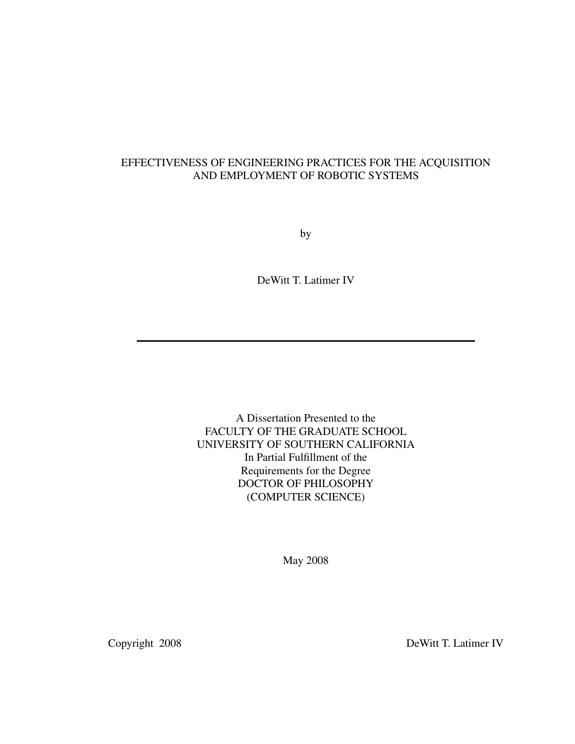## EFFECTIVENESS OF ENGINEERING PRACTICES FOR THE ACQUISITION AND EMPLOYMENT OF ROBOTIC SYSTEMS

by

DeWitt T. Latimer IV

A Dissertation Presented to the FACULTY OF THE GRADUATE SCHOOL UNIVERSITY OF SOUTHERN CALIFORNIA In Partial Fulfillment of the Requirements for the Degree DOCTOR OF PHILOSOPHY (COMPUTER SCIENCE)

May 2008

Copyright 2008 DeWitt T. Latimer IV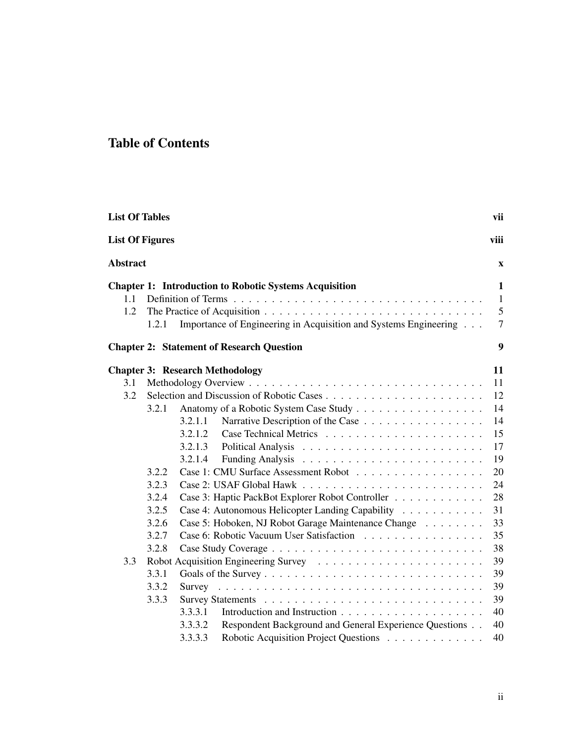# Table of Contents

| <b>List Of Tables</b> |                        |                                                                   | vii            |  |  |
|-----------------------|------------------------|-------------------------------------------------------------------|----------------|--|--|
|                       | <b>List Of Figures</b> |                                                                   |                |  |  |
|                       | <b>Abstract</b>        |                                                                   |                |  |  |
|                       |                        | <b>Chapter 1: Introduction to Robotic Systems Acquisition</b>     | $\mathbf{1}$   |  |  |
| 1.1                   |                        |                                                                   | $\mathbf{1}$   |  |  |
| 1.2                   |                        |                                                                   | 5              |  |  |
|                       | 1.2.1                  | Importance of Engineering in Acquisition and Systems Engineering  | $\overline{7}$ |  |  |
|                       |                        | <b>Chapter 2: Statement of Research Question</b>                  | 9              |  |  |
|                       |                        | <b>Chapter 3: Research Methodology</b>                            | 11             |  |  |
| 3.1                   |                        |                                                                   | 11             |  |  |
| 3.2                   |                        |                                                                   | 12             |  |  |
|                       | 3.2.1                  |                                                                   | 14             |  |  |
|                       |                        | Narrative Description of the Case<br>3.2.1.1                      | 14             |  |  |
|                       |                        | 3.2.1.2                                                           | 15             |  |  |
|                       |                        | 3.2.1.3                                                           | 17             |  |  |
|                       |                        | 3.2.1.4                                                           | 19             |  |  |
|                       | 3.2.2                  | Case 1: CMU Surface Assessment Robot                              | 20             |  |  |
|                       | 3.2.3                  |                                                                   | 24             |  |  |
|                       | 3.2.4                  | Case 3: Haptic PackBot Explorer Robot Controller                  | 28             |  |  |
|                       | 3.2.5                  | Case 4: Autonomous Helicopter Landing Capability                  | 31             |  |  |
|                       | 3.2.6                  | Case 5: Hoboken, NJ Robot Garage Maintenance Change               | 33             |  |  |
|                       | 3.2.7                  | Case 6: Robotic Vacuum User Satisfaction                          | 35             |  |  |
|                       | 3.2.8                  |                                                                   | 38             |  |  |
| 3.3                   |                        |                                                                   | 39             |  |  |
|                       | 3.3.1                  |                                                                   | 39             |  |  |
|                       | 3.3.2                  |                                                                   | 39             |  |  |
|                       | 3.3.3                  |                                                                   | 39             |  |  |
|                       |                        | 3.3.3.1                                                           | 40             |  |  |
|                       |                        | 3.3.3.2<br>Respondent Background and General Experience Questions | 40             |  |  |
|                       |                        | 3.3.3.3<br>Robotic Acquisition Project Questions                  | 40             |  |  |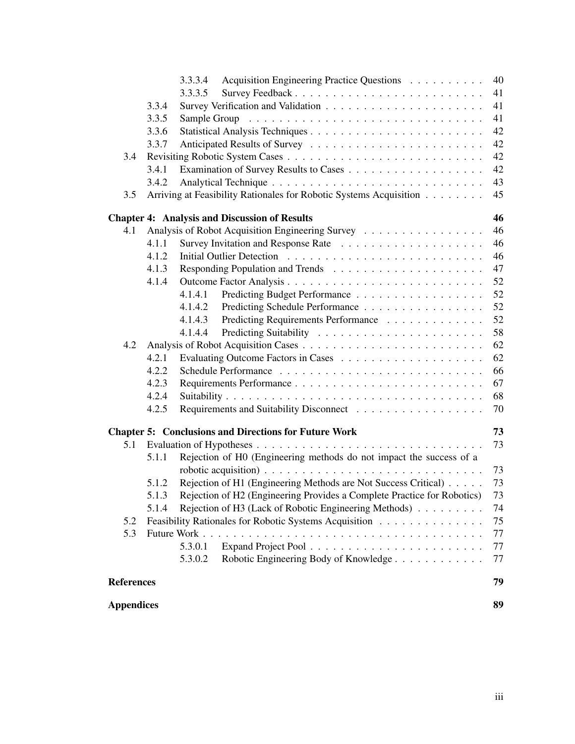|                   |       | 3.3.3.4<br>Acquisition Engineering Practice Questions                   | 40 |
|-------------------|-------|-------------------------------------------------------------------------|----|
|                   |       | 3.3.3.5                                                                 | 41 |
|                   | 3.3.4 |                                                                         | 41 |
|                   | 3.3.5 |                                                                         | 41 |
|                   | 3.3.6 |                                                                         | 42 |
|                   | 3.3.7 |                                                                         | 42 |
| 3.4               |       |                                                                         | 42 |
|                   | 3.4.1 |                                                                         | 42 |
|                   | 3.4.2 |                                                                         | 43 |
| 3.5               |       | Arriving at Feasibility Rationales for Robotic Systems Acquisition      | 45 |
|                   |       | <b>Chapter 4: Analysis and Discussion of Results</b>                    | 46 |
| 4.1               |       | Analysis of Robot Acquisition Engineering Survey                        | 46 |
|                   | 4.1.1 |                                                                         | 46 |
|                   | 4.1.2 |                                                                         | 46 |
|                   | 4.1.3 |                                                                         | 47 |
|                   | 4.1.4 |                                                                         | 52 |
|                   |       | 4.1.4.1                                                                 | 52 |
|                   |       | 4.1.4.2<br>Predicting Schedule Performance                              | 52 |
|                   |       | Predicting Requirements Performance<br>4.1.4.3                          | 52 |
|                   |       | 4.1.4.4                                                                 | 58 |
| 4.2               |       |                                                                         | 62 |
|                   | 4.2.1 |                                                                         | 62 |
|                   | 4.2.2 |                                                                         | 66 |
|                   | 4.2.3 |                                                                         | 67 |
|                   | 4.2.4 |                                                                         | 68 |
|                   | 4.2.5 |                                                                         | 70 |
|                   |       | <b>Chapter 5: Conclusions and Directions for Future Work</b>            | 73 |
| 5.1               |       |                                                                         | 73 |
|                   | 5.1.1 | Rejection of H0 (Engineering methods do not impact the success of a     |    |
|                   |       |                                                                         | 73 |
|                   | 5.1.2 | Rejection of H1 (Engineering Methods are Not Success Critical)          | 73 |
|                   | 5.1.3 | Rejection of H2 (Engineering Provides a Complete Practice for Robotics) | 73 |
|                   | 5.1.4 | Rejection of H3 (Lack of Robotic Engineering Methods)                   | 74 |
| 5.2               |       | Feasibility Rationales for Robotic Systems Acquisition                  | 75 |
| 5.3               |       |                                                                         | 77 |
|                   |       | 5.3.0.1                                                                 | 77 |
|                   |       | Robotic Engineering Body of Knowledge<br>5.3.0.2                        | 77 |
| <b>References</b> |       |                                                                         | 79 |
| <b>Appendices</b> |       |                                                                         | 89 |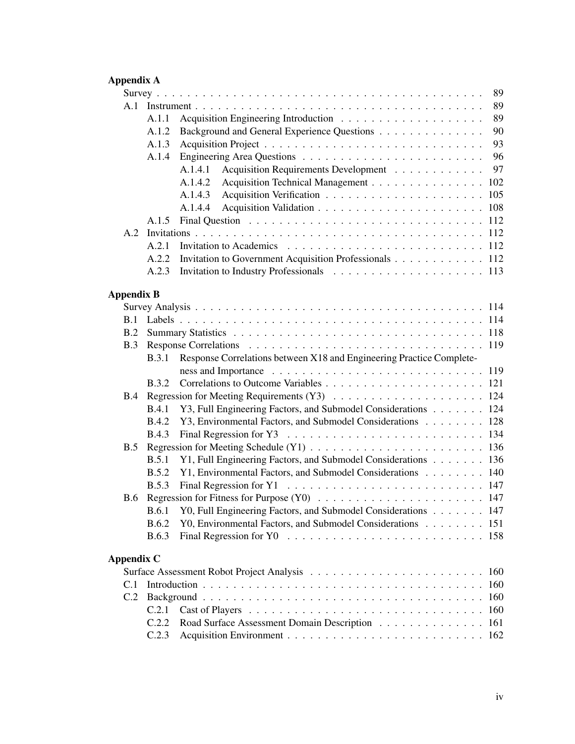# Appendix A

|                   |              | 89                                                                   |
|-------------------|--------------|----------------------------------------------------------------------|
|                   |              | 89                                                                   |
|                   | A.1.1        | 89                                                                   |
|                   | A.1.2        | 90<br>Background and General Experience Questions                    |
|                   | A.1.3        | 93                                                                   |
|                   | A.1.4        | 96                                                                   |
|                   |              | 97<br>Acquisition Requirements Development<br>A.1.4.1                |
|                   |              | Acquisition Technical Management 102<br>A.1.4.2                      |
|                   |              | A.1.4.3                                                              |
|                   |              | A.1.4.4                                                              |
|                   | A.1.5        |                                                                      |
| A.2               |              |                                                                      |
|                   | A.2.1        |                                                                      |
|                   | A.2.2        | Invitation to Government Acquisition Professionals 112               |
|                   | A.2.3        |                                                                      |
|                   |              |                                                                      |
| <b>Appendix B</b> |              |                                                                      |
|                   |              |                                                                      |
|                   |              |                                                                      |
| <b>B.2</b>        |              |                                                                      |
| B.3               |              |                                                                      |
|                   | <b>B.3.1</b> | Response Correlations between X18 and Engineering Practice Complete- |
|                   |              |                                                                      |
|                   | <b>B.3.2</b> |                                                                      |
| <b>B.4</b>        |              |                                                                      |
|                   | <b>B.4.1</b> | Y3, Full Engineering Factors, and Submodel Considerations 124        |
|                   | <b>B.4.2</b> | Y3, Environmental Factors, and Submodel Considerations 128           |
|                   | <b>B.4.3</b> |                                                                      |
| B.5               |              |                                                                      |
|                   |              | B.5.1 Y1, Full Engineering Factors, and Submodel Considerations 136  |
|                   | B.5.2        | Y1, Environmental Factors, and Submodel Considerations 140           |
|                   | B.5.3        |                                                                      |
|                   |              |                                                                      |
|                   |              | B.6.1 Y0, Full Engineering Factors, and Submodel Considerations 147  |
|                   | <b>B.6.2</b> | Y0, Environmental Factors, and Submodel Considerations 151           |
|                   | <b>B.6.3</b> |                                                                      |
|                   |              |                                                                      |
| <b>Appendix C</b> |              |                                                                      |
|                   |              |                                                                      |
| C.1               |              | 160                                                                  |
| C.2               |              | 160                                                                  |
|                   | C.2.1        |                                                                      |
|                   | C.2.2        | Road Surface Assessment Domain Description 161                       |
|                   | C.2.3        |                                                                      |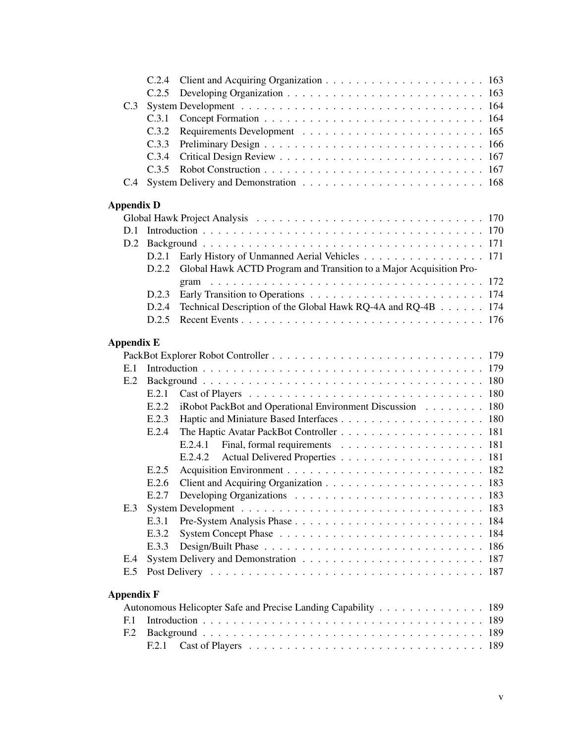|                   | C.2.4 |                                                                     |
|-------------------|-------|---------------------------------------------------------------------|
|                   | C.2.5 |                                                                     |
| C.3               |       |                                                                     |
|                   | C.3.1 |                                                                     |
|                   | C.3.2 |                                                                     |
|                   | C.3.3 |                                                                     |
|                   | C.3.4 |                                                                     |
|                   | C.3.5 |                                                                     |
|                   |       |                                                                     |
|                   |       |                                                                     |
| <b>Appendix D</b> |       |                                                                     |
|                   |       |                                                                     |
|                   |       |                                                                     |
|                   | D.2.1 | Early History of Unmanned Aerial Vehicles 171                       |
|                   | D.2.2 | Global Hawk ACTD Program and Transition to a Major Acquisition Pro- |
|                   |       |                                                                     |
|                   | D.2.3 |                                                                     |
|                   | D.2.4 | Technical Description of the Global Hawk RQ-4A and RQ-4B 174        |
|                   | D.2.5 |                                                                     |
|                   |       |                                                                     |
| <b>Appendix E</b> |       |                                                                     |
|                   |       |                                                                     |
| E.1               |       |                                                                     |
| E.2               |       |                                                                     |
|                   | E.2.1 |                                                                     |
|                   | E.2.2 | iRobot PackBot and Operational Environment Discussion 180           |
|                   | E.2.3 |                                                                     |
|                   | E.2.4 |                                                                     |
|                   |       |                                                                     |
|                   |       | E.2.4.2                                                             |
|                   | E.2.5 |                                                                     |
|                   | E.2.6 |                                                                     |
|                   | E.2.7 |                                                                     |
| E.3               |       |                                                                     |
|                   | E.3.1 |                                                                     |
|                   | E.3.2 |                                                                     |
|                   | E.3.3 | 186                                                                 |
| E.4               |       | 187                                                                 |
| E.5               |       |                                                                     |
| <b>Appendix F</b> |       |                                                                     |
|                   |       | Autonomous Helicopter Safe and Precise Landing Capability 189       |
| E.1               |       | 189                                                                 |
| F <sub>12</sub>   |       | 189                                                                 |
|                   | F.2.1 |                                                                     |
|                   |       |                                                                     |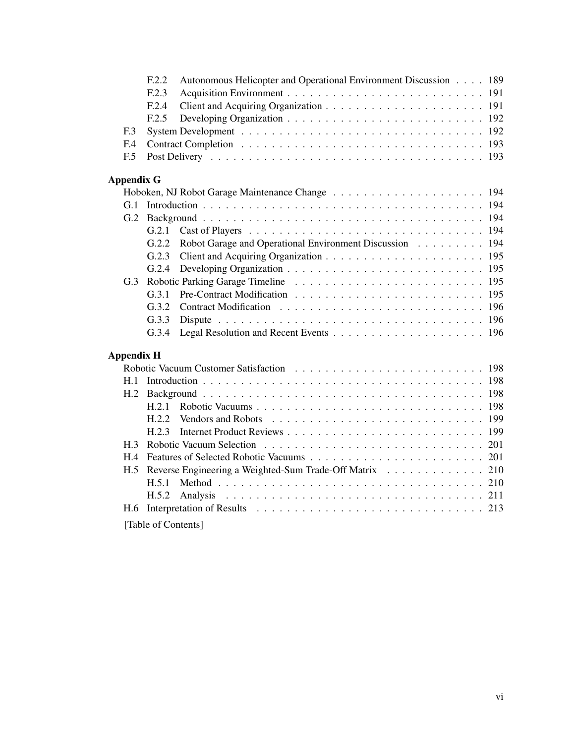|                   | F.2.2<br>Autonomous Helicopter and Operational Environment Discussion 189 |
|-------------------|---------------------------------------------------------------------------|
|                   | F.2.3                                                                     |
|                   | F.2.4                                                                     |
|                   | F.2.5<br>192                                                              |
| F.3               |                                                                           |
| F <sub>4</sub>    |                                                                           |
| F.5               |                                                                           |
| <b>Appendix G</b> |                                                                           |
|                   |                                                                           |
| G.1               |                                                                           |
| G.2               |                                                                           |
|                   | G.2.1                                                                     |
|                   | G.2.2<br>Robot Garage and Operational Environment Discussion 194          |
|                   | G.2.3                                                                     |
|                   | G.2.4                                                                     |
| G.3               |                                                                           |
|                   | G.3.1                                                                     |
|                   | G.3.2                                                                     |
|                   | G.3.3                                                                     |
|                   | G.3.4                                                                     |
| <b>Appendix H</b> |                                                                           |
|                   |                                                                           |
| H.1               |                                                                           |
| H.2               |                                                                           |
|                   | H.2.1                                                                     |
|                   | H.2.2                                                                     |
|                   | H.2.3                                                                     |
| H.3               |                                                                           |
| H.4               |                                                                           |
| H.5               | Reverse Engineering a Weighted-Sum Trade-Off Matrix 210                   |
|                   | H.5.1                                                                     |
|                   | H.5.2                                                                     |
| H.6               | 213                                                                       |
|                   | [Table of Contents]                                                       |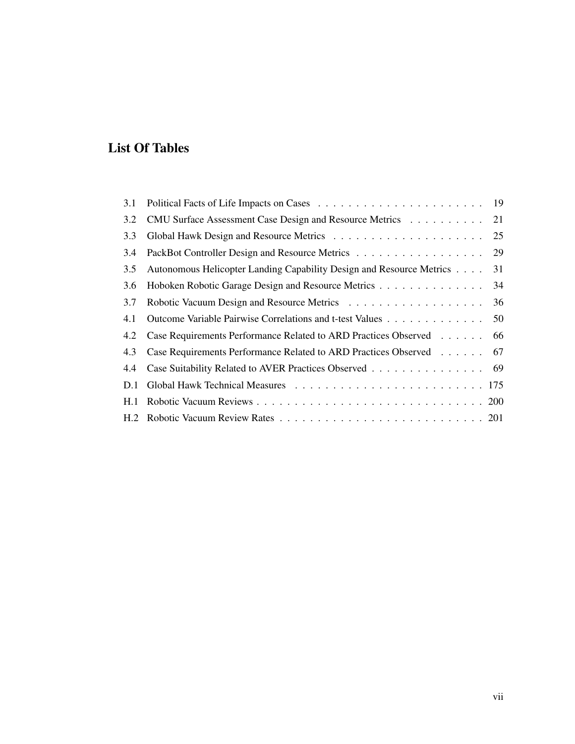# List Of Tables

| 3.1 |                                                                      |    |
|-----|----------------------------------------------------------------------|----|
| 3.2 | CMU Surface Assessment Case Design and Resource Metrics              | 21 |
| 3.3 |                                                                      | 25 |
| 3.4 |                                                                      | 29 |
| 3.5 | Autonomous Helicopter Landing Capability Design and Resource Metrics | 31 |
| 3.6 | Hoboken Robotic Garage Design and Resource Metrics                   | 34 |
| 3.7 |                                                                      | 36 |
| 4.1 | Outcome Variable Pairwise Correlations and t-test Values             | 50 |
| 4.2 | Case Requirements Performance Related to ARD Practices Observed 66   |    |
| 4.3 | Case Requirements Performance Related to ARD Practices Observed 67   |    |
| 4.4 | Case Suitability Related to AVER Practices Observed 69               |    |
| D.1 |                                                                      |    |
| H.1 |                                                                      |    |
|     |                                                                      |    |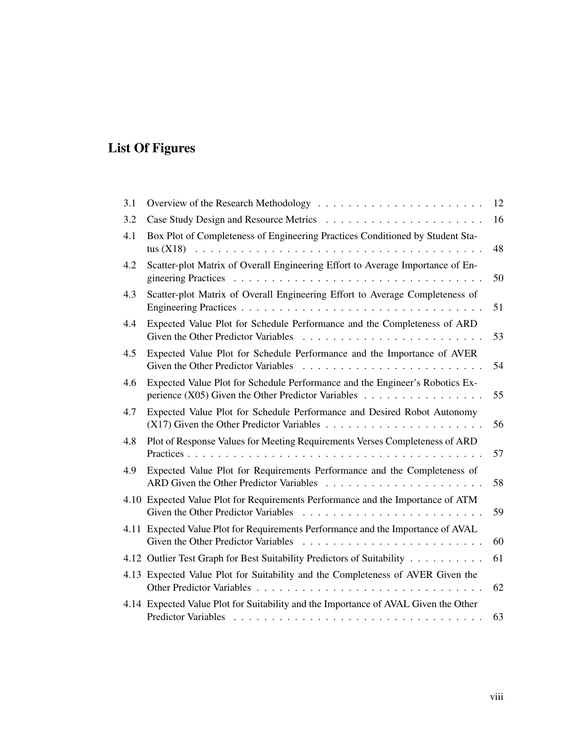# List Of Figures

| 3.1 |                                                                                                                                      | 12 |
|-----|--------------------------------------------------------------------------------------------------------------------------------------|----|
| 3.2 |                                                                                                                                      | 16 |
| 4.1 | Box Plot of Completeness of Engineering Practices Conditioned by Student Sta-                                                        | 48 |
| 4.2 | Scatter-plot Matrix of Overall Engineering Effort to Average Importance of En-                                                       | 50 |
| 4.3 | Scatter-plot Matrix of Overall Engineering Effort to Average Completeness of                                                         | 51 |
| 4.4 | Expected Value Plot for Schedule Performance and the Completeness of ARD                                                             | 53 |
| 4.5 | Expected Value Plot for Schedule Performance and the Importance of AVER                                                              | 54 |
| 4.6 | Expected Value Plot for Schedule Performance and the Engineer's Robotics Ex-<br>perience $(X05)$ Given the Other Predictor Variables | 55 |
| 4.7 | Expected Value Plot for Schedule Performance and Desired Robot Autonomy                                                              | 56 |
| 4.8 | Plot of Response Values for Meeting Requirements Verses Completeness of ARD                                                          | 57 |
| 4.9 | Expected Value Plot for Requirements Performance and the Completeness of                                                             | 58 |
|     | 4.10 Expected Value Plot for Requirements Performance and the Importance of ATM<br>Given the Other Predictor Variables               | 59 |
|     | 4.11 Expected Value Plot for Requirements Performance and the Importance of AVAL                                                     | 60 |
|     | 4.12 Outlier Test Graph for Best Suitability Predictors of Suitability                                                               | 61 |
|     | 4.13 Expected Value Plot for Suitability and the Completeness of AVER Given the                                                      | 62 |
|     | 4.14 Expected Value Plot for Suitability and the Importance of AVAL Given the Other                                                  | 63 |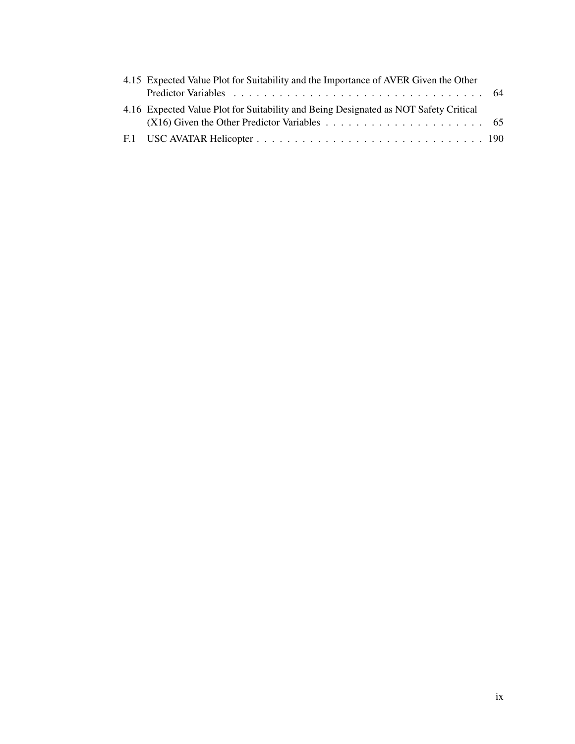| 4.15 Expected Value Plot for Suitability and the Importance of AVER Given the Other  |  |
|--------------------------------------------------------------------------------------|--|
| 4.16 Expected Value Plot for Suitability and Being Designated as NOT Safety Critical |  |
|                                                                                      |  |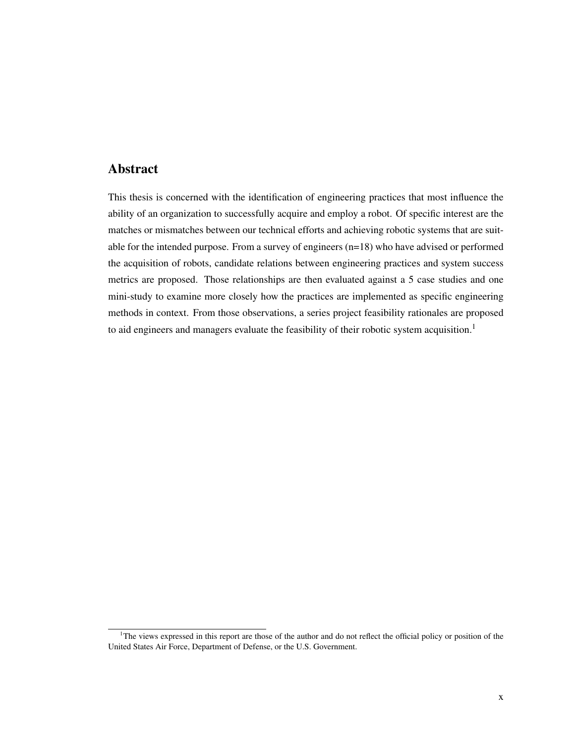## Abstract

This thesis is concerned with the identification of engineering practices that most influence the ability of an organization to successfully acquire and employ a robot. Of specific interest are the matches or mismatches between our technical efforts and achieving robotic systems that are suitable for the intended purpose. From a survey of engineers (n=18) who have advised or performed the acquisition of robots, candidate relations between engineering practices and system success metrics are proposed. Those relationships are then evaluated against a 5 case studies and one mini-study to examine more closely how the practices are implemented as specific engineering methods in context. From those observations, a series project feasibility rationales are proposed to aid engineers and managers evaluate the feasibility of their robotic system acquisition.<sup>1</sup>

<sup>&</sup>lt;sup>1</sup>The views expressed in this report are those of the author and do not reflect the official policy or position of the United States Air Force, Department of Defense, or the U.S. Government.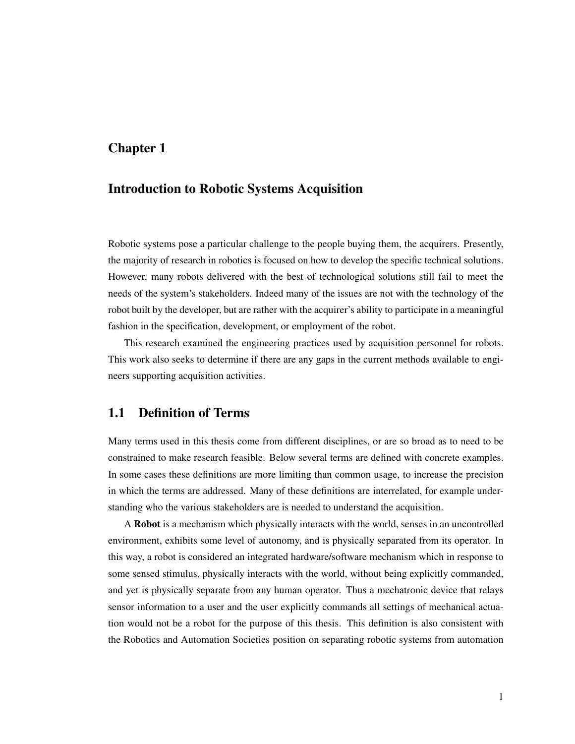## Chapter 1

#### Introduction to Robotic Systems Acquisition

Robotic systems pose a particular challenge to the people buying them, the acquirers. Presently, the majority of research in robotics is focused on how to develop the specific technical solutions. However, many robots delivered with the best of technological solutions still fail to meet the needs of the system's stakeholders. Indeed many of the issues are not with the technology of the robot built by the developer, but are rather with the acquirer's ability to participate in a meaningful fashion in the specification, development, or employment of the robot.

This research examined the engineering practices used by acquisition personnel for robots. This work also seeks to determine if there are any gaps in the current methods available to engineers supporting acquisition activities.

#### 1.1 Definition of Terms

Many terms used in this thesis come from different disciplines, or are so broad as to need to be constrained to make research feasible. Below several terms are defined with concrete examples. In some cases these definitions are more limiting than common usage, to increase the precision in which the terms are addressed. Many of these definitions are interrelated, for example understanding who the various stakeholders are is needed to understand the acquisition.

A Robot is a mechanism which physically interacts with the world, senses in an uncontrolled environment, exhibits some level of autonomy, and is physically separated from its operator. In this way, a robot is considered an integrated hardware/software mechanism which in response to some sensed stimulus, physically interacts with the world, without being explicitly commanded, and yet is physically separate from any human operator. Thus a mechatronic device that relays sensor information to a user and the user explicitly commands all settings of mechanical actuation would not be a robot for the purpose of this thesis. This definition is also consistent with the Robotics and Automation Societies position on separating robotic systems from automation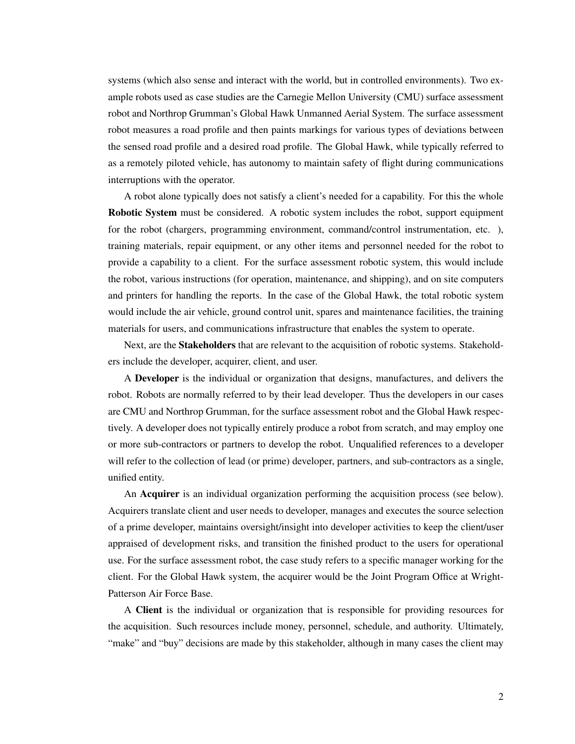systems (which also sense and interact with the world, but in controlled environments). Two example robots used as case studies are the Carnegie Mellon University (CMU) surface assessment robot and Northrop Grumman's Global Hawk Unmanned Aerial System. The surface assessment robot measures a road profile and then paints markings for various types of deviations between the sensed road profile and a desired road profile. The Global Hawk, while typically referred to as a remotely piloted vehicle, has autonomy to maintain safety of flight during communications interruptions with the operator.

A robot alone typically does not satisfy a client's needed for a capability. For this the whole Robotic System must be considered. A robotic system includes the robot, support equipment for the robot (chargers, programming environment, command/control instrumentation, etc.), training materials, repair equipment, or any other items and personnel needed for the robot to provide a capability to a client. For the surface assessment robotic system, this would include the robot, various instructions (for operation, maintenance, and shipping), and on site computers and printers for handling the reports. In the case of the Global Hawk, the total robotic system would include the air vehicle, ground control unit, spares and maintenance facilities, the training materials for users, and communications infrastructure that enables the system to operate.

Next, are the Stakeholders that are relevant to the acquisition of robotic systems. Stakeholders include the developer, acquirer, client, and user.

A Developer is the individual or organization that designs, manufactures, and delivers the robot. Robots are normally referred to by their lead developer. Thus the developers in our cases are CMU and Northrop Grumman, for the surface assessment robot and the Global Hawk respectively. A developer does not typically entirely produce a robot from scratch, and may employ one or more sub-contractors or partners to develop the robot. Unqualified references to a developer will refer to the collection of lead (or prime) developer, partners, and sub-contractors as a single, unified entity.

An Acquirer is an individual organization performing the acquisition process (see below). Acquirers translate client and user needs to developer, manages and executes the source selection of a prime developer, maintains oversight/insight into developer activities to keep the client/user appraised of development risks, and transition the finished product to the users for operational use. For the surface assessment robot, the case study refers to a specific manager working for the client. For the Global Hawk system, the acquirer would be the Joint Program Office at Wright-Patterson Air Force Base.

A Client is the individual or organization that is responsible for providing resources for the acquisition. Such resources include money, personnel, schedule, and authority. Ultimately, "make" and "buy" decisions are made by this stakeholder, although in many cases the client may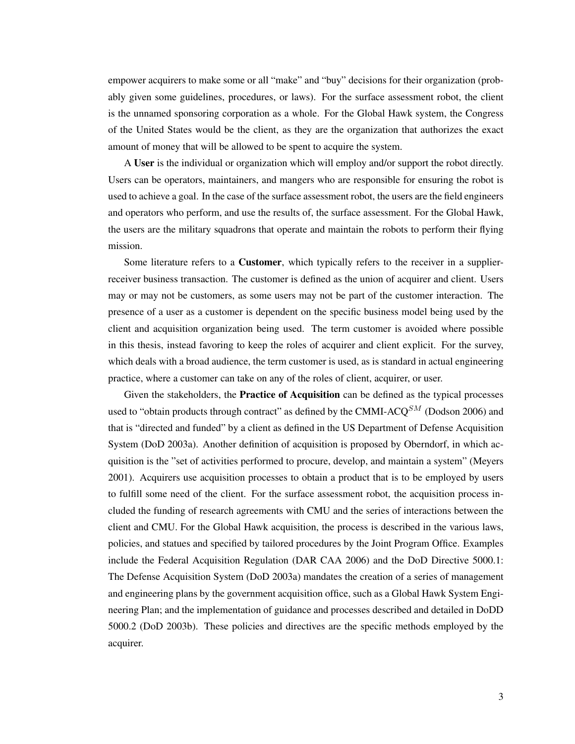empower acquirers to make some or all "make" and "buy" decisions for their organization (probably given some guidelines, procedures, or laws). For the surface assessment robot, the client is the unnamed sponsoring corporation as a whole. For the Global Hawk system, the Congress of the United States would be the client, as they are the organization that authorizes the exact amount of money that will be allowed to be spent to acquire the system.

A User is the individual or organization which will employ and/or support the robot directly. Users can be operators, maintainers, and mangers who are responsible for ensuring the robot is used to achieve a goal. In the case of the surface assessment robot, the users are the field engineers and operators who perform, and use the results of, the surface assessment. For the Global Hawk, the users are the military squadrons that operate and maintain the robots to perform their flying mission.

Some literature refers to a **Customer**, which typically refers to the receiver in a supplierreceiver business transaction. The customer is defined as the union of acquirer and client. Users may or may not be customers, as some users may not be part of the customer interaction. The presence of a user as a customer is dependent on the specific business model being used by the client and acquisition organization being used. The term customer is avoided where possible in this thesis, instead favoring to keep the roles of acquirer and client explicit. For the survey, which deals with a broad audience, the term customer is used, as is standard in actual engineering practice, where a customer can take on any of the roles of client, acquirer, or user.

Given the stakeholders, the Practice of Acquisition can be defined as the typical processes used to "obtain products through contract" as defined by the CMMI-ACQ<sup>SM</sup> (Dodson 2006) and that is "directed and funded" by a client as defined in the US Department of Defense Acquisition System (DoD 2003a). Another definition of acquisition is proposed by Oberndorf, in which acquisition is the "set of activities performed to procure, develop, and maintain a system" (Meyers 2001). Acquirers use acquisition processes to obtain a product that is to be employed by users to fulfill some need of the client. For the surface assessment robot, the acquisition process included the funding of research agreements with CMU and the series of interactions between the client and CMU. For the Global Hawk acquisition, the process is described in the various laws, policies, and statues and specified by tailored procedures by the Joint Program Office. Examples include the Federal Acquisition Regulation (DAR CAA 2006) and the DoD Directive 5000.1: The Defense Acquisition System (DoD 2003a) mandates the creation of a series of management and engineering plans by the government acquisition office, such as a Global Hawk System Engineering Plan; and the implementation of guidance and processes described and detailed in DoDD 5000.2 (DoD 2003b). These policies and directives are the specific methods employed by the acquirer.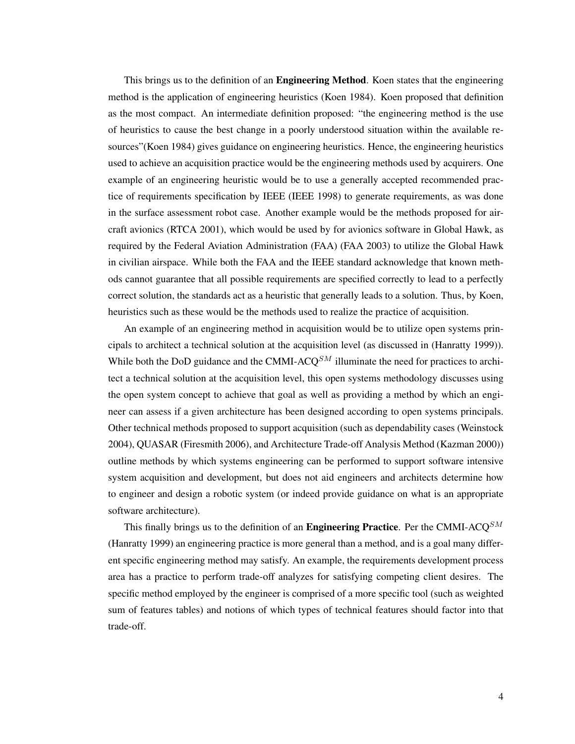This brings us to the definition of an **Engineering Method**. Koen states that the engineering method is the application of engineering heuristics (Koen 1984). Koen proposed that definition as the most compact. An intermediate definition proposed: "the engineering method is the use of heuristics to cause the best change in a poorly understood situation within the available resources"(Koen 1984) gives guidance on engineering heuristics. Hence, the engineering heuristics used to achieve an acquisition practice would be the engineering methods used by acquirers. One example of an engineering heuristic would be to use a generally accepted recommended practice of requirements specification by IEEE (IEEE 1998) to generate requirements, as was done in the surface assessment robot case. Another example would be the methods proposed for aircraft avionics (RTCA 2001), which would be used by for avionics software in Global Hawk, as required by the Federal Aviation Administration (FAA) (FAA 2003) to utilize the Global Hawk in civilian airspace. While both the FAA and the IEEE standard acknowledge that known methods cannot guarantee that all possible requirements are specified correctly to lead to a perfectly correct solution, the standards act as a heuristic that generally leads to a solution. Thus, by Koen, heuristics such as these would be the methods used to realize the practice of acquisition.

An example of an engineering method in acquisition would be to utilize open systems principals to architect a technical solution at the acquisition level (as discussed in (Hanratty 1999)). While both the DoD guidance and the CMMI-ACQ<sup>SM</sup> illuminate the need for practices to architect a technical solution at the acquisition level, this open systems methodology discusses using the open system concept to achieve that goal as well as providing a method by which an engineer can assess if a given architecture has been designed according to open systems principals. Other technical methods proposed to support acquisition (such as dependability cases (Weinstock 2004), QUASAR (Firesmith 2006), and Architecture Trade-off Analysis Method (Kazman 2000)) outline methods by which systems engineering can be performed to support software intensive system acquisition and development, but does not aid engineers and architects determine how to engineer and design a robotic system (or indeed provide guidance on what is an appropriate software architecture).

This finally brings us to the definition of an **Engineering Practice**. Per the CMMI-ACQ<sup>SM</sup> (Hanratty 1999) an engineering practice is more general than a method, and is a goal many different specific engineering method may satisfy. An example, the requirements development process area has a practice to perform trade-off analyzes for satisfying competing client desires. The specific method employed by the engineer is comprised of a more specific tool (such as weighted sum of features tables) and notions of which types of technical features should factor into that trade-off.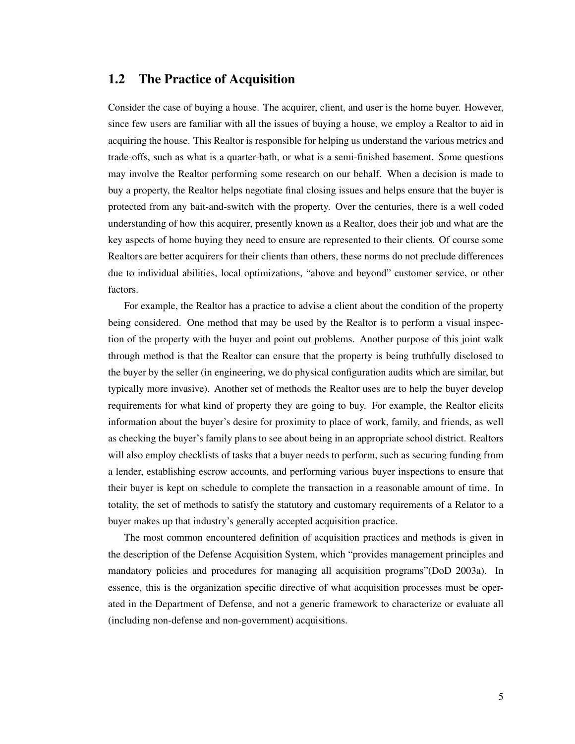#### 1.2 The Practice of Acquisition

Consider the case of buying a house. The acquirer, client, and user is the home buyer. However, since few users are familiar with all the issues of buying a house, we employ a Realtor to aid in acquiring the house. This Realtor is responsible for helping us understand the various metrics and trade-offs, such as what is a quarter-bath, or what is a semi-finished basement. Some questions may involve the Realtor performing some research on our behalf. When a decision is made to buy a property, the Realtor helps negotiate final closing issues and helps ensure that the buyer is protected from any bait-and-switch with the property. Over the centuries, there is a well coded understanding of how this acquirer, presently known as a Realtor, does their job and what are the key aspects of home buying they need to ensure are represented to their clients. Of course some Realtors are better acquirers for their clients than others, these norms do not preclude differences due to individual abilities, local optimizations, "above and beyond" customer service, or other factors.

For example, the Realtor has a practice to advise a client about the condition of the property being considered. One method that may be used by the Realtor is to perform a visual inspection of the property with the buyer and point out problems. Another purpose of this joint walk through method is that the Realtor can ensure that the property is being truthfully disclosed to the buyer by the seller (in engineering, we do physical configuration audits which are similar, but typically more invasive). Another set of methods the Realtor uses are to help the buyer develop requirements for what kind of property they are going to buy. For example, the Realtor elicits information about the buyer's desire for proximity to place of work, family, and friends, as well as checking the buyer's family plans to see about being in an appropriate school district. Realtors will also employ checklists of tasks that a buyer needs to perform, such as securing funding from a lender, establishing escrow accounts, and performing various buyer inspections to ensure that their buyer is kept on schedule to complete the transaction in a reasonable amount of time. In totality, the set of methods to satisfy the statutory and customary requirements of a Relator to a buyer makes up that industry's generally accepted acquisition practice.

The most common encountered definition of acquisition practices and methods is given in the description of the Defense Acquisition System, which "provides management principles and mandatory policies and procedures for managing all acquisition programs"(DoD 2003a). In essence, this is the organization specific directive of what acquisition processes must be operated in the Department of Defense, and not a generic framework to characterize or evaluate all (including non-defense and non-government) acquisitions.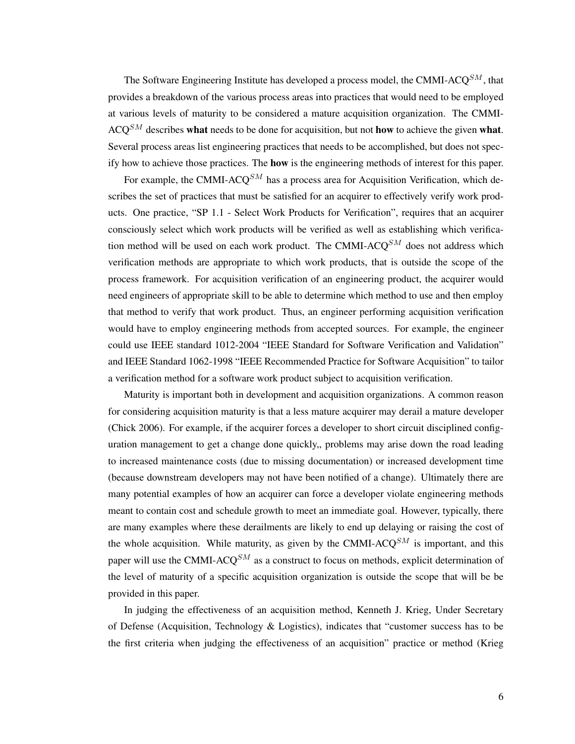The Software Engineering Institute has developed a process model, the CMMI-ACQ<sup>SM</sup>, that provides a breakdown of the various process areas into practices that would need to be employed at various levels of maturity to be considered a mature acquisition organization. The CMMI- $ACO<sup>SM</sup>$  describes what needs to be done for acquisition, but not how to achieve the given what. Several process areas list engineering practices that needs to be accomplished, but does not specify how to achieve those practices. The how is the engineering methods of interest for this paper.

For example, the CMMI-ACQ<sup>SM</sup> has a process area for Acquisition Verification, which describes the set of practices that must be satisfied for an acquirer to effectively verify work products. One practice, "SP 1.1 - Select Work Products for Verification", requires that an acquirer consciously select which work products will be verified as well as establishing which verification method will be used on each work product. The CMMI-ACQ<sup>SM</sup> does not address which verification methods are appropriate to which work products, that is outside the scope of the process framework. For acquisition verification of an engineering product, the acquirer would need engineers of appropriate skill to be able to determine which method to use and then employ that method to verify that work product. Thus, an engineer performing acquisition verification would have to employ engineering methods from accepted sources. For example, the engineer could use IEEE standard 1012-2004 "IEEE Standard for Software Verification and Validation" and IEEE Standard 1062-1998 "IEEE Recommended Practice for Software Acquisition" to tailor a verification method for a software work product subject to acquisition verification.

Maturity is important both in development and acquisition organizations. A common reason for considering acquisition maturity is that a less mature acquirer may derail a mature developer (Chick 2006). For example, if the acquirer forces a developer to short circuit disciplined configuration management to get a change done quickly,, problems may arise down the road leading to increased maintenance costs (due to missing documentation) or increased development time (because downstream developers may not have been notified of a change). Ultimately there are many potential examples of how an acquirer can force a developer violate engineering methods meant to contain cost and schedule growth to meet an immediate goal. However, typically, there are many examples where these derailments are likely to end up delaying or raising the cost of the whole acquisition. While maturity, as given by the CMMI-ACO<sup>SM</sup> is important, and this paper will use the CMMI-ACQ<sup>SM</sup> as a construct to focus on methods, explicit determination of the level of maturity of a specific acquisition organization is outside the scope that will be be provided in this paper.

In judging the effectiveness of an acquisition method, Kenneth J. Krieg, Under Secretary of Defense (Acquisition, Technology & Logistics), indicates that "customer success has to be the first criteria when judging the effectiveness of an acquisition" practice or method (Krieg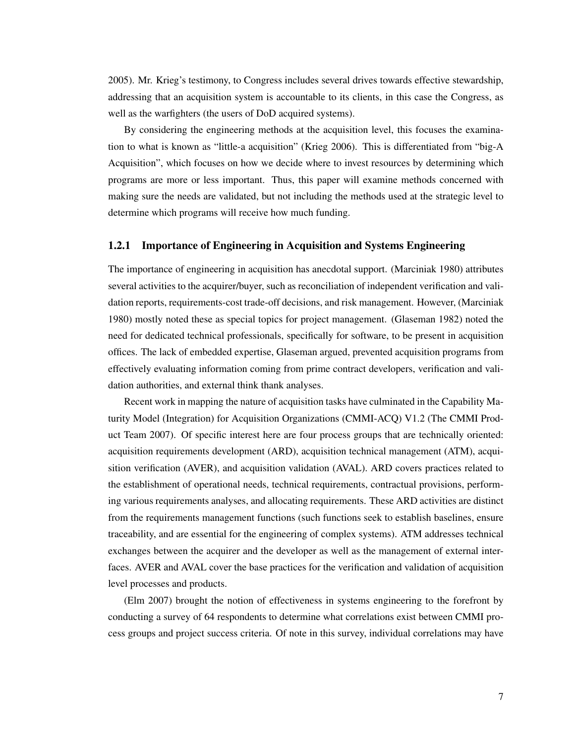2005). Mr. Krieg's testimony, to Congress includes several drives towards effective stewardship, addressing that an acquisition system is accountable to its clients, in this case the Congress, as well as the warfighters (the users of DoD acquired systems).

By considering the engineering methods at the acquisition level, this focuses the examination to what is known as "little-a acquisition" (Krieg 2006). This is differentiated from "big-A Acquisition", which focuses on how we decide where to invest resources by determining which programs are more or less important. Thus, this paper will examine methods concerned with making sure the needs are validated, but not including the methods used at the strategic level to determine which programs will receive how much funding.

#### 1.2.1 Importance of Engineering in Acquisition and Systems Engineering

The importance of engineering in acquisition has anecdotal support. (Marciniak 1980) attributes several activities to the acquirer/buyer, such as reconciliation of independent verification and validation reports, requirements-cost trade-off decisions, and risk management. However, (Marciniak 1980) mostly noted these as special topics for project management. (Glaseman 1982) noted the need for dedicated technical professionals, specifically for software, to be present in acquisition offices. The lack of embedded expertise, Glaseman argued, prevented acquisition programs from effectively evaluating information coming from prime contract developers, verification and validation authorities, and external think thank analyses.

Recent work in mapping the nature of acquisition tasks have culminated in the Capability Maturity Model (Integration) for Acquisition Organizations (CMMI-ACQ) V1.2 (The CMMI Product Team 2007). Of specific interest here are four process groups that are technically oriented: acquisition requirements development (ARD), acquisition technical management (ATM), acquisition verification (AVER), and acquisition validation (AVAL). ARD covers practices related to the establishment of operational needs, technical requirements, contractual provisions, performing various requirements analyses, and allocating requirements. These ARD activities are distinct from the requirements management functions (such functions seek to establish baselines, ensure traceability, and are essential for the engineering of complex systems). ATM addresses technical exchanges between the acquirer and the developer as well as the management of external interfaces. AVER and AVAL cover the base practices for the verification and validation of acquisition level processes and products.

(Elm 2007) brought the notion of effectiveness in systems engineering to the forefront by conducting a survey of 64 respondents to determine what correlations exist between CMMI process groups and project success criteria. Of note in this survey, individual correlations may have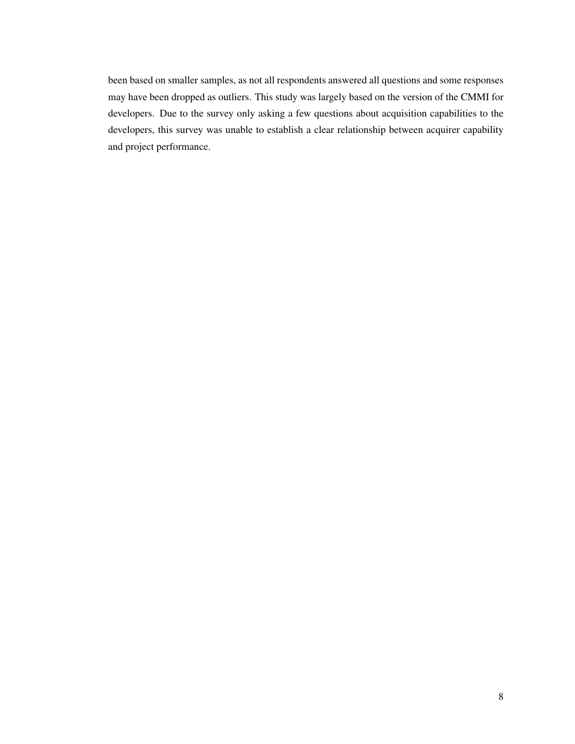been based on smaller samples, as not all respondents answered all questions and some responses may have been dropped as outliers. This study was largely based on the version of the CMMI for developers. Due to the survey only asking a few questions about acquisition capabilities to the developers, this survey was unable to establish a clear relationship between acquirer capability and project performance.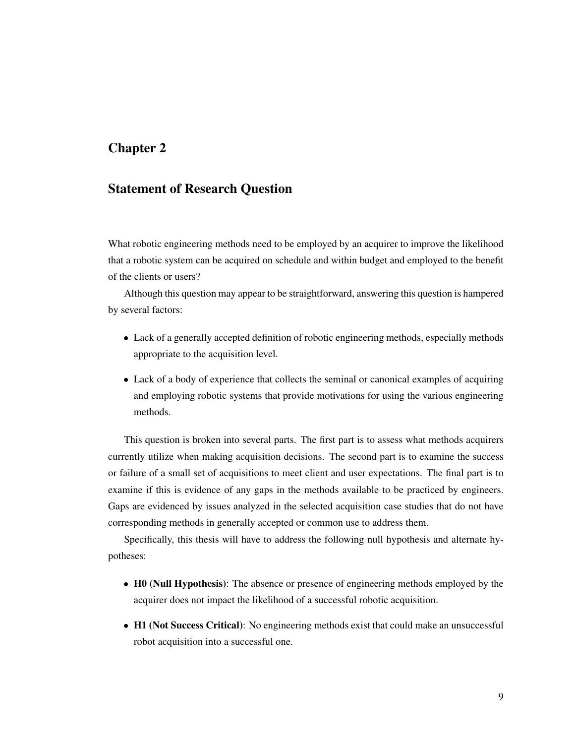## Chapter 2

## Statement of Research Question

What robotic engineering methods need to be employed by an acquirer to improve the likelihood that a robotic system can be acquired on schedule and within budget and employed to the benefit of the clients or users?

Although this question may appear to be straightforward, answering this question is hampered by several factors:

- Lack of a generally accepted definition of robotic engineering methods, especially methods appropriate to the acquisition level.
- Lack of a body of experience that collects the seminal or canonical examples of acquiring and employing robotic systems that provide motivations for using the various engineering methods.

This question is broken into several parts. The first part is to assess what methods acquirers currently utilize when making acquisition decisions. The second part is to examine the success or failure of a small set of acquisitions to meet client and user expectations. The final part is to examine if this is evidence of any gaps in the methods available to be practiced by engineers. Gaps are evidenced by issues analyzed in the selected acquisition case studies that do not have corresponding methods in generally accepted or common use to address them.

Specifically, this thesis will have to address the following null hypothesis and alternate hypotheses:

- H0 (Null Hypothesis): The absence or presence of engineering methods employed by the acquirer does not impact the likelihood of a successful robotic acquisition.
- H1 (Not Success Critical): No engineering methods exist that could make an unsuccessful robot acquisition into a successful one.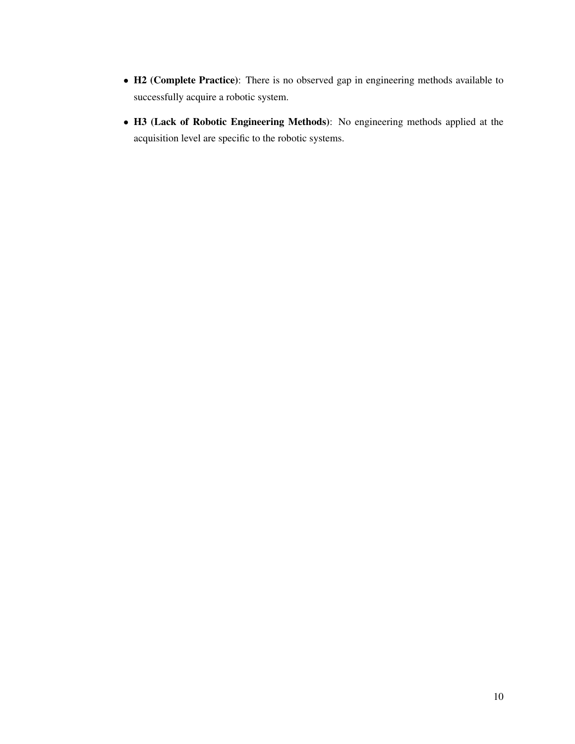- H2 (Complete Practice): There is no observed gap in engineering methods available to successfully acquire a robotic system.
- H3 (Lack of Robotic Engineering Methods): No engineering methods applied at the acquisition level are specific to the robotic systems.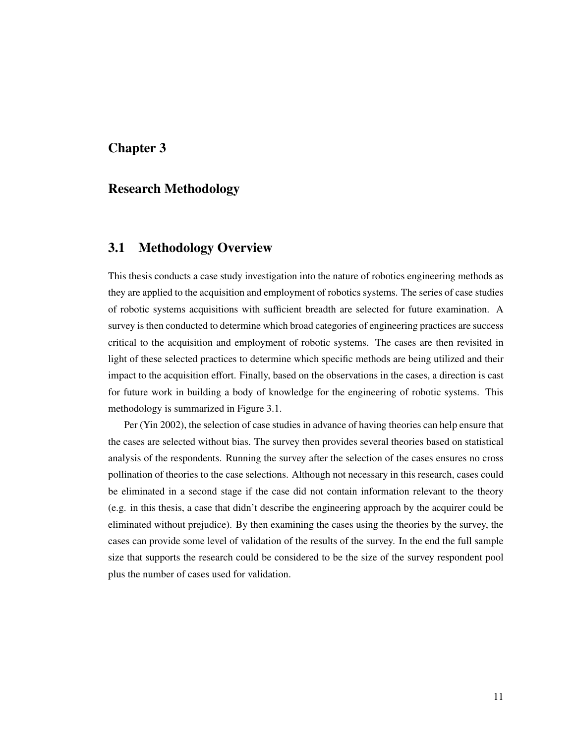## Chapter 3

#### Research Methodology

## 3.1 Methodology Overview

This thesis conducts a case study investigation into the nature of robotics engineering methods as they are applied to the acquisition and employment of robotics systems. The series of case studies of robotic systems acquisitions with sufficient breadth are selected for future examination. A survey is then conducted to determine which broad categories of engineering practices are success critical to the acquisition and employment of robotic systems. The cases are then revisited in light of these selected practices to determine which specific methods are being utilized and their impact to the acquisition effort. Finally, based on the observations in the cases, a direction is cast for future work in building a body of knowledge for the engineering of robotic systems. This methodology is summarized in Figure 3.1.

Per (Yin 2002), the selection of case studies in advance of having theories can help ensure that the cases are selected without bias. The survey then provides several theories based on statistical analysis of the respondents. Running the survey after the selection of the cases ensures no cross pollination of theories to the case selections. Although not necessary in this research, cases could be eliminated in a second stage if the case did not contain information relevant to the theory (e.g. in this thesis, a case that didn't describe the engineering approach by the acquirer could be eliminated without prejudice). By then examining the cases using the theories by the survey, the cases can provide some level of validation of the results of the survey. In the end the full sample size that supports the research could be considered to be the size of the survey respondent pool plus the number of cases used for validation.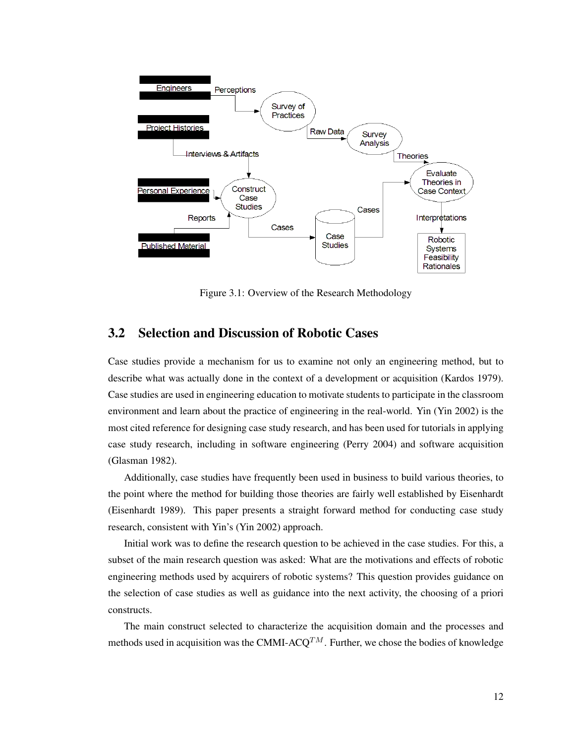

Figure 3.1: Overview of the Research Methodology

## 3.2 Selection and Discussion of Robotic Cases

Case studies provide a mechanism for us to examine not only an engineering method, but to describe what was actually done in the context of a development or acquisition (Kardos 1979). Case studies are used in engineering education to motivate students to participate in the classroom environment and learn about the practice of engineering in the real-world. Yin (Yin 2002) is the most cited reference for designing case study research, and has been used for tutorials in applying case study research, including in software engineering (Perry 2004) and software acquisition (Glasman 1982).

Additionally, case studies have frequently been used in business to build various theories, to the point where the method for building those theories are fairly well established by Eisenhardt (Eisenhardt 1989). This paper presents a straight forward method for conducting case study research, consistent with Yin's (Yin 2002) approach.

Initial work was to define the research question to be achieved in the case studies. For this, a subset of the main research question was asked: What are the motivations and effects of robotic engineering methods used by acquirers of robotic systems? This question provides guidance on the selection of case studies as well as guidance into the next activity, the choosing of a priori constructs.

The main construct selected to characterize the acquisition domain and the processes and methods used in acquisition was the CMMI-ACQ<sup>TM</sup>. Further, we chose the bodies of knowledge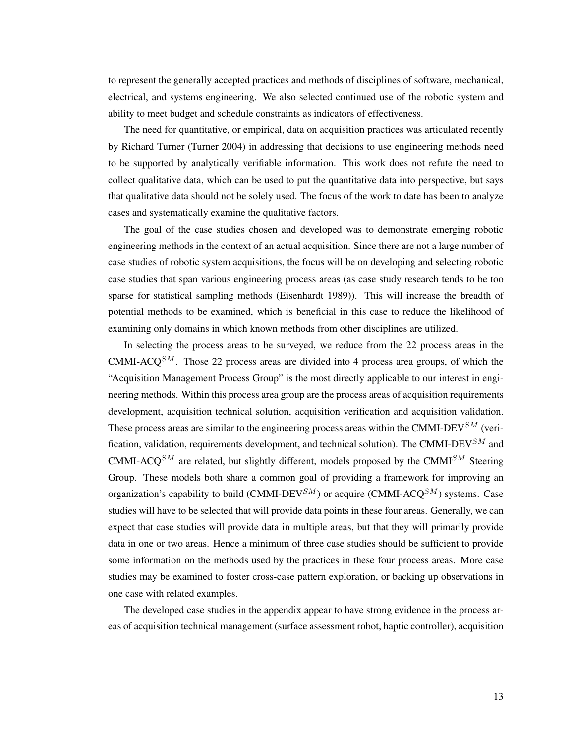to represent the generally accepted practices and methods of disciplines of software, mechanical, electrical, and systems engineering. We also selected continued use of the robotic system and ability to meet budget and schedule constraints as indicators of effectiveness.

The need for quantitative, or empirical, data on acquisition practices was articulated recently by Richard Turner (Turner 2004) in addressing that decisions to use engineering methods need to be supported by analytically verifiable information. This work does not refute the need to collect qualitative data, which can be used to put the quantitative data into perspective, but says that qualitative data should not be solely used. The focus of the work to date has been to analyze cases and systematically examine the qualitative factors.

The goal of the case studies chosen and developed was to demonstrate emerging robotic engineering methods in the context of an actual acquisition. Since there are not a large number of case studies of robotic system acquisitions, the focus will be on developing and selecting robotic case studies that span various engineering process areas (as case study research tends to be too sparse for statistical sampling methods (Eisenhardt 1989)). This will increase the breadth of potential methods to be examined, which is beneficial in this case to reduce the likelihood of examining only domains in which known methods from other disciplines are utilized.

In selecting the process areas to be surveyed, we reduce from the 22 process areas in the CMMI-ACQ<sup>SM</sup>. Those 22 process areas are divided into 4 process area groups, of which the "Acquisition Management Process Group" is the most directly applicable to our interest in engineering methods. Within this process area group are the process areas of acquisition requirements development, acquisition technical solution, acquisition verification and acquisition validation. These process areas are similar to the engineering process areas within the CMMI-DEV<sup>SM</sup> (verification, validation, requirements development, and technical solution). The CMMI-DEV<sup>SM</sup> and CMMI-ACQ<sup>SM</sup> are related, but slightly different, models proposed by the CMMI<sup>SM</sup> Steering Group. These models both share a common goal of providing a framework for improving an organization's capability to build (CMMI-DEV<sup>SM</sup>) or acquire (CMMI-ACQ<sup>SM</sup>) systems. Case studies will have to be selected that will provide data points in these four areas. Generally, we can expect that case studies will provide data in multiple areas, but that they will primarily provide data in one or two areas. Hence a minimum of three case studies should be sufficient to provide some information on the methods used by the practices in these four process areas. More case studies may be examined to foster cross-case pattern exploration, or backing up observations in one case with related examples.

The developed case studies in the appendix appear to have strong evidence in the process areas of acquisition technical management (surface assessment robot, haptic controller), acquisition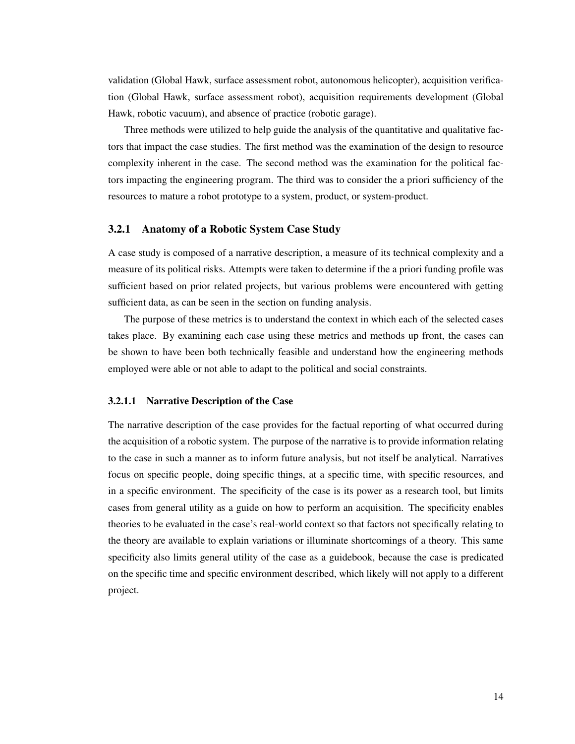validation (Global Hawk, surface assessment robot, autonomous helicopter), acquisition verification (Global Hawk, surface assessment robot), acquisition requirements development (Global Hawk, robotic vacuum), and absence of practice (robotic garage).

Three methods were utilized to help guide the analysis of the quantitative and qualitative factors that impact the case studies. The first method was the examination of the design to resource complexity inherent in the case. The second method was the examination for the political factors impacting the engineering program. The third was to consider the a priori sufficiency of the resources to mature a robot prototype to a system, product, or system-product.

#### 3.2.1 Anatomy of a Robotic System Case Study

A case study is composed of a narrative description, a measure of its technical complexity and a measure of its political risks. Attempts were taken to determine if the a priori funding profile was sufficient based on prior related projects, but various problems were encountered with getting sufficient data, as can be seen in the section on funding analysis.

The purpose of these metrics is to understand the context in which each of the selected cases takes place. By examining each case using these metrics and methods up front, the cases can be shown to have been both technically feasible and understand how the engineering methods employed were able or not able to adapt to the political and social constraints.

#### 3.2.1.1 Narrative Description of the Case

The narrative description of the case provides for the factual reporting of what occurred during the acquisition of a robotic system. The purpose of the narrative is to provide information relating to the case in such a manner as to inform future analysis, but not itself be analytical. Narratives focus on specific people, doing specific things, at a specific time, with specific resources, and in a specific environment. The specificity of the case is its power as a research tool, but limits cases from general utility as a guide on how to perform an acquisition. The specificity enables theories to be evaluated in the case's real-world context so that factors not specifically relating to the theory are available to explain variations or illuminate shortcomings of a theory. This same specificity also limits general utility of the case as a guidebook, because the case is predicated on the specific time and specific environment described, which likely will not apply to a different project.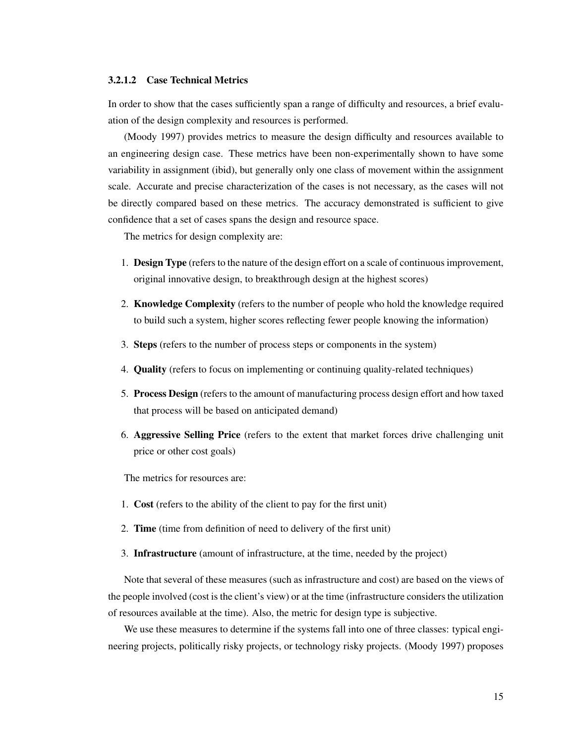#### 3.2.1.2 Case Technical Metrics

In order to show that the cases sufficiently span a range of difficulty and resources, a brief evaluation of the design complexity and resources is performed.

(Moody 1997) provides metrics to measure the design difficulty and resources available to an engineering design case. These metrics have been non-experimentally shown to have some variability in assignment (ibid), but generally only one class of movement within the assignment scale. Accurate and precise characterization of the cases is not necessary, as the cases will not be directly compared based on these metrics. The accuracy demonstrated is sufficient to give confidence that a set of cases spans the design and resource space.

The metrics for design complexity are:

- 1. Design Type (refers to the nature of the design effort on a scale of continuous improvement, original innovative design, to breakthrough design at the highest scores)
- 2. Knowledge Complexity (refers to the number of people who hold the knowledge required to build such a system, higher scores reflecting fewer people knowing the information)
- 3. Steps (refers to the number of process steps or components in the system)
- 4. Quality (refers to focus on implementing or continuing quality-related techniques)
- 5. Process Design (refers to the amount of manufacturing process design effort and how taxed that process will be based on anticipated demand)
- 6. Aggressive Selling Price (refers to the extent that market forces drive challenging unit price or other cost goals)

The metrics for resources are:

- 1. Cost (refers to the ability of the client to pay for the first unit)
- 2. Time (time from definition of need to delivery of the first unit)
- 3. Infrastructure (amount of infrastructure, at the time, needed by the project)

Note that several of these measures (such as infrastructure and cost) are based on the views of the people involved (cost is the client's view) or at the time (infrastructure considers the utilization of resources available at the time). Also, the metric for design type is subjective.

We use these measures to determine if the systems fall into one of three classes: typical engineering projects, politically risky projects, or technology risky projects. (Moody 1997) proposes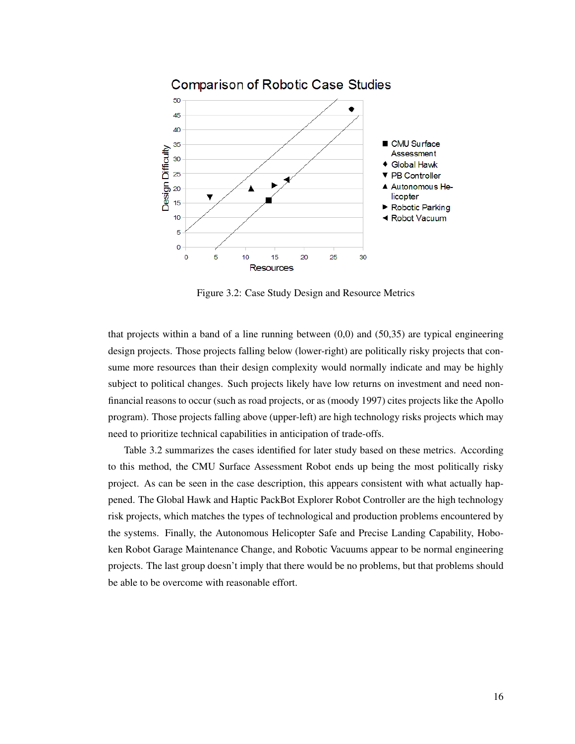

Figure 3.2: Case Study Design and Resource Metrics

that projects within a band of a line running between  $(0,0)$  and  $(50,35)$  are typical engineering design projects. Those projects falling below (lower-right) are politically risky projects that consume more resources than their design complexity would normally indicate and may be highly subject to political changes. Such projects likely have low returns on investment and need nonfinancial reasons to occur (such as road projects, or as (moody 1997) cites projects like the Apollo program). Those projects falling above (upper-left) are high technology risks projects which may need to prioritize technical capabilities in anticipation of trade-offs.

Table 3.2 summarizes the cases identified for later study based on these metrics. According to this method, the CMU Surface Assessment Robot ends up being the most politically risky project. As can be seen in the case description, this appears consistent with what actually happened. The Global Hawk and Haptic PackBot Explorer Robot Controller are the high technology risk projects, which matches the types of technological and production problems encountered by the systems. Finally, the Autonomous Helicopter Safe and Precise Landing Capability, Hoboken Robot Garage Maintenance Change, and Robotic Vacuums appear to be normal engineering projects. The last group doesn't imply that there would be no problems, but that problems should be able to be overcome with reasonable effort.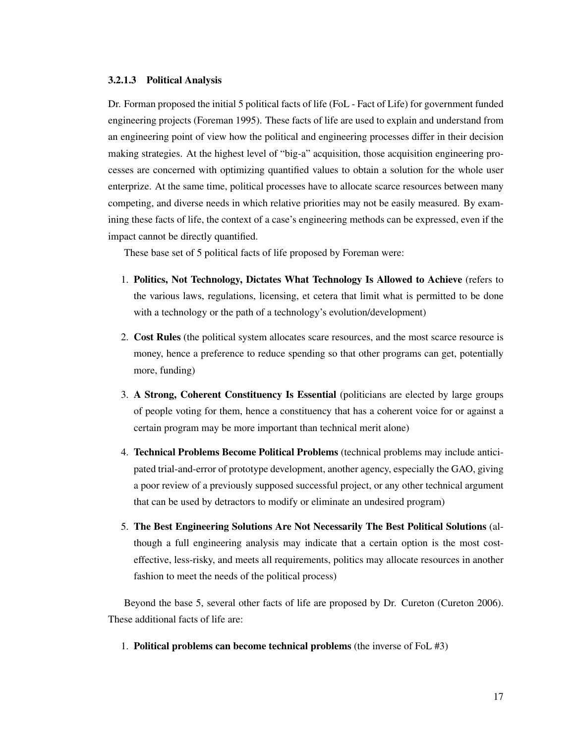#### 3.2.1.3 Political Analysis

Dr. Forman proposed the initial 5 political facts of life (FoL - Fact of Life) for government funded engineering projects (Foreman 1995). These facts of life are used to explain and understand from an engineering point of view how the political and engineering processes differ in their decision making strategies. At the highest level of "big-a" acquisition, those acquisition engineering processes are concerned with optimizing quantified values to obtain a solution for the whole user enterprize. At the same time, political processes have to allocate scarce resources between many competing, and diverse needs in which relative priorities may not be easily measured. By examining these facts of life, the context of a case's engineering methods can be expressed, even if the impact cannot be directly quantified.

These base set of 5 political facts of life proposed by Foreman were:

- 1. Politics, Not Technology, Dictates What Technology Is Allowed to Achieve (refers to the various laws, regulations, licensing, et cetera that limit what is permitted to be done with a technology or the path of a technology's evolution/development)
- 2. Cost Rules (the political system allocates scare resources, and the most scarce resource is money, hence a preference to reduce spending so that other programs can get, potentially more, funding)
- 3. A Strong, Coherent Constituency Is Essential (politicians are elected by large groups of people voting for them, hence a constituency that has a coherent voice for or against a certain program may be more important than technical merit alone)
- 4. Technical Problems Become Political Problems (technical problems may include anticipated trial-and-error of prototype development, another agency, especially the GAO, giving a poor review of a previously supposed successful project, or any other technical argument that can be used by detractors to modify or eliminate an undesired program)
- 5. The Best Engineering Solutions Are Not Necessarily The Best Political Solutions (although a full engineering analysis may indicate that a certain option is the most costeffective, less-risky, and meets all requirements, politics may allocate resources in another fashion to meet the needs of the political process)

Beyond the base 5, several other facts of life are proposed by Dr. Cureton (Cureton 2006). These additional facts of life are:

1. Political problems can become technical problems (the inverse of FoL #3)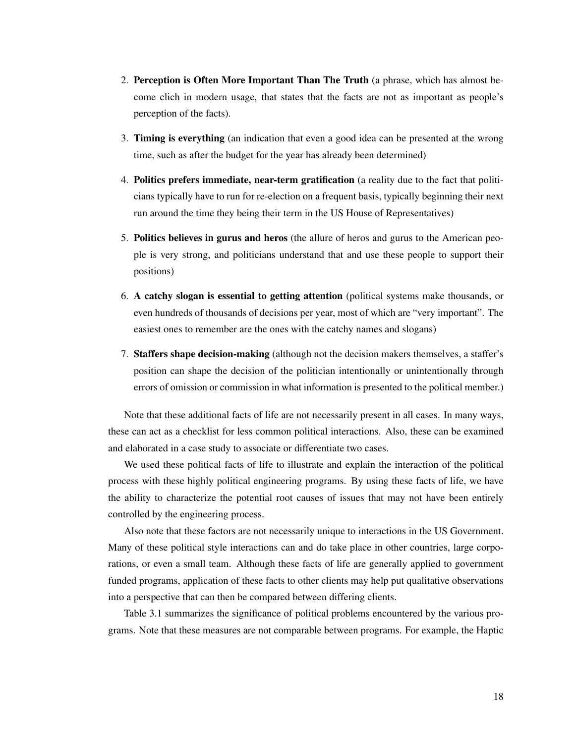- 2. Perception is Often More Important Than The Truth (a phrase, which has almost become clich in modern usage, that states that the facts are not as important as people's perception of the facts).
- 3. Timing is everything (an indication that even a good idea can be presented at the wrong time, such as after the budget for the year has already been determined)
- 4. Politics prefers immediate, near-term gratification (a reality due to the fact that politicians typically have to run for re-election on a frequent basis, typically beginning their next run around the time they being their term in the US House of Representatives)
- 5. Politics believes in gurus and heros (the allure of heros and gurus to the American people is very strong, and politicians understand that and use these people to support their positions)
- 6. A catchy slogan is essential to getting attention (political systems make thousands, or even hundreds of thousands of decisions per year, most of which are "very important". The easiest ones to remember are the ones with the catchy names and slogans)
- 7. Staffers shape decision-making (although not the decision makers themselves, a staffer's position can shape the decision of the politician intentionally or unintentionally through errors of omission or commission in what information is presented to the political member.)

Note that these additional facts of life are not necessarily present in all cases. In many ways, these can act as a checklist for less common political interactions. Also, these can be examined and elaborated in a case study to associate or differentiate two cases.

We used these political facts of life to illustrate and explain the interaction of the political process with these highly political engineering programs. By using these facts of life, we have the ability to characterize the potential root causes of issues that may not have been entirely controlled by the engineering process.

Also note that these factors are not necessarily unique to interactions in the US Government. Many of these political style interactions can and do take place in other countries, large corporations, or even a small team. Although these facts of life are generally applied to government funded programs, application of these facts to other clients may help put qualitative observations into a perspective that can then be compared between differing clients.

Table 3.1 summarizes the significance of political problems encountered by the various programs. Note that these measures are not comparable between programs. For example, the Haptic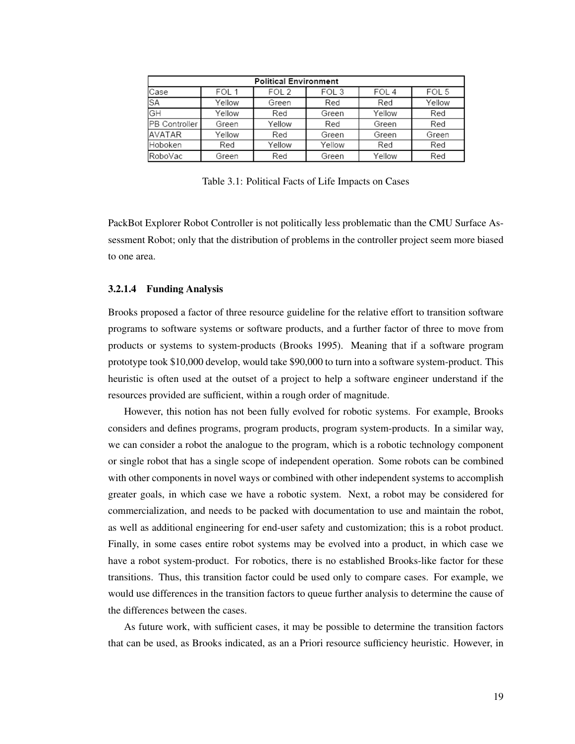| <b>Political Environment</b> |        |        |        |        |        |
|------------------------------|--------|--------|--------|--------|--------|
| Case                         | FOL 1  | FOL 2  | FOL 3  | FOL 4  | FOL 5  |
| lSΑ                          | Yellow | Green  | Red    | Red    | Yellow |
| GH                           | Yellow | Red    | Green  | Yellow | Red    |
| <b>IPB Controller</b>        | Green  | Yellow | Red    | Green  | Red    |
| <b>AVATAR</b>                | Yellow | Red    | Green  | Green  | Green  |
| lHoboken                     | Red    | Yellow | Yellow | Red    | Red    |
| RoboVac                      | Green  | Red    | Green  | Yellow | Red    |

Table 3.1: Political Facts of Life Impacts on Cases

PackBot Explorer Robot Controller is not politically less problematic than the CMU Surface Assessment Robot; only that the distribution of problems in the controller project seem more biased to one area.

#### 3.2.1.4 Funding Analysis

Brooks proposed a factor of three resource guideline for the relative effort to transition software programs to software systems or software products, and a further factor of three to move from products or systems to system-products (Brooks 1995). Meaning that if a software program prototype took \$10,000 develop, would take \$90,000 to turn into a software system-product. This heuristic is often used at the outset of a project to help a software engineer understand if the resources provided are sufficient, within a rough order of magnitude.

However, this notion has not been fully evolved for robotic systems. For example, Brooks considers and defines programs, program products, program system-products. In a similar way, we can consider a robot the analogue to the program, which is a robotic technology component or single robot that has a single scope of independent operation. Some robots can be combined with other components in novel ways or combined with other independent systems to accomplish greater goals, in which case we have a robotic system. Next, a robot may be considered for commercialization, and needs to be packed with documentation to use and maintain the robot, as well as additional engineering for end-user safety and customization; this is a robot product. Finally, in some cases entire robot systems may be evolved into a product, in which case we have a robot system-product. For robotics, there is no established Brooks-like factor for these transitions. Thus, this transition factor could be used only to compare cases. For example, we would use differences in the transition factors to queue further analysis to determine the cause of the differences between the cases.

As future work, with sufficient cases, it may be possible to determine the transition factors that can be used, as Brooks indicated, as an a Priori resource sufficiency heuristic. However, in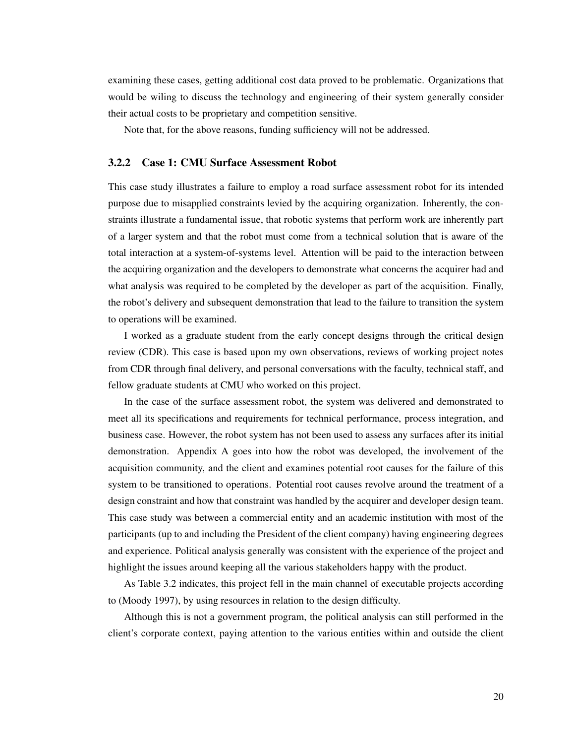examining these cases, getting additional cost data proved to be problematic. Organizations that would be wiling to discuss the technology and engineering of their system generally consider their actual costs to be proprietary and competition sensitive.

Note that, for the above reasons, funding sufficiency will not be addressed.

#### 3.2.2 Case 1: CMU Surface Assessment Robot

This case study illustrates a failure to employ a road surface assessment robot for its intended purpose due to misapplied constraints levied by the acquiring organization. Inherently, the constraints illustrate a fundamental issue, that robotic systems that perform work are inherently part of a larger system and that the robot must come from a technical solution that is aware of the total interaction at a system-of-systems level. Attention will be paid to the interaction between the acquiring organization and the developers to demonstrate what concerns the acquirer had and what analysis was required to be completed by the developer as part of the acquisition. Finally, the robot's delivery and subsequent demonstration that lead to the failure to transition the system to operations will be examined.

I worked as a graduate student from the early concept designs through the critical design review (CDR). This case is based upon my own observations, reviews of working project notes from CDR through final delivery, and personal conversations with the faculty, technical staff, and fellow graduate students at CMU who worked on this project.

In the case of the surface assessment robot, the system was delivered and demonstrated to meet all its specifications and requirements for technical performance, process integration, and business case. However, the robot system has not been used to assess any surfaces after its initial demonstration. Appendix A goes into how the robot was developed, the involvement of the acquisition community, and the client and examines potential root causes for the failure of this system to be transitioned to operations. Potential root causes revolve around the treatment of a design constraint and how that constraint was handled by the acquirer and developer design team. This case study was between a commercial entity and an academic institution with most of the participants (up to and including the President of the client company) having engineering degrees and experience. Political analysis generally was consistent with the experience of the project and highlight the issues around keeping all the various stakeholders happy with the product.

As Table 3.2 indicates, this project fell in the main channel of executable projects according to (Moody 1997), by using resources in relation to the design difficulty.

Although this is not a government program, the political analysis can still performed in the client's corporate context, paying attention to the various entities within and outside the client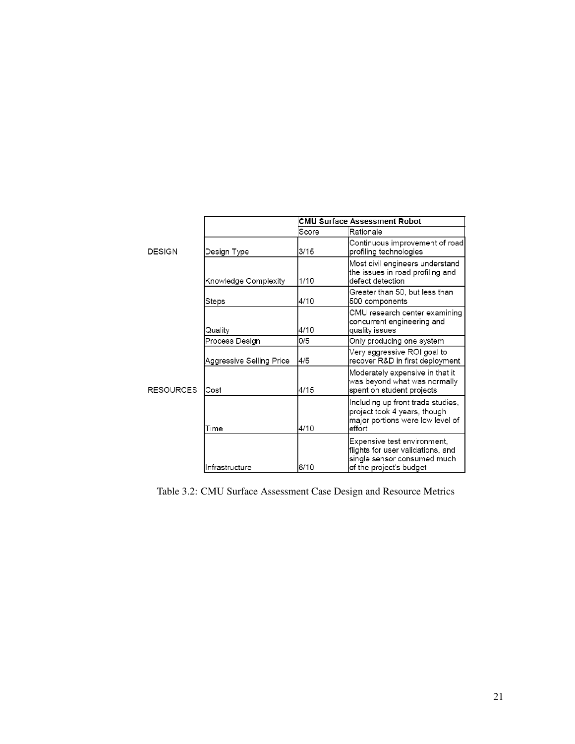|                  | <b>CMU Surface Assessment Robot</b> |       |                                                                                                                            |
|------------------|-------------------------------------|-------|----------------------------------------------------------------------------------------------------------------------------|
|                  |                                     | Score | Rationale                                                                                                                  |
| <b>DESIGN</b>    | Design Type                         | 3/15  | Continuous improvement of road<br>profiling technologies                                                                   |
|                  | Knowledge Complexity                | 1/10  | Most civil engineers understand<br>the issues in road profiling and<br>defect detection                                    |
|                  | Steps                               | 4/10  | Greater than 50, but less than<br>500 components                                                                           |
|                  | Quality                             | 4/10  | CMU research center examining<br>concurrent engineering and<br>quality issues                                              |
|                  | Process Design                      | 0/5   | Only producing one system                                                                                                  |
|                  | Aggressive Selling Price            | 4/5   | Very aggressive ROI goal to<br>recover R&D in first deployment                                                             |
| <b>RESOURCES</b> | Cost                                | 4/15  | Moderately expensive in that it<br>was beyond what was normally<br>spent on student projects                               |
|                  | Time                                | 4/10  | Including up front trade studies.<br>project took 4 years, though<br>major portions were low level of<br>effort            |
|                  | IInfrastructure                     | 6/10  | Expensive test environment,<br>flights for user validations, and<br>single sensor consumed much<br>of the project's budget |

Table 3.2: CMU Surface Assessment Case Design and Resource Metrics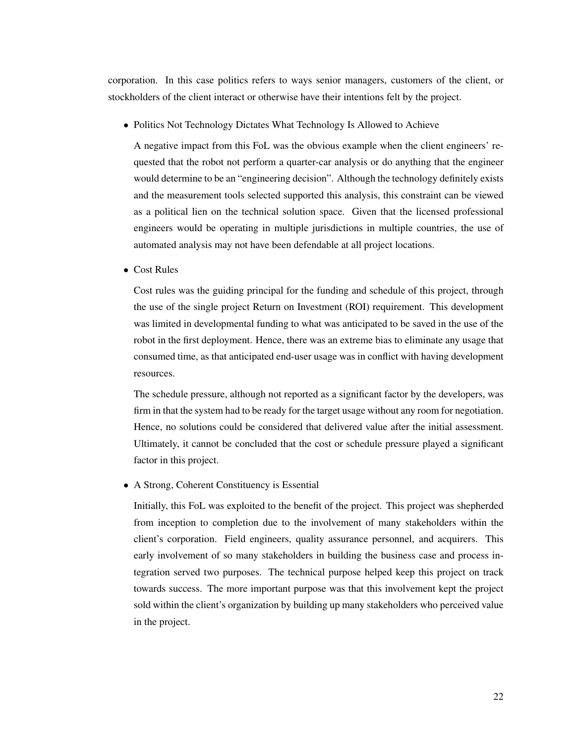corporation. In this case politics refers to ways senior managers, customers of the client, or stockholders of the client interact or otherwise have their intentions felt by the project.

• Politics Not Technology Dictates What Technology Is Allowed to Achieve

A negative impact from this FoL was the obvious example when the client engineers' requested that the robot not perform a quarter-car analysis or do anything that the engineer would determine to be an "engineering decision". Although the technology definitely exists and the measurement tools selected supported this analysis, this constraint can be viewed as a political lien on the technical solution space. Given that the licensed professional engineers would be operating in multiple jurisdictions in multiple countries, the use of automated analysis may not have been defendable at all project locations.

• Cost Rules

Cost rules was the guiding principal for the funding and schedule of this project, through the use of the single project Return on Investment (ROI) requirement. This development was limited in developmental funding to what was anticipated to be saved in the use of the robot in the first deployment. Hence, there was an extreme bias to eliminate any usage that consumed time, as that anticipated end-user usage was in conflict with having development resources.

The schedule pressure, although not reported as a significant factor by the developers, was firm in that the system had to be ready for the target usage without any room for negotiation. Hence, no solutions could be considered that delivered value after the initial assessment. Ultimately, it cannot be concluded that the cost or schedule pressure played a significant factor in this project.

• A Strong, Coherent Constituency is Essential

Initially, this FoL was exploited to the benefit of the project. This project was shepherded from inception to completion due to the involvement of many stakeholders within the client's corporation. Field engineers, quality assurance personnel, and acquirers. This early involvement of so many stakeholders in building the business case and process integration served two purposes. The technical purpose helped keep this project on track towards success. The more important purpose was that this involvement kept the project sold within the client's organization by building up many stakeholders who perceived value in the project.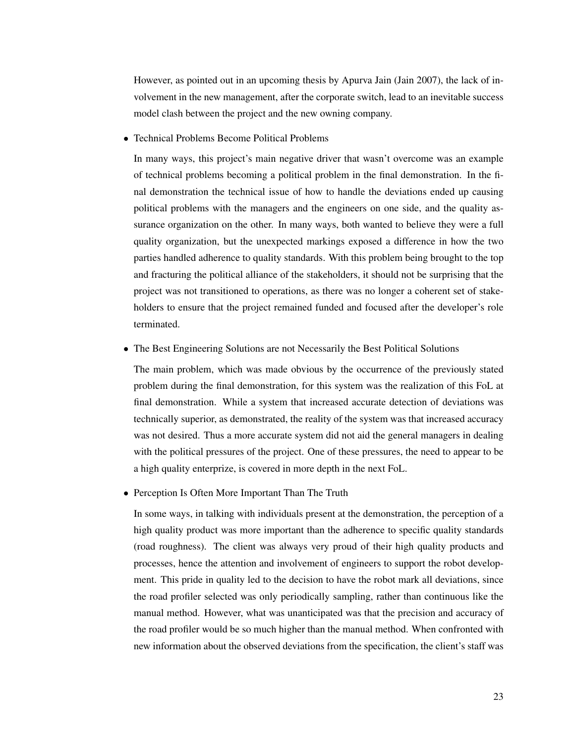However, as pointed out in an upcoming thesis by Apurva Jain (Jain 2007), the lack of involvement in the new management, after the corporate switch, lead to an inevitable success model clash between the project and the new owning company.

• Technical Problems Become Political Problems

In many ways, this project's main negative driver that wasn't overcome was an example of technical problems becoming a political problem in the final demonstration. In the final demonstration the technical issue of how to handle the deviations ended up causing political problems with the managers and the engineers on one side, and the quality assurance organization on the other. In many ways, both wanted to believe they were a full quality organization, but the unexpected markings exposed a difference in how the two parties handled adherence to quality standards. With this problem being brought to the top and fracturing the political alliance of the stakeholders, it should not be surprising that the project was not transitioned to operations, as there was no longer a coherent set of stakeholders to ensure that the project remained funded and focused after the developer's role terminated.

• The Best Engineering Solutions are not Necessarily the Best Political Solutions

The main problem, which was made obvious by the occurrence of the previously stated problem during the final demonstration, for this system was the realization of this FoL at final demonstration. While a system that increased accurate detection of deviations was technically superior, as demonstrated, the reality of the system was that increased accuracy was not desired. Thus a more accurate system did not aid the general managers in dealing with the political pressures of the project. One of these pressures, the need to appear to be a high quality enterprize, is covered in more depth in the next FoL.

• Perception Is Often More Important Than The Truth

In some ways, in talking with individuals present at the demonstration, the perception of a high quality product was more important than the adherence to specific quality standards (road roughness). The client was always very proud of their high quality products and processes, hence the attention and involvement of engineers to support the robot development. This pride in quality led to the decision to have the robot mark all deviations, since the road profiler selected was only periodically sampling, rather than continuous like the manual method. However, what was unanticipated was that the precision and accuracy of the road profiler would be so much higher than the manual method. When confronted with new information about the observed deviations from the specification, the client's staff was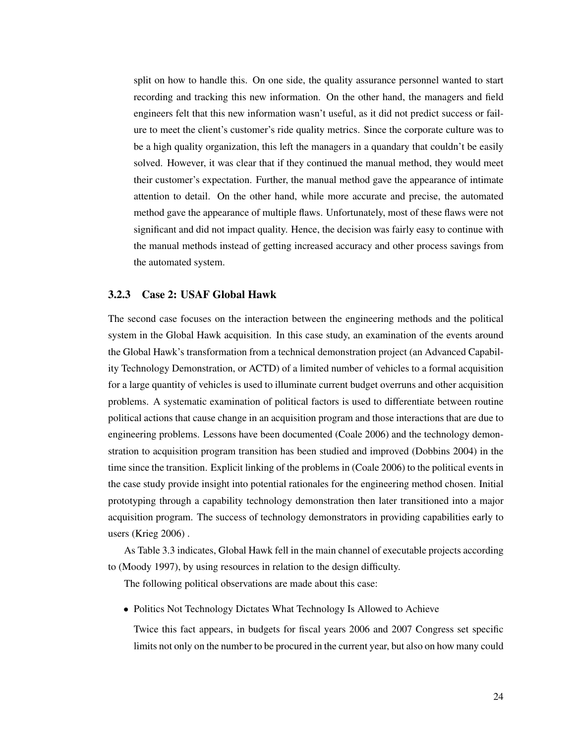split on how to handle this. On one side, the quality assurance personnel wanted to start recording and tracking this new information. On the other hand, the managers and field engineers felt that this new information wasn't useful, as it did not predict success or failure to meet the client's customer's ride quality metrics. Since the corporate culture was to be a high quality organization, this left the managers in a quandary that couldn't be easily solved. However, it was clear that if they continued the manual method, they would meet their customer's expectation. Further, the manual method gave the appearance of intimate attention to detail. On the other hand, while more accurate and precise, the automated method gave the appearance of multiple flaws. Unfortunately, most of these flaws were not significant and did not impact quality. Hence, the decision was fairly easy to continue with the manual methods instead of getting increased accuracy and other process savings from the automated system.

#### 3.2.3 Case 2: USAF Global Hawk

The second case focuses on the interaction between the engineering methods and the political system in the Global Hawk acquisition. In this case study, an examination of the events around the Global Hawk's transformation from a technical demonstration project (an Advanced Capability Technology Demonstration, or ACTD) of a limited number of vehicles to a formal acquisition for a large quantity of vehicles is used to illuminate current budget overruns and other acquisition problems. A systematic examination of political factors is used to differentiate between routine political actions that cause change in an acquisition program and those interactions that are due to engineering problems. Lessons have been documented (Coale 2006) and the technology demonstration to acquisition program transition has been studied and improved (Dobbins 2004) in the time since the transition. Explicit linking of the problems in (Coale 2006) to the political events in the case study provide insight into potential rationales for the engineering method chosen. Initial prototyping through a capability technology demonstration then later transitioned into a major acquisition program. The success of technology demonstrators in providing capabilities early to users (Krieg 2006) .

As Table 3.3 indicates, Global Hawk fell in the main channel of executable projects according to (Moody 1997), by using resources in relation to the design difficulty.

The following political observations are made about this case:

• Politics Not Technology Dictates What Technology Is Allowed to Achieve

Twice this fact appears, in budgets for fiscal years 2006 and 2007 Congress set specific limits not only on the number to be procured in the current year, but also on how many could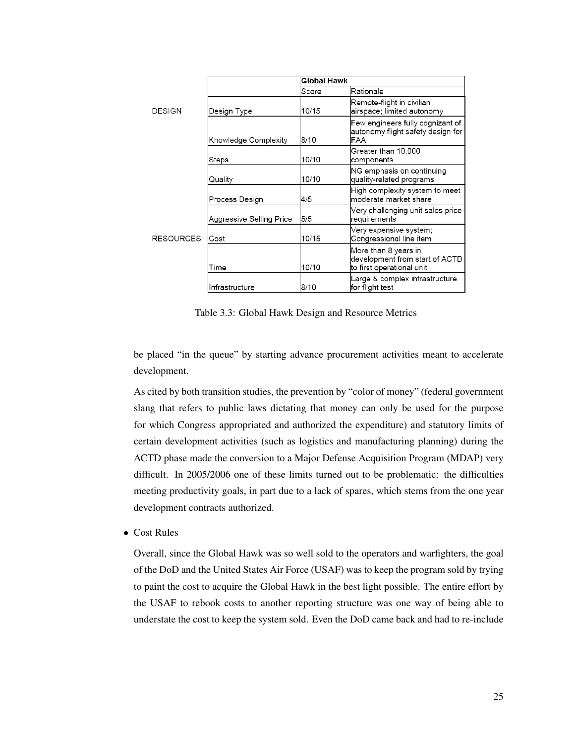|                  |                          | Global Hawk |                                                                                      |
|------------------|--------------------------|-------------|--------------------------------------------------------------------------------------|
|                  |                          | Score       | Rationale                                                                            |
| <b>DESIGN</b>    | Design Type              | 10/15       | Remote-flight in civilian<br>airspace; limited autonomy                              |
|                  | Knowledge Complexity     | 8/10        | Few engineers fully cognizant of<br>autonomy flight safety design for<br><b>IFAA</b> |
|                  | Steps                    | 10/10       | Greater than 10,000<br>components                                                    |
|                  | Quality                  | 10/10       | NG emphasis on continuing<br>quality-related programs                                |
|                  | Process Design           | 4/5         | High complexity system to meet<br>lmoderate market share                             |
|                  | Aggressive Selling Price | 5/5         | Very challenging unit sales price<br>requirements                                    |
| <b>RESOURCES</b> | Cost                     | 10/15       | Very expensive system;<br>Congressional line item                                    |
|                  | Time                     | 10/10       | More than 8 years in<br>development from start of ACTD<br>to first operational unit  |
|                  | Infrastructure           | 8/10        | Large & complex infrastructure<br>for flight test                                    |

Table 3.3: Global Hawk Design and Resource Metrics

be placed "in the queue" by starting advance procurement activities meant to accelerate development.

As cited by both transition studies, the prevention by "color of money" (federal government slang that refers to public laws dictating that money can only be used for the purpose for which Congress appropriated and authorized the expenditure) and statutory limits of certain development activities (such as logistics and manufacturing planning) during the ACTD phase made the conversion to a Major Defense Acquisition Program (MDAP) very difficult. In 2005/2006 one of these limits turned out to be problematic: the difficulties meeting productivity goals, in part due to a lack of spares, which stems from the one year development contracts authorized.

• Cost Rules

Overall, since the Global Hawk was so well sold to the operators and warfighters, the goal of the DoD and the United States Air Force (USAF) was to keep the program sold by trying to paint the cost to acquire the Global Hawk in the best light possible. The entire effort by the USAF to rebook costs to another reporting structure was one way of being able to understate the cost to keep the system sold. Even the DoD came back and had to re-include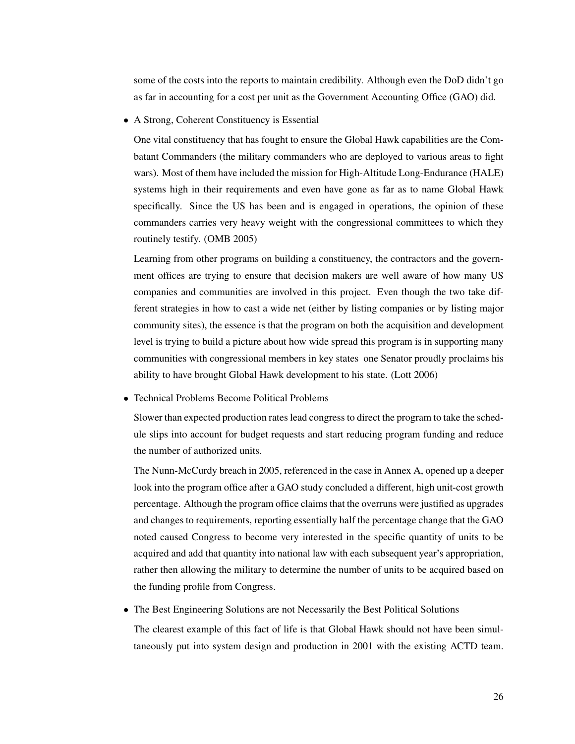some of the costs into the reports to maintain credibility. Although even the DoD didn't go as far in accounting for a cost per unit as the Government Accounting Office (GAO) did.

• A Strong, Coherent Constituency is Essential

One vital constituency that has fought to ensure the Global Hawk capabilities are the Combatant Commanders (the military commanders who are deployed to various areas to fight wars). Most of them have included the mission for High-Altitude Long-Endurance (HALE) systems high in their requirements and even have gone as far as to name Global Hawk specifically. Since the US has been and is engaged in operations, the opinion of these commanders carries very heavy weight with the congressional committees to which they routinely testify. (OMB 2005)

Learning from other programs on building a constituency, the contractors and the government offices are trying to ensure that decision makers are well aware of how many US companies and communities are involved in this project. Even though the two take different strategies in how to cast a wide net (either by listing companies or by listing major community sites), the essence is that the program on both the acquisition and development level is trying to build a picture about how wide spread this program is in supporting many communities with congressional members in key states one Senator proudly proclaims his ability to have brought Global Hawk development to his state. (Lott 2006)

• Technical Problems Become Political Problems

Slower than expected production rates lead congress to direct the program to take the schedule slips into account for budget requests and start reducing program funding and reduce the number of authorized units.

The Nunn-McCurdy breach in 2005, referenced in the case in Annex A, opened up a deeper look into the program office after a GAO study concluded a different, high unit-cost growth percentage. Although the program office claims that the overruns were justified as upgrades and changes to requirements, reporting essentially half the percentage change that the GAO noted caused Congress to become very interested in the specific quantity of units to be acquired and add that quantity into national law with each subsequent year's appropriation, rather then allowing the military to determine the number of units to be acquired based on the funding profile from Congress.

• The Best Engineering Solutions are not Necessarily the Best Political Solutions

The clearest example of this fact of life is that Global Hawk should not have been simultaneously put into system design and production in 2001 with the existing ACTD team.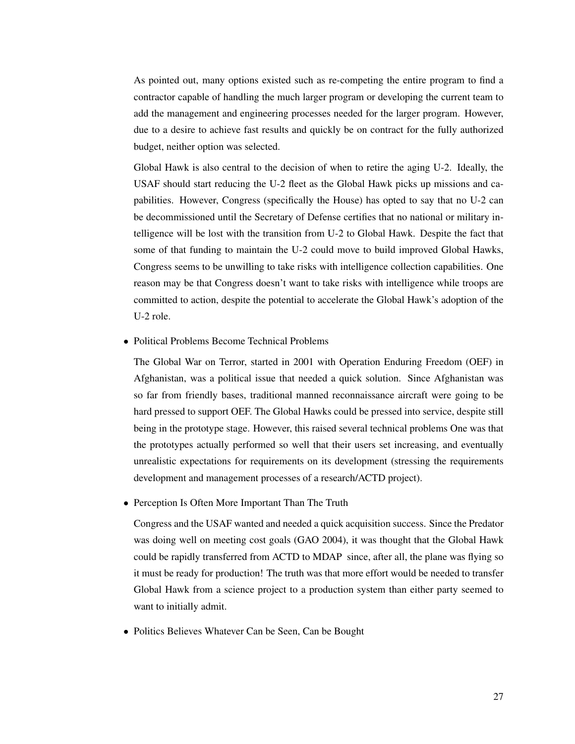As pointed out, many options existed such as re-competing the entire program to find a contractor capable of handling the much larger program or developing the current team to add the management and engineering processes needed for the larger program. However, due to a desire to achieve fast results and quickly be on contract for the fully authorized budget, neither option was selected.

Global Hawk is also central to the decision of when to retire the aging U-2. Ideally, the USAF should start reducing the U-2 fleet as the Global Hawk picks up missions and capabilities. However, Congress (specifically the House) has opted to say that no U-2 can be decommissioned until the Secretary of Defense certifies that no national or military intelligence will be lost with the transition from U-2 to Global Hawk. Despite the fact that some of that funding to maintain the U-2 could move to build improved Global Hawks, Congress seems to be unwilling to take risks with intelligence collection capabilities. One reason may be that Congress doesn't want to take risks with intelligence while troops are committed to action, despite the potential to accelerate the Global Hawk's adoption of the U-2 role.

• Political Problems Become Technical Problems

The Global War on Terror, started in 2001 with Operation Enduring Freedom (OEF) in Afghanistan, was a political issue that needed a quick solution. Since Afghanistan was so far from friendly bases, traditional manned reconnaissance aircraft were going to be hard pressed to support OEF. The Global Hawks could be pressed into service, despite still being in the prototype stage. However, this raised several technical problems One was that the prototypes actually performed so well that their users set increasing, and eventually unrealistic expectations for requirements on its development (stressing the requirements development and management processes of a research/ACTD project).

• Perception Is Often More Important Than The Truth

Congress and the USAF wanted and needed a quick acquisition success. Since the Predator was doing well on meeting cost goals (GAO 2004), it was thought that the Global Hawk could be rapidly transferred from ACTD to MDAP since, after all, the plane was flying so it must be ready for production! The truth was that more effort would be needed to transfer Global Hawk from a science project to a production system than either party seemed to want to initially admit.

• Politics Believes Whatever Can be Seen, Can be Bought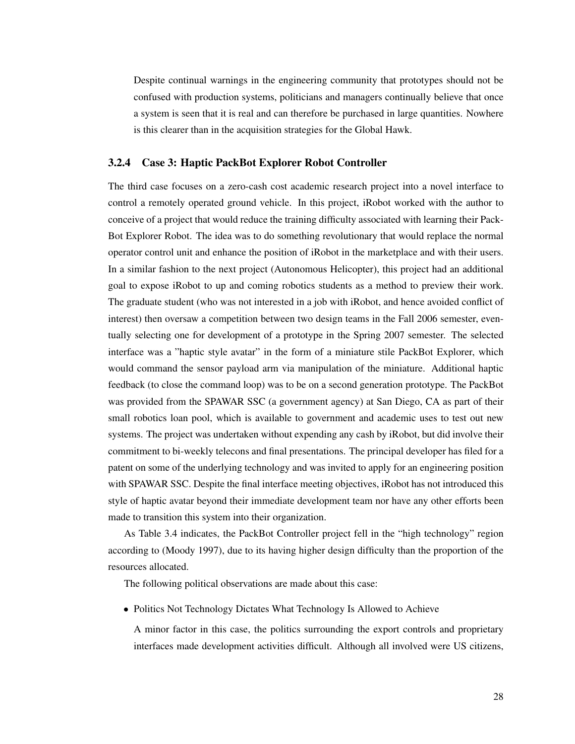Despite continual warnings in the engineering community that prototypes should not be confused with production systems, politicians and managers continually believe that once a system is seen that it is real and can therefore be purchased in large quantities. Nowhere is this clearer than in the acquisition strategies for the Global Hawk.

### 3.2.4 Case 3: Haptic PackBot Explorer Robot Controller

The third case focuses on a zero-cash cost academic research project into a novel interface to control a remotely operated ground vehicle. In this project, iRobot worked with the author to conceive of a project that would reduce the training difficulty associated with learning their Pack-Bot Explorer Robot. The idea was to do something revolutionary that would replace the normal operator control unit and enhance the position of iRobot in the marketplace and with their users. In a similar fashion to the next project (Autonomous Helicopter), this project had an additional goal to expose iRobot to up and coming robotics students as a method to preview their work. The graduate student (who was not interested in a job with iRobot, and hence avoided conflict of interest) then oversaw a competition between two design teams in the Fall 2006 semester, eventually selecting one for development of a prototype in the Spring 2007 semester. The selected interface was a "haptic style avatar" in the form of a miniature stile PackBot Explorer, which would command the sensor payload arm via manipulation of the miniature. Additional haptic feedback (to close the command loop) was to be on a second generation prototype. The PackBot was provided from the SPAWAR SSC (a government agency) at San Diego, CA as part of their small robotics loan pool, which is available to government and academic uses to test out new systems. The project was undertaken without expending any cash by iRobot, but did involve their commitment to bi-weekly telecons and final presentations. The principal developer has filed for a patent on some of the underlying technology and was invited to apply for an engineering position with SPAWAR SSC. Despite the final interface meeting objectives, iRobot has not introduced this style of haptic avatar beyond their immediate development team nor have any other efforts been made to transition this system into their organization.

As Table 3.4 indicates, the PackBot Controller project fell in the "high technology" region according to (Moody 1997), due to its having higher design difficulty than the proportion of the resources allocated.

The following political observations are made about this case:

• Politics Not Technology Dictates What Technology Is Allowed to Achieve

A minor factor in this case, the politics surrounding the export controls and proprietary interfaces made development activities difficult. Although all involved were US citizens,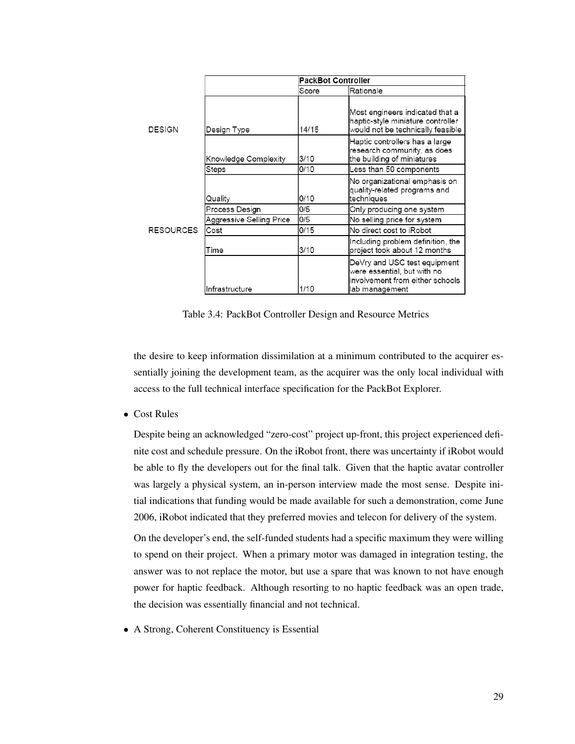|                  |                          | <b>PackBot Controller</b> |                                                                                                                  |  |  |  |
|------------------|--------------------------|---------------------------|------------------------------------------------------------------------------------------------------------------|--|--|--|
|                  |                          | Score                     | Rationale                                                                                                        |  |  |  |
| <b>DESIGN</b>    | Design Type              | 14/15                     | Most engineers indicated that a<br>haptic-style miniature controller<br>would not be technically feasible        |  |  |  |
|                  | Knowledge Complexity     | 3/10                      | Haptic controllers has a large<br>research community, as does<br>the building of miniatures                      |  |  |  |
|                  | Steps                    | 0/10                      | Less than 50 components                                                                                          |  |  |  |
|                  | Quality                  | 0/10                      | No organizational emphasis on<br>quality-related programs and<br>techniques                                      |  |  |  |
|                  | Process Design           | 0/5                       | Only producing one system                                                                                        |  |  |  |
|                  | Aggressive Selling Price | 0/5                       | No selling price for system                                                                                      |  |  |  |
| <b>RESOURCES</b> | Cost                     | 0/15                      | No direct cost to iRobot                                                                                         |  |  |  |
|                  | Time                     | 3/10                      | Including problem definition, the<br>project took about 12 months                                                |  |  |  |
|                  | Infrastructure           | 1/10                      | DeVry and USC test equipment<br>were essential, but with no<br>involvement from either schools<br>lab management |  |  |  |

Table 3.4: PackBot Controller Design and Resource Metrics

the desire to keep information dissimilation at a minimum contributed to the acquirer essentially joining the development team, as the acquirer was the only local individual with access to the full technical interface specification for the PackBot Explorer.

• Cost Rules

Despite being an acknowledged "zero-cost" project up-front, this project experienced definite cost and schedule pressure. On the iRobot front, there was uncertainty if iRobot would be able to fly the developers out for the final talk. Given that the haptic avatar controller was largely a physical system, an in-person interview made the most sense. Despite initial indications that funding would be made available for such a demonstration, come June 2006, iRobot indicated that they preferred movies and telecon for delivery of the system.

On the developer's end, the self-funded students had a specific maximum they were willing to spend on their project. When a primary motor was damaged in integration testing, the answer was to not replace the motor, but use a spare that was known to not have enough power for haptic feedback. Although resorting to no haptic feedback was an open trade, the decision was essentially financial and not technical.

• A Strong, Coherent Constituency is Essential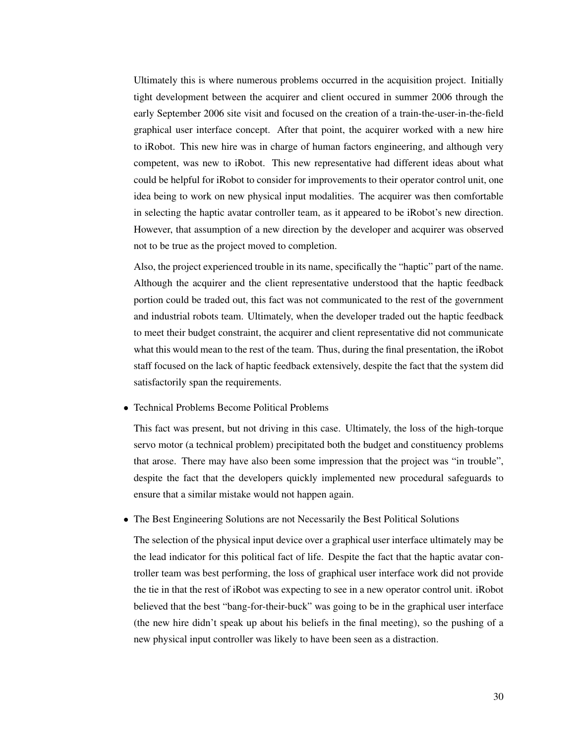Ultimately this is where numerous problems occurred in the acquisition project. Initially tight development between the acquirer and client occured in summer 2006 through the early September 2006 site visit and focused on the creation of a train-the-user-in-the-field graphical user interface concept. After that point, the acquirer worked with a new hire to iRobot. This new hire was in charge of human factors engineering, and although very competent, was new to iRobot. This new representative had different ideas about what could be helpful for iRobot to consider for improvements to their operator control unit, one idea being to work on new physical input modalities. The acquirer was then comfortable in selecting the haptic avatar controller team, as it appeared to be iRobot's new direction. However, that assumption of a new direction by the developer and acquirer was observed not to be true as the project moved to completion.

Also, the project experienced trouble in its name, specifically the "haptic" part of the name. Although the acquirer and the client representative understood that the haptic feedback portion could be traded out, this fact was not communicated to the rest of the government and industrial robots team. Ultimately, when the developer traded out the haptic feedback to meet their budget constraint, the acquirer and client representative did not communicate what this would mean to the rest of the team. Thus, during the final presentation, the iRobot staff focused on the lack of haptic feedback extensively, despite the fact that the system did satisfactorily span the requirements.

• Technical Problems Become Political Problems

This fact was present, but not driving in this case. Ultimately, the loss of the high-torque servo motor (a technical problem) precipitated both the budget and constituency problems that arose. There may have also been some impression that the project was "in trouble", despite the fact that the developers quickly implemented new procedural safeguards to ensure that a similar mistake would not happen again.

• The Best Engineering Solutions are not Necessarily the Best Political Solutions

The selection of the physical input device over a graphical user interface ultimately may be the lead indicator for this political fact of life. Despite the fact that the haptic avatar controller team was best performing, the loss of graphical user interface work did not provide the tie in that the rest of iRobot was expecting to see in a new operator control unit. iRobot believed that the best "bang-for-their-buck" was going to be in the graphical user interface (the new hire didn't speak up about his beliefs in the final meeting), so the pushing of a new physical input controller was likely to have been seen as a distraction.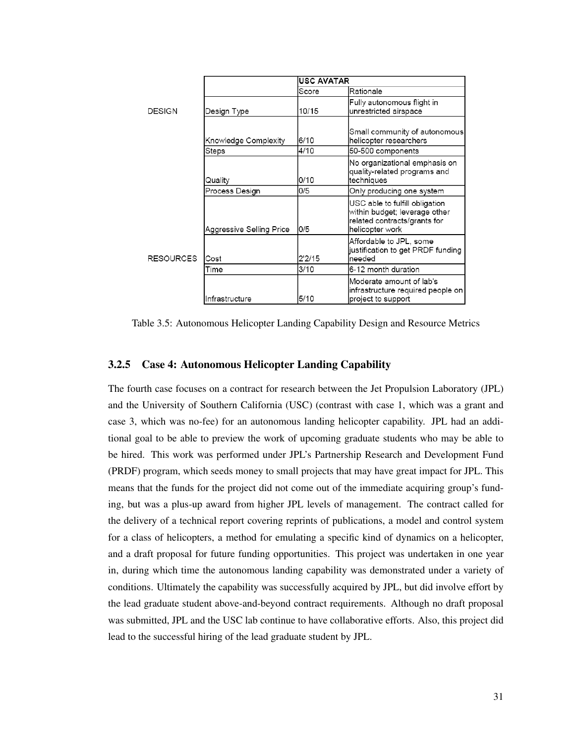|                  |                          | <b>USC AVATAR</b> |                                                                                                                    |  |  |  |
|------------------|--------------------------|-------------------|--------------------------------------------------------------------------------------------------------------------|--|--|--|
|                  |                          | Score             | Rationale                                                                                                          |  |  |  |
| DESIGN           | Design Type              | 10/15             | Fully autonomous flight in<br>unrestricted airspace                                                                |  |  |  |
|                  | Knowledge Complexity     | 6/10              | Small community of autonomous<br>helicopter researchers                                                            |  |  |  |
|                  | Steps                    | 4/10              | 50-500 components                                                                                                  |  |  |  |
|                  | Quality                  | 0/10              | No organizational emphasis on<br>quality-related programs and<br>techniques                                        |  |  |  |
|                  | Process Design           | 0/5               | Only producing one system                                                                                          |  |  |  |
|                  | Aggressive Selling Price | 0/5               | USC able to fulfill obligation<br>within budget; leverage other<br>related contracts/grants for<br>helicopter work |  |  |  |
| <b>RESOURCES</b> | lCost                    | 2'2/15            | Affordable to JPL, some<br>justification to get PRDF funding<br>needed                                             |  |  |  |
|                  | Time                     | 3/10              | 6-12 month duration                                                                                                |  |  |  |
|                  | Infrastructure           | 5/10              | Moderate amount of lab's<br>infrastructure required people on<br>project to support                                |  |  |  |

Table 3.5: Autonomous Helicopter Landing Capability Design and Resource Metrics

#### 3.2.5 Case 4: Autonomous Helicopter Landing Capability

The fourth case focuses on a contract for research between the Jet Propulsion Laboratory (JPL) and the University of Southern California (USC) (contrast with case 1, which was a grant and case 3, which was no-fee) for an autonomous landing helicopter capability. JPL had an additional goal to be able to preview the work of upcoming graduate students who may be able to be hired. This work was performed under JPL's Partnership Research and Development Fund (PRDF) program, which seeds money to small projects that may have great impact for JPL. This means that the funds for the project did not come out of the immediate acquiring group's funding, but was a plus-up award from higher JPL levels of management. The contract called for the delivery of a technical report covering reprints of publications, a model and control system for a class of helicopters, a method for emulating a specific kind of dynamics on a helicopter, and a draft proposal for future funding opportunities. This project was undertaken in one year in, during which time the autonomous landing capability was demonstrated under a variety of conditions. Ultimately the capability was successfully acquired by JPL, but did involve effort by the lead graduate student above-and-beyond contract requirements. Although no draft proposal was submitted, JPL and the USC lab continue to have collaborative efforts. Also, this project did lead to the successful hiring of the lead graduate student by JPL.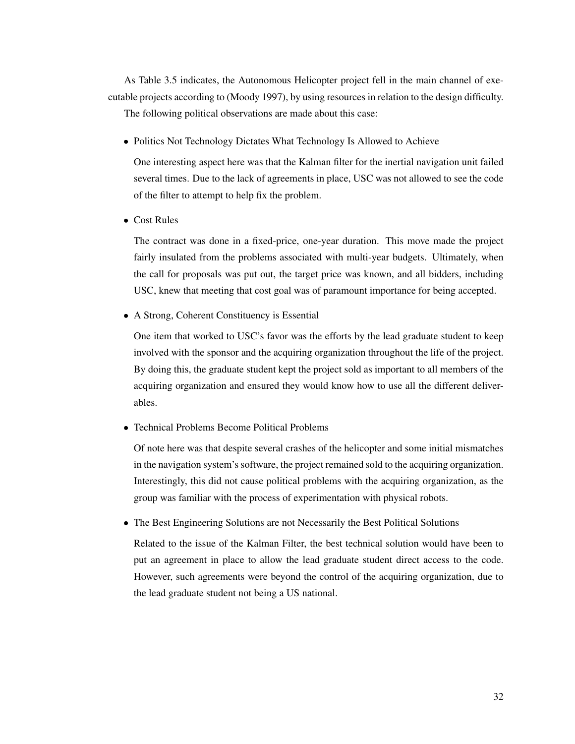As Table 3.5 indicates, the Autonomous Helicopter project fell in the main channel of executable projects according to (Moody 1997), by using resources in relation to the design difficulty.

The following political observations are made about this case:

• Politics Not Technology Dictates What Technology Is Allowed to Achieve

One interesting aspect here was that the Kalman filter for the inertial navigation unit failed several times. Due to the lack of agreements in place, USC was not allowed to see the code of the filter to attempt to help fix the problem.

• Cost Rules

The contract was done in a fixed-price, one-year duration. This move made the project fairly insulated from the problems associated with multi-year budgets. Ultimately, when the call for proposals was put out, the target price was known, and all bidders, including USC, knew that meeting that cost goal was of paramount importance for being accepted.

• A Strong, Coherent Constituency is Essential

One item that worked to USC's favor was the efforts by the lead graduate student to keep involved with the sponsor and the acquiring organization throughout the life of the project. By doing this, the graduate student kept the project sold as important to all members of the acquiring organization and ensured they would know how to use all the different deliverables.

• Technical Problems Become Political Problems

Of note here was that despite several crashes of the helicopter and some initial mismatches in the navigation system's software, the project remained sold to the acquiring organization. Interestingly, this did not cause political problems with the acquiring organization, as the group was familiar with the process of experimentation with physical robots.

• The Best Engineering Solutions are not Necessarily the Best Political Solutions

Related to the issue of the Kalman Filter, the best technical solution would have been to put an agreement in place to allow the lead graduate student direct access to the code. However, such agreements were beyond the control of the acquiring organization, due to the lead graduate student not being a US national.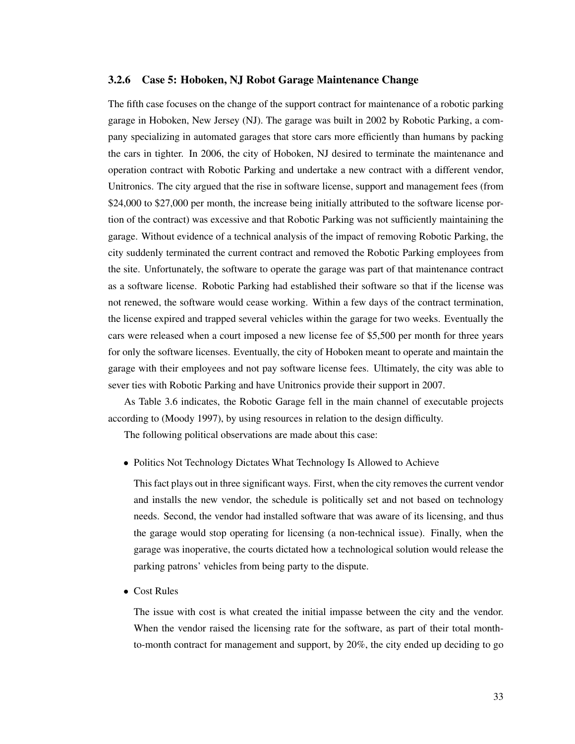## 3.2.6 Case 5: Hoboken, NJ Robot Garage Maintenance Change

The fifth case focuses on the change of the support contract for maintenance of a robotic parking garage in Hoboken, New Jersey (NJ). The garage was built in 2002 by Robotic Parking, a company specializing in automated garages that store cars more efficiently than humans by packing the cars in tighter. In 2006, the city of Hoboken, NJ desired to terminate the maintenance and operation contract with Robotic Parking and undertake a new contract with a different vendor, Unitronics. The city argued that the rise in software license, support and management fees (from \$24,000 to \$27,000 per month, the increase being initially attributed to the software license portion of the contract) was excessive and that Robotic Parking was not sufficiently maintaining the garage. Without evidence of a technical analysis of the impact of removing Robotic Parking, the city suddenly terminated the current contract and removed the Robotic Parking employees from the site. Unfortunately, the software to operate the garage was part of that maintenance contract as a software license. Robotic Parking had established their software so that if the license was not renewed, the software would cease working. Within a few days of the contract termination, the license expired and trapped several vehicles within the garage for two weeks. Eventually the cars were released when a court imposed a new license fee of \$5,500 per month for three years for only the software licenses. Eventually, the city of Hoboken meant to operate and maintain the garage with their employees and not pay software license fees. Ultimately, the city was able to sever ties with Robotic Parking and have Unitronics provide their support in 2007.

As Table 3.6 indicates, the Robotic Garage fell in the main channel of executable projects according to (Moody 1997), by using resources in relation to the design difficulty.

The following political observations are made about this case:

• Politics Not Technology Dictates What Technology Is Allowed to Achieve

This fact plays out in three significant ways. First, when the city removes the current vendor and installs the new vendor, the schedule is politically set and not based on technology needs. Second, the vendor had installed software that was aware of its licensing, and thus the garage would stop operating for licensing (a non-technical issue). Finally, when the garage was inoperative, the courts dictated how a technological solution would release the parking patrons' vehicles from being party to the dispute.

• Cost Rules

The issue with cost is what created the initial impasse between the city and the vendor. When the vendor raised the licensing rate for the software, as part of their total monthto-month contract for management and support, by 20%, the city ended up deciding to go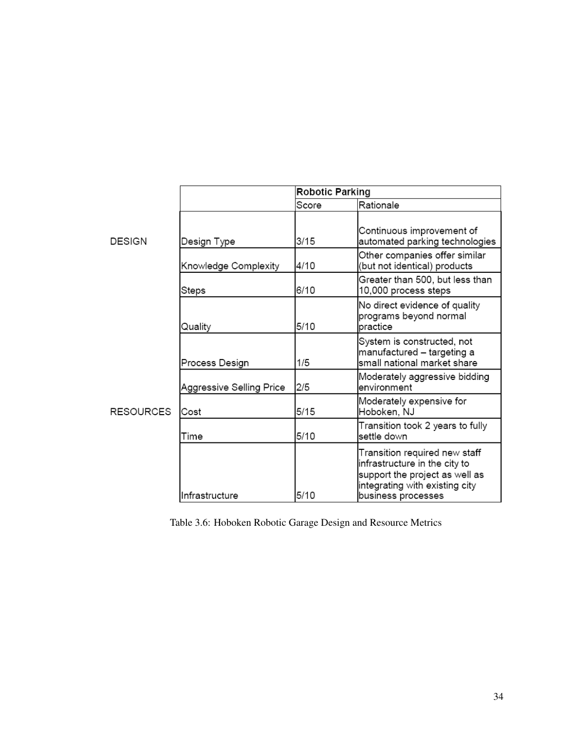|                  |                          | <b>Robotic Parking</b> |                                                                                                                                                          |  |  |
|------------------|--------------------------|------------------------|----------------------------------------------------------------------------------------------------------------------------------------------------------|--|--|
|                  |                          | Score                  | Rationale                                                                                                                                                |  |  |
| <b>DESIGN</b>    | Design Type              | 3/15                   | Continuous improvement of<br>automated parking technologies                                                                                              |  |  |
|                  | Knowledge Complexity     | 4/10                   | Other companies offer similar<br>(but not identical) products                                                                                            |  |  |
|                  | Steps                    | 6/10                   | Greater than 500, but less than<br>10,000 process steps                                                                                                  |  |  |
|                  | Quality                  | 5/10                   | No direct evidence of quality<br>programs beyond normal<br>practice                                                                                      |  |  |
|                  | Process Design           | 1/5                    | System is constructed, not<br>manufactured - targeting a<br>small national market share                                                                  |  |  |
|                  | Aggressive Selling Price | 2/5                    | Moderately aggressive bidding<br>lenvironment                                                                                                            |  |  |
| <b>RESOURCES</b> | Cost                     | 5/15                   | Moderately expensive for<br>Hoboken, NJ                                                                                                                  |  |  |
|                  | Time                     | 5/10                   | Transition took 2 years to fully<br>settle down                                                                                                          |  |  |
|                  | Infrastructure           | 5/10                   | Transition required new staff<br>infrastructure in the city to<br>support the project as well as<br>integrating with existing city<br>business processes |  |  |

Table 3.6: Hoboken Robotic Garage Design and Resource Metrics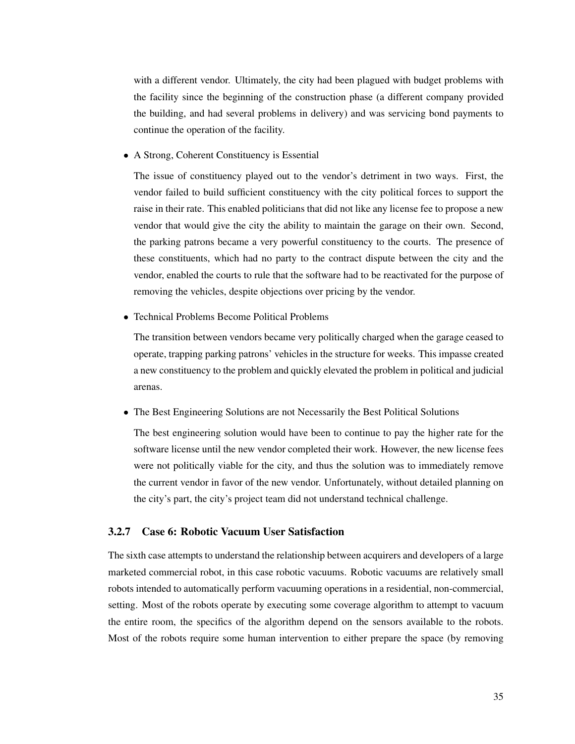with a different vendor. Ultimately, the city had been plagued with budget problems with the facility since the beginning of the construction phase (a different company provided the building, and had several problems in delivery) and was servicing bond payments to continue the operation of the facility.

• A Strong, Coherent Constituency is Essential

The issue of constituency played out to the vendor's detriment in two ways. First, the vendor failed to build sufficient constituency with the city political forces to support the raise in their rate. This enabled politicians that did not like any license fee to propose a new vendor that would give the city the ability to maintain the garage on their own. Second, the parking patrons became a very powerful constituency to the courts. The presence of these constituents, which had no party to the contract dispute between the city and the vendor, enabled the courts to rule that the software had to be reactivated for the purpose of removing the vehicles, despite objections over pricing by the vendor.

• Technical Problems Become Political Problems

The transition between vendors became very politically charged when the garage ceased to operate, trapping parking patrons' vehicles in the structure for weeks. This impasse created a new constituency to the problem and quickly elevated the problem in political and judicial arenas.

• The Best Engineering Solutions are not Necessarily the Best Political Solutions

The best engineering solution would have been to continue to pay the higher rate for the software license until the new vendor completed their work. However, the new license fees were not politically viable for the city, and thus the solution was to immediately remove the current vendor in favor of the new vendor. Unfortunately, without detailed planning on the city's part, the city's project team did not understand technical challenge.

## 3.2.7 Case 6: Robotic Vacuum User Satisfaction

The sixth case attempts to understand the relationship between acquirers and developers of a large marketed commercial robot, in this case robotic vacuums. Robotic vacuums are relatively small robots intended to automatically perform vacuuming operations in a residential, non-commercial, setting. Most of the robots operate by executing some coverage algorithm to attempt to vacuum the entire room, the specifics of the algorithm depend on the sensors available to the robots. Most of the robots require some human intervention to either prepare the space (by removing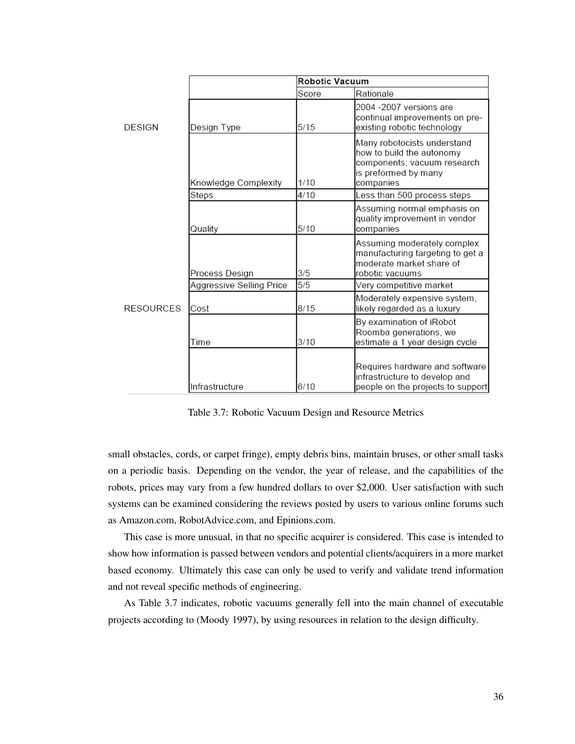|                  |                          | Robotic Vacuum |                                                                                                                              |  |  |  |  |
|------------------|--------------------------|----------------|------------------------------------------------------------------------------------------------------------------------------|--|--|--|--|
|                  |                          | Score          | Rationale                                                                                                                    |  |  |  |  |
| <b>DESIGN</b>    | Design Type              | 5/15           | 2004 -2007 versions are<br>continual improvements on pre-<br>existing robotic technology                                     |  |  |  |  |
|                  | Knowledge Complexity     | 1/10           | Many robotocists understand<br>how to build the autonomy<br>components; vacuum research<br>is preformed by many<br>companies |  |  |  |  |
|                  | Steps                    | 4/10           | Less than 500 process steps                                                                                                  |  |  |  |  |
|                  | Quality                  | 5/10           | Assuming normal emphasis on<br>quality improvement in vendor<br>companies                                                    |  |  |  |  |
|                  | Process Design           | 3/5            | Assuming moderately complex<br>manufacturing targeting to get a<br>moderate market share of<br>robotic vacuums               |  |  |  |  |
|                  | Aggressive Selling Price | 5/5            | Very competitive market                                                                                                      |  |  |  |  |
| <b>RESOURCES</b> | Cost                     | 8/15           | Moderately expensive system,<br>likely regarded as a luxury                                                                  |  |  |  |  |
|                  | Time                     | 3/10           | By examination of iRobot<br>Roomba generations, we<br>estimate a 1 year design cycle                                         |  |  |  |  |
|                  | Infrastructure           | 6/10           | Requires hardware and software<br>infrastructure to develop and<br>people on the projects to support                         |  |  |  |  |

Table 3.7: Robotic Vacuum Design and Resource Metrics

small obstacles, cords, or carpet fringe), empty debris bins, maintain bruses, or other small tasks on a periodic basis. Depending on the vendor, the year of release, and the capabilities of the robots, prices may vary from a few hundred dollars to over \$2,000. User satisfaction with such systems can be examined considering the reviews posted by users to various online forums such as Amazon.com, RobotAdvice.com, and Epinions.com.

This case is more unusual, in that no specific acquirer is considered. This case is intended to show how information is passed between vendors and potential clients/acquirers in a more market based economy. Ultimately this case can only be used to verify and validate trend information and not reveal specific methods of engineering.

As Table 3.7 indicates, robotic vacuums generally fell into the main channel of executable projects according to (Moody 1997), by using resources in relation to the design difficulty.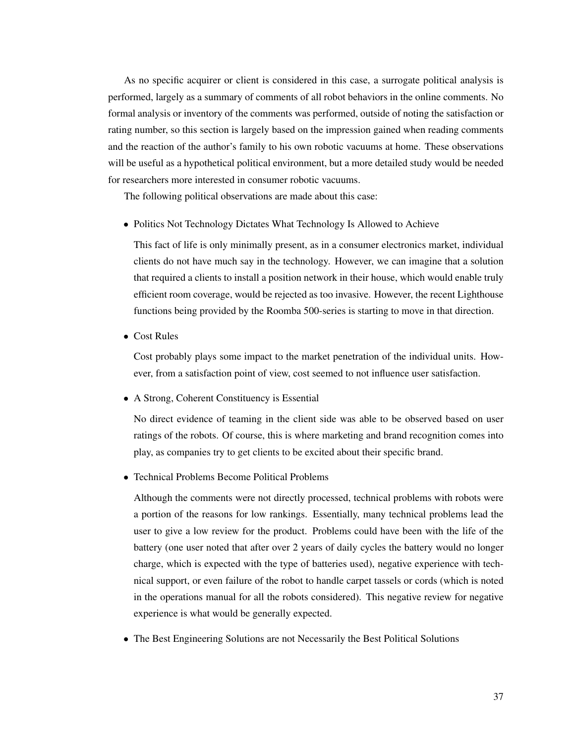As no specific acquirer or client is considered in this case, a surrogate political analysis is performed, largely as a summary of comments of all robot behaviors in the online comments. No formal analysis or inventory of the comments was performed, outside of noting the satisfaction or rating number, so this section is largely based on the impression gained when reading comments and the reaction of the author's family to his own robotic vacuums at home. These observations will be useful as a hypothetical political environment, but a more detailed study would be needed for researchers more interested in consumer robotic vacuums.

The following political observations are made about this case:

• Politics Not Technology Dictates What Technology Is Allowed to Achieve

This fact of life is only minimally present, as in a consumer electronics market, individual clients do not have much say in the technology. However, we can imagine that a solution that required a clients to install a position network in their house, which would enable truly efficient room coverage, would be rejected as too invasive. However, the recent Lighthouse functions being provided by the Roomba 500-series is starting to move in that direction.

• Cost Rules

Cost probably plays some impact to the market penetration of the individual units. However, from a satisfaction point of view, cost seemed to not influence user satisfaction.

• A Strong, Coherent Constituency is Essential

No direct evidence of teaming in the client side was able to be observed based on user ratings of the robots. Of course, this is where marketing and brand recognition comes into play, as companies try to get clients to be excited about their specific brand.

• Technical Problems Become Political Problems

Although the comments were not directly processed, technical problems with robots were a portion of the reasons for low rankings. Essentially, many technical problems lead the user to give a low review for the product. Problems could have been with the life of the battery (one user noted that after over 2 years of daily cycles the battery would no longer charge, which is expected with the type of batteries used), negative experience with technical support, or even failure of the robot to handle carpet tassels or cords (which is noted in the operations manual for all the robots considered). This negative review for negative experience is what would be generally expected.

• The Best Engineering Solutions are not Necessarily the Best Political Solutions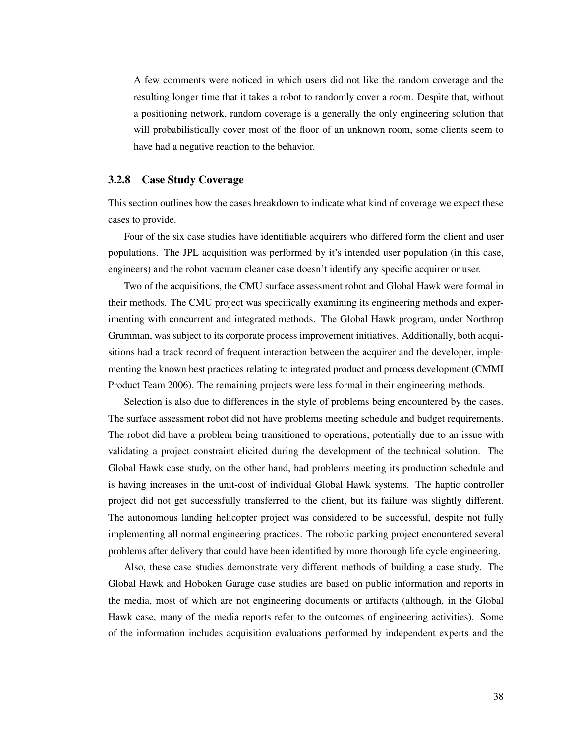A few comments were noticed in which users did not like the random coverage and the resulting longer time that it takes a robot to randomly cover a room. Despite that, without a positioning network, random coverage is a generally the only engineering solution that will probabilistically cover most of the floor of an unknown room, some clients seem to have had a negative reaction to the behavior.

### 3.2.8 Case Study Coverage

This section outlines how the cases breakdown to indicate what kind of coverage we expect these cases to provide.

Four of the six case studies have identifiable acquirers who differed form the client and user populations. The JPL acquisition was performed by it's intended user population (in this case, engineers) and the robot vacuum cleaner case doesn't identify any specific acquirer or user.

Two of the acquisitions, the CMU surface assessment robot and Global Hawk were formal in their methods. The CMU project was specifically examining its engineering methods and experimenting with concurrent and integrated methods. The Global Hawk program, under Northrop Grumman, was subject to its corporate process improvement initiatives. Additionally, both acquisitions had a track record of frequent interaction between the acquirer and the developer, implementing the known best practices relating to integrated product and process development (CMMI Product Team 2006). The remaining projects were less formal in their engineering methods.

Selection is also due to differences in the style of problems being encountered by the cases. The surface assessment robot did not have problems meeting schedule and budget requirements. The robot did have a problem being transitioned to operations, potentially due to an issue with validating a project constraint elicited during the development of the technical solution. The Global Hawk case study, on the other hand, had problems meeting its production schedule and is having increases in the unit-cost of individual Global Hawk systems. The haptic controller project did not get successfully transferred to the client, but its failure was slightly different. The autonomous landing helicopter project was considered to be successful, despite not fully implementing all normal engineering practices. The robotic parking project encountered several problems after delivery that could have been identified by more thorough life cycle engineering.

Also, these case studies demonstrate very different methods of building a case study. The Global Hawk and Hoboken Garage case studies are based on public information and reports in the media, most of which are not engineering documents or artifacts (although, in the Global Hawk case, many of the media reports refer to the outcomes of engineering activities). Some of the information includes acquisition evaluations performed by independent experts and the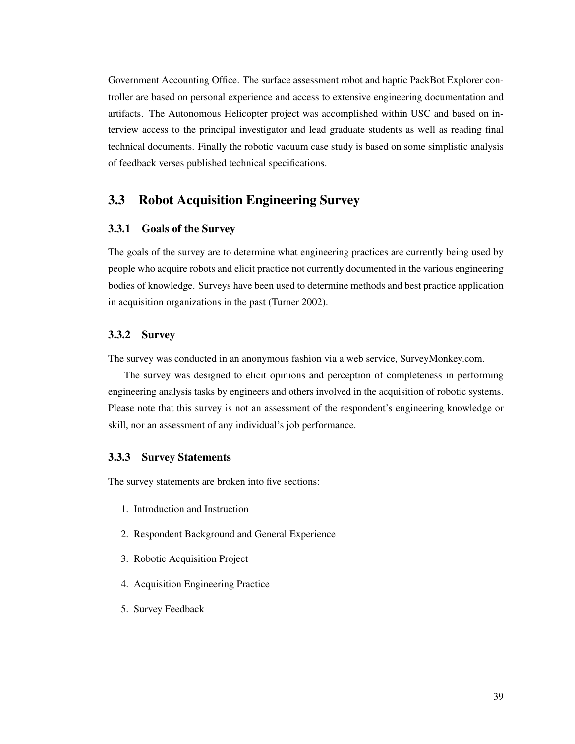Government Accounting Office. The surface assessment robot and haptic PackBot Explorer controller are based on personal experience and access to extensive engineering documentation and artifacts. The Autonomous Helicopter project was accomplished within USC and based on interview access to the principal investigator and lead graduate students as well as reading final technical documents. Finally the robotic vacuum case study is based on some simplistic analysis of feedback verses published technical specifications.

# 3.3 Robot Acquisition Engineering Survey

## 3.3.1 Goals of the Survey

The goals of the survey are to determine what engineering practices are currently being used by people who acquire robots and elicit practice not currently documented in the various engineering bodies of knowledge. Surveys have been used to determine methods and best practice application in acquisition organizations in the past (Turner 2002).

## 3.3.2 Survey

The survey was conducted in an anonymous fashion via a web service, SurveyMonkey.com.

The survey was designed to elicit opinions and perception of completeness in performing engineering analysis tasks by engineers and others involved in the acquisition of robotic systems. Please note that this survey is not an assessment of the respondent's engineering knowledge or skill, nor an assessment of any individual's job performance.

## 3.3.3 Survey Statements

The survey statements are broken into five sections:

- 1. Introduction and Instruction
- 2. Respondent Background and General Experience
- 3. Robotic Acquisition Project
- 4. Acquisition Engineering Practice
- 5. Survey Feedback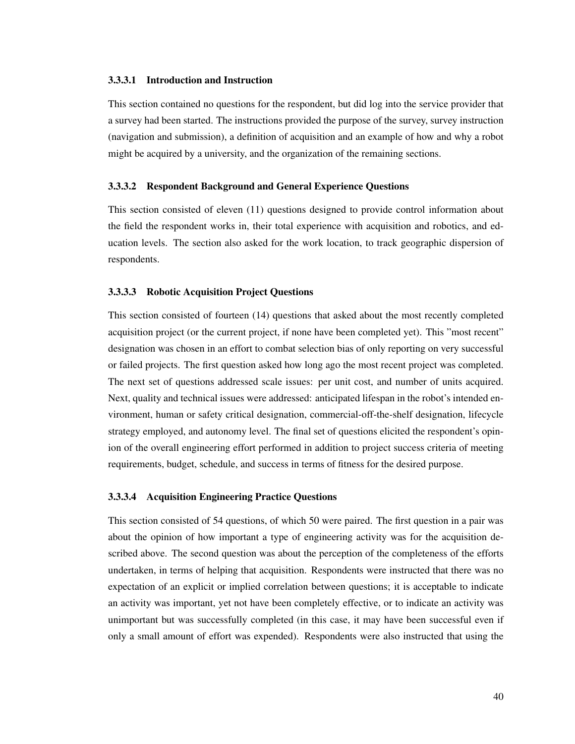### 3.3.3.1 Introduction and Instruction

This section contained no questions for the respondent, but did log into the service provider that a survey had been started. The instructions provided the purpose of the survey, survey instruction (navigation and submission), a definition of acquisition and an example of how and why a robot might be acquired by a university, and the organization of the remaining sections.

### 3.3.3.2 Respondent Background and General Experience Questions

This section consisted of eleven (11) questions designed to provide control information about the field the respondent works in, their total experience with acquisition and robotics, and education levels. The section also asked for the work location, to track geographic dispersion of respondents.

## 3.3.3.3 Robotic Acquisition Project Questions

This section consisted of fourteen (14) questions that asked about the most recently completed acquisition project (or the current project, if none have been completed yet). This "most recent" designation was chosen in an effort to combat selection bias of only reporting on very successful or failed projects. The first question asked how long ago the most recent project was completed. The next set of questions addressed scale issues: per unit cost, and number of units acquired. Next, quality and technical issues were addressed: anticipated lifespan in the robot's intended environment, human or safety critical designation, commercial-off-the-shelf designation, lifecycle strategy employed, and autonomy level. The final set of questions elicited the respondent's opinion of the overall engineering effort performed in addition to project success criteria of meeting requirements, budget, schedule, and success in terms of fitness for the desired purpose.

#### 3.3.3.4 Acquisition Engineering Practice Questions

This section consisted of 54 questions, of which 50 were paired. The first question in a pair was about the opinion of how important a type of engineering activity was for the acquisition described above. The second question was about the perception of the completeness of the efforts undertaken, in terms of helping that acquisition. Respondents were instructed that there was no expectation of an explicit or implied correlation between questions; it is acceptable to indicate an activity was important, yet not have been completely effective, or to indicate an activity was unimportant but was successfully completed (in this case, it may have been successful even if only a small amount of effort was expended). Respondents were also instructed that using the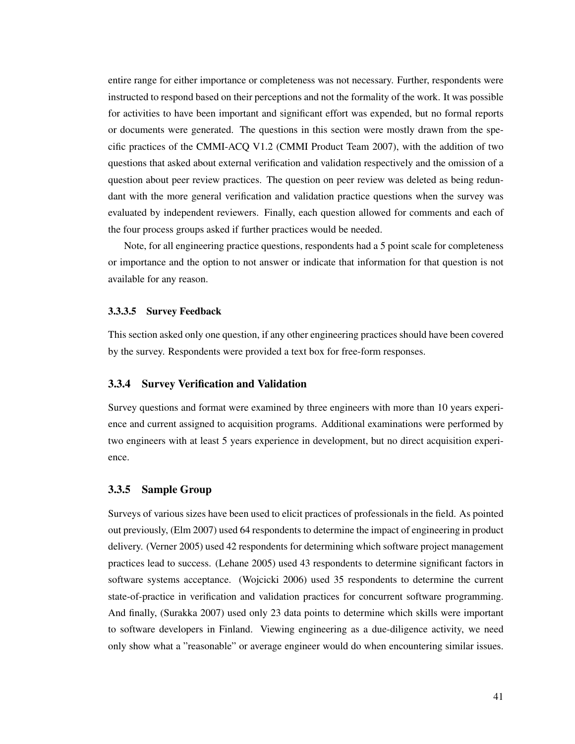entire range for either importance or completeness was not necessary. Further, respondents were instructed to respond based on their perceptions and not the formality of the work. It was possible for activities to have been important and significant effort was expended, but no formal reports or documents were generated. The questions in this section were mostly drawn from the specific practices of the CMMI-ACQ V1.2 (CMMI Product Team 2007), with the addition of two questions that asked about external verification and validation respectively and the omission of a question about peer review practices. The question on peer review was deleted as being redundant with the more general verification and validation practice questions when the survey was evaluated by independent reviewers. Finally, each question allowed for comments and each of the four process groups asked if further practices would be needed.

Note, for all engineering practice questions, respondents had a 5 point scale for completeness or importance and the option to not answer or indicate that information for that question is not available for any reason.

#### 3.3.3.5 Survey Feedback

This section asked only one question, if any other engineering practices should have been covered by the survey. Respondents were provided a text box for free-form responses.

#### 3.3.4 Survey Verification and Validation

Survey questions and format were examined by three engineers with more than 10 years experience and current assigned to acquisition programs. Additional examinations were performed by two engineers with at least 5 years experience in development, but no direct acquisition experience.

#### 3.3.5 Sample Group

Surveys of various sizes have been used to elicit practices of professionals in the field. As pointed out previously, (Elm 2007) used 64 respondents to determine the impact of engineering in product delivery. (Verner 2005) used 42 respondents for determining which software project management practices lead to success. (Lehane 2005) used 43 respondents to determine significant factors in software systems acceptance. (Wojcicki 2006) used 35 respondents to determine the current state-of-practice in verification and validation practices for concurrent software programming. And finally, (Surakka 2007) used only 23 data points to determine which skills were important to software developers in Finland. Viewing engineering as a due-diligence activity, we need only show what a "reasonable" or average engineer would do when encountering similar issues.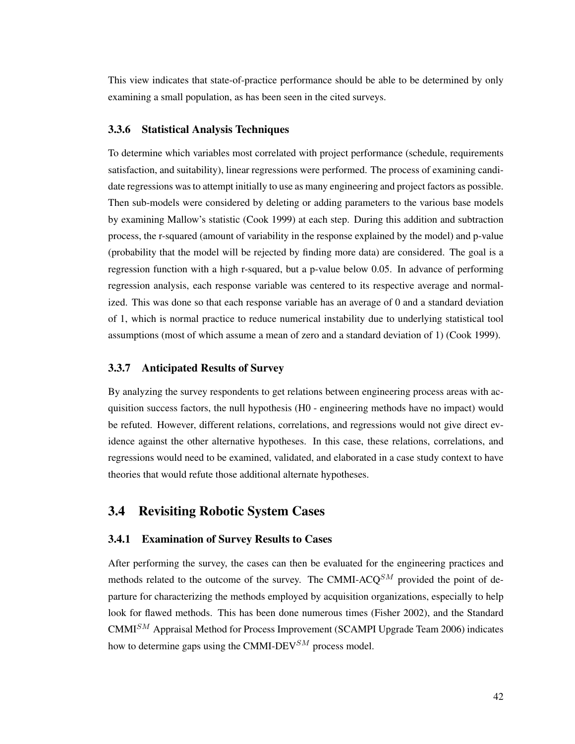This view indicates that state-of-practice performance should be able to be determined by only examining a small population, as has been seen in the cited surveys.

## 3.3.6 Statistical Analysis Techniques

To determine which variables most correlated with project performance (schedule, requirements satisfaction, and suitability), linear regressions were performed. The process of examining candidate regressions was to attempt initially to use as many engineering and project factors as possible. Then sub-models were considered by deleting or adding parameters to the various base models by examining Mallow's statistic (Cook 1999) at each step. During this addition and subtraction process, the r-squared (amount of variability in the response explained by the model) and p-value (probability that the model will be rejected by finding more data) are considered. The goal is a regression function with a high r-squared, but a p-value below 0.05. In advance of performing regression analysis, each response variable was centered to its respective average and normalized. This was done so that each response variable has an average of 0 and a standard deviation of 1, which is normal practice to reduce numerical instability due to underlying statistical tool assumptions (most of which assume a mean of zero and a standard deviation of 1) (Cook 1999).

## 3.3.7 Anticipated Results of Survey

By analyzing the survey respondents to get relations between engineering process areas with acquisition success factors, the null hypothesis (H0 - engineering methods have no impact) would be refuted. However, different relations, correlations, and regressions would not give direct evidence against the other alternative hypotheses. In this case, these relations, correlations, and regressions would need to be examined, validated, and elaborated in a case study context to have theories that would refute those additional alternate hypotheses.

## 3.4 Revisiting Robotic System Cases

## 3.4.1 Examination of Survey Results to Cases

After performing the survey, the cases can then be evaluated for the engineering practices and methods related to the outcome of the survey. The CMMI-ACQ<sup>SM</sup> provided the point of departure for characterizing the methods employed by acquisition organizations, especially to help look for flawed methods. This has been done numerous times (Fisher 2002), and the Standard  $CMMI<sup>SM</sup>$  Appraisal Method for Process Improvement (SCAMPI Upgrade Team 2006) indicates how to determine gaps using the CMMI-DEV $^{SM}$  process model.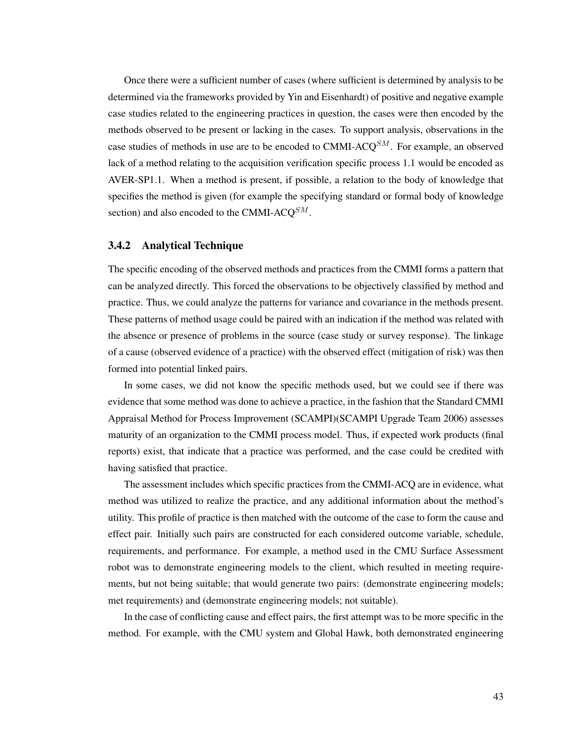Once there were a sufficient number of cases (where sufficient is determined by analysis to be determined via the frameworks provided by Yin and Eisenhardt) of positive and negative example case studies related to the engineering practices in question, the cases were then encoded by the methods observed to be present or lacking in the cases. To support analysis, observations in the case studies of methods in use are to be encoded to CMMI-ACQ<sup>SM</sup>. For example, an observed lack of a method relating to the acquisition verification specific process 1.1 would be encoded as AVER-SP1.1. When a method is present, if possible, a relation to the body of knowledge that specifies the method is given (for example the specifying standard or formal body of knowledge section) and also encoded to the CMMI-ACQ<sup>SM</sup>.

### 3.4.2 Analytical Technique

The specific encoding of the observed methods and practices from the CMMI forms a pattern that can be analyzed directly. This forced the observations to be objectively classified by method and practice. Thus, we could analyze the patterns for variance and covariance in the methods present. These patterns of method usage could be paired with an indication if the method was related with the absence or presence of problems in the source (case study or survey response). The linkage of a cause (observed evidence of a practice) with the observed effect (mitigation of risk) was then formed into potential linked pairs.

In some cases, we did not know the specific methods used, but we could see if there was evidence that some method was done to achieve a practice, in the fashion that the Standard CMMI Appraisal Method for Process Improvement (SCAMPI)(SCAMPI Upgrade Team 2006) assesses maturity of an organization to the CMMI process model. Thus, if expected work products (final reports) exist, that indicate that a practice was performed, and the case could be credited with having satisfied that practice.

The assessment includes which specific practices from the CMMI-ACQ are in evidence, what method was utilized to realize the practice, and any additional information about the method's utility. This profile of practice is then matched with the outcome of the case to form the cause and effect pair. Initially such pairs are constructed for each considered outcome variable, schedule, requirements, and performance. For example, a method used in the CMU Surface Assessment robot was to demonstrate engineering models to the client, which resulted in meeting requirements, but not being suitable; that would generate two pairs: (demonstrate engineering models; met requirements) and (demonstrate engineering models; not suitable).

In the case of conflicting cause and effect pairs, the first attempt was to be more specific in the method. For example, with the CMU system and Global Hawk, both demonstrated engineering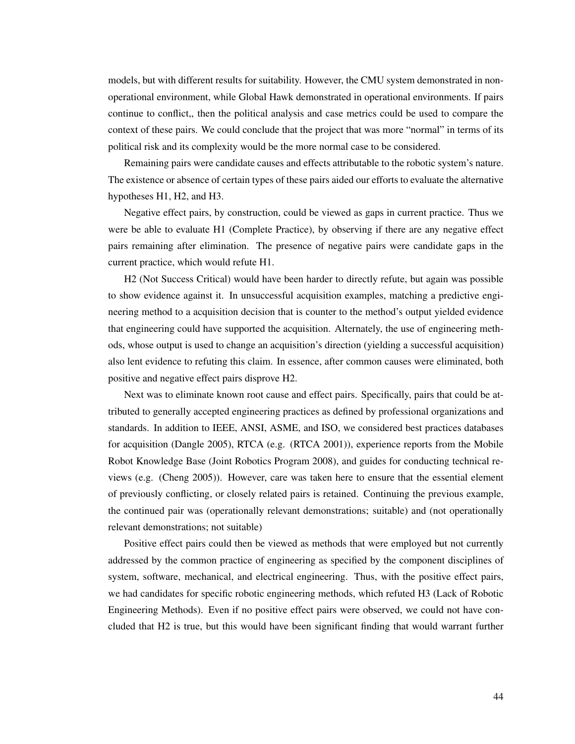models, but with different results for suitability. However, the CMU system demonstrated in nonoperational environment, while Global Hawk demonstrated in operational environments. If pairs continue to conflict,, then the political analysis and case metrics could be used to compare the context of these pairs. We could conclude that the project that was more "normal" in terms of its political risk and its complexity would be the more normal case to be considered.

Remaining pairs were candidate causes and effects attributable to the robotic system's nature. The existence or absence of certain types of these pairs aided our efforts to evaluate the alternative hypotheses H1, H2, and H3.

Negative effect pairs, by construction, could be viewed as gaps in current practice. Thus we were be able to evaluate H1 (Complete Practice), by observing if there are any negative effect pairs remaining after elimination. The presence of negative pairs were candidate gaps in the current practice, which would refute H1.

H2 (Not Success Critical) would have been harder to directly refute, but again was possible to show evidence against it. In unsuccessful acquisition examples, matching a predictive engineering method to a acquisition decision that is counter to the method's output yielded evidence that engineering could have supported the acquisition. Alternately, the use of engineering methods, whose output is used to change an acquisition's direction (yielding a successful acquisition) also lent evidence to refuting this claim. In essence, after common causes were eliminated, both positive and negative effect pairs disprove H2.

Next was to eliminate known root cause and effect pairs. Specifically, pairs that could be attributed to generally accepted engineering practices as defined by professional organizations and standards. In addition to IEEE, ANSI, ASME, and ISO, we considered best practices databases for acquisition (Dangle 2005), RTCA (e.g. (RTCA 2001)), experience reports from the Mobile Robot Knowledge Base (Joint Robotics Program 2008), and guides for conducting technical reviews (e.g. (Cheng 2005)). However, care was taken here to ensure that the essential element of previously conflicting, or closely related pairs is retained. Continuing the previous example, the continued pair was (operationally relevant demonstrations; suitable) and (not operationally relevant demonstrations; not suitable)

Positive effect pairs could then be viewed as methods that were employed but not currently addressed by the common practice of engineering as specified by the component disciplines of system, software, mechanical, and electrical engineering. Thus, with the positive effect pairs, we had candidates for specific robotic engineering methods, which refuted H3 (Lack of Robotic Engineering Methods). Even if no positive effect pairs were observed, we could not have concluded that H2 is true, but this would have been significant finding that would warrant further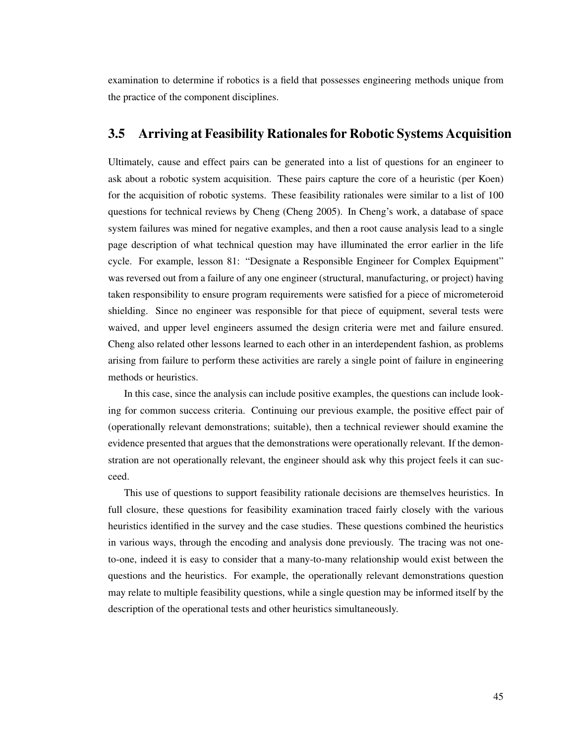examination to determine if robotics is a field that possesses engineering methods unique from the practice of the component disciplines.

## 3.5 Arriving at Feasibility Rationales for Robotic Systems Acquisition

Ultimately, cause and effect pairs can be generated into a list of questions for an engineer to ask about a robotic system acquisition. These pairs capture the core of a heuristic (per Koen) for the acquisition of robotic systems. These feasibility rationales were similar to a list of 100 questions for technical reviews by Cheng (Cheng 2005). In Cheng's work, a database of space system failures was mined for negative examples, and then a root cause analysis lead to a single page description of what technical question may have illuminated the error earlier in the life cycle. For example, lesson 81: "Designate a Responsible Engineer for Complex Equipment" was reversed out from a failure of any one engineer (structural, manufacturing, or project) having taken responsibility to ensure program requirements were satisfied for a piece of micrometeroid shielding. Since no engineer was responsible for that piece of equipment, several tests were waived, and upper level engineers assumed the design criteria were met and failure ensured. Cheng also related other lessons learned to each other in an interdependent fashion, as problems arising from failure to perform these activities are rarely a single point of failure in engineering methods or heuristics.

In this case, since the analysis can include positive examples, the questions can include looking for common success criteria. Continuing our previous example, the positive effect pair of (operationally relevant demonstrations; suitable), then a technical reviewer should examine the evidence presented that argues that the demonstrations were operationally relevant. If the demonstration are not operationally relevant, the engineer should ask why this project feels it can succeed.

This use of questions to support feasibility rationale decisions are themselves heuristics. In full closure, these questions for feasibility examination traced fairly closely with the various heuristics identified in the survey and the case studies. These questions combined the heuristics in various ways, through the encoding and analysis done previously. The tracing was not oneto-one, indeed it is easy to consider that a many-to-many relationship would exist between the questions and the heuristics. For example, the operationally relevant demonstrations question may relate to multiple feasibility questions, while a single question may be informed itself by the description of the operational tests and other heuristics simultaneously.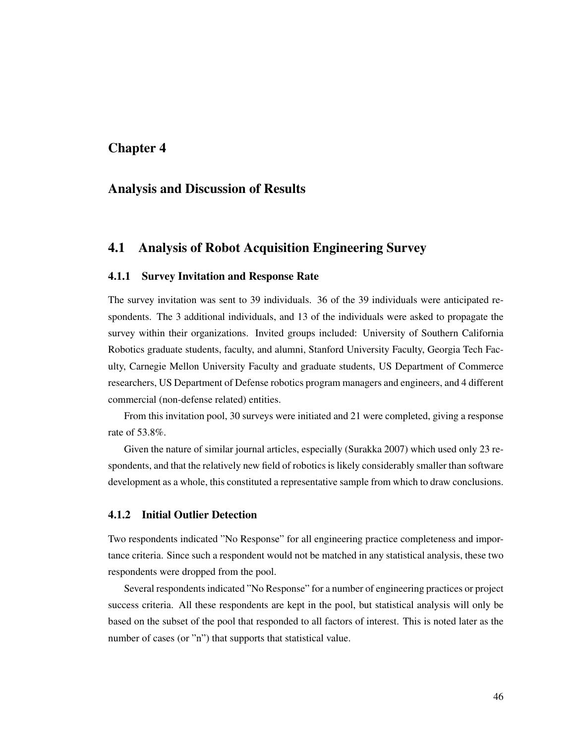# Chapter 4

# Analysis and Discussion of Results

## 4.1 Analysis of Robot Acquisition Engineering Survey

## 4.1.1 Survey Invitation and Response Rate

The survey invitation was sent to 39 individuals. 36 of the 39 individuals were anticipated respondents. The 3 additional individuals, and 13 of the individuals were asked to propagate the survey within their organizations. Invited groups included: University of Southern California Robotics graduate students, faculty, and alumni, Stanford University Faculty, Georgia Tech Faculty, Carnegie Mellon University Faculty and graduate students, US Department of Commerce researchers, US Department of Defense robotics program managers and engineers, and 4 different commercial (non-defense related) entities.

From this invitation pool, 30 surveys were initiated and 21 were completed, giving a response rate of 53.8%.

Given the nature of similar journal articles, especially (Surakka 2007) which used only 23 respondents, and that the relatively new field of robotics is likely considerably smaller than software development as a whole, this constituted a representative sample from which to draw conclusions.

## 4.1.2 Initial Outlier Detection

Two respondents indicated "No Response" for all engineering practice completeness and importance criteria. Since such a respondent would not be matched in any statistical analysis, these two respondents were dropped from the pool.

Several respondents indicated "No Response" for a number of engineering practices or project success criteria. All these respondents are kept in the pool, but statistical analysis will only be based on the subset of the pool that responded to all factors of interest. This is noted later as the number of cases (or "n") that supports that statistical value.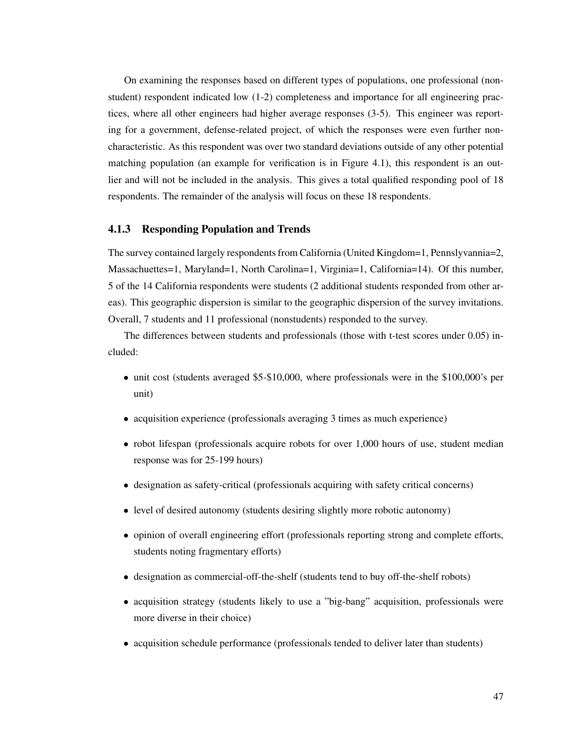On examining the responses based on different types of populations, one professional (nonstudent) respondent indicated low (1-2) completeness and importance for all engineering practices, where all other engineers had higher average responses (3-5). This engineer was reporting for a government, defense-related project, of which the responses were even further noncharacteristic. As this respondent was over two standard deviations outside of any other potential matching population (an example for verification is in Figure 4.1), this respondent is an outlier and will not be included in the analysis. This gives a total qualified responding pool of 18 respondents. The remainder of the analysis will focus on these 18 respondents.

## 4.1.3 Responding Population and Trends

The survey contained largely respondents from California (United Kingdom=1, Pennslyvannia=2, Massachuettes=1, Maryland=1, North Carolina=1, Virginia=1, California=14). Of this number, 5 of the 14 California respondents were students (2 additional students responded from other areas). This geographic dispersion is similar to the geographic dispersion of the survey invitations. Overall, 7 students and 11 professional (nonstudents) responded to the survey.

The differences between students and professionals (those with t-test scores under 0.05) included:

- unit cost (students averaged \$5-\$10,000, where professionals were in the \$100,000's per unit)
- acquisition experience (professionals averaging 3 times as much experience)
- robot lifespan (professionals acquire robots for over 1,000 hours of use, student median response was for 25-199 hours)
- designation as safety-critical (professionals acquiring with safety critical concerns)
- level of desired autonomy (students desiring slightly more robotic autonomy)
- opinion of overall engineering effort (professionals reporting strong and complete efforts, students noting fragmentary efforts)
- designation as commercial-off-the-shelf (students tend to buy off-the-shelf robots)
- acquisition strategy (students likely to use a "big-bang" acquisition, professionals were more diverse in their choice)
- acquisition schedule performance (professionals tended to deliver later than students)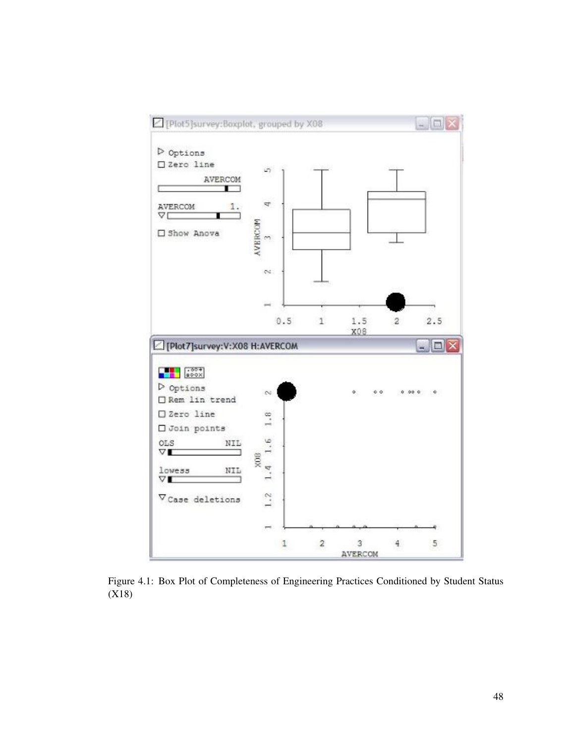

Figure 4.1: Box Plot of Completeness of Engineering Practices Conditioned by Student Status (X18)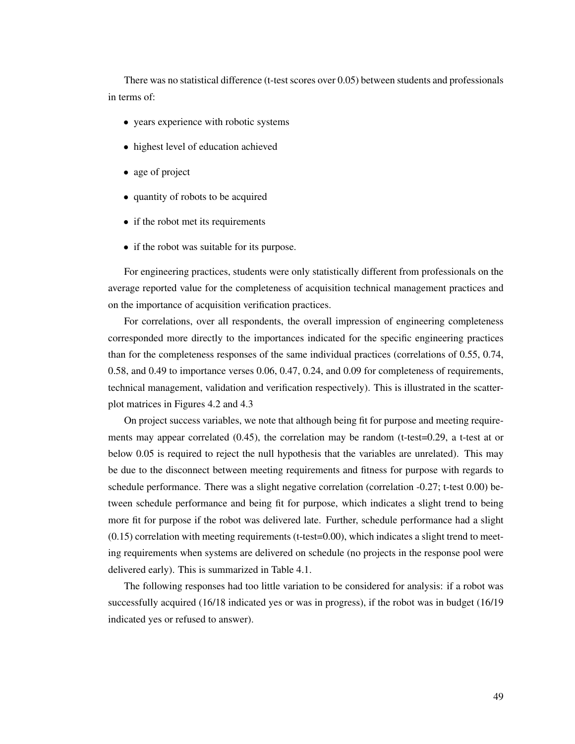There was no statistical difference (t-test scores over 0.05) between students and professionals in terms of:

- years experience with robotic systems
- highest level of education achieved
- age of project
- quantity of robots to be acquired
- if the robot met its requirements
- if the robot was suitable for its purpose.

For engineering practices, students were only statistically different from professionals on the average reported value for the completeness of acquisition technical management practices and on the importance of acquisition verification practices.

For correlations, over all respondents, the overall impression of engineering completeness corresponded more directly to the importances indicated for the specific engineering practices than for the completeness responses of the same individual practices (correlations of 0.55, 0.74, 0.58, and 0.49 to importance verses 0.06, 0.47, 0.24, and 0.09 for completeness of requirements, technical management, validation and verification respectively). This is illustrated in the scatterplot matrices in Figures 4.2 and 4.3

On project success variables, we note that although being fit for purpose and meeting requirements may appear correlated  $(0.45)$ , the correlation may be random (t-test=0.29, a t-test at or below 0.05 is required to reject the null hypothesis that the variables are unrelated). This may be due to the disconnect between meeting requirements and fitness for purpose with regards to schedule performance. There was a slight negative correlation (correlation -0.27; t-test 0.00) between schedule performance and being fit for purpose, which indicates a slight trend to being more fit for purpose if the robot was delivered late. Further, schedule performance had a slight  $(0.15)$  correlation with meeting requirements (t-test=0.00), which indicates a slight trend to meeting requirements when systems are delivered on schedule (no projects in the response pool were delivered early). This is summarized in Table 4.1.

The following responses had too little variation to be considered for analysis: if a robot was successfully acquired (16/18 indicated yes or was in progress), if the robot was in budget (16/19 indicated yes or refused to answer).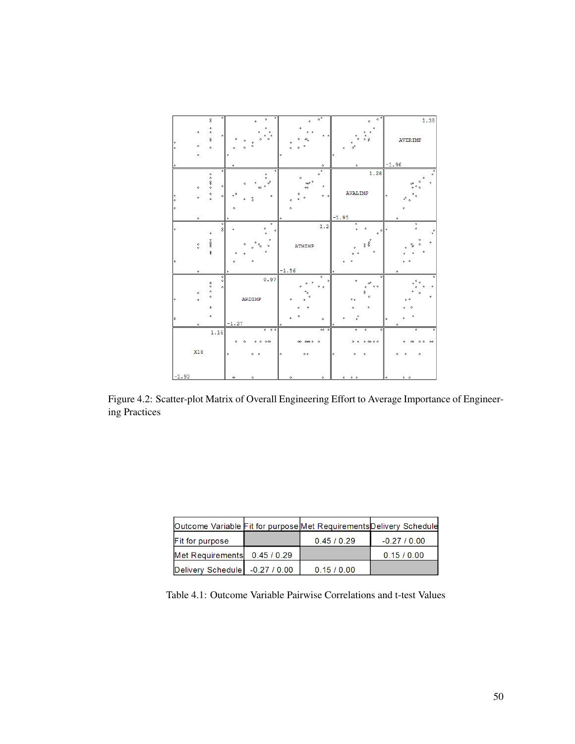| $\overline{\phantom{0}}$<br>$\boldsymbol{\mathsf{s}}$                          | ۰<br>ó<br>$\circ$                                                      | $\circ$<br>$\circ$                                                        | $\sqrt{2}$<br>$\bullet$                                                          | 1.38                                                        |
|--------------------------------------------------------------------------------|------------------------------------------------------------------------|---------------------------------------------------------------------------|----------------------------------------------------------------------------------|-------------------------------------------------------------|
| $\circ$<br>$\ddot{\phantom{0}}$<br>۰<br>۰<br>8<br>۰<br>$\ddot{\phantom{0}}$    | ۰<br>۰<br>$\ddot{\phantom{0}}$                                         | $\ddot{\phantom{0}}$<br>$\circ$ $\circ$                                   | $^{\circ}$ 8<br>$\ddot{\phantom{0}}$<br>°。                                       | AVERIMP                                                     |
| ۸                                                                              | ۰<br>$\ddot{\phantom{0}}$                                              | $\circ$                                                                   | ٠<br>$\circ$                                                                     | $-1.96$                                                     |
| $\overline{\phantom{0}}$<br>$\frac{1}{2}$<br>$\circ$<br>$\ddot{\text{o}}$<br>۰ | $\bullet$<br>$\ddot{\phantom{0}}\phantom{0}\circ$<br>ô<br>ŏ0           | $\circ$<br>ò.<br>۰<br>$\infty^{\rm o}$ $^{\rm o}$<br>$\bullet$<br>$^{oo}$ | 1.28                                                                             | ۰<br>$\circ$<br>$\circ$<br>۰                                |
| ó<br>۰<br>۰<br>٠                                                               | $\circ$ $^{\circ}$<br>$\circ$<br>៓<br>۰<br>۰                           | $\circ$ $\circ$                                                           | <b>AVALIMP</b>                                                                   | $\ddot{\phantom{0}}$<br>۰<br>$\delta^2_{\phantom{2}0}$<br>٥ |
| $\bullet$                                                                      | ò                                                                      | ۰                                                                         | $-1.95$                                                                          | $\circ$                                                     |
| $\frac{1}{2}$<br>ó<br>$\circ$                                                  | $\overline{\phantom{a}}$<br>۰<br>$\ddot{\phantom{0}}$<br>$\Delta$<br>ò | 1.2                                                                       | $\circ$<br>$\circ$<br>$\ddot{\phantom{0}}$<br>$\circ$ $^{\circ}$                 | ۰<br>$\ddot{\phantom{0}}$<br>$\bullet$<br>$\circ^\circ$     |
| $\frac{1}{8}$<br>$^{\circ}_{\circ}$<br>$\overline{\mathbf{3}}$                 |                                                                        | ATMIMP                                                                    | $\begin{smallmatrix}&&0\\&&3\\3&8\end{smallmatrix}$<br>ò<br>$\ddot{\phantom{0}}$ | ۰<br>$\circ$                                                |
| ô<br>$\bullet$                                                                 | ۱۰                                                                     | $-1.56$                                                                   | ۰<br>۱۰                                                                          | ۰<br>۰                                                      |
| $\frac{1}{\alpha}$<br>8<br>ö<br>$\ddot{\phantom{0}}$<br>$\circ$<br>۰           | 0.97                                                                   | ०<br>۰<br>$\ddot{\bullet}$                                                | $\ddot{\phantom{0}}$<br>$\circ$<br>$\circ$ $\circ$<br>۰<br>ġ                     | ۰<br>ò<br>ò.<br>۰                                           |
| $\ddot{\phantom{0}}$<br>۰<br>۵                                                 | ARDIMP                                                                 | ٠                                                                         | $^{\circ}$<br>۰                                                                  | 0 <sup>o</sup>                                              |
| ٠<br>8<br>۰                                                                    | $-1.27$                                                                | ó<br>$\circ$<br>۰                                                         | ۰<br>۰                                                                           | ۰<br>ó<br>۰<br>۰                                            |
| 1.16                                                                           | $\overline{\phantom{0}}$<br>$\circ$<br>۰<br>0 <sup>o</sup><br>۰        | 000<br>40000<br>٠                                                         | ०<br>$\overline{\phantom{a}}$<br>$\circ$<br>۰<br>00000<br>٠                      | ō<br>۰<br>$^{oo}$<br>œ<br>٠<br>٠                            |
| X18                                                                            | $\ddot{\phantom{0}}$<br>٠<br>٠                                         | $\circ$ $\circ$<br>۰                                                      | $\ddot{\phantom{0}}$<br>۰                                                        |                                                             |
| $-1.93$                                                                        | œ<br>$\circ$                                                           | $\circ$<br>$\bullet$                                                      | $\circ$<br>$\circ$ $\circ$                                                       | ۰<br>$\circ$ $\circ$                                        |

Figure 4.2: Scatter-plot Matrix of Overall Engineering Effort to Average Importance of Engineering Practices

| Outcome Variable Fit for purpose Met Requirements Delivery Schedule |           |              |
|---------------------------------------------------------------------|-----------|--------------|
| <b>Fit for purpose</b>                                              | 0.45/0.29 | $-0.27/0.00$ |
| Met Requirements 0.45 / 0.29                                        |           | 0.15/0.00    |
| Delivery Schedule -0.27 / 0.00                                      | 0.15/0.00 |              |

Table 4.1: Outcome Variable Pairwise Correlations and t-test Values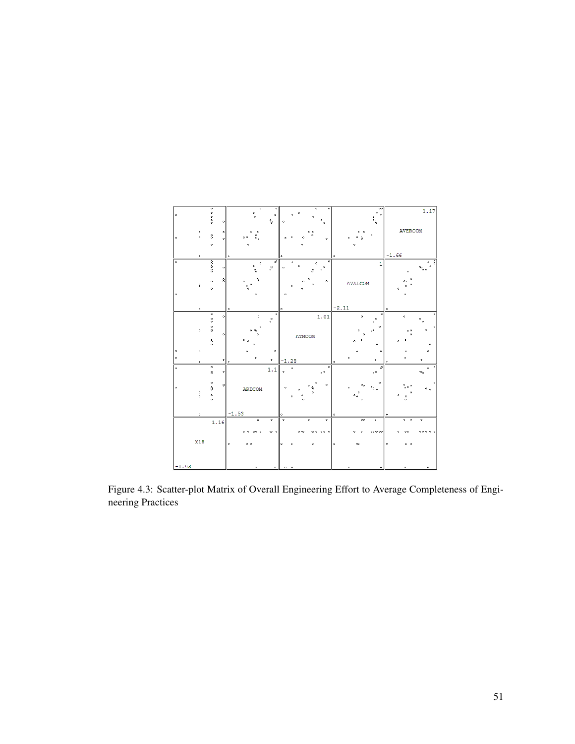| ۰       |                                 | $\overline{\phantom{0}}$<br>$\ddot{\circ}$ | $\circ$      | ॰<br>$\overset{\circ}{\phantom{\circ}}\phantom{\circ}$                                               | ۰<br>$\circ$<br>$^{\circ}_{\ 8}$                | $\circ$                  |                | ۰                        | ॰<br>۰<br>$\circ$                                |                                                                | $\overline{\phantom{0}}$<br>$\circ$<br>$\ddot{\phantom{0}}$<br>$\overset{\circ}{\circ}_{\mathbb{S}}$ |         |                                     | 1.17                                       |
|---------|---------------------------------|--------------------------------------------|--------------|------------------------------------------------------------------------------------------------------|-------------------------------------------------|--------------------------|----------------|--------------------------|--------------------------------------------------|----------------------------------------------------------------|------------------------------------------------------------------------------------------------------|---------|-------------------------------------|--------------------------------------------|
| ۰       | $\circ$<br>$\ddot{\phantom{0}}$ | å<br>ó                                     | $\circ$<br>۰ | $\bullet$<br>۰<br>$\stackrel{\circ}{\circ}_\circ$<br>$^{\circ}$<br>ò                                 |                                                 | ۰                        | $\circ$        | $^{\circ}$<br>ó          | $\circ$                                          | $0$ 0<br>۰<br>2                                                | ٥                                                                                                    |         | <b>AVERCOM</b>                      |                                            |
|         | ۰                               |                                            |              | ۰                                                                                                    |                                                 |                          |                |                          |                                                  | ۰                                                              |                                                                                                      | $-1.66$ |                                     |                                            |
| ۰       |                                 | $\frac{1}{2}$                              | $\circ$      | $\circ$<br>$\mathring{\hbox{S}}$                                                                     | ℯ<br>$\stackrel{\circ}{\circ}$                  | ۰                        | ۸<br>$\circ$   | ۰<br>$\mathcal{E}$       | $\overline{\phantom{a}}$<br>$\ddot{\mathcal{O}}$ |                                                                | $\mathbf{1}$                                                                                         |         | $\circ$                             | 8<br>$\circ$<br>$\mathrel{\circ}{\circ}$ . |
| $\circ$ | 8                               | $\circ$<br>ó                               | 8            | S<br>$\mathring{\phantom{a}}\mathring{\phantom{a}}\mathring{\phantom{a}}\mathring{\phantom{a}}$<br>۰ |                                                 | $\circ$                  | ٠              |                          | $\circ$                                          | <b>AVALCOM</b>                                                 |                                                                                                      | ۵       | ó<br>٥                              |                                            |
|         | ۰                               |                                            |              | ۰                                                                                                    |                                                 | ۰                        |                |                          |                                                  | $-2.11$                                                        |                                                                                                      |         |                                     |                                            |
|         |                                 | $\circ$<br>$\ddot{\circ}$<br>۰             | ۰            | ۰                                                                                                    | $\overline{\cdot}$<br>$\stackrel{\circ}{\circ}$ |                          |                |                          | 1.01                                             | ۰                                                              | $\overline{\phantom{0}}$<br>$\circ$<br>$\circ$<br>$\circ$                                            |         | $\circ$                             | ۰<br>$\ddot{\phantom{a}}_o$<br>۰           |
|         | $\ddot{\phantom{0}}$            | 8<br>8<br>$\circ$                          | $\circ$      | $\ddot{\phantom{0}}$<br>۰<br>ó                                                                       |                                                 |                          | <b>ATMCOM</b>  |                          |                                                  |                                                                | $\circ^\circ$<br>$\circ$                                                                             |         | $\circ$                             | ۰<br>۰                                     |
| ۰       | ۰                               |                                            |              | ó                                                                                                    | $\circ$                                         |                          |                |                          |                                                  |                                                                | $\circ$                                                                                              |         | $\bullet$                           | ۰                                          |
| ۰       | ٠                               |                                            | ۰            | ۰<br>$\ddot{\phantom{0}}$                                                                            | ۰                                               | $-1.28$                  |                |                          |                                                  | ۰                                                              | $\circ$                                                                                              |         | ۰                                   | ۰                                          |
| o       |                                 | ۰<br>$\bf 8$                               | ۰            |                                                                                                      | 1.1                                             | $\ddot{\phantom{0}}$     | $\circ$        |                          | $\overline{\phantom{0}}$<br>$\circ$ $^{\circ}$   |                                                                | ₽<br>$\circ^\circ$                                                                                   |         |                                     | ¢<br>$\circ$<br>$\infty_{\rm o}$           |
| ۰       | ۰<br>$\ddot{\phantom{0}}$       | ۰<br>ĝ<br>$\circ$<br>۰                     | ġ.           | ARDCOM                                                                                               |                                                 | $\circ$                  |                | ۰<br>s<br>ó              | $\circ$                                          | $\circ_\circ$<br>$\circ$<br>۰<br>$\ddot{\bullet}_\bullet$<br>٠ | $\circ$<br>$\circ_{\circ}$                                                                           |         | $\delta$ or $\delta$<br>۰<br>ះ      | $\ddot{\phantom{0}}$                       |
|         | ۰                               |                                            |              | $-1.53$                                                                                              |                                                 | $\ddot{\phantom{0}}$     |                |                          |                                                  | ó                                                              |                                                                                                      | ٠       |                                     |                                            |
|         |                                 | 1.16                                       |              | ø                                                                                                    | $\overline{\phantom{0}}$                        | $\overline{\phantom{a}}$ |                | $\overline{\phantom{0}}$ | $\overline{\phantom{0}}$                         | $\circ$                                                        | $\overline{\phantom{a}}$                                                                             |         | $\overline{\phantom{0}}$<br>$\circ$ | $\overline{\phantom{a}}$                   |
|         |                                 |                                            |              | $\bullet$<br>$000 - 0$<br>۰                                                                          | <b>co</b> o                                     |                          | 0 <sup>o</sup> | $\circ$ $\circ$          | 000                                              | ۰<br>۰                                                         | <b>00 00 00</b>                                                                                      |         | $^{\circ}$                          | 000000                                     |
|         | X18                             |                                            |              | $\circ$ $\circ$<br>$\ddot{\phantom{0}}$                                                              |                                                 | ۰                        | ۰              | $\ddot{\phantom{0}}$     |                                                  | $\infty$<br>۰                                                  |                                                                                                      | ۰       | $\circ$ $\circ$                     |                                            |
| $-1.93$ |                                 |                                            |              | ۰                                                                                                    | ۰                                               | ۰                        | ۰              |                          |                                                  | $\circ$                                                        | ۰                                                                                                    |         | $\circ$                             | ۰                                          |

Figure 4.3: Scatter-plot Matrix of Overall Engineering Effort to Average Completeness of Engineering Practices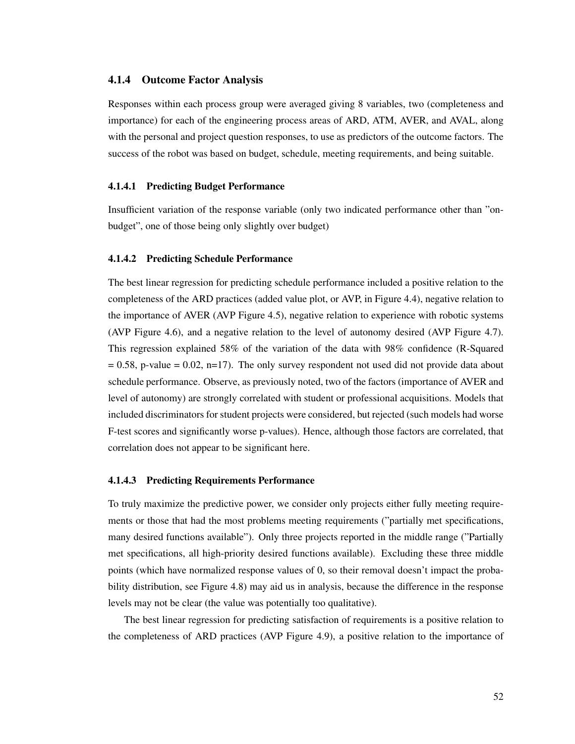#### 4.1.4 Outcome Factor Analysis

Responses within each process group were averaged giving 8 variables, two (completeness and importance) for each of the engineering process areas of ARD, ATM, AVER, and AVAL, along with the personal and project question responses, to use as predictors of the outcome factors. The success of the robot was based on budget, schedule, meeting requirements, and being suitable.

### 4.1.4.1 Predicting Budget Performance

Insufficient variation of the response variable (only two indicated performance other than "onbudget", one of those being only slightly over budget)

#### 4.1.4.2 Predicting Schedule Performance

The best linear regression for predicting schedule performance included a positive relation to the completeness of the ARD practices (added value plot, or AVP, in Figure 4.4), negative relation to the importance of AVER (AVP Figure 4.5), negative relation to experience with robotic systems (AVP Figure 4.6), and a negative relation to the level of autonomy desired (AVP Figure 4.7). This regression explained 58% of the variation of the data with 98% confidence (R-Squared  $= 0.58$ , p-value  $= 0.02$ , n=17). The only survey respondent not used did not provide data about schedule performance. Observe, as previously noted, two of the factors (importance of AVER and level of autonomy) are strongly correlated with student or professional acquisitions. Models that included discriminators for student projects were considered, but rejected (such models had worse F-test scores and significantly worse p-values). Hence, although those factors are correlated, that correlation does not appear to be significant here.

#### 4.1.4.3 Predicting Requirements Performance

To truly maximize the predictive power, we consider only projects either fully meeting requirements or those that had the most problems meeting requirements ("partially met specifications, many desired functions available"). Only three projects reported in the middle range ("Partially met specifications, all high-priority desired functions available). Excluding these three middle points (which have normalized response values of 0, so their removal doesn't impact the probability distribution, see Figure 4.8) may aid us in analysis, because the difference in the response levels may not be clear (the value was potentially too qualitative).

The best linear regression for predicting satisfaction of requirements is a positive relation to the completeness of ARD practices (AVP Figure 4.9), a positive relation to the importance of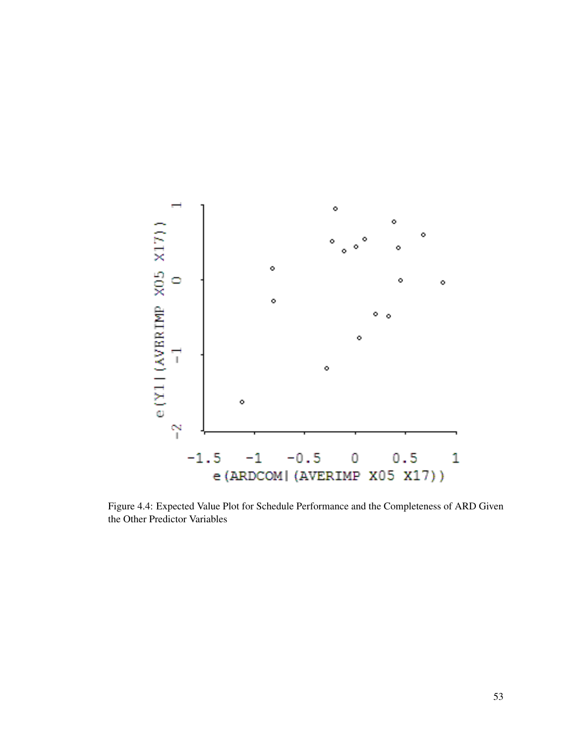

Figure 4.4: Expected Value Plot for Schedule Performance and the Completeness of ARD Given the Other Predictor Variables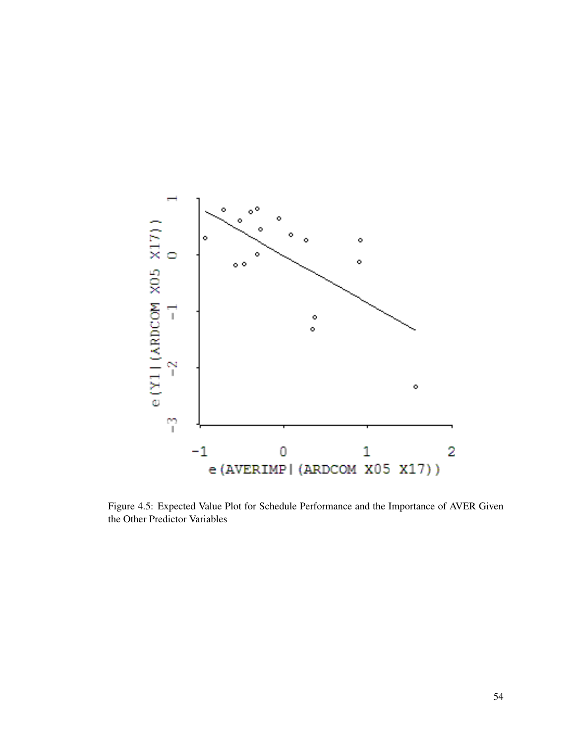

Figure 4.5: Expected Value Plot for Schedule Performance and the Importance of AVER Given the Other Predictor Variables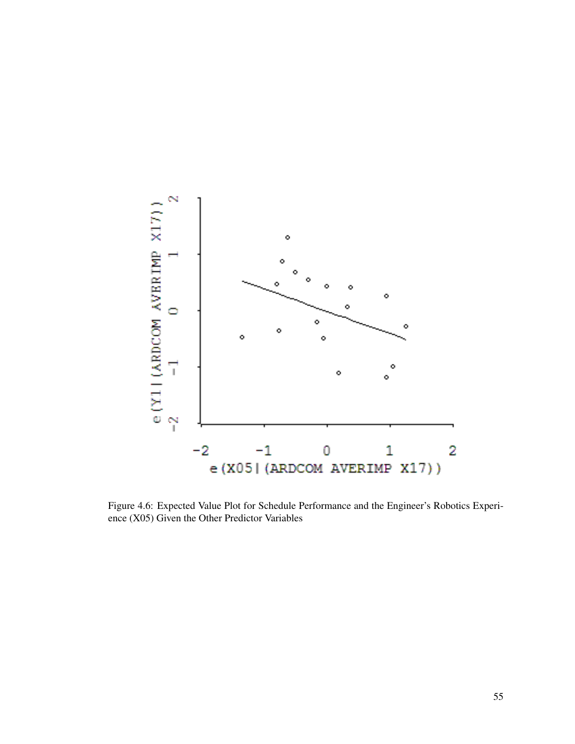

Figure 4.6: Expected Value Plot for Schedule Performance and the Engineer's Robotics Experience (X05) Given the Other Predictor Variables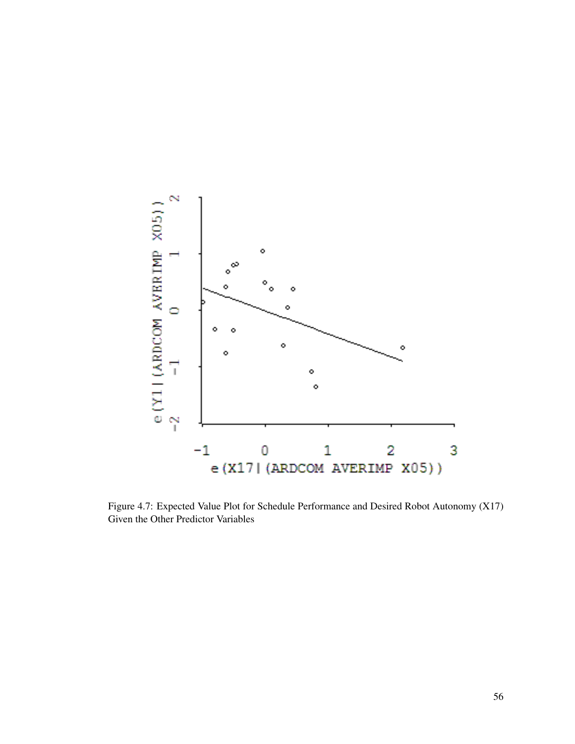

Figure 4.7: Expected Value Plot for Schedule Performance and Desired Robot Autonomy (X17) Given the Other Predictor Variables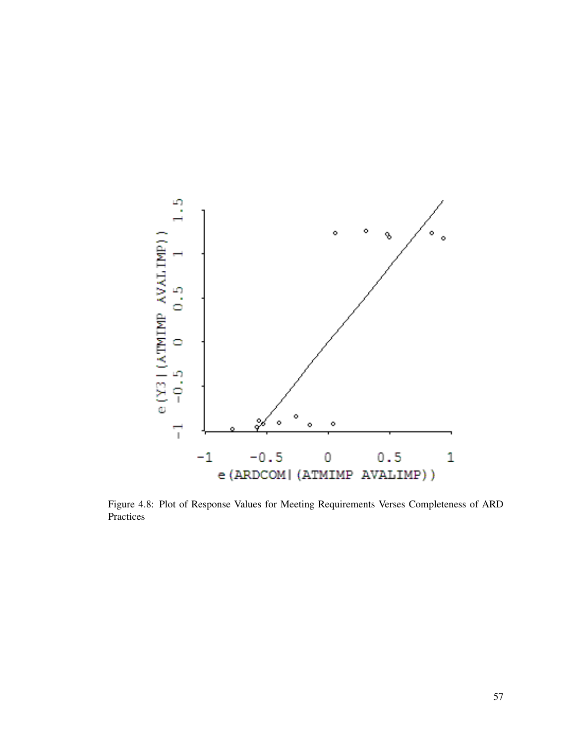

Figure 4.8: Plot of Response Values for Meeting Requirements Verses Completeness of ARD Practices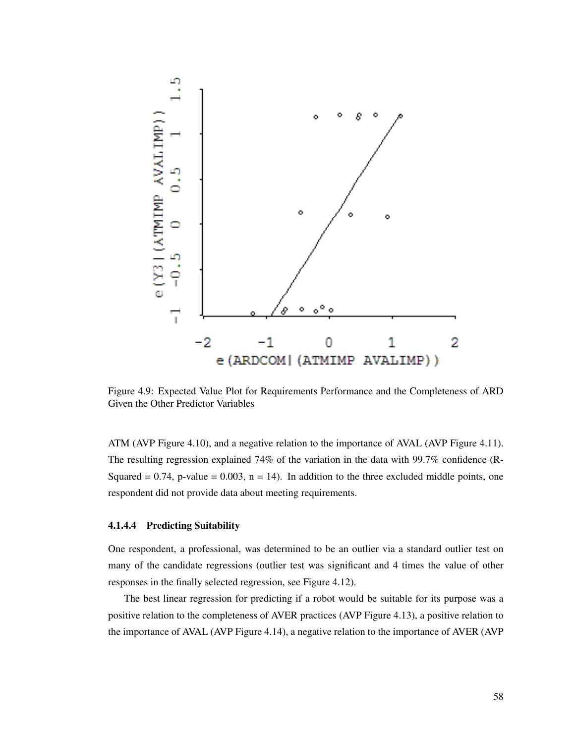

Figure 4.9: Expected Value Plot for Requirements Performance and the Completeness of ARD Given the Other Predictor Variables

ATM (AVP Figure 4.10), and a negative relation to the importance of AVAL (AVP Figure 4.11). The resulting regression explained 74% of the variation in the data with 99.7% confidence (R-Squared = 0.74, p-value = 0.003,  $n = 14$ ). In addition to the three excluded middle points, one respondent did not provide data about meeting requirements.

#### 4.1.4.4 Predicting Suitability

One respondent, a professional, was determined to be an outlier via a standard outlier test on many of the candidate regressions (outlier test was significant and 4 times the value of other responses in the finally selected regression, see Figure 4.12).

The best linear regression for predicting if a robot would be suitable for its purpose was a positive relation to the completeness of AVER practices (AVP Figure 4.13), a positive relation to the importance of AVAL (AVP Figure 4.14), a negative relation to the importance of AVER (AVP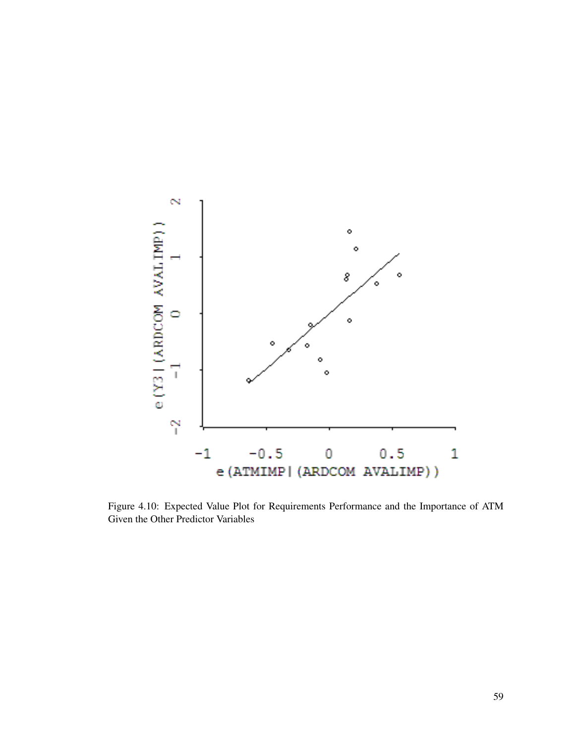

Figure 4.10: Expected Value Plot for Requirements Performance and the Importance of ATM Given the Other Predictor Variables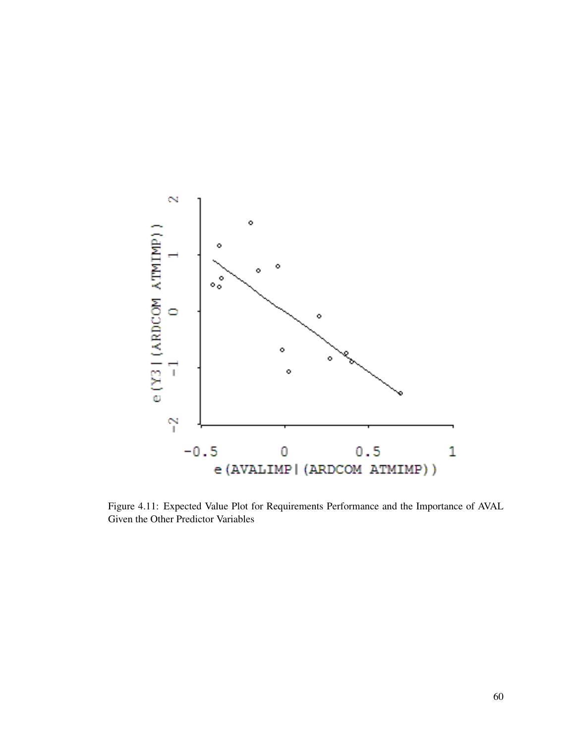

Figure 4.11: Expected Value Plot for Requirements Performance and the Importance of AVAL Given the Other Predictor Variables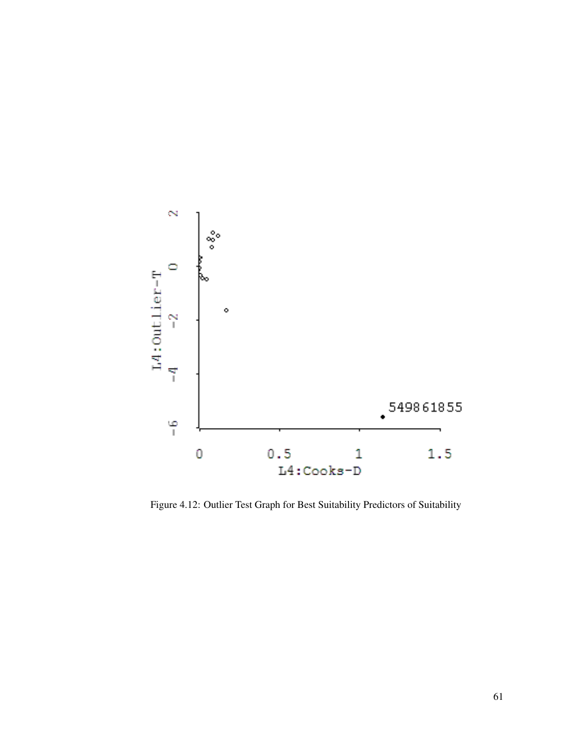

Figure 4.12: Outlier Test Graph for Best Suitability Predictors of Suitability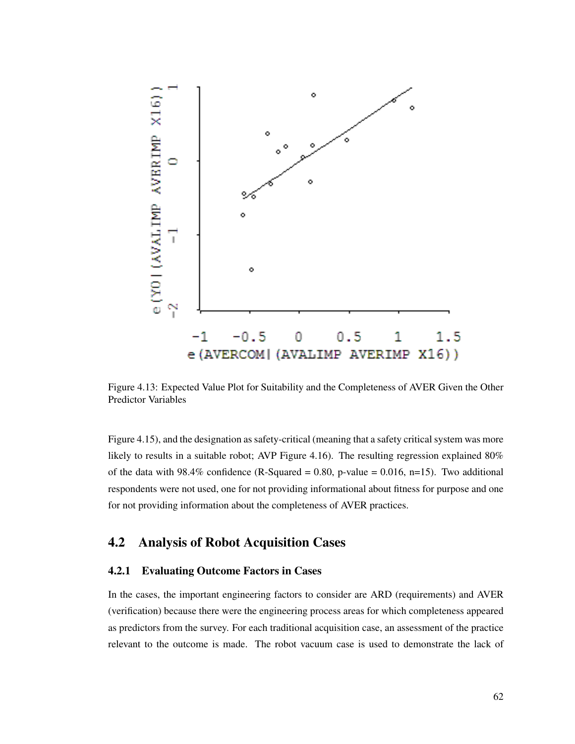

Figure 4.13: Expected Value Plot for Suitability and the Completeness of AVER Given the Other Predictor Variables

Figure 4.15), and the designation as safety-critical (meaning that a safety critical system was more likely to results in a suitable robot; AVP Figure 4.16). The resulting regression explained 80% of the data with 98.4% confidence (R-Squared = 0.80, p-value = 0.016, n=15). Two additional respondents were not used, one for not providing informational about fitness for purpose and one for not providing information about the completeness of AVER practices.

# 4.2 Analysis of Robot Acquisition Cases

## 4.2.1 Evaluating Outcome Factors in Cases

In the cases, the important engineering factors to consider are ARD (requirements) and AVER (verification) because there were the engineering process areas for which completeness appeared as predictors from the survey. For each traditional acquisition case, an assessment of the practice relevant to the outcome is made. The robot vacuum case is used to demonstrate the lack of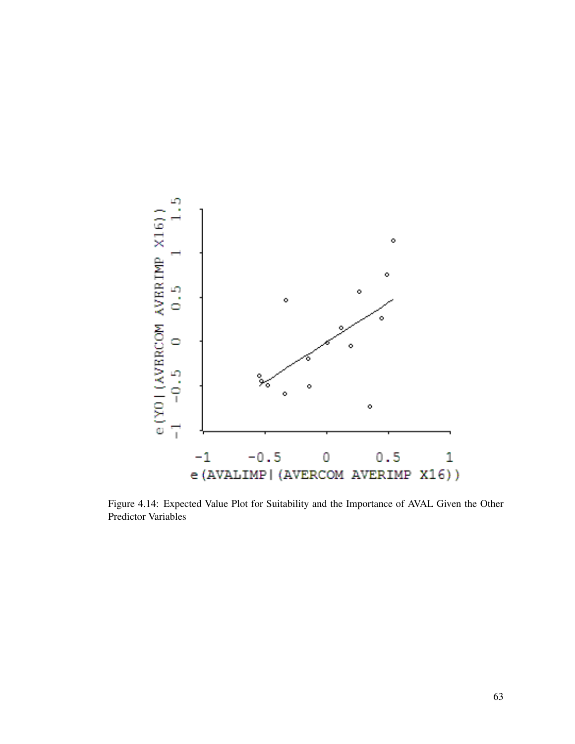

Figure 4.14: Expected Value Plot for Suitability and the Importance of AVAL Given the Other Predictor Variables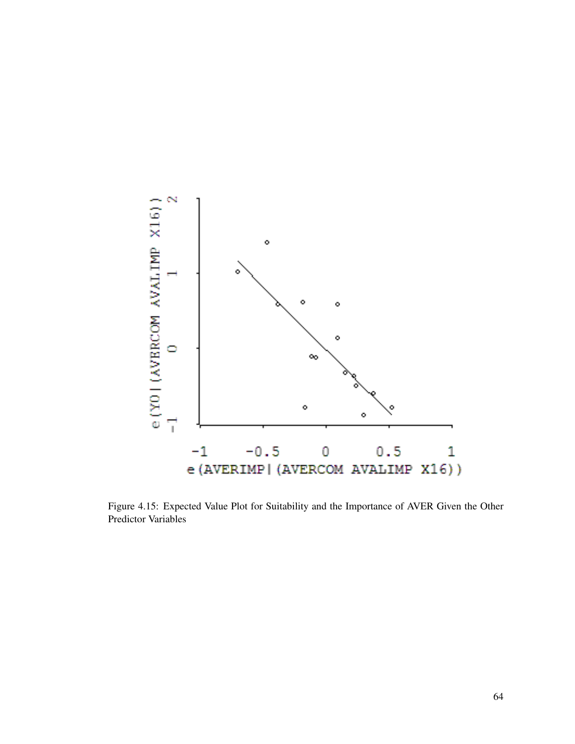

Figure 4.15: Expected Value Plot for Suitability and the Importance of AVER Given the Other Predictor Variables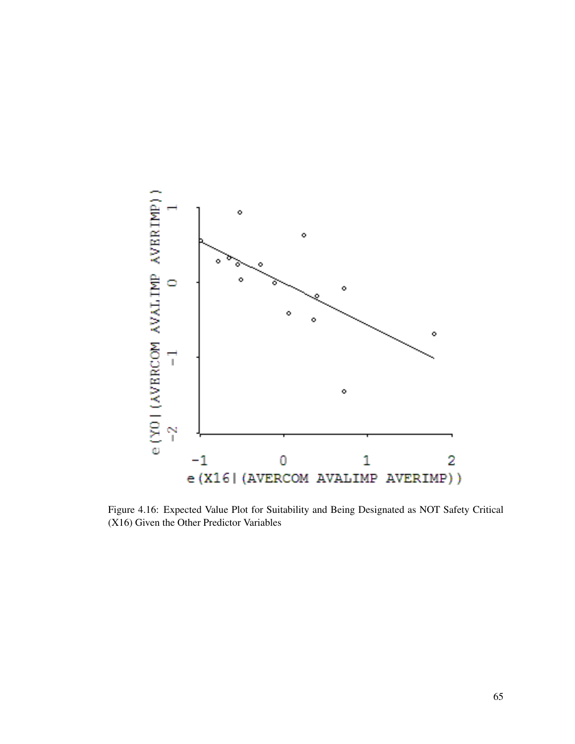

Figure 4.16: Expected Value Plot for Suitability and Being Designated as NOT Safety Critical (X16) Given the Other Predictor Variables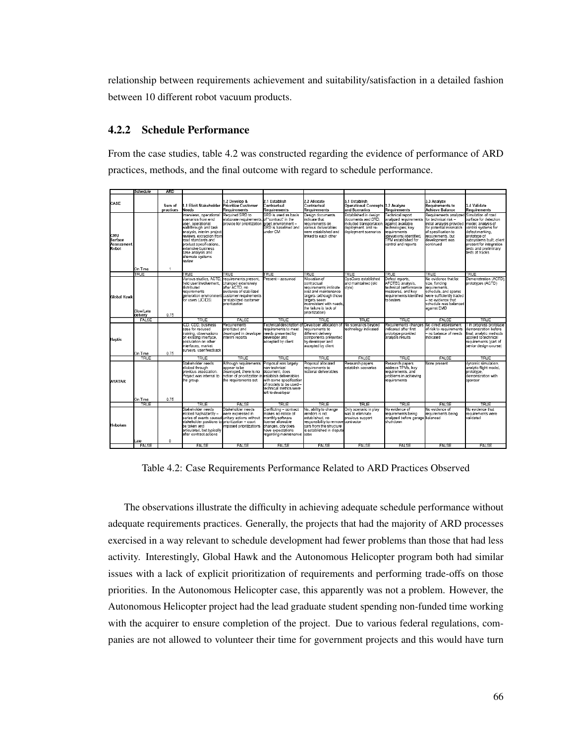relationship between requirements achievement and suitability/satisfaction in a detailed fashion between 10 different robot vacuum products.

## 4.2.2 Schedule Performance

From the case studies, table 4.2 was constructed regarding the evidence of performance of ARD practices, methods, and the final outcome with regard to schedule performance.

|                                              | Schedule              | ARD                 |                                                                                                                                                                                                                                                                                 |                                                                                                                                       |                                                                                                                                                                                       |                                                                                                                                                                                                   |                                                                                                                        |                                                                                                                                                                               |                                                                                                                                                                                                     |                                                                                                                                                                                                           |
|----------------------------------------------|-----------------------|---------------------|---------------------------------------------------------------------------------------------------------------------------------------------------------------------------------------------------------------------------------------------------------------------------------|---------------------------------------------------------------------------------------------------------------------------------------|---------------------------------------------------------------------------------------------------------------------------------------------------------------------------------------|---------------------------------------------------------------------------------------------------------------------------------------------------------------------------------------------------|------------------------------------------------------------------------------------------------------------------------|-------------------------------------------------------------------------------------------------------------------------------------------------------------------------------|-----------------------------------------------------------------------------------------------------------------------------------------------------------------------------------------------------|-----------------------------------------------------------------------------------------------------------------------------------------------------------------------------------------------------------|
| CASE                                         |                       | Sum of<br>practices | 1.1 Elicit Stakeholder<br>Needs                                                                                                                                                                                                                                                 | 1.2 Develop &<br><b>Prioritize Customer</b><br><b>Requirements</b>                                                                    | 2.1 Establish<br>Contractual<br>Requirements                                                                                                                                          | 2.2 Allocate<br>Contractual<br>Requirements                                                                                                                                                       | 3.1 Establish<br>Operational Concepts 3.2 Analyze<br>and Scenarios                                                     | Requirements                                                                                                                                                                  | 3.3 Analyze<br>Requirements to<br>Achieve Balance                                                                                                                                                   | 3.4 Validate<br>Requirements                                                                                                                                                                              |
| <b>CMU</b><br>Surface<br>Assessment<br>Robot | On Time               |                     | Interviews, operational<br>scenarios from end<br>user, operational<br>walkthrough and task<br>analysis, interim project<br>reviews, extraction from<br>road standards and<br>product specifications.<br>extensive business.<br>case analysis and<br>alternate systems<br>review | Required SRD to<br>elaborate requirements, of "contract" in the<br>provide for prioritization grant environment -                     | SRD is used as basis<br>SRD is baselined and<br>under CM                                                                                                                              | Design documents<br>indicate that<br>requirements on<br>various deliverables<br>were established and<br>linked to each other                                                                      | Established in desion<br>documents and SRD.<br>included transportation.<br>deployment, and re-<br>deployment scenarios | Technical report<br>analyzed requirements<br>against available<br>technologies; key<br>requirements<br>(deviations) identified.<br>TPM established for<br>control and reports | Requirements analyzed Simulation of road<br>for technical risk -<br>initial analysis provided<br>for potential mismatch<br>of specification to<br>requirements, but<br>develooment was<br>continued | surface for detection<br>model, analysis of<br>control systems for<br>defect marking.<br>prototype of<br>subsystems built, client<br>present for integration<br>tests and preliminary<br>tests at tracks. |
|                                              | TRUF                  |                     | TRUF                                                                                                                                                                                                                                                                            | <b>TRUF</b>                                                                                                                           | TRUF                                                                                                                                                                                  | TRUF                                                                                                                                                                                              | TRUF                                                                                                                   | TRUF                                                                                                                                                                          | TRUF                                                                                                                                                                                                | <b>TRUF</b>                                                                                                                                                                                               |
| <b>Global Hawk</b>                           | Slow/Late<br>delivery | 0.75                | Various studies, ACTD,<br>field user involvement.<br>distributed<br>requirements<br>beneration environment customer requirements<br>for users (JCIDS)                                                                                                                           | requirements present,<br>changed extensively<br>after ACTD, no<br>evidence of stabilized<br>or stabilized customer.<br>prioritization | resent - assumed                                                                                                                                                                      | Allocation of<br>contractual<br>requirements indicate<br>cost and maintenance<br>targets (although those<br>targets seem<br>inconsistent with needs.<br>the failure is lack of<br>prioritization) | OpsCons established<br>and maintained (old<br>style)                                                                   | Defect reports.<br>AFOTEC analysis,<br>technical performance<br>measures, and key<br>requirements identified<br>anaters                                                       | No evidence that lot<br>size, funding<br>requirements.<br>schedule, and spares<br>were sufficiently traded<br>- no evidence that<br>schedule was balanced<br>against EMD                            | Demonstration (ACTD),<br>prototypes (ACTD)                                                                                                                                                                |
|                                              | <b>FALSE</b>          |                     | TRUE                                                                                                                                                                                                                                                                            | FAI SE                                                                                                                                | TRUE                                                                                                                                                                                  | <b>TRUE</b>                                                                                                                                                                                       | <b>TRUE</b>                                                                                                            | TRUF                                                                                                                                                                          | <b>FALSE</b>                                                                                                                                                                                        | TRUE                                                                                                                                                                                                      |
| Haptic                                       | On Time               | 0.75                | CD, CDD, business<br>case for reduced<br>training, observations<br>on existing interface.<br>postulation on other<br>interfaces, market<br>surveys, user feedback                                                                                                               | Requirements<br>prioritized and<br>developed in developer<br>interim reports                                                          | l'echnical description o<br>requirements to meet<br>needs presented by<br>developer and<br>accepted by client                                                                         | Developer allocation of<br>requirements to<br>different delivery<br>components présented<br>by developer and<br>accepted by client                                                                | No scenarios beyond<br>technology indicated                                                                            | Requirements changes<br>indicated after first<br>prototype provided<br>analysis results                                                                                       | No direct assessment<br>of risk to requirements<br>no balance of needs<br>indicated                                                                                                                 | in progress prototype<br>lemonstration before<br>final: analytic methods<br>applied to technical<br>requirements (part of<br>senior design course)                                                        |
|                                              | TRUE                  |                     | TRUF                                                                                                                                                                                                                                                                            | TRUF                                                                                                                                  | TRUE                                                                                                                                                                                  | TRUE                                                                                                                                                                                              | FALSE                                                                                                                  | TRUE                                                                                                                                                                          | <b>FALSE</b>                                                                                                                                                                                        | TRUF                                                                                                                                                                                                      |
| <b>AVATAR</b>                                | On Time               | 0.75                | Stakeholder needs.<br>elicited through<br>previous association.<br>Project was internal to<br>the group.                                                                                                                                                                        | Although requirements<br>appear to be<br>developed, there is no<br>notion of prioritization in<br>the requirements set                | Proposal was largely<br>con-technical<br>document, does<br>establish deliverables<br>with some specification<br>of models to be used -<br>technical metrics were<br>left to developer | Proposal allocated<br>requirements to<br>notional deliverables                                                                                                                                    | Research papers<br>establish scenarios                                                                                 | Research papers<br>address TPMs. kev<br>requirements, and<br>problems in achieving<br>requirements                                                                            | None present                                                                                                                                                                                        | dynamic simulation.<br>analytic flight model.<br>prototype,<br>demonstration with<br>sponsor                                                                                                              |
|                                              | TRUE                  |                     | TRUE                                                                                                                                                                                                                                                                            | <b>FALSE</b>                                                                                                                          | TRUE                                                                                                                                                                                  | TRUE                                                                                                                                                                                              | <b>TRUE</b>                                                                                                            | TRUE                                                                                                                                                                          | <b>FALSE</b>                                                                                                                                                                                        | TRUE                                                                                                                                                                                                      |
| Hoboken                                      |                       |                     | Stakeholder needs<br>elicited haphazardly -<br>series of events caused unitary actions without<br>stakeholder positions to prioritization - court<br>be taken and<br>articulated, but typically<br>after contract actions                                                       | Stakeholder needs<br>were expressed in<br>imposed prioritizations                                                                     | Conflictino - contract<br>makes no notice of<br>monthly software<br>license allowable<br>changes, city does<br>have expectations<br>egardino maintenance loase                        | No. ability to change<br>vendors is not<br>established, no<br>responsibility to remove contractor<br>cars from the structure<br>is established in disoute                                         | Only scenario in play<br>was to eliminate<br>previous support                                                          | No evidence of<br>requirements beina<br>analyzed before garage balanced<br>shut-down                                                                                          | No evidence of<br>requirements being                                                                                                                                                                | No evidence that<br>requirements were<br>validated                                                                                                                                                        |
|                                              | Late<br><b>FALSE</b>  | $\circ$             | FALSE                                                                                                                                                                                                                                                                           | <b>FALSE</b>                                                                                                                          | <b>FALSE</b>                                                                                                                                                                          | FALSE                                                                                                                                                                                             | FALSE                                                                                                                  | <b>FALSE</b>                                                                                                                                                                  | FALSE                                                                                                                                                                                               | FALSE                                                                                                                                                                                                     |

Table 4.2: Case Requirements Performance Related to ARD Practices Observed

The observations illustrate the difficulty in achieving adequate schedule performance without adequate requirements practices. Generally, the projects that had the majority of ARD processes exercised in a way relevant to schedule development had fewer problems than those that had less activity. Interestingly, Global Hawk and the Autonomous Helicopter program both had similar issues with a lack of explicit prioritization of requirements and performing trade-offs on those priorities. In the Autonomous Helicopter case, this apparently was not a problem. However, the Autonomous Helicopter project had the lead graduate student spending non-funded time working with the acquirer to ensure completion of the project. Due to various federal regulations, companies are not allowed to volunteer their time for government projects and this would have turn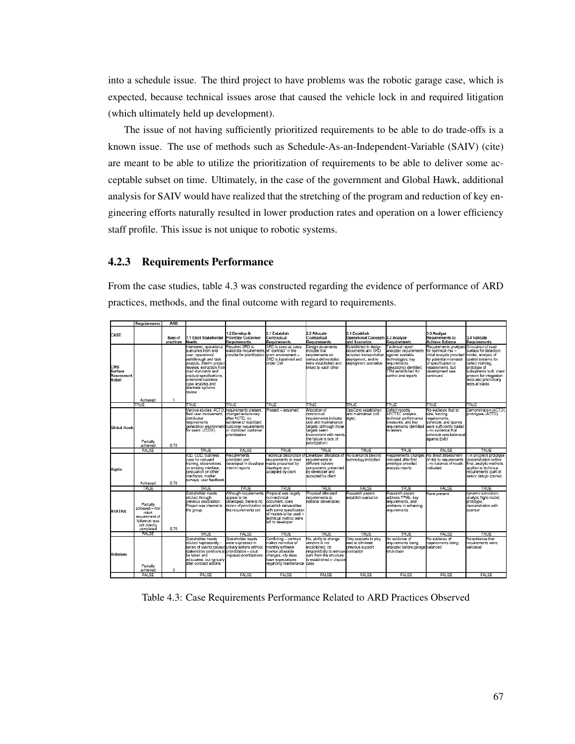into a schedule issue. The third project to have problems was the robotic garage case, which is expected, because technical issues arose that caused the vehicle lock in and required litigation (which ultimately held up development).

The issue of not having sufficiently prioritized requirements to be able to do trade-offs is a known issue. The use of methods such as Schedule-As-an-Independent-Variable (SAIV) (cite) are meant to be able to utilize the prioritization of requirements to be able to deliver some acceptable subset on time. Ultimately, in the case of the government and Global Hawk, additional analysis for SAIV would have realized that the stretching of the program and reduction of key engineering efforts naturally resulted in lower production rates and operation on a lower efficiency staff profile. This issue is not unique to robotic systems.

## 4.2.3 Requirements Performance

From the case studies, table 4.3 was constructed regarding the evidence of performance of ARD practices, methods, and the final outcome with regard to requirements.

|                                       | Requirements                                                                                         | ARD                 |                                                                                                                                                                                                                                                                               |                                                                                                                                                                                       |                                                                                                                                                               |                                                                                                                                                                                                    |                                                                                                                                          |                                                                                                                                                          |                                                                                                                                                                                                     |                                                                                                                                                                                                          |
|---------------------------------------|------------------------------------------------------------------------------------------------------|---------------------|-------------------------------------------------------------------------------------------------------------------------------------------------------------------------------------------------------------------------------------------------------------------------------|---------------------------------------------------------------------------------------------------------------------------------------------------------------------------------------|---------------------------------------------------------------------------------------------------------------------------------------------------------------|----------------------------------------------------------------------------------------------------------------------------------------------------------------------------------------------------|------------------------------------------------------------------------------------------------------------------------------------------|----------------------------------------------------------------------------------------------------------------------------------------------------------|-----------------------------------------------------------------------------------------------------------------------------------------------------------------------------------------------------|----------------------------------------------------------------------------------------------------------------------------------------------------------------------------------------------------------|
| CASE                                  |                                                                                                      | Sum of<br>practices | 1.1 Elicit Stakeholder Prioritize Customer<br>Needs                                                                                                                                                                                                                           | 1.2 Develop &<br>Requirements                                                                                                                                                         | 2.1 Establish<br>Contractual<br><b>Requirements</b>                                                                                                           | 2.2 Allocate<br>Contractual<br>Requirements                                                                                                                                                        | 31 Establish<br>Operational Concepts 3.2 Analyze<br>and Scenarios                                                                        | Requirements                                                                                                                                             | 3.3 Analyze<br>Requirements to<br><b>Achieve Balance</b>                                                                                                                                            | 3.4 Validate<br><b>Requirements</b>                                                                                                                                                                      |
| CMU<br>Surface<br>Assessment<br>Robot | Achieved                                                                                             |                     | nterviews, operational<br>scenarios from end<br>user, operational<br>walkthrough and task<br>analysis, interim project<br>reviews, extraction from<br>road standards and<br>product specifications.<br>extensive business<br>case analysis and<br>alternate systems<br>review | Required SRD to<br>elaborate requirements.<br>provide for prioritization grant environment -                                                                                          | SRD is used as basis<br>of "contract" in the<br>SRD is baselined and<br>under CM                                                                              | <b>Desion documents</b><br>indicate that<br>requirements on<br>various deliverables.<br>were established and<br>linked to each other                                                               | Established in design<br>documents and SRD.<br>included transportation, against available<br>deolovment, and re-<br>deployment scenarios | Technical report<br>analyzed requirements<br>technologies; key<br>requirements<br>(deviations) identified.<br>TPM established for<br>control and reports | Requirements analyzed Simulation of road<br>for technical risk -<br>initial analysis provided<br>for potential mismatch<br>of specification to<br>requirements, but<br>develooment was<br>continued | surface for detection<br>model, analysis of<br>control systems for<br>defect marking.<br>prototype of<br>subsystems built, client<br>oresent for integration<br>tests and preliminary<br>tests at tracks |
|                                       | TRUE                                                                                                 |                     | TRUE                                                                                                                                                                                                                                                                          | TRUE                                                                                                                                                                                  | TRUE                                                                                                                                                          | TRUF                                                                                                                                                                                               | TRUE                                                                                                                                     | TRUF                                                                                                                                                     | TRUE                                                                                                                                                                                                | TRUE                                                                                                                                                                                                     |
| <b>Global Hawk</b>                    | Partially<br>achieved                                                                                | 0.75                | <b>Various studies, ACTD</b><br>field user involvement.<br>distributed<br>requirements<br>for users (JCIDS)                                                                                                                                                                   | requirements present.<br>changed extensively<br>after ACTD, no.<br>evidence of stabilized<br>generation environmenticustomer requirements<br>or stabilized customer<br>prioritization | Present - assumed                                                                                                                                             | Allocation of<br>contractual<br>requirements indicate<br>lcost and maintenance<br>targets (although those<br>targets seem<br>inconsistent with needs.<br>the failure is lack of<br>prioritization) | OpsCons established<br>and maintained (old<br>stvie)                                                                                     | Defect reports.<br>AFOTEC analysis,<br>technical performance<br>measures, and kev<br>requirements identified<br>to testers                               | No evidence that lot<br>size, fundina<br>requirements.<br>schedule, and soares<br>were sufficiently traded<br>- no evidence that<br>schedule was balanced<br>against EMD                            | Demonstration (ACTD).<br>prototypes (ACTD)                                                                                                                                                               |
|                                       | <b>FALSE</b>                                                                                         |                     | TRUE                                                                                                                                                                                                                                                                          | <b>FALSE</b>                                                                                                                                                                          | TRUE                                                                                                                                                          | TRUE                                                                                                                                                                                               | TRUE                                                                                                                                     | TRUE                                                                                                                                                     | <b>FALSE</b>                                                                                                                                                                                        | TRUE                                                                                                                                                                                                     |
| Haptic                                | Achieved                                                                                             | 0.75                | CD, CDD, business<br>case for reduced<br>raining, observations<br>on existing interface.<br>oostulation on other<br>interfaces, market<br>surveys, user feedback                                                                                                              | Requirements<br>orioritized and<br>developed in developer<br>interim reports                                                                                                          | requirements to meet<br>needs presented by<br>developer and<br>accepted by client                                                                             | echnical description of Developer allocation of No scenarios beyond<br>requirements to<br>different delivery<br>components presented<br>by developer and<br>accepted by client                     | technology indicated                                                                                                                     | Requirements changes<br>indicated after first<br>prototype provided<br>analysis results                                                                  | No direct assessment<br>of risk to requirements<br>no balance of needs<br>indicated                                                                                                                 | in progress prototype<br>demonstration before<br>final; analytic methods<br>applied to technical<br>requirements (part of<br>senior design course)                                                       |
|                                       | TRUE                                                                                                 |                     | <b>TRUE</b>                                                                                                                                                                                                                                                                   | TRUE                                                                                                                                                                                  | TRUE                                                                                                                                                          | TRUE                                                                                                                                                                                               | FALSE                                                                                                                                    | TRUE                                                                                                                                                     | <b>FALSE</b>                                                                                                                                                                                        | TRUE                                                                                                                                                                                                     |
| <b>AVATAR</b>                         | Partially<br>achieved - non<br>robot<br>requirement of<br>follow-on was<br>not directly<br>completed | 0.75                | Stakeholder needs<br>elicited through<br>previous association.<br>Project was internal to<br>the group.                                                                                                                                                                       | Although requirements Proposal was largely<br>appear to be<br>developed, there is no<br>notion of prioritization in<br>the requirements set                                           | non-technical<br>document, does<br>establish deliverables<br>with some specification<br>of models to be used -<br>technical metrics were<br>left to developer | roposal allocated<br>requirements to<br>notional deliverables.                                                                                                                                     | Research papers<br>establish scenarios                                                                                                   | Research papers<br>address TPMs, kev<br>requirements, and<br>problems in achieving<br>requirements                                                       | None present                                                                                                                                                                                        | dynamic simulation.<br>analytic flight model.<br>prototype.<br>demonstration with<br>sponsor                                                                                                             |
|                                       | FALSE                                                                                                |                     | TRUE                                                                                                                                                                                                                                                                          | <b>FALSE</b>                                                                                                                                                                          | TRUE                                                                                                                                                          | TRUE                                                                                                                                                                                               | TRUE                                                                                                                                     | TRUE                                                                                                                                                     | <b>FALSE</b>                                                                                                                                                                                        | TRUE                                                                                                                                                                                                     |
| Hoboken                               | Partially<br>achieved                                                                                | 0                   | Stakeholder needs<br>elicited haphazardly --<br>stakeholder positions to prioritization - court<br>be taken and<br>articulated, but typically<br>after contract actions                                                                                                       | Stakeholder needs<br>were excressed in<br>series of events caused unitary actions without<br>mposed prioritizations                                                                   | Conflictina -- contract<br>makes no notice of<br>monthly software<br>icense allowable<br>changes, city does<br>have expectations.<br>regarding maintenance    | No. ability to change<br>vendors is not<br>established no<br>responsibility to remove<br>cars from the structure<br>is established in dispute<br>case                                              | Only scenario in play<br>was to eliminate<br>previous support<br>contractor                                                              | Vo evidence of<br>requirements beina<br>analyzed before garage balanced<br>shut-down                                                                     | No evidence of<br>requirements being                                                                                                                                                                | No evidence that<br>requirements were<br>validated                                                                                                                                                       |
|                                       | <b>FALSE</b>                                                                                         |                     | <b>FALSE</b>                                                                                                                                                                                                                                                                  | <b>FALSE</b>                                                                                                                                                                          | <b>FALSE</b>                                                                                                                                                  | <b>FALSE</b>                                                                                                                                                                                       | <b>FALSE</b>                                                                                                                             | <b>FALSE</b>                                                                                                                                             | <b>FALSE</b>                                                                                                                                                                                        | <b>FALSE</b>                                                                                                                                                                                             |

Table 4.3: Case Requirements Performance Related to ARD Practices Observed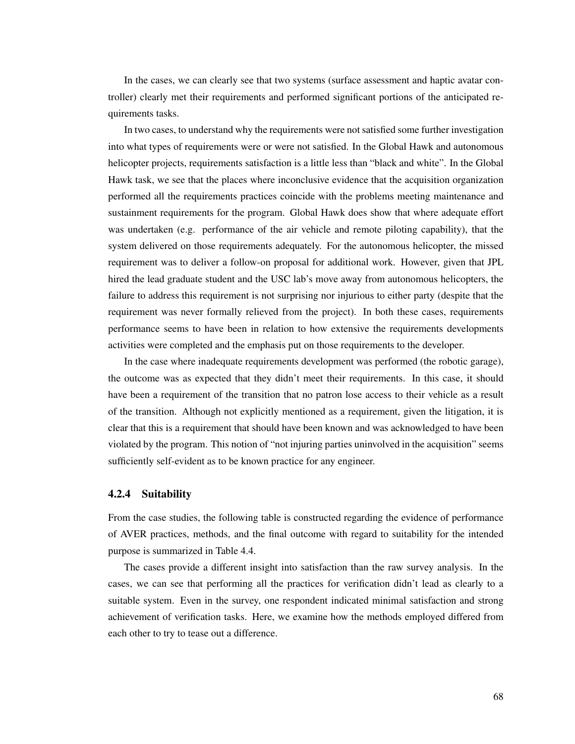In the cases, we can clearly see that two systems (surface assessment and haptic avatar controller) clearly met their requirements and performed significant portions of the anticipated requirements tasks.

In two cases, to understand why the requirements were not satisfied some further investigation into what types of requirements were or were not satisfied. In the Global Hawk and autonomous helicopter projects, requirements satisfaction is a little less than "black and white". In the Global Hawk task, we see that the places where inconclusive evidence that the acquisition organization performed all the requirements practices coincide with the problems meeting maintenance and sustainment requirements for the program. Global Hawk does show that where adequate effort was undertaken (e.g. performance of the air vehicle and remote piloting capability), that the system delivered on those requirements adequately. For the autonomous helicopter, the missed requirement was to deliver a follow-on proposal for additional work. However, given that JPL hired the lead graduate student and the USC lab's move away from autonomous helicopters, the failure to address this requirement is not surprising nor injurious to either party (despite that the requirement was never formally relieved from the project). In both these cases, requirements performance seems to have been in relation to how extensive the requirements developments activities were completed and the emphasis put on those requirements to the developer.

In the case where inadequate requirements development was performed (the robotic garage), the outcome was as expected that they didn't meet their requirements. In this case, it should have been a requirement of the transition that no patron lose access to their vehicle as a result of the transition. Although not explicitly mentioned as a requirement, given the litigation, it is clear that this is a requirement that should have been known and was acknowledged to have been violated by the program. This notion of "not injuring parties uninvolved in the acquisition" seems sufficiently self-evident as to be known practice for any engineer.

#### 4.2.4 Suitability

From the case studies, the following table is constructed regarding the evidence of performance of AVER practices, methods, and the final outcome with regard to suitability for the intended purpose is summarized in Table 4.4.

The cases provide a different insight into satisfaction than the raw survey analysis. In the cases, we can see that performing all the practices for verification didn't lead as clearly to a suitable system. Even in the survey, one respondent indicated minimal satisfaction and strong achievement of verification tasks. Here, we examine how the methods employed differed from each other to try to tease out a difference.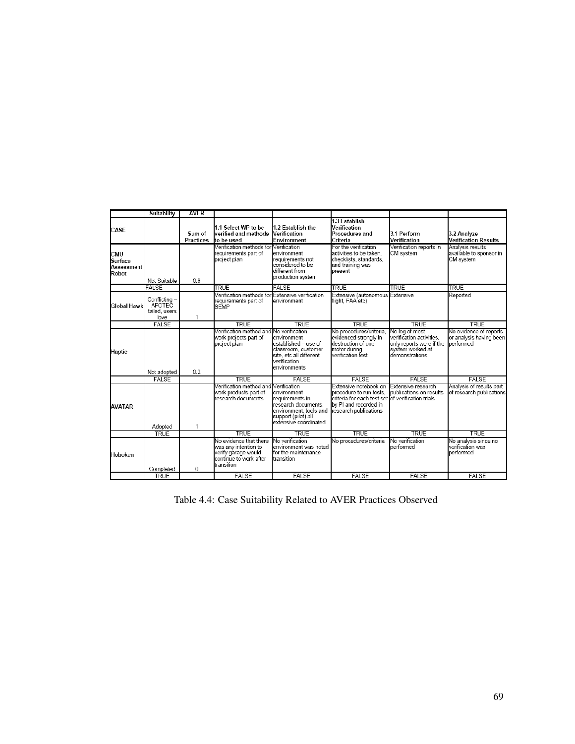|                                       | Suitability                                     | <b>AVER</b>         |                                                                                                               |                                                                                                                                 |                                                                                                                                                         |                                                                                                              |                                                                |
|---------------------------------------|-------------------------------------------------|---------------------|---------------------------------------------------------------------------------------------------------------|---------------------------------------------------------------------------------------------------------------------------------|---------------------------------------------------------------------------------------------------------------------------------------------------------|--------------------------------------------------------------------------------------------------------------|----------------------------------------------------------------|
| CASE                                  |                                                 | Sum of<br>Practices | 1.1 Select WP to be<br>verified and methods<br>to be used                                                     | 1.2 Establish the<br>Verification<br>Environment                                                                                | 1.3 Establish<br>Verification<br>Procedures and<br>Criteria                                                                                             | 3.1 Perform<br>Verification                                                                                  | 3.2 Analyze<br><b>Verification Results</b>                     |
| CMU<br>Surface<br>Assessment<br>Robot | Not Suitable                                    | 0.8                 | Verification methods for∏Verification<br>requirements part of<br>project plan                                 | environment<br>requirements not<br>considered to be<br>different from<br>production system                                      | For the verification<br>activities to be taken.<br>checklists, standards,<br>and training was<br>present                                                | Verification reports in<br>CM svstem                                                                         | Analysis results<br>available to sponsor in<br>CM system       |
|                                       | FALSE                                           |                     | TRUE                                                                                                          | <b>FALSE</b>                                                                                                                    | <b>TRUE</b>                                                                                                                                             | TRUE                                                                                                         | TRUE                                                           |
| Global Hawk                           | Conflicting-<br>AFOTEC<br>failed, users<br>love | 1                   | Verification methods for Extensive verification<br>requirements part of<br>SEMP                               | environment                                                                                                                     | Extensive (autonomous Extensive<br>flight, FAA etc)                                                                                                     |                                                                                                              | Reported                                                       |
|                                       | <b>FALSE</b>                                    |                     | <b>TRUF</b>                                                                                                   | <b>TRUF</b>                                                                                                                     | <b>TRUF</b>                                                                                                                                             | <b>TRUF</b>                                                                                                  | <b>TRUF</b>                                                    |
| Haptic                                | Not adopted                                     | 0.2                 | Verification method and No verification<br>work projects part of<br>project plan                              | environment<br>established – use of<br>classroom. customer<br>site, etc all different<br>verification<br>environments           | No procedures/criteria.<br>evidenced strongly in<br>destruction of one<br>motor during<br>verification test                                             | No log of most<br>verification activities.<br>only reports were if the<br>system worked at<br>demonstrations | No evidence of reports<br>or analysis having been<br>nerformed |
|                                       | <b>FALSE</b>                                    |                     | TRUF                                                                                                          | FAI SF                                                                                                                          | <b>FAI SF</b>                                                                                                                                           | FAI SF                                                                                                       | <b>FALSE</b>                                                   |
| <b>AVATAR</b>                         | Adopted                                         | $\mathbf{1}$        | Verification method and Verification<br>work products part of<br>research documents                           | environment<br>requirements in<br>research documents.<br>environment, tools and<br>support (pilot) all<br>extensive coordinated | Extensive notebook on<br>procedure to run tests.<br>criteria for each test set of verification trials<br>by PI and recorded in<br>research publications | Extensive research<br>publications on results                                                                | Analysis of results part<br>of research publications           |
|                                       | <b>TRUE</b>                                     |                     | <b>TRUF</b>                                                                                                   | TRUE                                                                                                                            | <b>TRUF</b>                                                                                                                                             | <b>TRUF</b>                                                                                                  | <b>TRUF</b>                                                    |
| Hoboken                               |                                                 | 0                   | No evidence that there<br>was any intention to<br>verify garage would<br>continue to work after<br>transition | No verification<br>environment was noted<br>for the maintenance<br>transition                                                   | No procedures/criteria                                                                                                                                  | No verification<br>performed                                                                                 | No analvsis since no<br>verification was<br>performed          |
|                                       | Completed<br><b>TRUE</b>                        |                     | <b>FALSE</b>                                                                                                  | <b>FALSE</b>                                                                                                                    | <b>FALSE</b>                                                                                                                                            | <b>FALSE</b>                                                                                                 | <b>FALSE</b>                                                   |

Table 4.4: Case Suitability Related to AVER Practices Observed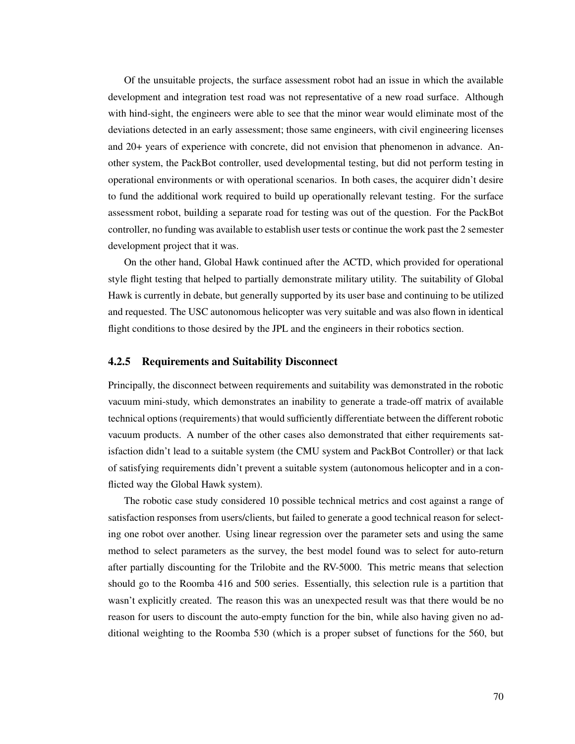Of the unsuitable projects, the surface assessment robot had an issue in which the available development and integration test road was not representative of a new road surface. Although with hind-sight, the engineers were able to see that the minor wear would eliminate most of the deviations detected in an early assessment; those same engineers, with civil engineering licenses and 20+ years of experience with concrete, did not envision that phenomenon in advance. Another system, the PackBot controller, used developmental testing, but did not perform testing in operational environments or with operational scenarios. In both cases, the acquirer didn't desire to fund the additional work required to build up operationally relevant testing. For the surface assessment robot, building a separate road for testing was out of the question. For the PackBot controller, no funding was available to establish user tests or continue the work past the 2 semester development project that it was.

On the other hand, Global Hawk continued after the ACTD, which provided for operational style flight testing that helped to partially demonstrate military utility. The suitability of Global Hawk is currently in debate, but generally supported by its user base and continuing to be utilized and requested. The USC autonomous helicopter was very suitable and was also flown in identical flight conditions to those desired by the JPL and the engineers in their robotics section.

### 4.2.5 Requirements and Suitability Disconnect

Principally, the disconnect between requirements and suitability was demonstrated in the robotic vacuum mini-study, which demonstrates an inability to generate a trade-off matrix of available technical options (requirements) that would sufficiently differentiate between the different robotic vacuum products. A number of the other cases also demonstrated that either requirements satisfaction didn't lead to a suitable system (the CMU system and PackBot Controller) or that lack of satisfying requirements didn't prevent a suitable system (autonomous helicopter and in a conflicted way the Global Hawk system).

The robotic case study considered 10 possible technical metrics and cost against a range of satisfaction responses from users/clients, but failed to generate a good technical reason for selecting one robot over another. Using linear regression over the parameter sets and using the same method to select parameters as the survey, the best model found was to select for auto-return after partially discounting for the Trilobite and the RV-5000. This metric means that selection should go to the Roomba 416 and 500 series. Essentially, this selection rule is a partition that wasn't explicitly created. The reason this was an unexpected result was that there would be no reason for users to discount the auto-empty function for the bin, while also having given no additional weighting to the Roomba 530 (which is a proper subset of functions for the 560, but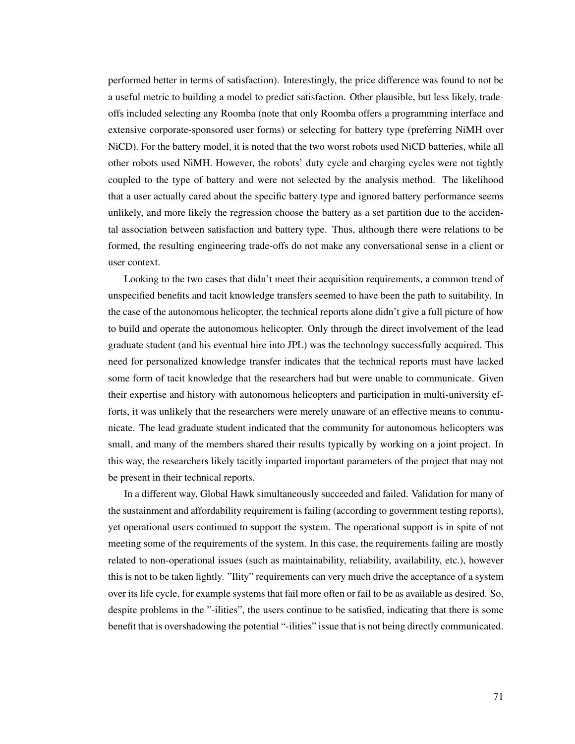performed better in terms of satisfaction). Interestingly, the price difference was found to not be a useful metric to building a model to predict satisfaction. Other plausible, but less likely, tradeoffs included selecting any Roomba (note that only Roomba offers a programming interface and extensive corporate-sponsored user forms) or selecting for battery type (preferring NiMH over NiCD). For the battery model, it is noted that the two worst robots used NiCD batteries, while all other robots used NiMH. However, the robots' duty cycle and charging cycles were not tightly coupled to the type of battery and were not selected by the analysis method. The likelihood that a user actually cared about the specific battery type and ignored battery performance seems unlikely, and more likely the regression choose the battery as a set partition due to the accidental association between satisfaction and battery type. Thus, although there were relations to be formed, the resulting engineering trade-offs do not make any conversational sense in a client or user context.

Looking to the two cases that didn't meet their acquisition requirements, a common trend of unspecified benefits and tacit knowledge transfers seemed to have been the path to suitability. In the case of the autonomous helicopter, the technical reports alone didn't give a full picture of how to build and operate the autonomous helicopter. Only through the direct involvement of the lead graduate student (and his eventual hire into JPL) was the technology successfully acquired. This need for personalized knowledge transfer indicates that the technical reports must have lacked some form of tacit knowledge that the researchers had but were unable to communicate. Given their expertise and history with autonomous helicopters and participation in multi-university efforts, it was unlikely that the researchers were merely unaware of an effective means to communicate. The lead graduate student indicated that the community for autonomous helicopters was small, and many of the members shared their results typically by working on a joint project. In this way, the researchers likely tacitly imparted important parameters of the project that may not be present in their technical reports.

In a different way, Global Hawk simultaneously succeeded and failed. Validation for many of the sustainment and affordability requirement is failing (according to government testing reports), yet operational users continued to support the system. The operational support is in spite of not meeting some of the requirements of the system. In this case, the requirements failing are mostly related to non-operational issues (such as maintainability, reliability, availability, etc.), however this is not to be taken lightly. "Ility" requirements can very much drive the acceptance of a system over its life cycle, for example systems that fail more often or fail to be as available as desired. So, despite problems in the "-ilities", the users continue to be satisfied, indicating that there is some benefit that is overshadowing the potential "-ilities" issue that is not being directly communicated.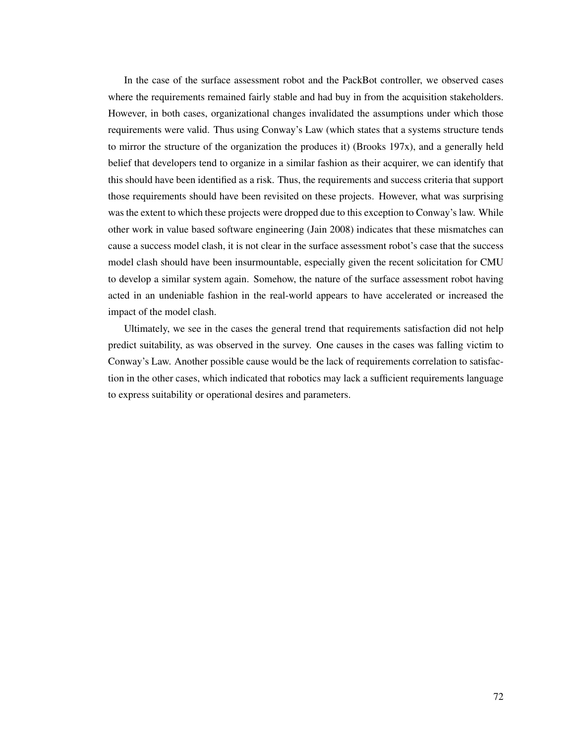In the case of the surface assessment robot and the PackBot controller, we observed cases where the requirements remained fairly stable and had buy in from the acquisition stakeholders. However, in both cases, organizational changes invalidated the assumptions under which those requirements were valid. Thus using Conway's Law (which states that a systems structure tends to mirror the structure of the organization the produces it) (Brooks 197x), and a generally held belief that developers tend to organize in a similar fashion as their acquirer, we can identify that this should have been identified as a risk. Thus, the requirements and success criteria that support those requirements should have been revisited on these projects. However, what was surprising was the extent to which these projects were dropped due to this exception to Conway's law. While other work in value based software engineering (Jain 2008) indicates that these mismatches can cause a success model clash, it is not clear in the surface assessment robot's case that the success model clash should have been insurmountable, especially given the recent solicitation for CMU to develop a similar system again. Somehow, the nature of the surface assessment robot having acted in an undeniable fashion in the real-world appears to have accelerated or increased the impact of the model clash.

Ultimately, we see in the cases the general trend that requirements satisfaction did not help predict suitability, as was observed in the survey. One causes in the cases was falling victim to Conway's Law. Another possible cause would be the lack of requirements correlation to satisfaction in the other cases, which indicated that robotics may lack a sufficient requirements language to express suitability or operational desires and parameters.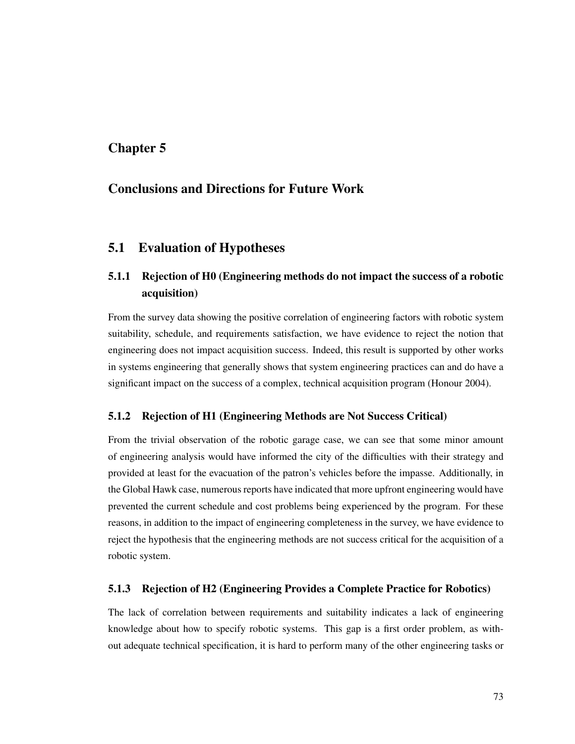# Chapter 5

# Conclusions and Directions for Future Work

# 5.1 Evaluation of Hypotheses

# 5.1.1 Rejection of H0 (Engineering methods do not impact the success of a robotic acquisition)

From the survey data showing the positive correlation of engineering factors with robotic system suitability, schedule, and requirements satisfaction, we have evidence to reject the notion that engineering does not impact acquisition success. Indeed, this result is supported by other works in systems engineering that generally shows that system engineering practices can and do have a significant impact on the success of a complex, technical acquisition program (Honour 2004).

## 5.1.2 Rejection of H1 (Engineering Methods are Not Success Critical)

From the trivial observation of the robotic garage case, we can see that some minor amount of engineering analysis would have informed the city of the difficulties with their strategy and provided at least for the evacuation of the patron's vehicles before the impasse. Additionally, in the Global Hawk case, numerous reports have indicated that more upfront engineering would have prevented the current schedule and cost problems being experienced by the program. For these reasons, in addition to the impact of engineering completeness in the survey, we have evidence to reject the hypothesis that the engineering methods are not success critical for the acquisition of a robotic system.

## 5.1.3 Rejection of H2 (Engineering Provides a Complete Practice for Robotics)

The lack of correlation between requirements and suitability indicates a lack of engineering knowledge about how to specify robotic systems. This gap is a first order problem, as without adequate technical specification, it is hard to perform many of the other engineering tasks or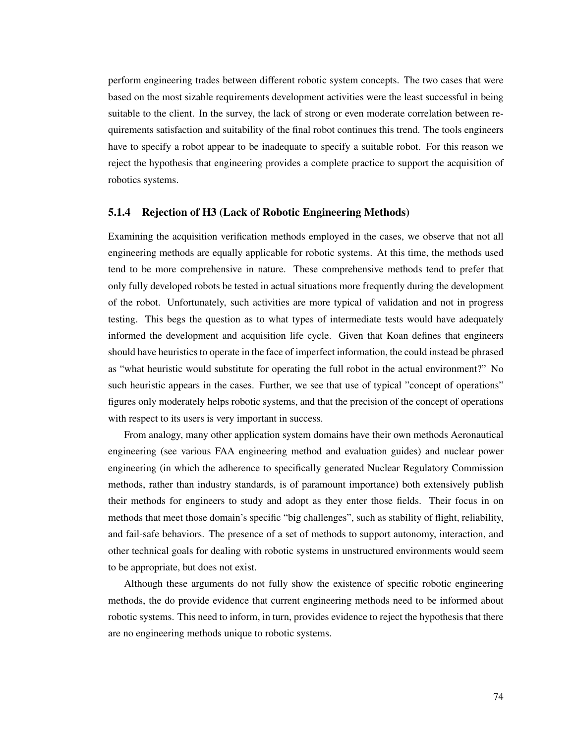perform engineering trades between different robotic system concepts. The two cases that were based on the most sizable requirements development activities were the least successful in being suitable to the client. In the survey, the lack of strong or even moderate correlation between requirements satisfaction and suitability of the final robot continues this trend. The tools engineers have to specify a robot appear to be inadequate to specify a suitable robot. For this reason we reject the hypothesis that engineering provides a complete practice to support the acquisition of robotics systems.

### 5.1.4 Rejection of H3 (Lack of Robotic Engineering Methods)

Examining the acquisition verification methods employed in the cases, we observe that not all engineering methods are equally applicable for robotic systems. At this time, the methods used tend to be more comprehensive in nature. These comprehensive methods tend to prefer that only fully developed robots be tested in actual situations more frequently during the development of the robot. Unfortunately, such activities are more typical of validation and not in progress testing. This begs the question as to what types of intermediate tests would have adequately informed the development and acquisition life cycle. Given that Koan defines that engineers should have heuristics to operate in the face of imperfect information, the could instead be phrased as "what heuristic would substitute for operating the full robot in the actual environment?" No such heuristic appears in the cases. Further, we see that use of typical "concept of operations" figures only moderately helps robotic systems, and that the precision of the concept of operations with respect to its users is very important in success.

From analogy, many other application system domains have their own methods Aeronautical engineering (see various FAA engineering method and evaluation guides) and nuclear power engineering (in which the adherence to specifically generated Nuclear Regulatory Commission methods, rather than industry standards, is of paramount importance) both extensively publish their methods for engineers to study and adopt as they enter those fields. Their focus in on methods that meet those domain's specific "big challenges", such as stability of flight, reliability, and fail-safe behaviors. The presence of a set of methods to support autonomy, interaction, and other technical goals for dealing with robotic systems in unstructured environments would seem to be appropriate, but does not exist.

Although these arguments do not fully show the existence of specific robotic engineering methods, the do provide evidence that current engineering methods need to be informed about robotic systems. This need to inform, in turn, provides evidence to reject the hypothesis that there are no engineering methods unique to robotic systems.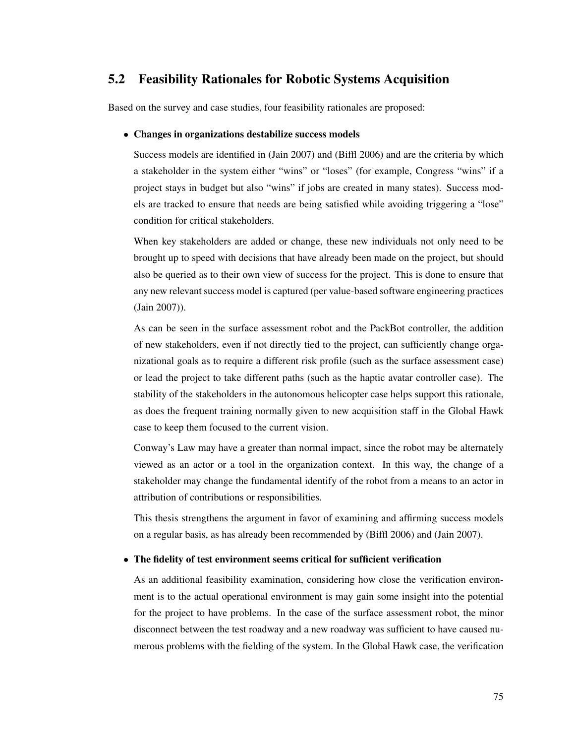# 5.2 Feasibility Rationales for Robotic Systems Acquisition

Based on the survey and case studies, four feasibility rationales are proposed:

### • Changes in organizations destabilize success models

Success models are identified in (Jain 2007) and (Biffl 2006) and are the criteria by which a stakeholder in the system either "wins" or "loses" (for example, Congress "wins" if a project stays in budget but also "wins" if jobs are created in many states). Success models are tracked to ensure that needs are being satisfied while avoiding triggering a "lose" condition for critical stakeholders.

When key stakeholders are added or change, these new individuals not only need to be brought up to speed with decisions that have already been made on the project, but should also be queried as to their own view of success for the project. This is done to ensure that any new relevant success model is captured (per value-based software engineering practices (Jain 2007)).

As can be seen in the surface assessment robot and the PackBot controller, the addition of new stakeholders, even if not directly tied to the project, can sufficiently change organizational goals as to require a different risk profile (such as the surface assessment case) or lead the project to take different paths (such as the haptic avatar controller case). The stability of the stakeholders in the autonomous helicopter case helps support this rationale, as does the frequent training normally given to new acquisition staff in the Global Hawk case to keep them focused to the current vision.

Conway's Law may have a greater than normal impact, since the robot may be alternately viewed as an actor or a tool in the organization context. In this way, the change of a stakeholder may change the fundamental identify of the robot from a means to an actor in attribution of contributions or responsibilities.

This thesis strengthens the argument in favor of examining and affirming success models on a regular basis, as has already been recommended by (Biffl 2006) and (Jain 2007).

#### • The fidelity of test environment seems critical for sufficient verification

As an additional feasibility examination, considering how close the verification environment is to the actual operational environment is may gain some insight into the potential for the project to have problems. In the case of the surface assessment robot, the minor disconnect between the test roadway and a new roadway was sufficient to have caused numerous problems with the fielding of the system. In the Global Hawk case, the verification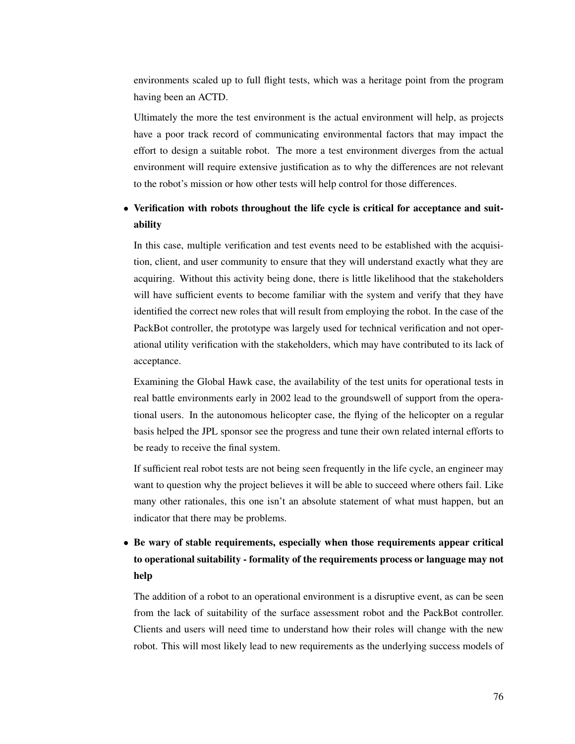environments scaled up to full flight tests, which was a heritage point from the program having been an ACTD.

Ultimately the more the test environment is the actual environment will help, as projects have a poor track record of communicating environmental factors that may impact the effort to design a suitable robot. The more a test environment diverges from the actual environment will require extensive justification as to why the differences are not relevant to the robot's mission or how other tests will help control for those differences.

# • Verification with robots throughout the life cycle is critical for acceptance and suitability

In this case, multiple verification and test events need to be established with the acquisition, client, and user community to ensure that they will understand exactly what they are acquiring. Without this activity being done, there is little likelihood that the stakeholders will have sufficient events to become familiar with the system and verify that they have identified the correct new roles that will result from employing the robot. In the case of the PackBot controller, the prototype was largely used for technical verification and not operational utility verification with the stakeholders, which may have contributed to its lack of acceptance.

Examining the Global Hawk case, the availability of the test units for operational tests in real battle environments early in 2002 lead to the groundswell of support from the operational users. In the autonomous helicopter case, the flying of the helicopter on a regular basis helped the JPL sponsor see the progress and tune their own related internal efforts to be ready to receive the final system.

If sufficient real robot tests are not being seen frequently in the life cycle, an engineer may want to question why the project believes it will be able to succeed where others fail. Like many other rationales, this one isn't an absolute statement of what must happen, but an indicator that there may be problems.

# • Be wary of stable requirements, especially when those requirements appear critical to operational suitability - formality of the requirements process or language may not help

The addition of a robot to an operational environment is a disruptive event, as can be seen from the lack of suitability of the surface assessment robot and the PackBot controller. Clients and users will need time to understand how their roles will change with the new robot. This will most likely lead to new requirements as the underlying success models of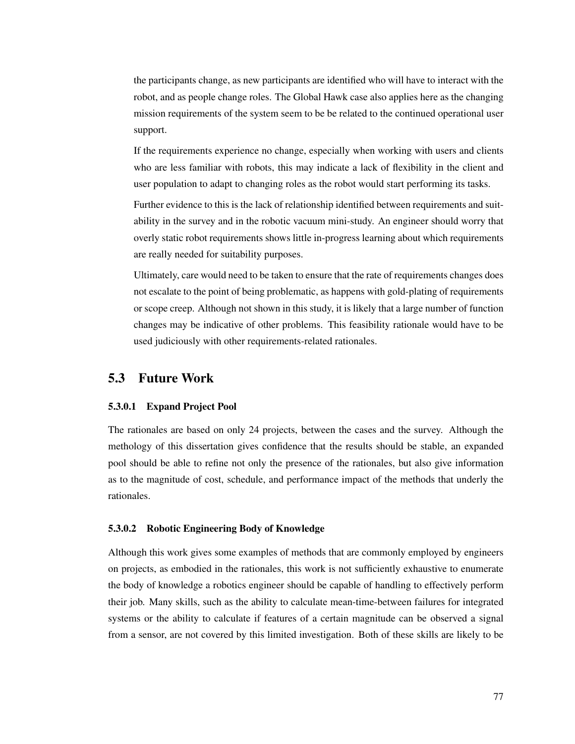the participants change, as new participants are identified who will have to interact with the robot, and as people change roles. The Global Hawk case also applies here as the changing mission requirements of the system seem to be be related to the continued operational user support.

If the requirements experience no change, especially when working with users and clients who are less familiar with robots, this may indicate a lack of flexibility in the client and user population to adapt to changing roles as the robot would start performing its tasks.

Further evidence to this is the lack of relationship identified between requirements and suitability in the survey and in the robotic vacuum mini-study. An engineer should worry that overly static robot requirements shows little in-progress learning about which requirements are really needed for suitability purposes.

Ultimately, care would need to be taken to ensure that the rate of requirements changes does not escalate to the point of being problematic, as happens with gold-plating of requirements or scope creep. Although not shown in this study, it is likely that a large number of function changes may be indicative of other problems. This feasibility rationale would have to be used judiciously with other requirements-related rationales.

# 5.3 Future Work

### 5.3.0.1 Expand Project Pool

The rationales are based on only 24 projects, between the cases and the survey. Although the methology of this dissertation gives confidence that the results should be stable, an expanded pool should be able to refine not only the presence of the rationales, but also give information as to the magnitude of cost, schedule, and performance impact of the methods that underly the rationales.

#### 5.3.0.2 Robotic Engineering Body of Knowledge

Although this work gives some examples of methods that are commonly employed by engineers on projects, as embodied in the rationales, this work is not sufficiently exhaustive to enumerate the body of knowledge a robotics engineer should be capable of handling to effectively perform their job. Many skills, such as the ability to calculate mean-time-between failures for integrated systems or the ability to calculate if features of a certain magnitude can be observed a signal from a sensor, are not covered by this limited investigation. Both of these skills are likely to be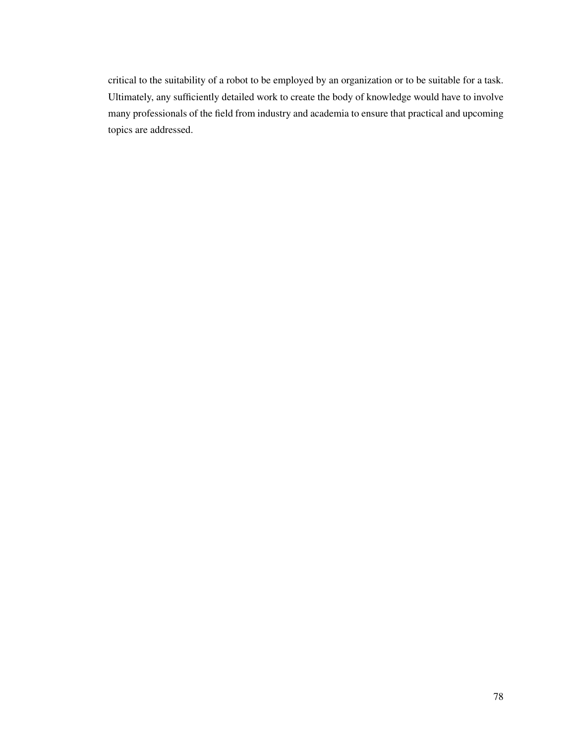critical to the suitability of a robot to be employed by an organization or to be suitable for a task. Ultimately, any sufficiently detailed work to create the body of knowledge would have to involve many professionals of the field from industry and academia to ensure that practical and upcoming topics are addressed.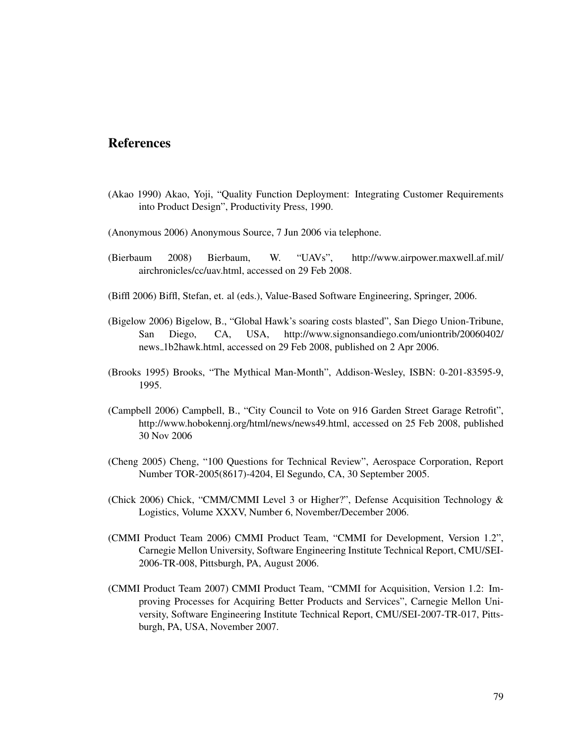# References

- (Akao 1990) Akao, Yoji, "Quality Function Deployment: Integrating Customer Requirements into Product Design", Productivity Press, 1990.
- (Anonymous 2006) Anonymous Source, 7 Jun 2006 via telephone.
- (Bierbaum 2008) Bierbaum, W. "UAVs", http://www.airpower.maxwell.af.mil/ airchronicles/cc/uav.html, accessed on 29 Feb 2008.
- (Biffl 2006) Biffl, Stefan, et. al (eds.), Value-Based Software Engineering, Springer, 2006.
- (Bigelow 2006) Bigelow, B., "Global Hawk's soaring costs blasted", San Diego Union-Tribune, San Diego, CA, USA, http://www.signonsandiego.com/uniontrib/20060402/ news 1b2hawk.html, accessed on 29 Feb 2008, published on 2 Apr 2006.
- (Brooks 1995) Brooks, "The Mythical Man-Month", Addison-Wesley, ISBN: 0-201-83595-9, 1995.
- (Campbell 2006) Campbell, B., "City Council to Vote on 916 Garden Street Garage Retrofit", http://www.hobokennj.org/html/news/news49.html, accessed on 25 Feb 2008, published 30 Nov 2006
- (Cheng 2005) Cheng, "100 Questions for Technical Review", Aerospace Corporation, Report Number TOR-2005(8617)-4204, El Segundo, CA, 30 September 2005.
- (Chick 2006) Chick, "CMM/CMMI Level 3 or Higher?", Defense Acquisition Technology & Logistics, Volume XXXV, Number 6, November/December 2006.
- (CMMI Product Team 2006) CMMI Product Team, "CMMI for Development, Version 1.2", Carnegie Mellon University, Software Engineering Institute Technical Report, CMU/SEI-2006-TR-008, Pittsburgh, PA, August 2006.
- (CMMI Product Team 2007) CMMI Product Team, "CMMI for Acquisition, Version 1.2: Improving Processes for Acquiring Better Products and Services", Carnegie Mellon University, Software Engineering Institute Technical Report, CMU/SEI-2007-TR-017, Pittsburgh, PA, USA, November 2007.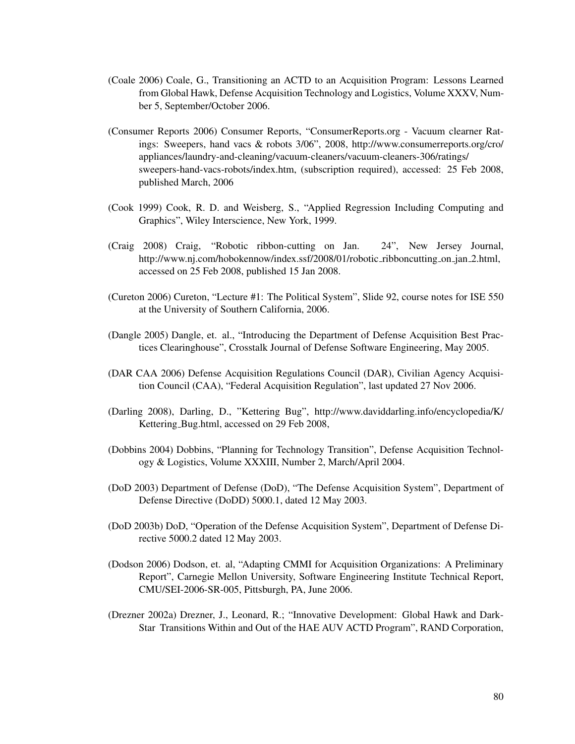- (Coale 2006) Coale, G., Transitioning an ACTD to an Acquisition Program: Lessons Learned from Global Hawk, Defense Acquisition Technology and Logistics, Volume XXXV, Number 5, September/October 2006.
- (Consumer Reports 2006) Consumer Reports, "ConsumerReports.org Vacuum clearner Ratings: Sweepers, hand vacs & robots 3/06", 2008, http://www.consumerreports.org/cro/ appliances/laundry-and-cleaning/vacuum-cleaners/vacuum-cleaners-306/ratings/ sweepers-hand-vacs-robots/index.htm, (subscription required), accessed: 25 Feb 2008, published March, 2006
- (Cook 1999) Cook, R. D. and Weisberg, S., "Applied Regression Including Computing and Graphics", Wiley Interscience, New York, 1999.
- (Craig 2008) Craig, "Robotic ribbon-cutting on Jan. 24", New Jersey Journal, http://www.nj.com/hobokennow/index.ssf/2008/01/robotic\_ribboncutting\_on\_jan\_2.html, accessed on 25 Feb 2008, published 15 Jan 2008.
- (Cureton 2006) Cureton, "Lecture #1: The Political System", Slide 92, course notes for ISE 550 at the University of Southern California, 2006.
- (Dangle 2005) Dangle, et. al., "Introducing the Department of Defense Acquisition Best Practices Clearinghouse", Crosstalk Journal of Defense Software Engineering, May 2005.
- (DAR CAA 2006) Defense Acquisition Regulations Council (DAR), Civilian Agency Acquisition Council (CAA), "Federal Acquisition Regulation", last updated 27 Nov 2006.
- (Darling 2008), Darling, D., "Kettering Bug", http://www.daviddarling.info/encyclopedia/K/ Kettering Bug.html, accessed on 29 Feb 2008,
- (Dobbins 2004) Dobbins, "Planning for Technology Transition", Defense Acquisition Technology & Logistics, Volume XXXIII, Number 2, March/April 2004.
- (DoD 2003) Department of Defense (DoD), "The Defense Acquisition System", Department of Defense Directive (DoDD) 5000.1, dated 12 May 2003.
- (DoD 2003b) DoD, "Operation of the Defense Acquisition System", Department of Defense Directive 5000.2 dated 12 May 2003.
- (Dodson 2006) Dodson, et. al, "Adapting CMMI for Acquisition Organizations: A Preliminary Report", Carnegie Mellon University, Software Engineering Institute Technical Report, CMU/SEI-2006-SR-005, Pittsburgh, PA, June 2006.
- (Drezner 2002a) Drezner, J., Leonard, R.; "Innovative Development: Global Hawk and Dark-Star Transitions Within and Out of the HAE AUV ACTD Program", RAND Corporation,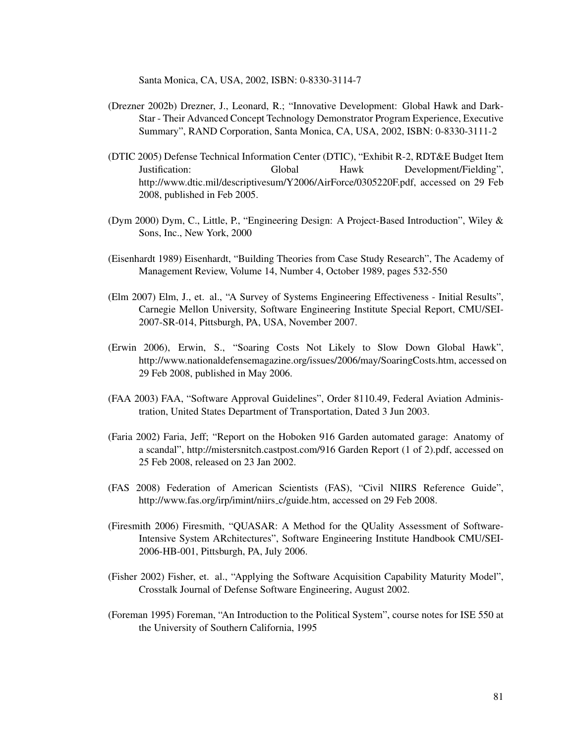Santa Monica, CA, USA, 2002, ISBN: 0-8330-3114-7

- (Drezner 2002b) Drezner, J., Leonard, R.; "Innovative Development: Global Hawk and Dark-Star - Their Advanced Concept Technology Demonstrator Program Experience, Executive Summary", RAND Corporation, Santa Monica, CA, USA, 2002, ISBN: 0-8330-3111-2
- (DTIC 2005) Defense Technical Information Center (DTIC), "Exhibit R-2, RDT&E Budget Item Justification: Global Hawk Development/Fielding", http://www.dtic.mil/descriptivesum/Y2006/AirForce/0305220F.pdf, accessed on 29 Feb 2008, published in Feb 2005.
- (Dym 2000) Dym, C., Little, P., "Engineering Design: A Project-Based Introduction", Wiley & Sons, Inc., New York, 2000
- (Eisenhardt 1989) Eisenhardt, "Building Theories from Case Study Research", The Academy of Management Review, Volume 14, Number 4, October 1989, pages 532-550
- (Elm 2007) Elm, J., et. al., "A Survey of Systems Engineering Effectiveness Initial Results", Carnegie Mellon University, Software Engineering Institute Special Report, CMU/SEI-2007-SR-014, Pittsburgh, PA, USA, November 2007.
- (Erwin 2006), Erwin, S., "Soaring Costs Not Likely to Slow Down Global Hawk", http://www.nationaldefensemagazine.org/issues/2006/may/SoaringCosts.htm, accessed on 29 Feb 2008, published in May 2006.
- (FAA 2003) FAA, "Software Approval Guidelines", Order 8110.49, Federal Aviation Administration, United States Department of Transportation, Dated 3 Jun 2003.
- (Faria 2002) Faria, Jeff; "Report on the Hoboken 916 Garden automated garage: Anatomy of a scandal", http://mistersnitch.castpost.com/916 Garden Report (1 of 2).pdf, accessed on 25 Feb 2008, released on 23 Jan 2002.
- (FAS 2008) Federation of American Scientists (FAS), "Civil NIIRS Reference Guide", http://www.fas.org/irp/imint/niirs c/guide.htm, accessed on 29 Feb 2008.
- (Firesmith 2006) Firesmith, "QUASAR: A Method for the QUality Assessment of Software-Intensive System ARchitectures", Software Engineering Institute Handbook CMU/SEI-2006-HB-001, Pittsburgh, PA, July 2006.
- (Fisher 2002) Fisher, et. al., "Applying the Software Acquisition Capability Maturity Model", Crosstalk Journal of Defense Software Engineering, August 2002.
- (Foreman 1995) Foreman, "An Introduction to the Political System", course notes for ISE 550 at the University of Southern California, 1995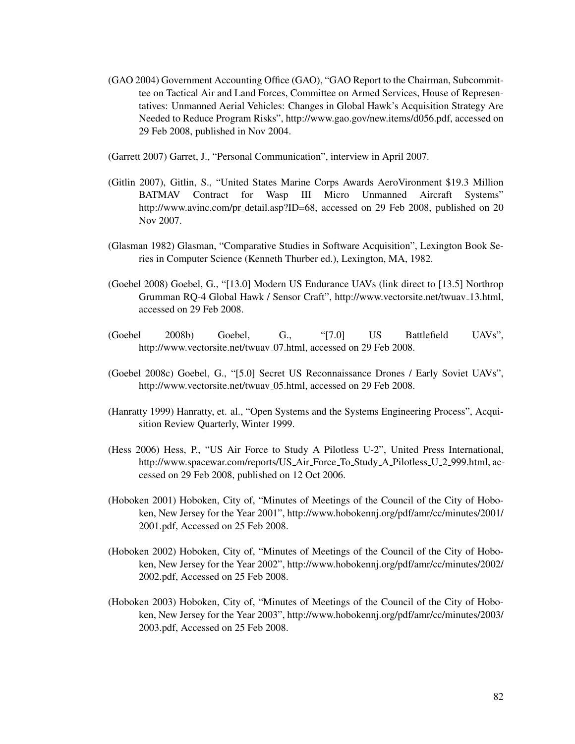- (GAO 2004) Government Accounting Office (GAO), "GAO Report to the Chairman, Subcommittee on Tactical Air and Land Forces, Committee on Armed Services, House of Representatives: Unmanned Aerial Vehicles: Changes in Global Hawk's Acquisition Strategy Are Needed to Reduce Program Risks", http://www.gao.gov/new.items/d056.pdf, accessed on 29 Feb 2008, published in Nov 2004.
- (Garrett 2007) Garret, J., "Personal Communication", interview in April 2007.
- (Gitlin 2007), Gitlin, S., "United States Marine Corps Awards AeroVironment \$19.3 Million BATMAV Contract for Wasp III Micro Unmanned Aircraft Systems" http://www.avinc.com/pr detail.asp?ID=68, accessed on 29 Feb 2008, published on 20 Nov 2007.
- (Glasman 1982) Glasman, "Comparative Studies in Software Acquisition", Lexington Book Series in Computer Science (Kenneth Thurber ed.), Lexington, MA, 1982.
- (Goebel 2008) Goebel, G., "[13.0] Modern US Endurance UAVs (link direct to [13.5] Northrop Grumman RQ-4 Global Hawk / Sensor Craft", http://www.vectorsite.net/twuav 13.html, accessed on 29 Feb 2008.
- (Goebel 2008b) Goebel, G., "[7.0] US Battlefield UAVs", http://www.vectorsite.net/twuav\_07.html, accessed on 29 Feb 2008.
- (Goebel 2008c) Goebel, G., "[5.0] Secret US Reconnaissance Drones / Early Soviet UAVs", http://www.vectorsite.net/twuav\_05.html, accessed on 29 Feb 2008.
- (Hanratty 1999) Hanratty, et. al., "Open Systems and the Systems Engineering Process", Acquisition Review Quarterly, Winter 1999.
- (Hess 2006) Hess, P., "US Air Force to Study A Pilotless U-2", United Press International, http://www.spacewar.com/reports/US Air Force To Study A Pilotless U 2 999.html, accessed on 29 Feb 2008, published on 12 Oct 2006.
- (Hoboken 2001) Hoboken, City of, "Minutes of Meetings of the Council of the City of Hoboken, New Jersey for the Year 2001", http://www.hobokennj.org/pdf/amr/cc/minutes/2001/ 2001.pdf, Accessed on 25 Feb 2008.
- (Hoboken 2002) Hoboken, City of, "Minutes of Meetings of the Council of the City of Hoboken, New Jersey for the Year 2002", http://www.hobokennj.org/pdf/amr/cc/minutes/2002/ 2002.pdf, Accessed on 25 Feb 2008.
- (Hoboken 2003) Hoboken, City of, "Minutes of Meetings of the Council of the City of Hoboken, New Jersey for the Year 2003", http://www.hobokennj.org/pdf/amr/cc/minutes/2003/ 2003.pdf, Accessed on 25 Feb 2008.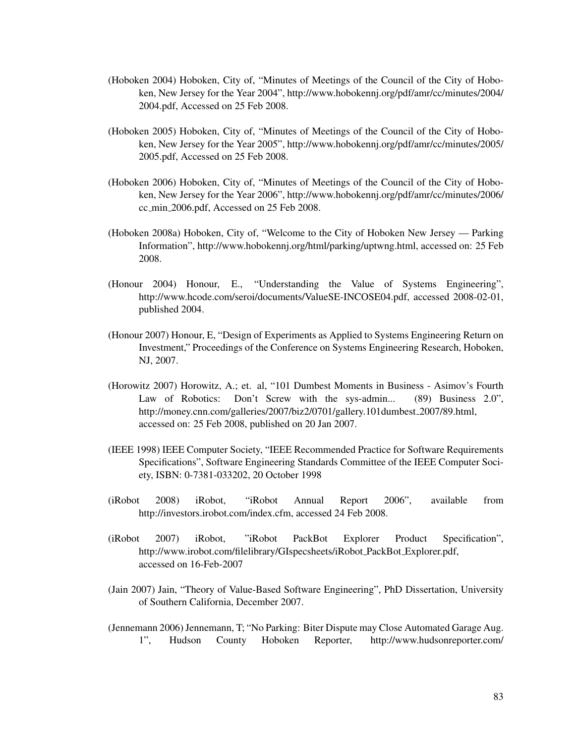- (Hoboken 2004) Hoboken, City of, "Minutes of Meetings of the Council of the City of Hoboken, New Jersey for the Year 2004", http://www.hobokennj.org/pdf/amr/cc/minutes/2004/ 2004.pdf, Accessed on 25 Feb 2008.
- (Hoboken 2005) Hoboken, City of, "Minutes of Meetings of the Council of the City of Hoboken, New Jersey for the Year 2005", http://www.hobokennj.org/pdf/amr/cc/minutes/2005/ 2005.pdf, Accessed on 25 Feb 2008.
- (Hoboken 2006) Hoboken, City of, "Minutes of Meetings of the Council of the City of Hoboken, New Jersey for the Year 2006", http://www.hobokennj.org/pdf/amr/cc/minutes/2006/ cc min 2006.pdf, Accessed on 25 Feb 2008.
- (Hoboken 2008a) Hoboken, City of, "Welcome to the City of Hoboken New Jersey Parking Information", http://www.hobokennj.org/html/parking/uptwng.html, accessed on: 25 Feb 2008.
- (Honour 2004) Honour, E., "Understanding the Value of Systems Engineering", http://www.hcode.com/seroi/documents/ValueSE-INCOSE04.pdf, accessed 2008-02-01, published 2004.
- (Honour 2007) Honour, E, "Design of Experiments as Applied to Systems Engineering Return on Investment," Proceedings of the Conference on Systems Engineering Research, Hoboken, NJ, 2007.
- (Horowitz 2007) Horowitz, A.; et. al, "101 Dumbest Moments in Business Asimov's Fourth Law of Robotics: Don't Screw with the sys-admin... (89) Business 2.0", http://money.cnn.com/galleries/2007/biz2/0701/gallery.101dumbest 2007/89.html, accessed on: 25 Feb 2008, published on 20 Jan 2007.
- (IEEE 1998) IEEE Computer Society, "IEEE Recommended Practice for Software Requirements Specifications", Software Engineering Standards Committee of the IEEE Computer Society, ISBN: 0-7381-033202, 20 October 1998
- (iRobot 2008) iRobot, "iRobot Annual Report 2006", available from http://investors.irobot.com/index.cfm, accessed 24 Feb 2008.
- (iRobot 2007) iRobot, "iRobot PackBot Explorer Product Specification", http://www.irobot.com/filelibrary/GIspecsheets/iRobot PackBot Explorer.pdf, accessed on 16-Feb-2007
- (Jain 2007) Jain, "Theory of Value-Based Software Engineering", PhD Dissertation, University of Southern California, December 2007.
- (Jennemann 2006) Jennemann, T; "No Parking: Biter Dispute may Close Automated Garage Aug. 1", Hudson County Hoboken Reporter, http://www.hudsonreporter.com/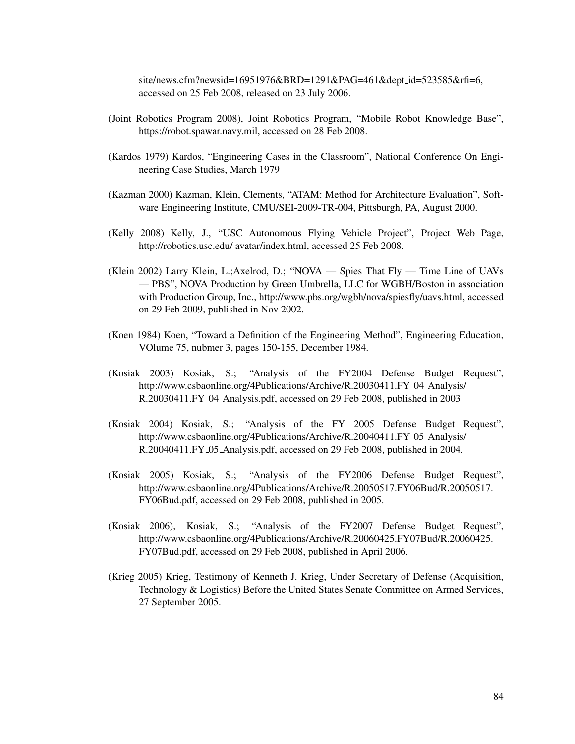site/news.cfm?newsid=16951976&BRD=1291&PAG=461&dept id=523585&rfi=6, accessed on 25 Feb 2008, released on 23 July 2006.

- (Joint Robotics Program 2008), Joint Robotics Program, "Mobile Robot Knowledge Base", https://robot.spawar.navy.mil, accessed on 28 Feb 2008.
- (Kardos 1979) Kardos, "Engineering Cases in the Classroom", National Conference On Engineering Case Studies, March 1979
- (Kazman 2000) Kazman, Klein, Clements, "ATAM: Method for Architecture Evaluation", Software Engineering Institute, CMU/SEI-2009-TR-004, Pittsburgh, PA, August 2000.
- (Kelly 2008) Kelly, J., "USC Autonomous Flying Vehicle Project", Project Web Page, http://robotics.usc.edu/ avatar/index.html, accessed 25 Feb 2008.
- (Klein 2002) Larry Klein, L.;Axelrod, D.; "NOVA Spies That Fly Time Line of UAVs — PBS", NOVA Production by Green Umbrella, LLC for WGBH/Boston in association with Production Group, Inc., http://www.pbs.org/wgbh/nova/spiesfly/uavs.html, accessed on 29 Feb 2009, published in Nov 2002.
- (Koen 1984) Koen, "Toward a Definition of the Engineering Method", Engineering Education, VOlume 75, nubmer 3, pages 150-155, December 1984.
- (Kosiak 2003) Kosiak, S.; "Analysis of the FY2004 Defense Budget Request", http://www.csbaonline.org/4Publications/Archive/R.20030411.FY\_04\_Analysis/ R.20030411.FY 04 Analysis.pdf, accessed on 29 Feb 2008, published in 2003
- (Kosiak 2004) Kosiak, S.; "Analysis of the FY 2005 Defense Budget Request", http://www.csbaonline.org/4Publications/Archive/R.20040411.FY\_05\_Analysis/ R.20040411.FY\_05\_Analysis.pdf, accessed on 29 Feb 2008, published in 2004.
- (Kosiak 2005) Kosiak, S.; "Analysis of the FY2006 Defense Budget Request", http://www.csbaonline.org/4Publications/Archive/R.20050517.FY06Bud/R.20050517. FY06Bud.pdf, accessed on 29 Feb 2008, published in 2005.
- (Kosiak 2006), Kosiak, S.; "Analysis of the FY2007 Defense Budget Request", http://www.csbaonline.org/4Publications/Archive/R.20060425.FY07Bud/R.20060425. FY07Bud.pdf, accessed on 29 Feb 2008, published in April 2006.
- (Krieg 2005) Krieg, Testimony of Kenneth J. Krieg, Under Secretary of Defense (Acquisition, Technology & Logistics) Before the United States Senate Committee on Armed Services, 27 September 2005.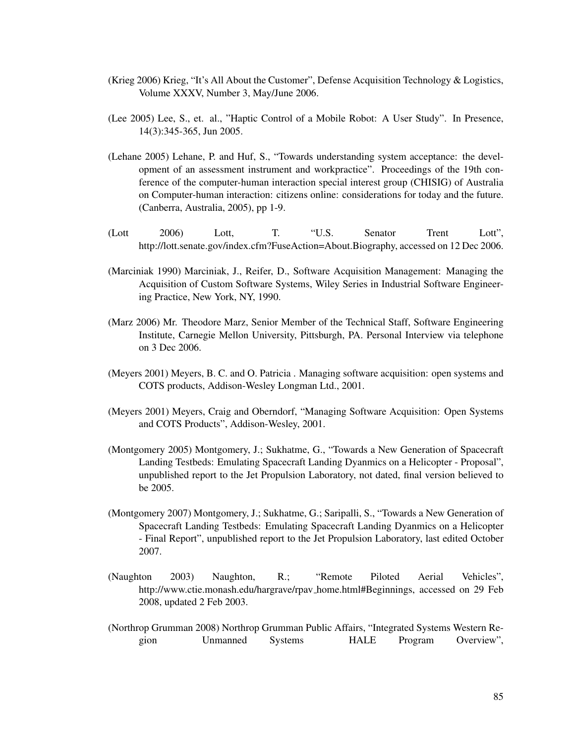- (Krieg 2006) Krieg, "It's All About the Customer", Defense Acquisition Technology & Logistics, Volume XXXV, Number 3, May/June 2006.
- (Lee 2005) Lee, S., et. al., "Haptic Control of a Mobile Robot: A User Study". In Presence, 14(3):345-365, Jun 2005.
- (Lehane 2005) Lehane, P. and Huf, S., "Towards understanding system acceptance: the development of an assessment instrument and workpractice". Proceedings of the 19th conference of the computer-human interaction special interest group (CHISIG) of Australia on Computer-human interaction: citizens online: considerations for today and the future. (Canberra, Australia, 2005), pp 1-9.
- (Lott 2006) Lott, T. "U.S. Senator Trent Lott", http://lott.senate.gov/index.cfm?FuseAction=About.Biography, accessed on 12 Dec 2006.
- (Marciniak 1990) Marciniak, J., Reifer, D., Software Acquisition Management: Managing the Acquisition of Custom Software Systems, Wiley Series in Industrial Software Engineering Practice, New York, NY, 1990.
- (Marz 2006) Mr. Theodore Marz, Senior Member of the Technical Staff, Software Engineering Institute, Carnegie Mellon University, Pittsburgh, PA. Personal Interview via telephone on 3 Dec 2006.
- (Meyers 2001) Meyers, B. C. and O. Patricia . Managing software acquisition: open systems and COTS products, Addison-Wesley Longman Ltd., 2001.
- (Meyers 2001) Meyers, Craig and Oberndorf, "Managing Software Acquisition: Open Systems and COTS Products", Addison-Wesley, 2001.
- (Montgomery 2005) Montgomery, J.; Sukhatme, G., "Towards a New Generation of Spacecraft Landing Testbeds: Emulating Spacecraft Landing Dyanmics on a Helicopter - Proposal", unpublished report to the Jet Propulsion Laboratory, not dated, final version believed to be 2005.
- (Montgomery 2007) Montgomery, J.; Sukhatme, G.; Saripalli, S., "Towards a New Generation of Spacecraft Landing Testbeds: Emulating Spacecraft Landing Dyanmics on a Helicopter - Final Report", unpublished report to the Jet Propulsion Laboratory, last edited October 2007.
- (Naughton 2003) Naughton, R.; "Remote Piloted Aerial Vehicles", http://www.ctie.monash.edu/hargrave/rpav home.html#Beginnings, accessed on 29 Feb 2008, updated 2 Feb 2003.
- (Northrop Grumman 2008) Northrop Grumman Public Affairs, "Integrated Systems Western Region Unmanned Systems HALE Program Overview",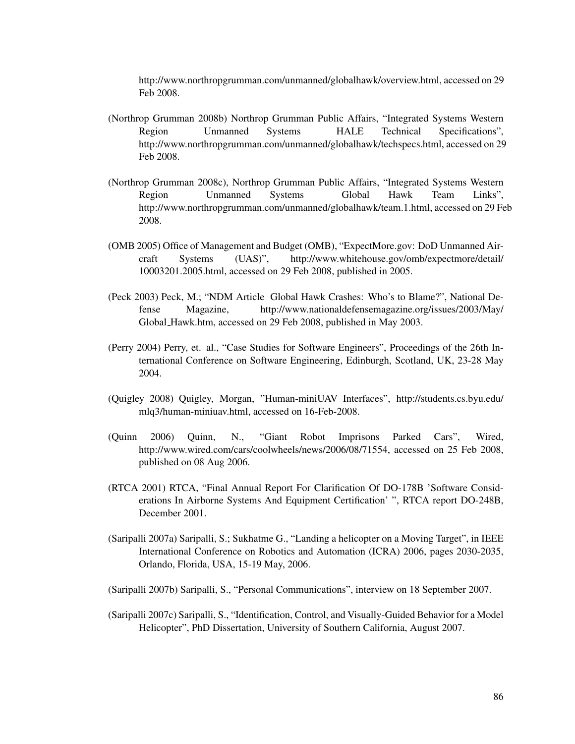http://www.northropgrumman.com/unmanned/globalhawk/overview.html, accessed on 29 Feb 2008.

- (Northrop Grumman 2008b) Northrop Grumman Public Affairs, "Integrated Systems Western Region Unmanned Systems HALE Technical Specifications", http://www.northropgrumman.com/unmanned/globalhawk/techspecs.html, accessed on 29 Feb 2008.
- (Northrop Grumman 2008c), Northrop Grumman Public Affairs, "Integrated Systems Western Region Unmanned Systems Global Hawk Team Links", http://www.northropgrumman.com/unmanned/globalhawk/team.1.html, accessed on 29 Feb 2008.
- (OMB 2005) Office of Management and Budget (OMB), "ExpectMore.gov: DoD Unmanned Aircraft Systems (UAS)", http://www.whitehouse.gov/omb/expectmore/detail/ 10003201.2005.html, accessed on 29 Feb 2008, published in 2005.
- (Peck 2003) Peck, M.; "NDM Article Global Hawk Crashes: Who's to Blame?", National Defense Magazine, http://www.nationaldefensemagazine.org/issues/2003/May/ Global Hawk.htm, accessed on 29 Feb 2008, published in May 2003.
- (Perry 2004) Perry, et. al., "Case Studies for Software Engineers", Proceedings of the 26th International Conference on Software Engineering, Edinburgh, Scotland, UK, 23-28 May 2004.
- (Quigley 2008) Quigley, Morgan, "Human-miniUAV Interfaces", http://students.cs.byu.edu/ mlq3/human-miniuav.html, accessed on 16-Feb-2008.
- (Quinn 2006) Quinn, N., "Giant Robot Imprisons Parked Cars", Wired, http://www.wired.com/cars/coolwheels/news/2006/08/71554, accessed on 25 Feb 2008, published on 08 Aug 2006.
- (RTCA 2001) RTCA, "Final Annual Report For Clarification Of DO-178B 'Software Considerations In Airborne Systems And Equipment Certification' ", RTCA report DO-248B, December 2001.
- (Saripalli 2007a) Saripalli, S.; Sukhatme G., "Landing a helicopter on a Moving Target", in IEEE International Conference on Robotics and Automation (ICRA) 2006, pages 2030-2035, Orlando, Florida, USA, 15-19 May, 2006.
- (Saripalli 2007b) Saripalli, S., "Personal Communications", interview on 18 September 2007.
- (Saripalli 2007c) Saripalli, S., "Identification, Control, and Visually-Guided Behavior for a Model Helicopter", PhD Dissertation, University of Southern California, August 2007.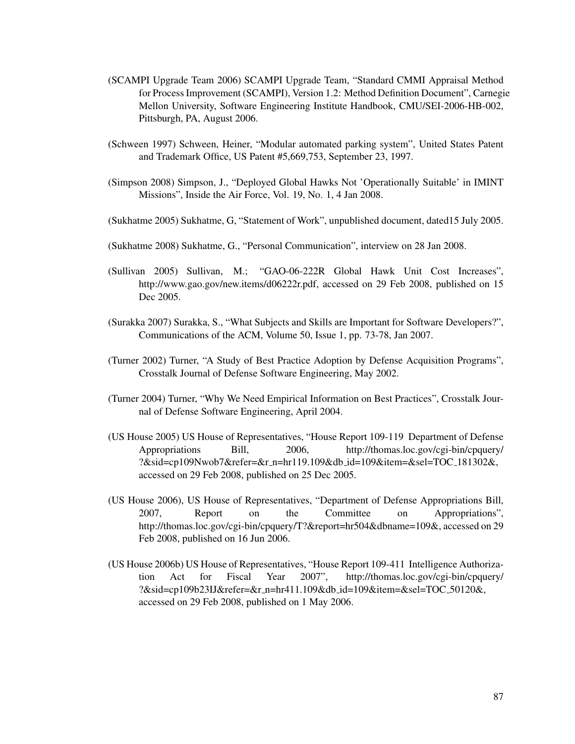- (SCAMPI Upgrade Team 2006) SCAMPI Upgrade Team, "Standard CMMI Appraisal Method for Process Improvement (SCAMPI), Version 1.2: Method Definition Document", Carnegie Mellon University, Software Engineering Institute Handbook, CMU/SEI-2006-HB-002, Pittsburgh, PA, August 2006.
- (Schween 1997) Schween, Heiner, "Modular automated parking system", United States Patent and Trademark Office, US Patent #5,669,753, September 23, 1997.
- (Simpson 2008) Simpson, J., "Deployed Global Hawks Not 'Operationally Suitable' in IMINT Missions", Inside the Air Force, Vol. 19, No. 1, 4 Jan 2008.
- (Sukhatme 2005) Sukhatme, G, "Statement of Work", unpublished document, dated15 July 2005.
- (Sukhatme 2008) Sukhatme, G., "Personal Communication", interview on 28 Jan 2008.
- (Sullivan 2005) Sullivan, M.; "GAO-06-222R Global Hawk Unit Cost Increases", http://www.gao.gov/new.items/d06222r.pdf, accessed on 29 Feb 2008, published on 15 Dec 2005.
- (Surakka 2007) Surakka, S., "What Subjects and Skills are Important for Software Developers?", Communications of the ACM, Volume 50, Issue 1, pp. 73-78, Jan 2007.
- (Turner 2002) Turner, "A Study of Best Practice Adoption by Defense Acquisition Programs", Crosstalk Journal of Defense Software Engineering, May 2002.
- (Turner 2004) Turner, "Why We Need Empirical Information on Best Practices", Crosstalk Journal of Defense Software Engineering, April 2004.
- (US House 2005) US House of Representatives, "House Report 109-119 Department of Defense Appropriations Bill, 2006, http://thomas.loc.gov/cgi-bin/cpquery/ ?&sid=cp109Nwob7&refer=&r n=hr119.109&db id=109&item=&sel=TOC 181302&, accessed on 29 Feb 2008, published on 25 Dec 2005.
- (US House 2006), US House of Representatives, "Department of Defense Appropriations Bill, 2007, Report on the Committee on Appropriations", http://thomas.loc.gov/cgi-bin/cpquery/T?&report=hr504&dbname=109&, accessed on 29 Feb 2008, published on 16 Jun 2006.
- (US House 2006b) US House of Representatives, "House Report 109-411 Intelligence Authorization Act for Fiscal Year 2007", http://thomas.loc.gov/cgi-bin/cpquery/ ?&sid=cp109b23IJ&refer=&r n=hr411.109&db id=109&item=&sel=TOC 50120&, accessed on 29 Feb 2008, published on 1 May 2006.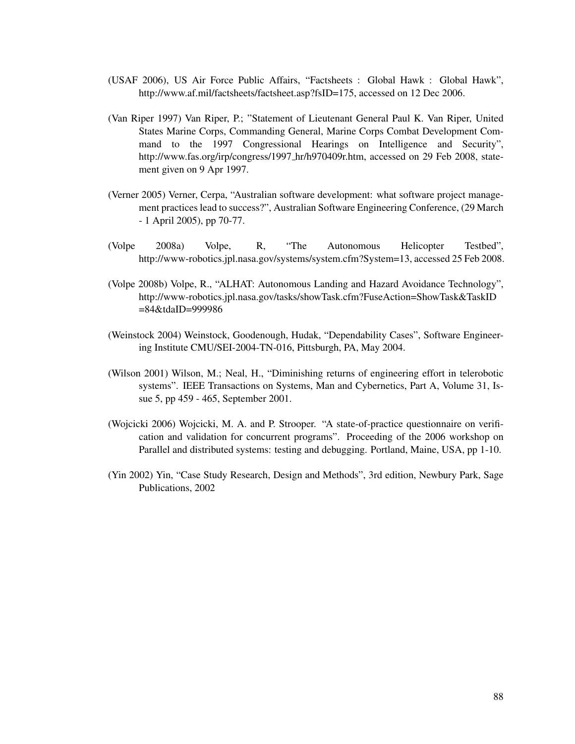- (USAF 2006), US Air Force Public Affairs, "Factsheets : Global Hawk : Global Hawk", http://www.af.mil/factsheets/factsheet.asp?fsID=175, accessed on 12 Dec 2006.
- (Van Riper 1997) Van Riper, P.; "Statement of Lieutenant General Paul K. Van Riper, United States Marine Corps, Commanding General, Marine Corps Combat Development Command to the 1997 Congressional Hearings on Intelligence and Security", http://www.fas.org/irp/congress/1997 hr/h970409r.htm, accessed on 29 Feb 2008, statement given on 9 Apr 1997.
- (Verner 2005) Verner, Cerpa, "Australian software development: what software project management practices lead to success?", Australian Software Engineering Conference, (29 March - 1 April 2005), pp 70-77.
- (Volpe 2008a) Volpe, R, "The Autonomous Helicopter Testbed", http://www-robotics.jpl.nasa.gov/systems/system.cfm?System=13, accessed 25 Feb 2008.
- (Volpe 2008b) Volpe, R., "ALHAT: Autonomous Landing and Hazard Avoidance Technology", http://www-robotics.jpl.nasa.gov/tasks/showTask.cfm?FuseAction=ShowTask&TaskID =84&tdaID=999986
- (Weinstock 2004) Weinstock, Goodenough, Hudak, "Dependability Cases", Software Engineering Institute CMU/SEI-2004-TN-016, Pittsburgh, PA, May 2004.
- (Wilson 2001) Wilson, M.; Neal, H., "Diminishing returns of engineering effort in telerobotic systems". IEEE Transactions on Systems, Man and Cybernetics, Part A, Volume 31, Issue 5, pp 459 - 465, September 2001.
- (Wojcicki 2006) Wojcicki, M. A. and P. Strooper. "A state-of-practice questionnaire on verification and validation for concurrent programs". Proceeding of the 2006 workshop on Parallel and distributed systems: testing and debugging. Portland, Maine, USA, pp 1-10.
- (Yin 2002) Yin, "Case Study Research, Design and Methods", 3rd edition, Newbury Park, Sage Publications, 2002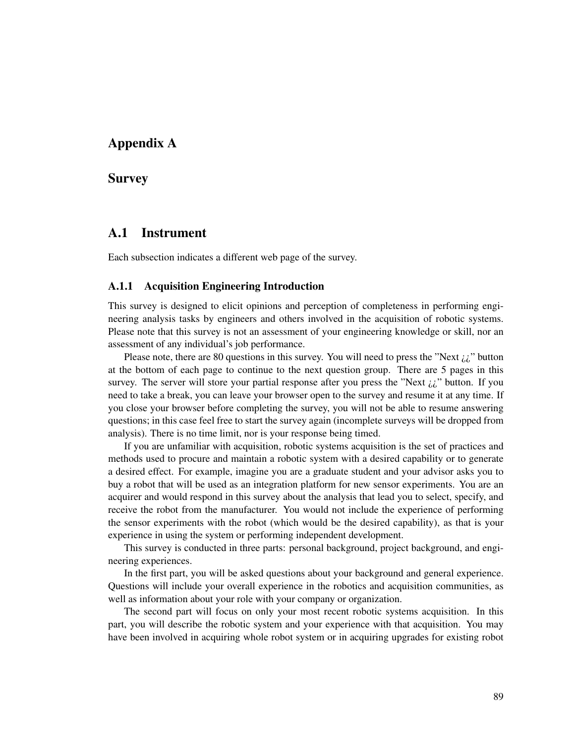# Appendix A

## Survey

# A.1 Instrument

Each subsection indicates a different web page of the survey.

## A.1.1 Acquisition Engineering Introduction

This survey is designed to elicit opinions and perception of completeness in performing engineering analysis tasks by engineers and others involved in the acquisition of robotic systems. Please note that this survey is not an assessment of your engineering knowledge or skill, nor an assessment of any individual's job performance.

Please note, there are 80 questions in this survey. You will need to press the "Next  $\chi \chi$ " button at the bottom of each page to continue to the next question group. There are 5 pages in this survey. The server will store your partial response after you press the "Next  $\chi_i$ " button. If you need to take a break, you can leave your browser open to the survey and resume it at any time. If you close your browser before completing the survey, you will not be able to resume answering questions; in this case feel free to start the survey again (incomplete surveys will be dropped from analysis). There is no time limit, nor is your response being timed.

If you are unfamiliar with acquisition, robotic systems acquisition is the set of practices and methods used to procure and maintain a robotic system with a desired capability or to generate a desired effect. For example, imagine you are a graduate student and your advisor asks you to buy a robot that will be used as an integration platform for new sensor experiments. You are an acquirer and would respond in this survey about the analysis that lead you to select, specify, and receive the robot from the manufacturer. You would not include the experience of performing the sensor experiments with the robot (which would be the desired capability), as that is your experience in using the system or performing independent development.

This survey is conducted in three parts: personal background, project background, and engineering experiences.

In the first part, you will be asked questions about your background and general experience. Questions will include your overall experience in the robotics and acquisition communities, as well as information about your role with your company or organization.

The second part will focus on only your most recent robotic systems acquisition. In this part, you will describe the robotic system and your experience with that acquisition. You may have been involved in acquiring whole robot system or in acquiring upgrades for existing robot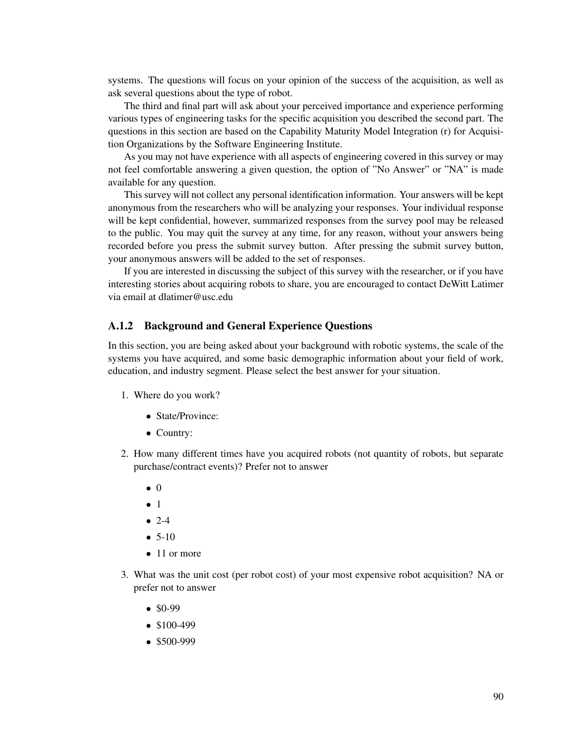systems. The questions will focus on your opinion of the success of the acquisition, as well as ask several questions about the type of robot.

The third and final part will ask about your perceived importance and experience performing various types of engineering tasks for the specific acquisition you described the second part. The questions in this section are based on the Capability Maturity Model Integration (r) for Acquisition Organizations by the Software Engineering Institute.

As you may not have experience with all aspects of engineering covered in this survey or may not feel comfortable answering a given question, the option of "No Answer" or "NA" is made available for any question.

This survey will not collect any personal identification information. Your answers will be kept anonymous from the researchers who will be analyzing your responses. Your individual response will be kept confidential, however, summarized responses from the survey pool may be released to the public. You may quit the survey at any time, for any reason, without your answers being recorded before you press the submit survey button. After pressing the submit survey button, your anonymous answers will be added to the set of responses.

If you are interested in discussing the subject of this survey with the researcher, or if you have interesting stories about acquiring robots to share, you are encouraged to contact DeWitt Latimer via email at dlatimer@usc.edu

## A.1.2 Background and General Experience Questions

In this section, you are being asked about your background with robotic systems, the scale of the systems you have acquired, and some basic demographic information about your field of work, education, and industry segment. Please select the best answer for your situation.

- 1. Where do you work?
	- State/Province:
	- Country:
- 2. How many different times have you acquired robots (not quantity of robots, but separate purchase/contract events)? Prefer not to answer
	- 0
	- 1
	- $2-4$
	- $5-10$
	- 11 or more
- 3. What was the unit cost (per robot cost) of your most expensive robot acquisition? NA or prefer not to answer
	- \$0-99
	- \$100-499
	- \$500-999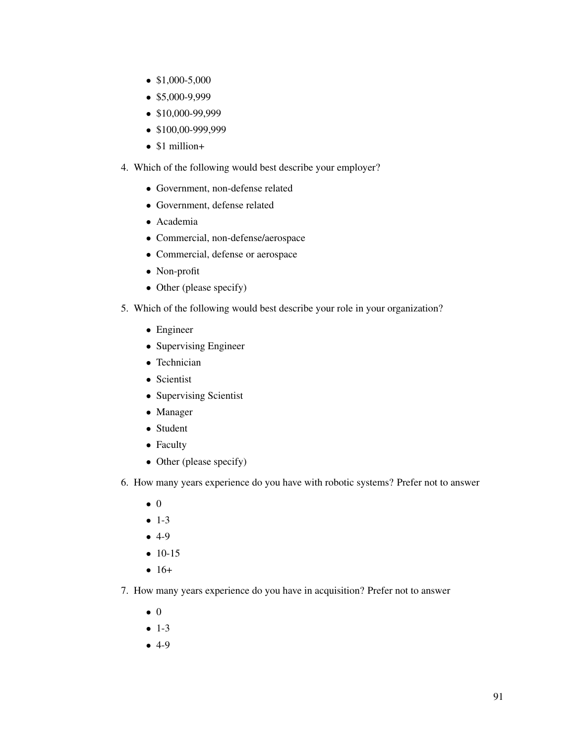- \$1,000-5,000
- \$5,000-9,999
- \$10,000-99,999
- \$100,00-999,999
- \$1 million+
- 4. Which of the following would best describe your employer?
	- Government, non-defense related
	- Government, defense related
	- Academia
	- Commercial, non-defense/aerospace
	- Commercial, defense or aerospace
	- Non-profit
	- Other (please specify)
- 5. Which of the following would best describe your role in your organization?
	- Engineer
	- Supervising Engineer
	- Technician
	- Scientist
	- Supervising Scientist
	- Manager
	- Student
	- Faculty
	- Other (please specify)
- 6. How many years experience do you have with robotic systems? Prefer not to answer
	- 0
	- $-1-3$
	- 4-9
	- $10-15$
	- $16+$
- 7. How many years experience do you have in acquisition? Prefer not to answer
	- 0
	- $-1-3$
	- 4-9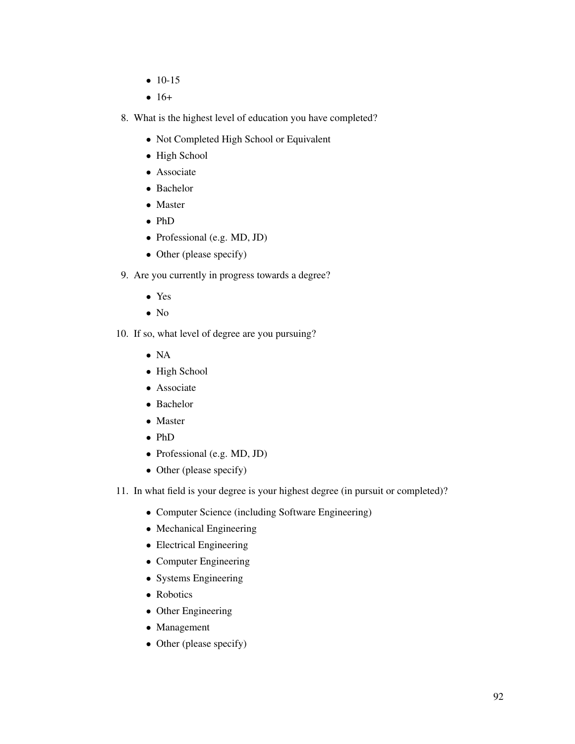- 10-15
- $16+$
- 8. What is the highest level of education you have completed?
	- Not Completed High School or Equivalent
	- High School
	- Associate
	- Bachelor
	- Master
	- PhD
	- Professional (e.g. MD, JD)
	- Other (please specify)
- 9. Are you currently in progress towards a degree?
	- Yes
	- No
- 10. If so, what level of degree are you pursuing?
	- NA
	- High School
	- Associate
	- Bachelor
	- Master
	- PhD
	- Professional (e.g. MD, JD)
	- Other (please specify)
- 11. In what field is your degree is your highest degree (in pursuit or completed)?
	- Computer Science (including Software Engineering)
	- Mechanical Engineering
	- Electrical Engineering
	- Computer Engineering
	- Systems Engineering
	- Robotics
	- Other Engineering
	- Management
	- Other (please specify)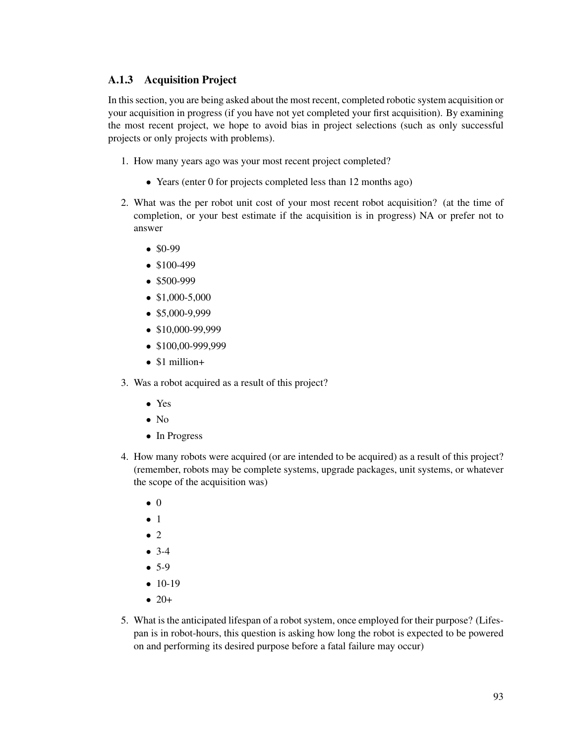# A.1.3 Acquisition Project

In this section, you are being asked about the most recent, completed robotic system acquisition or your acquisition in progress (if you have not yet completed your first acquisition). By examining the most recent project, we hope to avoid bias in project selections (such as only successful projects or only projects with problems).

- 1. How many years ago was your most recent project completed?
	- Years (enter 0 for projects completed less than 12 months ago)
- 2. What was the per robot unit cost of your most recent robot acquisition? (at the time of completion, or your best estimate if the acquisition is in progress) NA or prefer not to answer
	- \$0-99
	- \$100-499
	- \$500-999
	- $$1,000-5,000$
	- \$5,000-9,999
	- \$10,000-99,999
	- \$100,00-999,999
	- \$1 million+
- 3. Was a robot acquired as a result of this project?
	- Yes
	- No
	- In Progress
- 4. How many robots were acquired (or are intended to be acquired) as a result of this project? (remember, robots may be complete systems, upgrade packages, unit systems, or whatever the scope of the acquisition was)
	- 0
	- 1
	- $\bullet$  2
	- $3-4$
	- 5-9
	- 10-19
	- $20+$
- 5. What is the anticipated lifespan of a robot system, once employed for their purpose? (Lifespan is in robot-hours, this question is asking how long the robot is expected to be powered on and performing its desired purpose before a fatal failure may occur)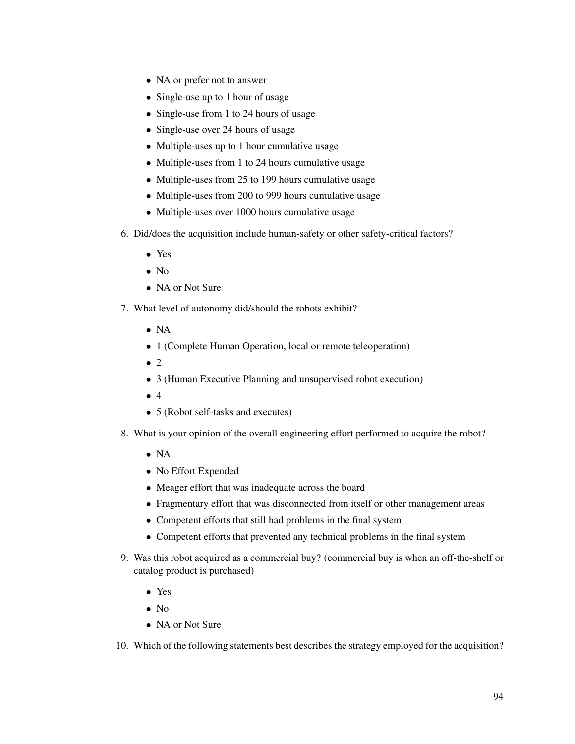- NA or prefer not to answer
- Single-use up to 1 hour of usage
- Single-use from 1 to 24 hours of usage
- Single-use over 24 hours of usage
- Multiple-uses up to 1 hour cumulative usage
- Multiple-uses from 1 to 24 hours cumulative usage
- Multiple-uses from 25 to 199 hours cumulative usage
- Multiple-uses from 200 to 999 hours cumulative usage
- Multiple-uses over 1000 hours cumulative usage
- 6. Did/does the acquisition include human-safety or other safety-critical factors?
	- Yes
	- $\bullet$  No
	- NA or Not Sure
- 7. What level of autonomy did/should the robots exhibit?
	- NA
	- 1 (Complete Human Operation, local or remote teleoperation)
	- $\bullet$  2
	- 3 (Human Executive Planning and unsupervised robot execution)
	- $\bullet$  4
	- 5 (Robot self-tasks and executes)
- 8. What is your opinion of the overall engineering effort performed to acquire the robot?
	- NA
	- No Effort Expended
	- Meager effort that was inadequate across the board
	- Fragmentary effort that was disconnected from itself or other management areas
	- Competent efforts that still had problems in the final system
	- Competent efforts that prevented any technical problems in the final system
- 9. Was this robot acquired as a commercial buy? (commercial buy is when an off-the-shelf or catalog product is purchased)
	- Yes
	- No
	- NA or Not Sure
- 10. Which of the following statements best describes the strategy employed for the acquisition?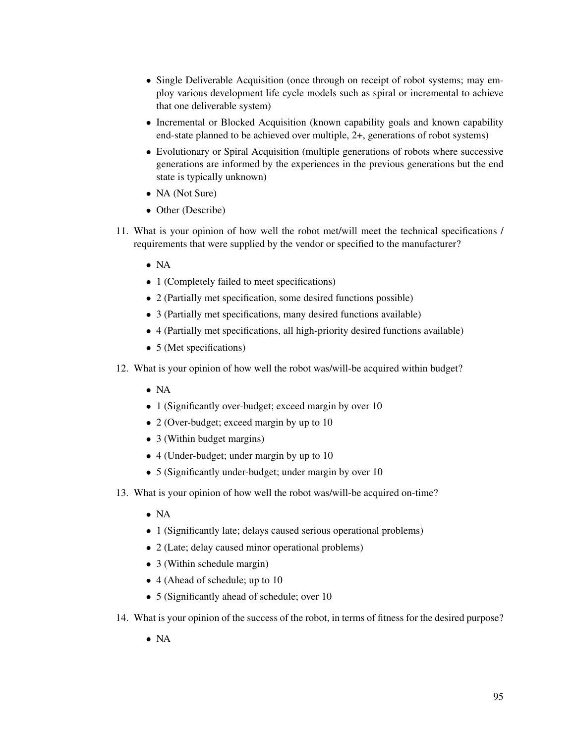- Single Deliverable Acquisition (once through on receipt of robot systems; may employ various development life cycle models such as spiral or incremental to achieve that one deliverable system)
- Incremental or Blocked Acquisition (known capability goals and known capability end-state planned to be achieved over multiple, 2+, generations of robot systems)
- Evolutionary or Spiral Acquisition (multiple generations of robots where successive generations are informed by the experiences in the previous generations but the end state is typically unknown)
- NA (Not Sure)
- Other (Describe)
- 11. What is your opinion of how well the robot met/will meet the technical specifications / requirements that were supplied by the vendor or specified to the manufacturer?
	- NA
	- 1 (Completely failed to meet specifications)
	- 2 (Partially met specification, some desired functions possible)
	- 3 (Partially met specifications, many desired functions available)
	- 4 (Partially met specifications, all high-priority desired functions available)
	- 5 (Met specifications)
- 12. What is your opinion of how well the robot was/will-be acquired within budget?
	- NA
	- 1 (Significantly over-budget; exceed margin by over 10
	- 2 (Over-budget; exceed margin by up to 10
	- 3 (Within budget margins)
	- 4 (Under-budget; under margin by up to 10)
	- 5 (Significantly under-budget; under margin by over 10
- 13. What is your opinion of how well the robot was/will-be acquired on-time?
	- NA
	- 1 (Significantly late; delays caused serious operational problems)
	- 2 (Late; delay caused minor operational problems)
	- 3 (Within schedule margin)
	- 4 (Ahead of schedule; up to 10
	- 5 (Significantly ahead of schedule; over 10
- 14. What is your opinion of the success of the robot, in terms of fitness for the desired purpose?
	- NA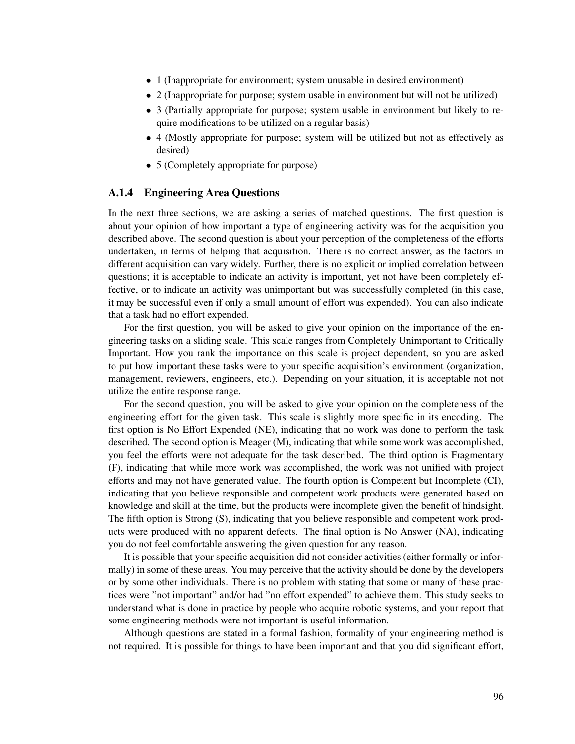- 1 (Inappropriate for environment; system unusable in desired environment)
- 2 (Inappropriate for purpose; system usable in environment but will not be utilized)
- 3 (Partially appropriate for purpose; system usable in environment but likely to require modifications to be utilized on a regular basis)
- 4 (Mostly appropriate for purpose; system will be utilized but not as effectively as desired)
- 5 (Completely appropriate for purpose)

## A.1.4 Engineering Area Questions

In the next three sections, we are asking a series of matched questions. The first question is about your opinion of how important a type of engineering activity was for the acquisition you described above. The second question is about your perception of the completeness of the efforts undertaken, in terms of helping that acquisition. There is no correct answer, as the factors in different acquisition can vary widely. Further, there is no explicit or implied correlation between questions; it is acceptable to indicate an activity is important, yet not have been completely effective, or to indicate an activity was unimportant but was successfully completed (in this case, it may be successful even if only a small amount of effort was expended). You can also indicate that a task had no effort expended.

For the first question, you will be asked to give your opinion on the importance of the engineering tasks on a sliding scale. This scale ranges from Completely Unimportant to Critically Important. How you rank the importance on this scale is project dependent, so you are asked to put how important these tasks were to your specific acquisition's environment (organization, management, reviewers, engineers, etc.). Depending on your situation, it is acceptable not not utilize the entire response range.

For the second question, you will be asked to give your opinion on the completeness of the engineering effort for the given task. This scale is slightly more specific in its encoding. The first option is No Effort Expended (NE), indicating that no work was done to perform the task described. The second option is Meager (M), indicating that while some work was accomplished, you feel the efforts were not adequate for the task described. The third option is Fragmentary (F), indicating that while more work was accomplished, the work was not unified with project efforts and may not have generated value. The fourth option is Competent but Incomplete (CI), indicating that you believe responsible and competent work products were generated based on knowledge and skill at the time, but the products were incomplete given the benefit of hindsight. The fifth option is Strong (S), indicating that you believe responsible and competent work products were produced with no apparent defects. The final option is No Answer (NA), indicating you do not feel comfortable answering the given question for any reason.

It is possible that your specific acquisition did not consider activities (either formally or informally) in some of these areas. You may perceive that the activity should be done by the developers or by some other individuals. There is no problem with stating that some or many of these practices were "not important" and/or had "no effort expended" to achieve them. This study seeks to understand what is done in practice by people who acquire robotic systems, and your report that some engineering methods were not important is useful information.

Although questions are stated in a formal fashion, formality of your engineering method is not required. It is possible for things to have been important and that you did significant effort,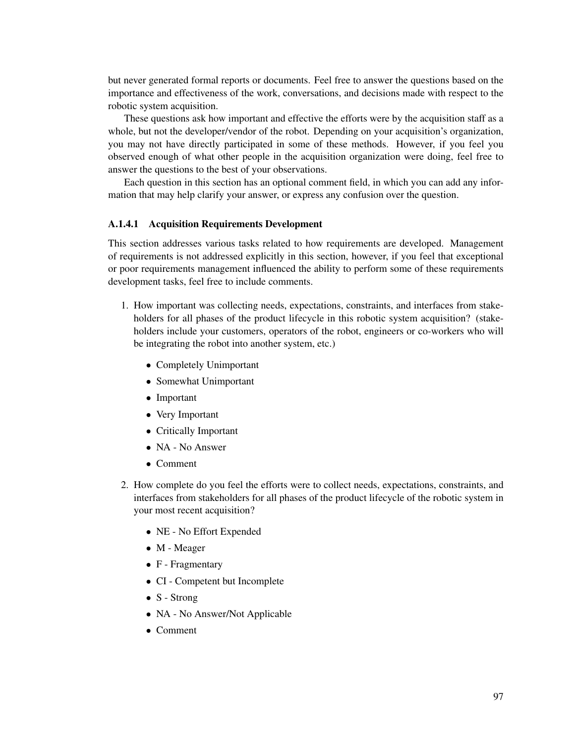but never generated formal reports or documents. Feel free to answer the questions based on the importance and effectiveness of the work, conversations, and decisions made with respect to the robotic system acquisition.

These questions ask how important and effective the efforts were by the acquisition staff as a whole, but not the developer/vendor of the robot. Depending on your acquisition's organization, you may not have directly participated in some of these methods. However, if you feel you observed enough of what other people in the acquisition organization were doing, feel free to answer the questions to the best of your observations.

Each question in this section has an optional comment field, in which you can add any information that may help clarify your answer, or express any confusion over the question.

### A.1.4.1 Acquisition Requirements Development

This section addresses various tasks related to how requirements are developed. Management of requirements is not addressed explicitly in this section, however, if you feel that exceptional or poor requirements management influenced the ability to perform some of these requirements development tasks, feel free to include comments.

- 1. How important was collecting needs, expectations, constraints, and interfaces from stakeholders for all phases of the product lifecycle in this robotic system acquisition? (stakeholders include your customers, operators of the robot, engineers or co-workers who will be integrating the robot into another system, etc.)
	- Completely Unimportant
	- Somewhat Unimportant
	- Important
	- Very Important
	- Critically Important
	- NA No Answer
	- Comment
- 2. How complete do you feel the efforts were to collect needs, expectations, constraints, and interfaces from stakeholders for all phases of the product lifecycle of the robotic system in your most recent acquisition?
	- NE No Effort Expended
	- M Meager
	- F Fragmentary
	- CI Competent but Incomplete
	- S Strong
	- NA No Answer/Not Applicable
	- Comment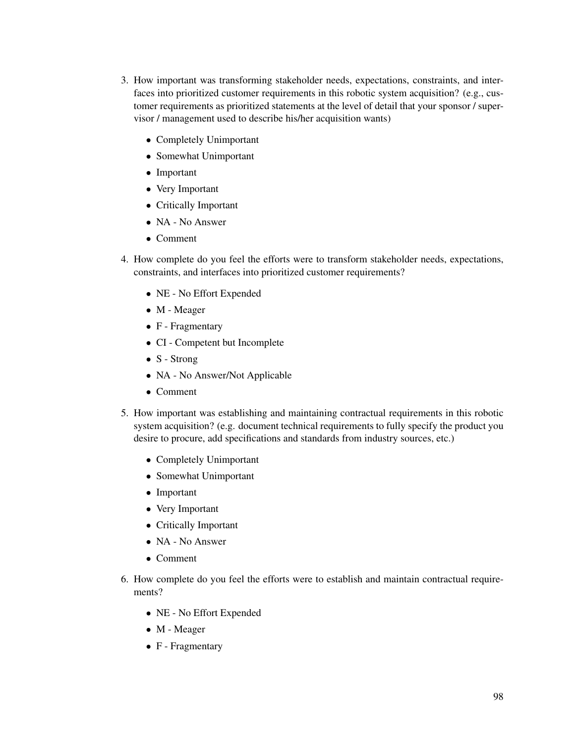- 3. How important was transforming stakeholder needs, expectations, constraints, and interfaces into prioritized customer requirements in this robotic system acquisition? (e.g., customer requirements as prioritized statements at the level of detail that your sponsor / supervisor / management used to describe his/her acquisition wants)
	- Completely Unimportant
	- Somewhat Unimportant
	- Important
	- Very Important
	- Critically Important
	- NA No Answer
	- Comment
- 4. How complete do you feel the efforts were to transform stakeholder needs, expectations, constraints, and interfaces into prioritized customer requirements?
	- NE No Effort Expended
	- M Meager
	- F Fragmentary
	- CI Competent but Incomplete
	- S Strong
	- NA No Answer/Not Applicable
	- Comment
- 5. How important was establishing and maintaining contractual requirements in this robotic system acquisition? (e.g. document technical requirements to fully specify the product you desire to procure, add specifications and standards from industry sources, etc.)
	- Completely Unimportant
	- Somewhat Unimportant
	- Important
	- Very Important
	- Critically Important
	- NA No Answer
	- Comment
- 6. How complete do you feel the efforts were to establish and maintain contractual requirements?
	- NE No Effort Expended
	- M Meager
	- F Fragmentary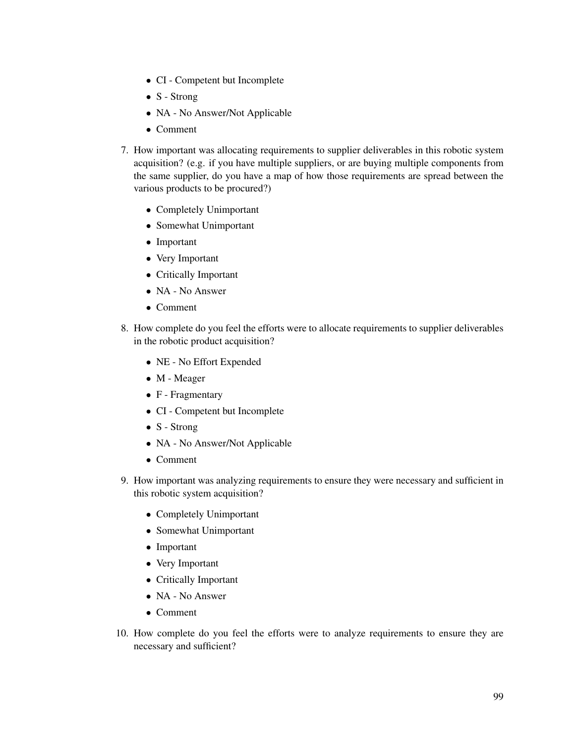- CI Competent but Incomplete
- S Strong
- NA No Answer/Not Applicable
- Comment
- 7. How important was allocating requirements to supplier deliverables in this robotic system acquisition? (e.g. if you have multiple suppliers, or are buying multiple components from the same supplier, do you have a map of how those requirements are spread between the various products to be procured?)
	- Completely Unimportant
	- Somewhat Unimportant
	- Important
	- Very Important
	- Critically Important
	- NA No Answer
	- Comment
- 8. How complete do you feel the efforts were to allocate requirements to supplier deliverables in the robotic product acquisition?
	- NE No Effort Expended
	- M Meager
	- F Fragmentary
	- CI Competent but Incomplete
	- S Strong
	- NA No Answer/Not Applicable
	- Comment
- 9. How important was analyzing requirements to ensure they were necessary and sufficient in this robotic system acquisition?
	- Completely Unimportant
	- Somewhat Unimportant
	- Important
	- Very Important
	- Critically Important
	- NA No Answer
	- Comment
- 10. How complete do you feel the efforts were to analyze requirements to ensure they are necessary and sufficient?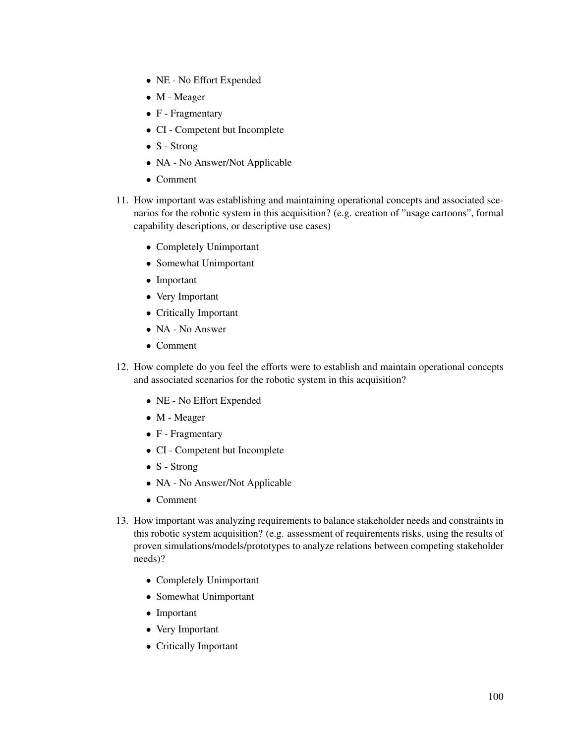- NE No Effort Expended
- M Meager
- F Fragmentary
- CI Competent but Incomplete
- S Strong
- NA No Answer/Not Applicable
- Comment
- 11. How important was establishing and maintaining operational concepts and associated scenarios for the robotic system in this acquisition? (e.g. creation of "usage cartoons", formal capability descriptions, or descriptive use cases)
	- Completely Unimportant
	- Somewhat Unimportant
	- Important
	- Very Important
	- Critically Important
	- NA No Answer
	- Comment
- 12. How complete do you feel the efforts were to establish and maintain operational concepts and associated scenarios for the robotic system in this acquisition?
	- NE No Effort Expended
	- M Meager
	- F Fragmentary
	- CI Competent but Incomplete
	- S Strong
	- NA No Answer/Not Applicable
	- Comment
- 13. How important was analyzing requirements to balance stakeholder needs and constraints in this robotic system acquisition? (e.g. assessment of requirements risks, using the results of proven simulations/models/prototypes to analyze relations between competing stakeholder needs)?
	- Completely Unimportant
	- Somewhat Unimportant
	- Important
	- Very Important
	- Critically Important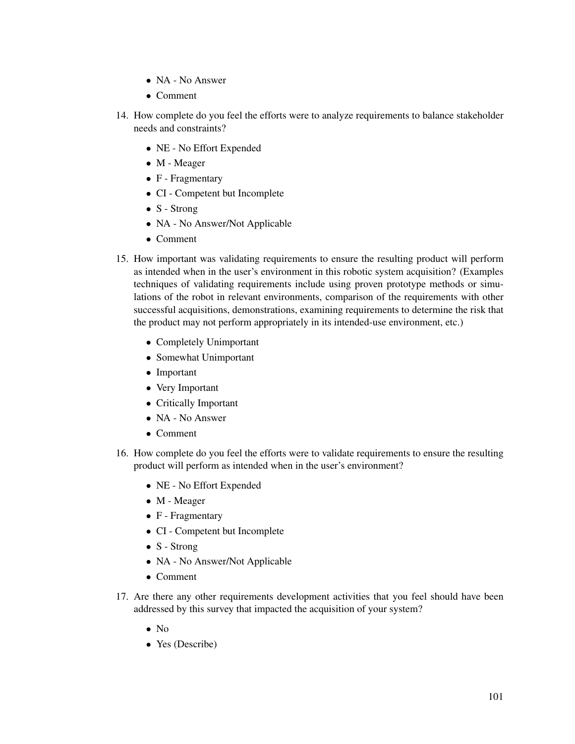- NA No Answer
- Comment
- 14. How complete do you feel the efforts were to analyze requirements to balance stakeholder needs and constraints?
	- NE No Effort Expended
	- M Meager
	- F Fragmentary
	- CI Competent but Incomplete
	- S Strong
	- NA No Answer/Not Applicable
	- Comment
- 15. How important was validating requirements to ensure the resulting product will perform as intended when in the user's environment in this robotic system acquisition? (Examples techniques of validating requirements include using proven prototype methods or simulations of the robot in relevant environments, comparison of the requirements with other successful acquisitions, demonstrations, examining requirements to determine the risk that the product may not perform appropriately in its intended-use environment, etc.)
	- Completely Unimportant
	- Somewhat Unimportant
	- Important
	- Very Important
	- Critically Important
	- NA No Answer
	- Comment
- 16. How complete do you feel the efforts were to validate requirements to ensure the resulting product will perform as intended when in the user's environment?
	- NE No Effort Expended
	- M Meager
	- F Fragmentary
	- CI Competent but Incomplete
	- S Strong
	- NA No Answer/Not Applicable
	- Comment
- 17. Are there any other requirements development activities that you feel should have been addressed by this survey that impacted the acquisition of your system?
	- No
	- Yes (Describe)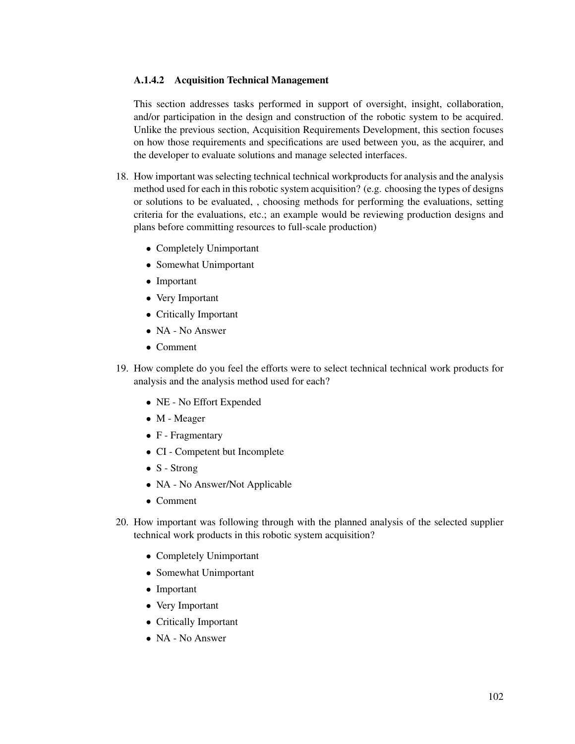#### A.1.4.2 Acquisition Technical Management

This section addresses tasks performed in support of oversight, insight, collaboration, and/or participation in the design and construction of the robotic system to be acquired. Unlike the previous section, Acquisition Requirements Development, this section focuses on how those requirements and specifications are used between you, as the acquirer, and the developer to evaluate solutions and manage selected interfaces.

- 18. How important was selecting technical technical workproducts for analysis and the analysis method used for each in this robotic system acquisition? (e.g. choosing the types of designs or solutions to be evaluated, , choosing methods for performing the evaluations, setting criteria for the evaluations, etc.; an example would be reviewing production designs and plans before committing resources to full-scale production)
	- Completely Unimportant
	- Somewhat Unimportant
	- Important
	- Very Important
	- Critically Important
	- NA No Answer
	- Comment
- 19. How complete do you feel the efforts were to select technical technical work products for analysis and the analysis method used for each?
	- NE No Effort Expended
	- M Meager
	- F Fragmentary
	- CI Competent but Incomplete
	- S Strong
	- NA No Answer/Not Applicable
	- Comment
- 20. How important was following through with the planned analysis of the selected supplier technical work products in this robotic system acquisition?
	- Completely Unimportant
	- Somewhat Unimportant
	- Important
	- Very Important
	- Critically Important
	- NA No Answer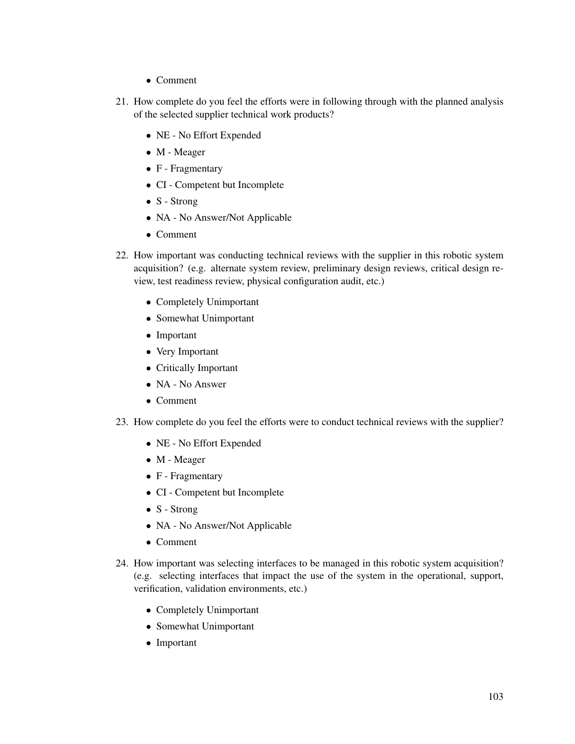- Comment
- 21. How complete do you feel the efforts were in following through with the planned analysis of the selected supplier technical work products?
	- NE No Effort Expended
	- M Meager
	- F Fragmentary
	- CI Competent but Incomplete
	- S Strong
	- NA No Answer/Not Applicable
	- Comment
- 22. How important was conducting technical reviews with the supplier in this robotic system acquisition? (e.g. alternate system review, preliminary design reviews, critical design review, test readiness review, physical configuration audit, etc.)
	- Completely Unimportant
	- Somewhat Unimportant
	- Important
	- Very Important
	- Critically Important
	- NA No Answer
	- Comment
- 23. How complete do you feel the efforts were to conduct technical reviews with the supplier?
	- NE No Effort Expended
	- M Meager
	- F Fragmentary
	- CI Competent but Incomplete
	- S Strong
	- NA No Answer/Not Applicable
	- Comment
- 24. How important was selecting interfaces to be managed in this robotic system acquisition? (e.g. selecting interfaces that impact the use of the system in the operational, support, verification, validation environments, etc.)
	- Completely Unimportant
	- Somewhat Unimportant
	- Important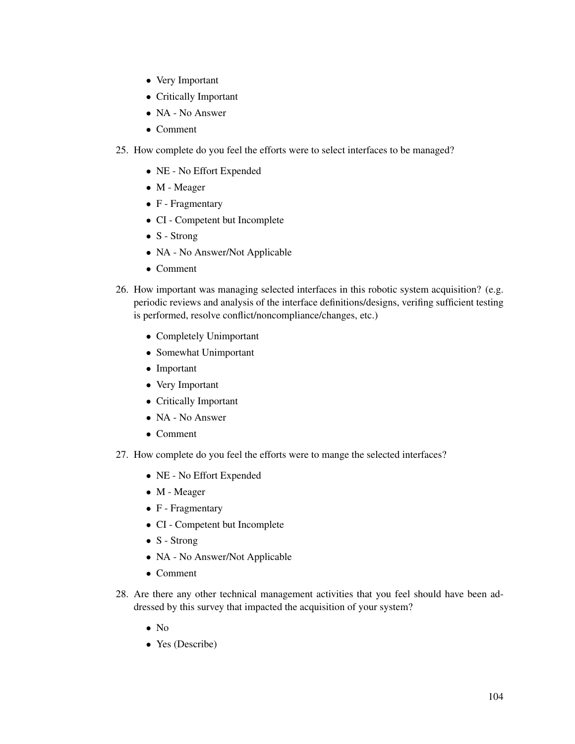- Very Important
- Critically Important
- NA No Answer
- Comment
- 25. How complete do you feel the efforts were to select interfaces to be managed?
	- NE No Effort Expended
	- M Meager
	- F Fragmentary
	- CI Competent but Incomplete
	- S Strong
	- NA No Answer/Not Applicable
	- Comment
- 26. How important was managing selected interfaces in this robotic system acquisition? (e.g. periodic reviews and analysis of the interface definitions/designs, verifing sufficient testing is performed, resolve conflict/noncompliance/changes, etc.)
	- Completely Unimportant
	- Somewhat Unimportant
	- Important
	- Very Important
	- Critically Important
	- NA No Answer
	- Comment
- 27. How complete do you feel the efforts were to mange the selected interfaces?
	- NE No Effort Expended
	- M Meager
	- F Fragmentary
	- CI Competent but Incomplete
	- S Strong
	- NA No Answer/Not Applicable
	- Comment
- 28. Are there any other technical management activities that you feel should have been addressed by this survey that impacted the acquisition of your system?
	- $\bullet$  No
	- Yes (Describe)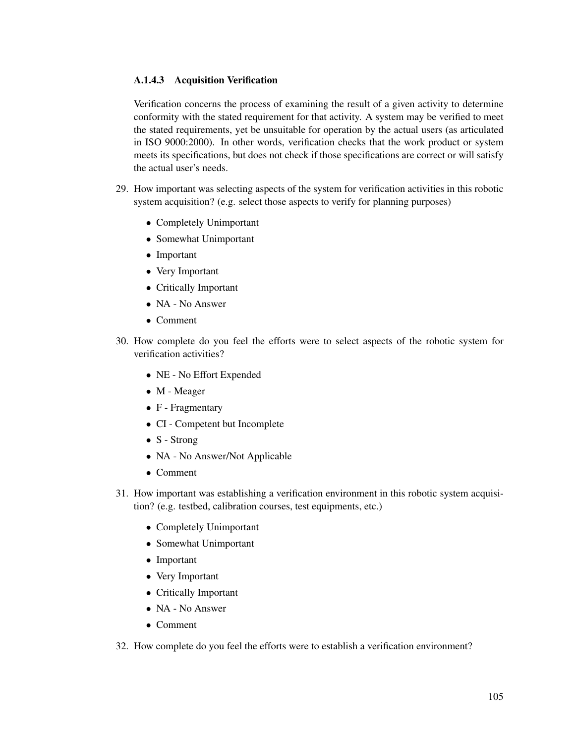#### A.1.4.3 Acquisition Verification

Verification concerns the process of examining the result of a given activity to determine conformity with the stated requirement for that activity. A system may be verified to meet the stated requirements, yet be unsuitable for operation by the actual users (as articulated in ISO 9000:2000). In other words, verification checks that the work product or system meets its specifications, but does not check if those specifications are correct or will satisfy the actual user's needs.

- 29. How important was selecting aspects of the system for verification activities in this robotic system acquisition? (e.g. select those aspects to verify for planning purposes)
	- Completely Unimportant
	- Somewhat Unimportant
	- Important
	- Very Important
	- Critically Important
	- NA No Answer
	- Comment
- 30. How complete do you feel the efforts were to select aspects of the robotic system for verification activities?
	- NE No Effort Expended
	- M Meager
	- F Fragmentary
	- CI Competent but Incomplete
	- S Strong
	- NA No Answer/Not Applicable
	- Comment
- 31. How important was establishing a verification environment in this robotic system acquisition? (e.g. testbed, calibration courses, test equipments, etc.)
	- Completely Unimportant
	- Somewhat Unimportant
	- Important
	- Very Important
	- Critically Important
	- NA No Answer
	- Comment
- 32. How complete do you feel the efforts were to establish a verification environment?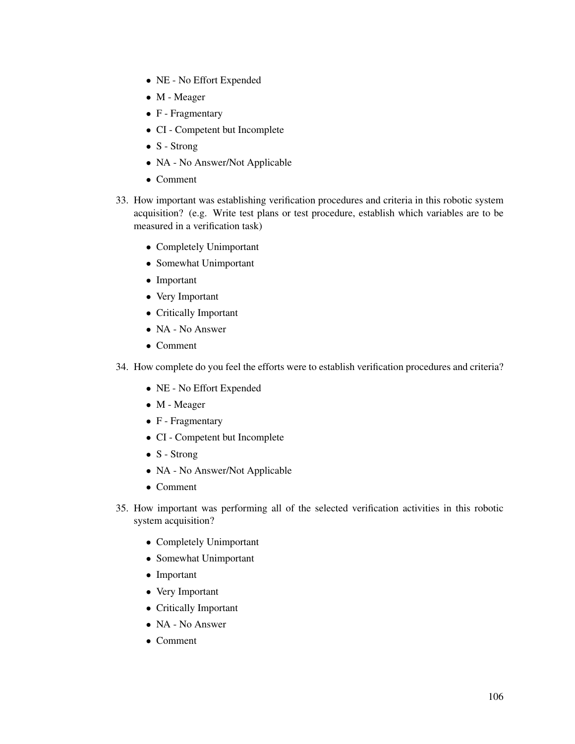- NE No Effort Expended
- M Meager
- F Fragmentary
- CI Competent but Incomplete
- S Strong
- NA No Answer/Not Applicable
- Comment
- 33. How important was establishing verification procedures and criteria in this robotic system acquisition? (e.g. Write test plans or test procedure, establish which variables are to be measured in a verification task)
	- Completely Unimportant
	- Somewhat Unimportant
	- Important
	- Very Important
	- Critically Important
	- NA No Answer
	- Comment
- 34. How complete do you feel the efforts were to establish verification procedures and criteria?
	- NE No Effort Expended
	- M Meager
	- F Fragmentary
	- CI Competent but Incomplete
	- S Strong
	- NA No Answer/Not Applicable
	- Comment
- 35. How important was performing all of the selected verification activities in this robotic system acquisition?
	- Completely Unimportant
	- Somewhat Unimportant
	- Important
	- Very Important
	- Critically Important
	- NA No Answer
	- Comment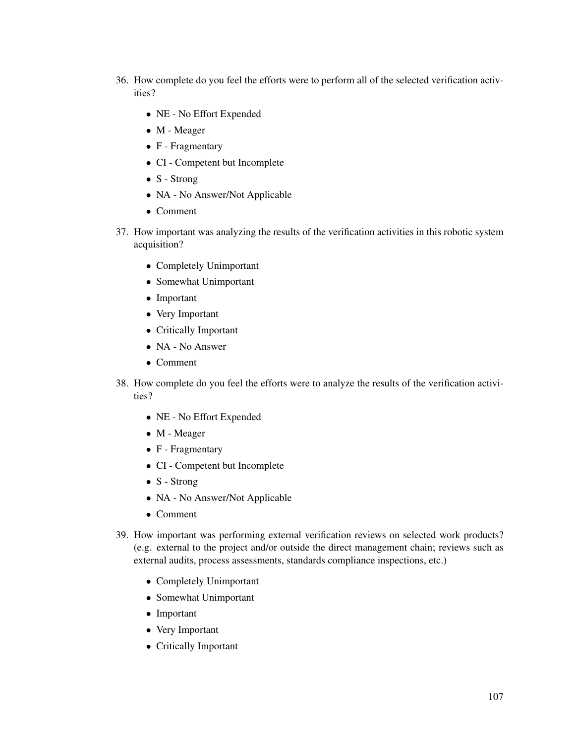- 36. How complete do you feel the efforts were to perform all of the selected verification activities?
	- NE No Effort Expended
	- M Meager
	- F Fragmentary
	- CI Competent but Incomplete
	- S Strong
	- NA No Answer/Not Applicable
	- Comment
- 37. How important was analyzing the results of the verification activities in this robotic system acquisition?
	- Completely Unimportant
	- Somewhat Unimportant
	- Important
	- Very Important
	- Critically Important
	- NA No Answer
	- Comment
- 38. How complete do you feel the efforts were to analyze the results of the verification activities?
	- NE No Effort Expended
	- M Meager
	- F Fragmentary
	- CI Competent but Incomplete
	- S Strong
	- NA No Answer/Not Applicable
	- Comment
- 39. How important was performing external verification reviews on selected work products? (e.g. external to the project and/or outside the direct management chain; reviews such as external audits, process assessments, standards compliance inspections, etc.)
	- Completely Unimportant
	- Somewhat Unimportant
	- Important
	- Very Important
	- Critically Important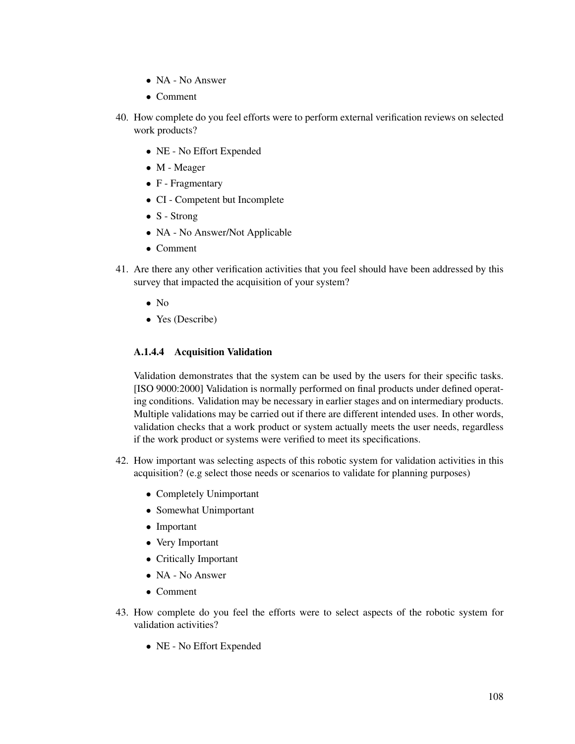- NA No Answer
- Comment
- 40. How complete do you feel efforts were to perform external verification reviews on selected work products?
	- NE No Effort Expended
	- M Meager
	- F Fragmentary
	- CI Competent but Incomplete
	- S Strong
	- NA No Answer/Not Applicable
	- Comment
- 41. Are there any other verification activities that you feel should have been addressed by this survey that impacted the acquisition of your system?
	- No
	- Yes (Describe)

#### A.1.4.4 Acquisition Validation

Validation demonstrates that the system can be used by the users for their specific tasks. [ISO 9000:2000] Validation is normally performed on final products under defined operating conditions. Validation may be necessary in earlier stages and on intermediary products. Multiple validations may be carried out if there are different intended uses. In other words, validation checks that a work product or system actually meets the user needs, regardless if the work product or systems were verified to meet its specifications.

- 42. How important was selecting aspects of this robotic system for validation activities in this acquisition? (e.g select those needs or scenarios to validate for planning purposes)
	- Completely Unimportant
	- Somewhat Unimportant
	- Important
	- Very Important
	- Critically Important
	- NA No Answer
	- Comment
- 43. How complete do you feel the efforts were to select aspects of the robotic system for validation activities?
	- NE No Effort Expended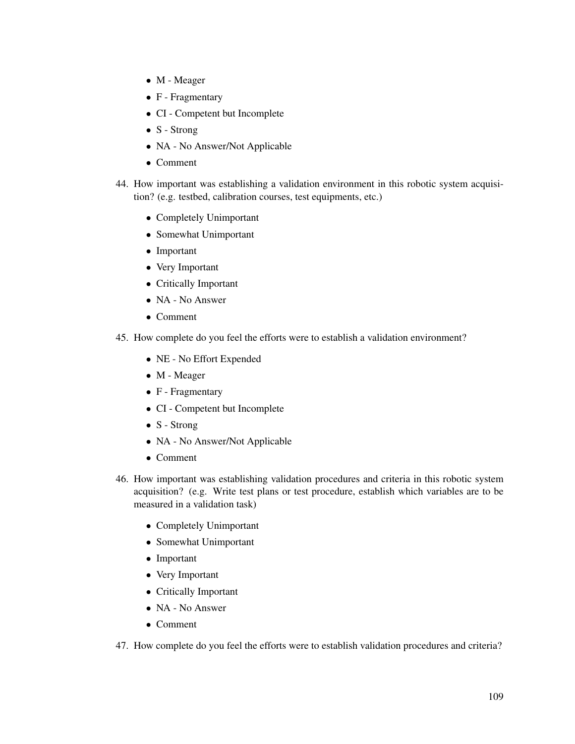- M Meager
- F Fragmentary
- CI Competent but Incomplete
- S Strong
- NA No Answer/Not Applicable
- Comment
- 44. How important was establishing a validation environment in this robotic system acquisition? (e.g. testbed, calibration courses, test equipments, etc.)
	- Completely Unimportant
	- Somewhat Unimportant
	- Important
	- Very Important
	- Critically Important
	- NA No Answer
	- Comment
- 45. How complete do you feel the efforts were to establish a validation environment?
	- NE No Effort Expended
	- M Meager
	- F Fragmentary
	- CI Competent but Incomplete
	- S Strong
	- NA No Answer/Not Applicable
	- Comment
- 46. How important was establishing validation procedures and criteria in this robotic system acquisition? (e.g. Write test plans or test procedure, establish which variables are to be measured in a validation task)
	- Completely Unimportant
	- Somewhat Unimportant
	- Important
	- Very Important
	- Critically Important
	- NA No Answer
	- Comment
- 47. How complete do you feel the efforts were to establish validation procedures and criteria?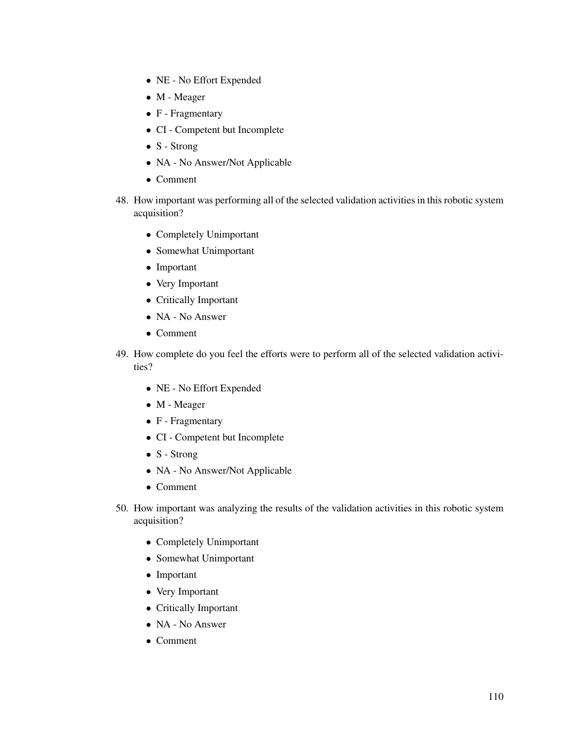- NE No Effort Expended
- M Meager
- F Fragmentary
- CI Competent but Incomplete
- S Strong
- NA No Answer/Not Applicable
- Comment
- 48. How important was performing all of the selected validation activities in this robotic system acquisition?
	- Completely Unimportant
	- Somewhat Unimportant
	- Important
	- Very Important
	- Critically Important
	- NA No Answer
	- Comment
- 49. How complete do you feel the efforts were to perform all of the selected validation activities?
	- NE No Effort Expended
	- M Meager
	- F Fragmentary
	- CI Competent but Incomplete
	- S Strong
	- NA No Answer/Not Applicable
	- Comment
- 50. How important was analyzing the results of the validation activities in this robotic system acquisition?
	- Completely Unimportant
	- Somewhat Unimportant
	- Important
	- Very Important
	- Critically Important
	- NA No Answer
	- Comment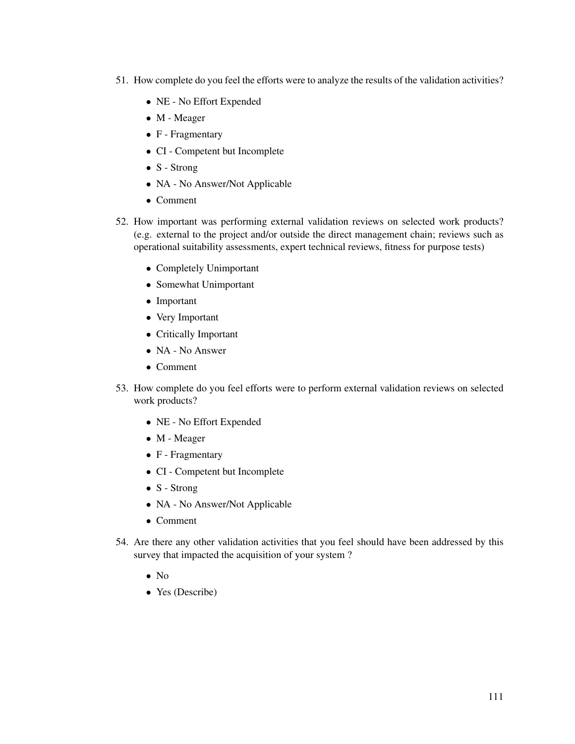- 51. How complete do you feel the efforts were to analyze the results of the validation activities?
	- NE No Effort Expended
	- M Meager
	- F Fragmentary
	- CI Competent but Incomplete
	- S Strong
	- NA No Answer/Not Applicable
	- Comment
- 52. How important was performing external validation reviews on selected work products? (e.g. external to the project and/or outside the direct management chain; reviews such as operational suitability assessments, expert technical reviews, fitness for purpose tests)
	- Completely Unimportant
	- Somewhat Unimportant
	- Important
	- Very Important
	- Critically Important
	- NA No Answer
	- Comment
- 53. How complete do you feel efforts were to perform external validation reviews on selected work products?
	- NE No Effort Expended
	- M Meager
	- F Fragmentary
	- CI Competent but Incomplete
	- S Strong
	- NA No Answer/Not Applicable
	- Comment
- 54. Are there any other validation activities that you feel should have been addressed by this survey that impacted the acquisition of your system ?
	- $\bullet$  No
	- Yes (Describe)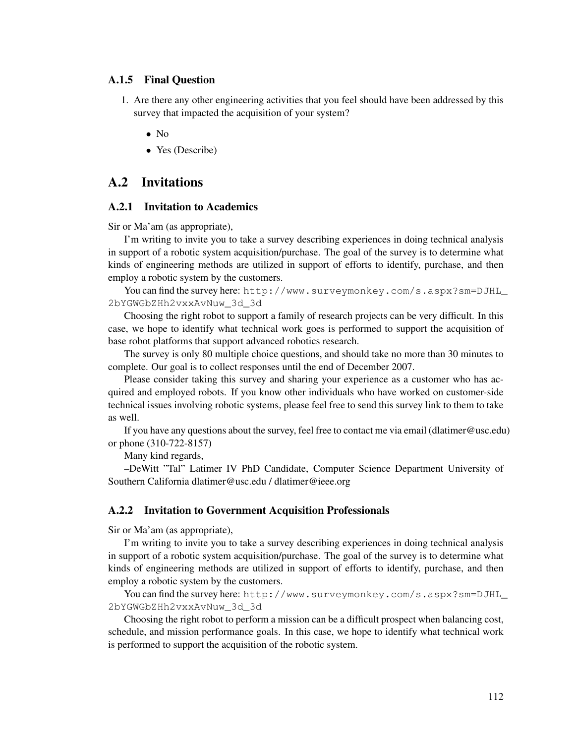#### A.1.5 Final Question

- 1. Are there any other engineering activities that you feel should have been addressed by this survey that impacted the acquisition of your system?
	- No
	- Yes (Describe)

## A.2 Invitations

#### A.2.1 Invitation to Academics

Sir or Ma'am (as appropriate),

I'm writing to invite you to take a survey describing experiences in doing technical analysis in support of a robotic system acquisition/purchase. The goal of the survey is to determine what kinds of engineering methods are utilized in support of efforts to identify, purchase, and then employ a robotic system by the customers.

You can find the survey here: http://www.surveymonkey.com/s.aspx?sm=DJHL\_ 2bYGWGbZHh2vxxAvNuw\_3d\_3d

Choosing the right robot to support a family of research projects can be very difficult. In this case, we hope to identify what technical work goes is performed to support the acquisition of base robot platforms that support advanced robotics research.

The survey is only 80 multiple choice questions, and should take no more than 30 minutes to complete. Our goal is to collect responses until the end of December 2007.

Please consider taking this survey and sharing your experience as a customer who has acquired and employed robots. If you know other individuals who have worked on customer-side technical issues involving robotic systems, please feel free to send this survey link to them to take as well.

If you have any questions about the survey, feel free to contact me via email (dlatimer@usc.edu) or phone (310-722-8157)

Many kind regards,

–DeWitt "Tal" Latimer IV PhD Candidate, Computer Science Department University of Southern California dlatimer@usc.edu / dlatimer@ieee.org

#### A.2.2 Invitation to Government Acquisition Professionals

Sir or Ma'am (as appropriate),

I'm writing to invite you to take a survey describing experiences in doing technical analysis in support of a robotic system acquisition/purchase. The goal of the survey is to determine what kinds of engineering methods are utilized in support of efforts to identify, purchase, and then employ a robotic system by the customers.

You can find the survey here: http://www.surveymonkey.com/s.aspx?sm=DJHL\_ 2bYGWGbZHh2vxxAvNuw\_3d\_3d

Choosing the right robot to perform a mission can be a difficult prospect when balancing cost, schedule, and mission performance goals. In this case, we hope to identify what technical work is performed to support the acquisition of the robotic system.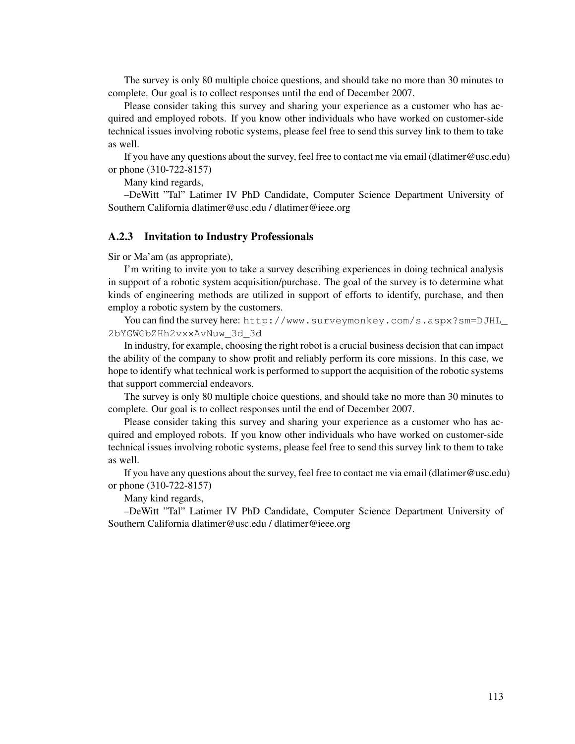The survey is only 80 multiple choice questions, and should take no more than 30 minutes to complete. Our goal is to collect responses until the end of December 2007.

Please consider taking this survey and sharing your experience as a customer who has acquired and employed robots. If you know other individuals who have worked on customer-side technical issues involving robotic systems, please feel free to send this survey link to them to take as well.

If you have any questions about the survey, feel free to contact me via email (dlatimer@usc.edu) or phone (310-722-8157)

Many kind regards,

–DeWitt "Tal" Latimer IV PhD Candidate, Computer Science Department University of Southern California dlatimer@usc.edu / dlatimer@ieee.org

#### A.2.3 Invitation to Industry Professionals

Sir or Ma'am (as appropriate),

I'm writing to invite you to take a survey describing experiences in doing technical analysis in support of a robotic system acquisition/purchase. The goal of the survey is to determine what kinds of engineering methods are utilized in support of efforts to identify, purchase, and then employ a robotic system by the customers.

You can find the survey here: http://www.surveymonkey.com/s.aspx?sm=DJHL\_ 2bYGWGbZHh2vxxAvNuw\_3d\_3d

In industry, for example, choosing the right robot is a crucial business decision that can impact the ability of the company to show profit and reliably perform its core missions. In this case, we hope to identify what technical work is performed to support the acquisition of the robotic systems that support commercial endeavors.

The survey is only 80 multiple choice questions, and should take no more than 30 minutes to complete. Our goal is to collect responses until the end of December 2007.

Please consider taking this survey and sharing your experience as a customer who has acquired and employed robots. If you know other individuals who have worked on customer-side technical issues involving robotic systems, please feel free to send this survey link to them to take as well.

If you have any questions about the survey, feel free to contact me via email (dlatimer@usc.edu) or phone (310-722-8157)

Many kind regards,

–DeWitt "Tal" Latimer IV PhD Candidate, Computer Science Department University of Southern California dlatimer@usc.edu / dlatimer@ieee.org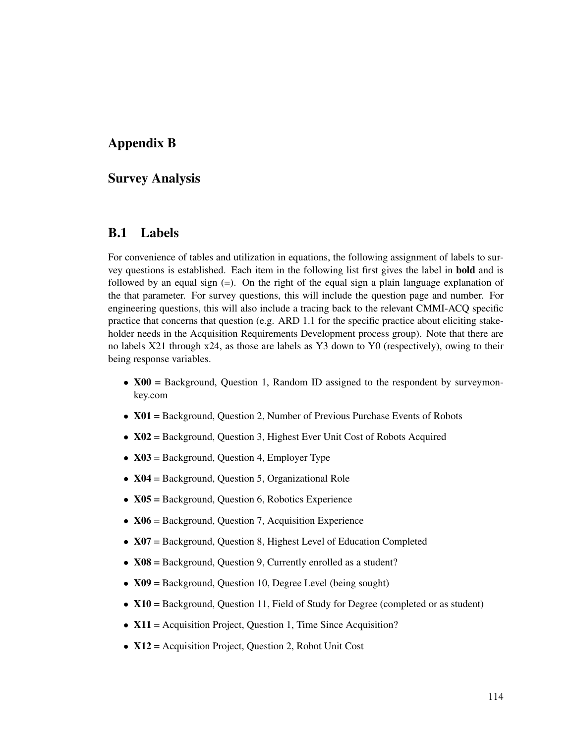# Appendix B

## Survey Analysis

## B.1 Labels

For convenience of tables and utilization in equations, the following assignment of labels to survey questions is established. Each item in the following list first gives the label in bold and is followed by an equal sign (=). On the right of the equal sign a plain language explanation of the that parameter. For survey questions, this will include the question page and number. For engineering questions, this will also include a tracing back to the relevant CMMI-ACQ specific practice that concerns that question (e.g. ARD 1.1 for the specific practice about eliciting stakeholder needs in the Acquisition Requirements Development process group). Note that there are no labels X21 through x24, as those are labels as Y3 down to Y0 (respectively), owing to their being response variables.

- X00 = Background, Question 1, Random ID assigned to the respondent by surveymonkey.com
- X01 = Background, Question 2, Number of Previous Purchase Events of Robots
- X02 = Background, Question 3, Highest Ever Unit Cost of Robots Acquired
- X03 = Background, Question 4, Employer Type
- X04 = Background, Question 5, Organizational Role
- X05 = Background, Question 6, Robotics Experience
- X06 = Background, Question 7, Acquisition Experience
- X07 = Background, Question 8, Highest Level of Education Completed
- X08 = Background, Question 9, Currently enrolled as a student?
- X09 = Background, Question 10, Degree Level (being sought)
- X10 = Background, Question 11, Field of Study for Degree (completed or as student)
- X11 = Acquisition Project, Question 1, Time Since Acquisition?
- X12 = Acquisition Project, Question 2, Robot Unit Cost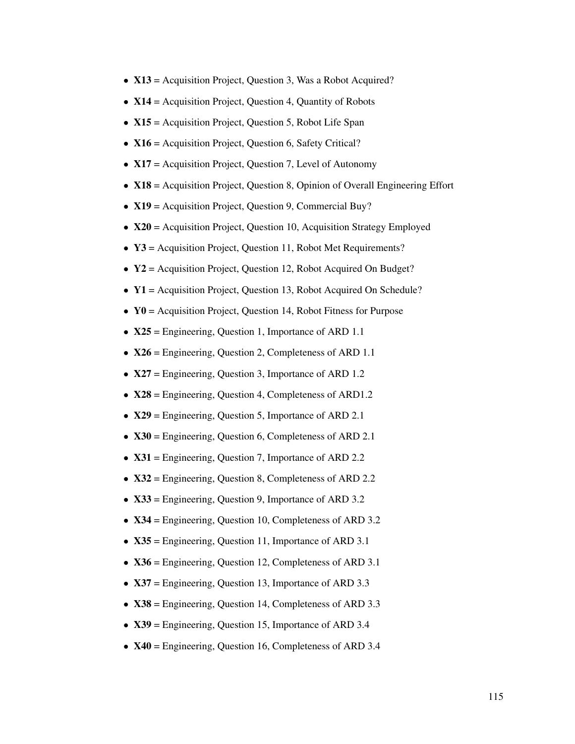- X13 = Acquisition Project, Question 3, Was a Robot Acquired?
- X14 = Acquisition Project, Question 4, Quantity of Robots
- X15 = Acquisition Project, Question 5, Robot Life Span
- X16 = Acquisition Project, Question 6, Safety Critical?
- X17 = Acquisition Project, Question 7, Level of Autonomy
- X18 = Acquisition Project, Question 8, Opinion of Overall Engineering Effort
- X19 = Acquisition Project, Question 9, Commercial Buy?
- X20 = Acquisition Project, Question 10, Acquisition Strategy Employed
- Y3 = Acquisition Project, Question 11, Robot Met Requirements?
- Y2 = Acquisition Project, Question 12, Robot Acquired On Budget?
- Y1 = Acquisition Project, Question 13, Robot Acquired On Schedule?
- $Y0$  = Acquisition Project, Question 14, Robot Fitness for Purpose
- X25 = Engineering, Question 1, Importance of ARD 1.1
- X26 = Engineering, Question 2, Completeness of ARD 1.1
- X27 = Engineering, Question 3, Importance of ARD 1.2
- X28 = Engineering, Question 4, Completeness of ARD1.2
- X29 = Engineering, Question 5, Importance of ARD 2.1
- X30 = Engineering, Question 6, Completeness of ARD 2.1
- X31 = Engineering, Question 7, Importance of ARD 2.2
- X32 = Engineering, Question 8, Completeness of ARD 2.2
- X33 = Engineering, Question 9, Importance of ARD 3.2
- X34 = Engineering, Question 10, Completeness of ARD 3.2
- X35 = Engineering, Question 11, Importance of ARD 3.1
- X36 = Engineering, Question 12, Completeness of ARD 3.1
- X37 = Engineering, Question 13, Importance of ARD 3.3
- X38 = Engineering, Question 14, Completeness of ARD 3.3
- X39 = Engineering, Question 15, Importance of ARD 3.4
- X40 = Engineering, Question 16, Completeness of ARD 3.4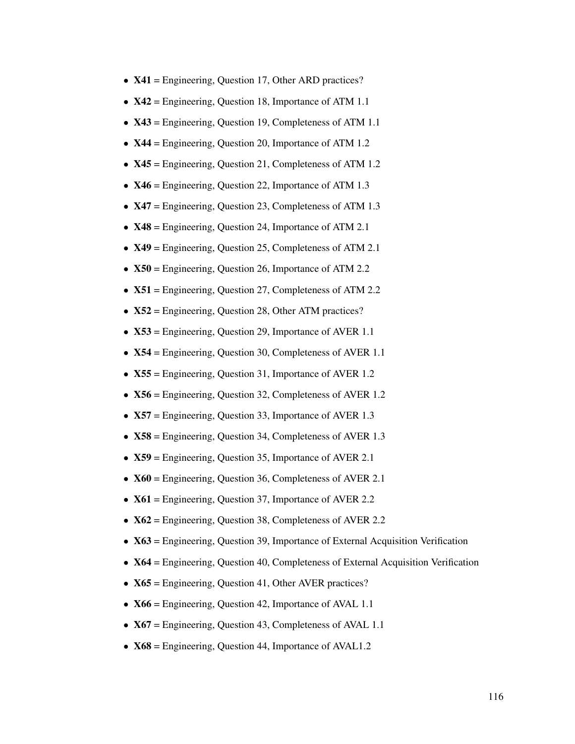- X41 = Engineering, Question 17, Other ARD practices?
- X42 = Engineering, Question 18, Importance of ATM 1.1
- X43 = Engineering, Question 19, Completeness of ATM 1.1
- X44 = Engineering, Question 20, Importance of ATM 1.2
- X45 = Engineering, Question 21, Completeness of ATM 1.2
- X46 = Engineering, Question 22, Importance of ATM 1.3
- X47 = Engineering, Question 23, Completeness of ATM 1.3
- X48 = Engineering, Question 24, Importance of ATM 2.1
- X49 = Engineering, Question 25, Completeness of ATM 2.1
- X50 = Engineering, Question 26, Importance of ATM 2.2
- X51 = Engineering, Question 27, Completeness of ATM 2.2
- X52 = Engineering, Question 28, Other ATM practices?
- X53 = Engineering, Question 29, Importance of AVER 1.1
- X54 = Engineering, Question 30, Completeness of AVER 1.1
- X55 = Engineering, Question 31, Importance of AVER 1.2
- X56 = Engineering, Question 32, Completeness of AVER 1.2
- X57 = Engineering, Question 33, Importance of AVER 1.3
- X58 = Engineering, Question 34, Completeness of AVER 1.3
- X59 = Engineering, Question 35, Importance of AVER 2.1
- X60 = Engineering, Question 36, Completeness of AVER 2.1
- X61 = Engineering, Question 37, Importance of AVER 2.2
- X62 = Engineering, Question 38, Completeness of AVER 2.2
- X63 = Engineering, Question 39, Importance of External Acquisition Verification
- X64 = Engineering, Question 40, Completeness of External Acquisition Verification
- X65 = Engineering, Question 41, Other AVER practices?
- X66 = Engineering, Question 42, Importance of AVAL 1.1
- X67 = Engineering, Question 43, Completeness of AVAL 1.1
- X68 = Engineering, Question 44, Importance of AVAL1.2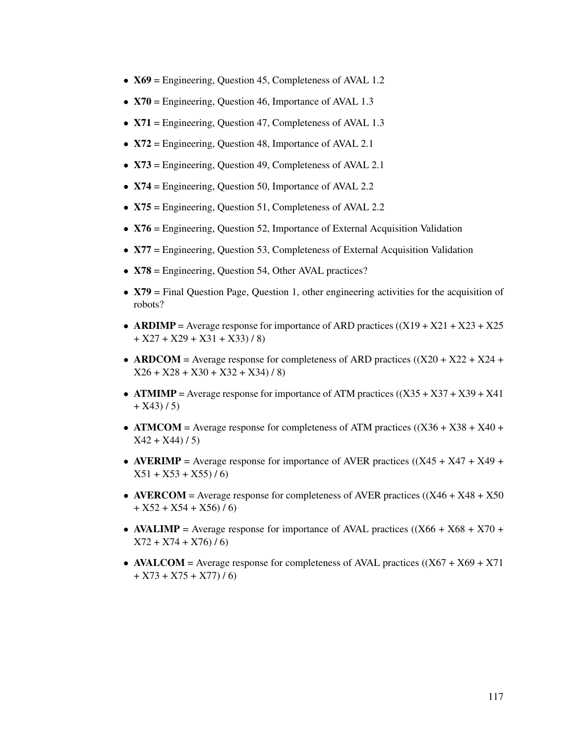- X69 = Engineering, Question 45, Completeness of AVAL 1.2
- X70 = Engineering, Question 46, Importance of AVAL 1.3
- X71 = Engineering, Question 47, Completeness of AVAL 1.3
- X72 = Engineering, Question 48, Importance of AVAL 2.1
- X73 = Engineering, Question 49, Completeness of AVAL 2.1
- X74 = Engineering, Question 50, Importance of AVAL 2.2
- X75 = Engineering, Question 51, Completeness of AVAL 2.2
- X76 = Engineering, Question 52, Importance of External Acquisition Validation
- X77 = Engineering, Question 53, Completeness of External Acquisition Validation
- X78 = Engineering, Question 54, Other AVAL practices?
- X79 = Final Question Page, Question 1, other engineering activities for the acquisition of robots?
- ARDIMP = Average response for importance of ARD practices  $((X19 + X21 + X23 + X25$ + X27 + X29 + X31 + X33) / 8)
- ARDCOM = Average response for completeness of ARD practices  $((X20 + X22 + X24 +$  $X26 + X28 + X30 + X32 + X34$  / 8)
- ATMIMP = Average response for importance of ATM practices  $((X35 + X37 + X39 + X41)$  $+ X43) / 5$
- ATMCOM = Average response for completeness of ATM practices  $((X36 + X38 + X40 +$  $X42 + X44$ ) / 5)
- AVERIMP = Average response for importance of AVER practices ( $(X45 + X47 + X49 +$  $X51 + X53 + X55$ )/6)
- AVERCOM = Average response for completeness of AVER practices  $((X46 + X48 + X50$  $+$  X52 + X54 + X56) / 6)
- AVALIMP = Average response for importance of AVAL practices ( $(X66 + X68 + X70 +$  $X72 + X74 + X76$ ) / 6)
- AVALCOM = Average response for completeness of AVAL practices  $((X67 + X69 + X71)$  $+ X73 + X75 + X77$ ) / 6)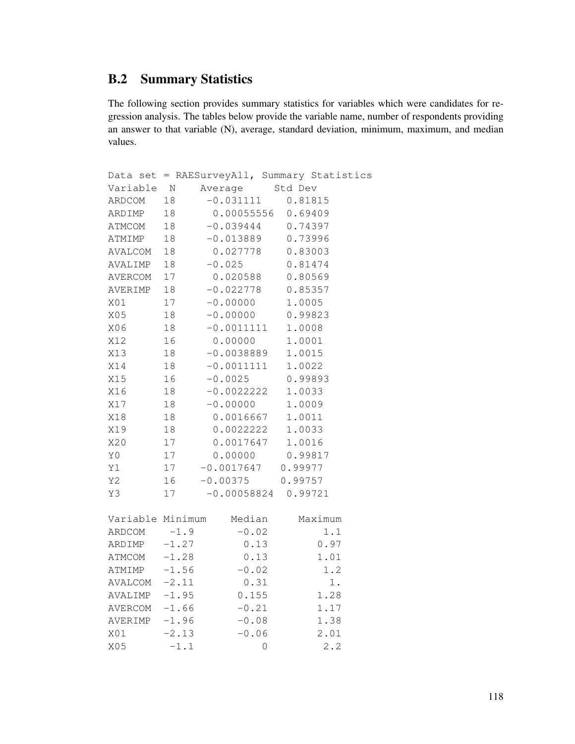# B.2 Summary Statistics

The following section provides summary statistics for variables which were candidates for regression analysis. The tables below provide the variable name, number of respondents providing an answer to that variable (N), average, standard deviation, minimum, maximum, and median values.

|                  |             |                      |         | Data set = RAESurveyAll, Summary Statistics |
|------------------|-------------|----------------------|---------|---------------------------------------------|
| Variable         | $\mathbb N$ | Average              | Std Dev |                                             |
| ARDCOM           | 18          | $-0.031111$          |         | 0.81815                                     |
| ARDIMP           | 18          | 0.00055556           |         | 0.69409                                     |
| <b>ATMCOM</b>    | 18          | $-0.039444$          |         | 0.74397                                     |
| ATMIMP           | 18          | $-0.013889$          |         | 0.73996                                     |
| AVALCOM          | 18          | 0.027778             |         | 0.83003                                     |
| AVALIMP          | 18          | $-0.025$             |         | 0.81474                                     |
| <b>AVERCOM</b>   | 17          | 0.020588             |         | 0.80569                                     |
| AVERIMP          | 18          | $-0.022778$          |         | 0.85357                                     |
| X01              | 17          | $-0.00000$           | 1.0005  |                                             |
| X05              | 18          | $-0.00000$           |         | 0.99823                                     |
| X06              | 18          | $-0.0011111$         | 1.0008  |                                             |
| X12              | 16          | 0.00000              | 1.0001  |                                             |
| X13              | 18          | $-0.0038889$         | 1.0015  |                                             |
| X14              | 18          | $-0.0011111$         | 1.0022  |                                             |
| X15              | 16          | $-0.0025$            |         | 0.99893                                     |
| X16              | 18          | $-0.0022222$         | 1.0033  |                                             |
| X17              | 18          | $-0.00000$           | 1.0009  |                                             |
| X18              | 18          | 0.0016667            | 1.0011  |                                             |
| X19              | 18          | 0.0022222            | 1.0033  |                                             |
| X20              | 17          | 0.0017647            | 1.0016  |                                             |
| $\rm Y\,0$       | 17          | 0.00000              | 0.99817 |                                             |
| Y1               | 17          | $-0.0017647$ 0.99977 |         |                                             |
| Y2               | 16          | $-0.00375$           | 0.99757 |                                             |
| Y3               | 17          | $-0.00058824$        |         | 0.99721                                     |
| Variable Minimum |             | Median               |         | Maximum                                     |
| ARDCOM           | $-1.9$      | $-0.02$              |         | $1.1\,$                                     |
| ARDIMP           | $-1.27$     | 0.13                 |         | 0.97                                        |
| ATMCOM           | $-1.28$     | 0.13                 |         | 1.01                                        |
| ATMIMP           | $-1.56$     | $-0.02$              |         | 1.2                                         |
| AVALCOM          | $-2.11$     | 0.31                 |         | $1$ .                                       |
| AVALIMP          | $-1.95$     | 0.155                |         | 1.28                                        |
| AVERCOM          | $-1.66$     | $-0.21$              |         | 1.17                                        |
| AVERIMP          | $-1.96$     | $-0.08$              |         | 1.38                                        |
| X01              | $-2.13$     | $-0.06$              |         | 2.01                                        |
| X05              | $-1.1$      |                      | 0       | 2.2                                         |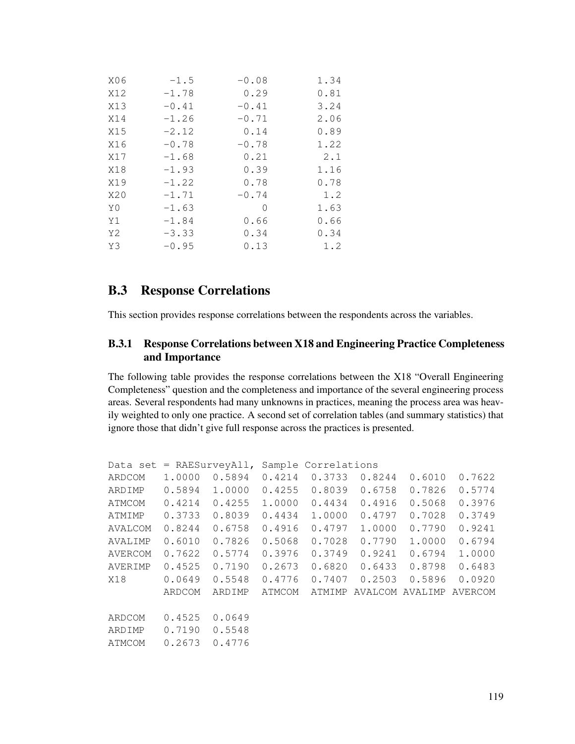| X06 | $-1.5$  | $-0.08$ | 1.34 |
|-----|---------|---------|------|
| X12 | $-1.78$ | 0.29    | 0.81 |
| X13 | $-0.41$ | $-0.41$ | 3.24 |
| X14 | $-1.26$ | $-0.71$ | 2.06 |
| X15 | $-2.12$ | 0.14    | 0.89 |
| X16 | $-0.78$ | $-0.78$ | 1.22 |
| X17 | $-1.68$ | 0.21    | 2.1  |
| X18 | $-1.93$ | 0.39    | 1.16 |
| X19 | $-1.22$ | 0.78    | 0.78 |
| X20 | $-1.71$ | $-0.74$ | 1.2  |
| Y0  | $-1.63$ | 0       | 1.63 |
| Y1  | $-1.84$ | 0.66    | 0.66 |
| Y2  | $-3.33$ | 0.34    | 0.34 |
| Y3  | $-0.95$ | 0.13    | 1.2  |

# B.3 Response Correlations

This section provides response correlations between the respondents across the variables.

### B.3.1 Response Correlations between X18 and Engineering Practice Completeness and Importance

The following table provides the response correlations between the X18 "Overall Engineering Completeness" question and the completeness and importance of the several engineering process areas. Several respondents had many unknowns in practices, meaning the process area was heavily weighted to only one practice. A second set of correlation tables (and summary statistics) that ignore those that didn't give full response across the practices is presented.

| Data set      |        | $=$ RAESurveyAll, |        | Sample Correlations |         |         |         |
|---------------|--------|-------------------|--------|---------------------|---------|---------|---------|
| ARDCOM        | 1,0000 | 0.5894            | 0.4214 | 0.3733              | 0.8244  | 0.6010  | 0.7622  |
| ARDIMP        | 0.5894 | 1,0000            | 0.4255 | 0.8039              | 0.6758  | 0.7826  | 0.5774  |
| <b>ATMCOM</b> | 0.4214 | 0.4255            | 1,0000 | 0.4434              | 0.4916  | 0.5068  | 0.3976  |
| ATMIMP        | 0.3733 | 0.8039            | 0.4434 | 1,0000              | 0.4797  | 0.7028  | 0.3749  |
| AVALCOM       | 0.8244 | 0.6758            | 0.4916 | 0.4797              | 1,0000  | 0.7790  | 0.9241  |
| AVALIMP       | 0.6010 | 0.7826            | 0.5068 | 0.7028              | 0.7790  | 1,0000  | 0.6794  |
| AVERCOM       | 0.7622 | 0.5774            | 0.3976 | 0.3749              | 0.9241  | 0.6794  | 1,0000  |
| AVERIMP       | 0.4525 | 0.7190            | 0.2673 | 0.6820              | 0.6433  | 0.8798  | 0.6483  |
| X18           | 0.0649 | 0.5548            | 0.4776 | 0.7407              | 0.2503  | 0.5896  | 0.0920  |
|               | ARDCOM | ARDIMP            | ATMCOM | ATMIMP              | AVALCOM | AVALIMP | AVERCOM |
| ARDCOM        | 0.4525 | 0.0649            |        |                     |         |         |         |
| ARDIMP        | 0.7190 | 0.5548            |        |                     |         |         |         |
| <b>ATMCOM</b> | 0.2673 | 0.4776            |        |                     |         |         |         |
|               |        |                   |        |                     |         |         |         |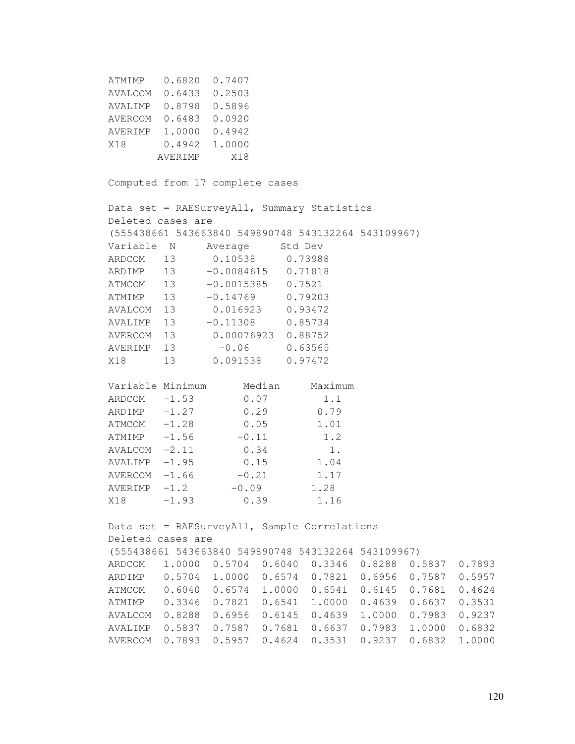```
ATMIMP 0.6820 0.7407
AVALCOM 0.6433 0.2503
AVALIMP 0.8798 0.5896
AVERCOM 0.6483 0.0920
AVERIMP 1.0000 0.4942
X18 0.4942 1.0000
      AVERIMP X18
Computed from 17 complete cases
Data set = RAESurveyAll, Summary Statistics
Deleted cases are
(555438661 543663840 549890748 543132264 543109967)
Variable N Average Std Dev
ARDCOM 13 0.10538 0.73988
ARDIMP 13 -0.0084615 0.71818
ATMCOM 13 -0.0015385 0.7521
ATMIMP 13 -0.14769 0.79203
AVALCOM 13 0.016923 0.93472
AVALIMP 13 -0.11308 0.85734
AVERCOM 13 0.00076923 0.88752
AVERIMP 13 -0.06 0.63565
X18 13 0.091538 0.97472
Variable Minimum Median Maximum
ARDCOM -1.53 0.07 1.1
ARDIMP -1.27 0.29 0.79
ATMCOM -1.28 0.05 1.01
ATMIMP -1.56 -0.11 1.2AVALCOM -2.11 0.34 1.
AVALIMP -1.95 0.15 1.04
AVERCOM -1.66 -0.21 1.17AVERIMP -1.2 -0.09 1.28X18 -1.93 0.39 1.16
Data set = RAESurveyAll, Sample Correlations
Deleted cases are
(555438661 543663840 549890748 543132264 543109967)
ARDCOM 1.0000 0.5704 0.6040 0.3346 0.8288 0.5837 0.7893
ARDIMP 0.5704 1.0000 0.6574 0.7821 0.6956 0.7587 0.5957
ATMCOM 0.6040 0.6574 1.0000 0.6541 0.6145 0.7681 0.4624
ATMIMP 0.3346 0.7821 0.6541 1.0000 0.4639 0.6637 0.3531
AVALCOM 0.8288 0.6956 0.6145 0.4639 1.0000 0.7983 0.9237
AVALIMP 0.5837 0.7587 0.7681 0.6637 0.7983 1.0000 0.6832
AVERCOM 0.7893 0.5957 0.4624 0.3531 0.9237 0.6832 1.0000
```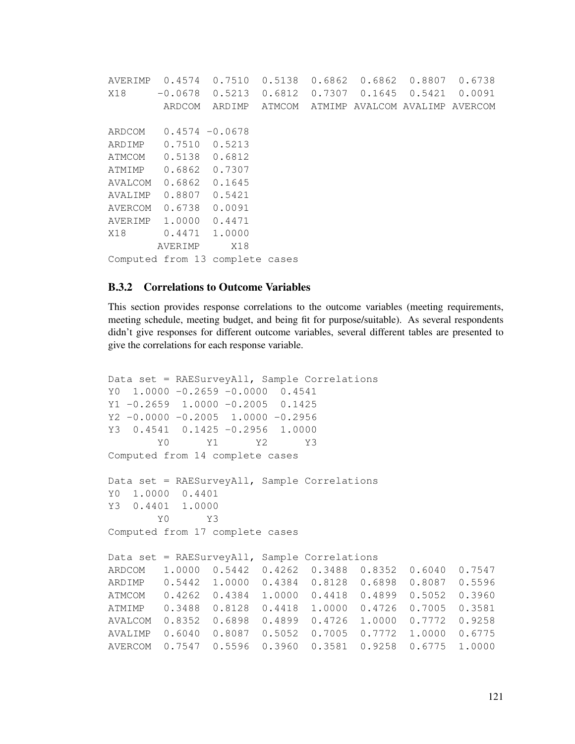```
AVERIMP 0.4574 0.7510 0.5138 0.6862 0.6862 0.8807 0.6738
X18 -0.0678 0.5213 0.6812 0.7307 0.1645 0.5421 0.0091
        ARDCOM ARDIMP ATMCOM ATMIMP AVALCOM AVALIMP AVERCOM
ARDCOM 0.4574 -0.0678
ARDIMP 0.7510 0.5213
ATMCOM 0.5138 0.6812
ATMIMP 0.6862 0.7307
AVALCOM 0.6862 0.1645
AVALIMP 0.8807 0.5421
AVERCOM 0.6738 0.0091
AVERIMP 1.0000 0.4471
X18 0.4471 1.0000
       AVERIMP X18
Computed from 13 complete cases
```
## B.3.2 Correlations to Outcome Variables

This section provides response correlations to the outcome variables (meeting requirements, meeting schedule, meeting budget, and being fit for purpose/suitable). As several respondents didn't give responses for different outcome variables, several different tables are presented to give the correlations for each response variable.

```
Data set = RAESurveyAll, Sample Correlations
Y0 1.0000 -0.2659 -0.0000 0.4541
Y1 -0.2659 1.0000 -0.2005 0.1425
Y2 -0.0000 -0.2005 1.0000 -0.2956
Y3 0.4541 0.1425 -0.2956 1.0000
       Y0 Y1 Y2 Y3
Computed from 14 complete cases
Data set = RAESurveyAll, Sample Correlations
Y0 1.0000 0.4401
Y3 0.4401 1.0000
       Y0 Y3
Computed from 17 complete cases
Data set = RAESurveyAll, Sample Correlations
ARDCOM 1.0000 0.5442 0.4262 0.3488 0.8352 0.6040 0.7547
ARDIMP 0.5442 1.0000 0.4384 0.8128 0.6898 0.8087 0.5596
ATMCOM 0.4262 0.4384 1.0000 0.4418 0.4899 0.5052 0.3960
ATMIMP 0.3488 0.8128 0.4418 1.0000 0.4726 0.7005 0.3581
AVALCOM 0.8352 0.6898 0.4899 0.4726 1.0000 0.7772 0.9258
AVALIMP 0.6040 0.8087 0.5052 0.7005 0.7772 1.0000 0.6775
AVERCOM 0.7547 0.5596 0.3960 0.3581 0.9258 0.6775 1.0000
```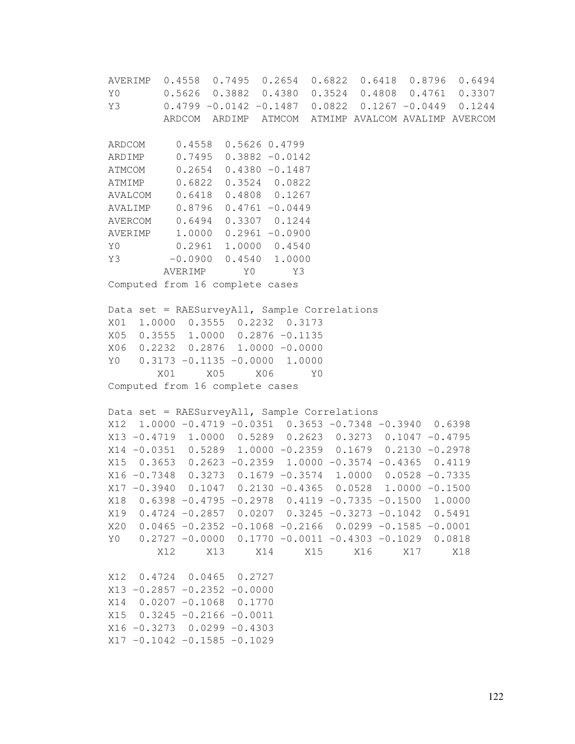AVERIMP 0.4558 0.7495 0.2654 0.6822 0.6418 0.8796 0.6494 Y0 0.5626 0.3882 0.4380 0.3524 0.4808 0.4761 0.3307 Y3 0.4799 -0.0142 -0.1487 0.0822 0.1267 -0.0449 0.1244 ARDCOM ARDIMP ATMCOM ATMIMP AVALCOM AVALIMP AVERCOM ARDCOM 0.4558 0.5626 0.4799 ARDIMP 0.7495 0.3882 -0.0142 ATMCOM 0.2654 0.4380 -0.1487 ATMIMP 0.6822 0.3524 0.0822 AVALCOM 0.6418 0.4808 0.1267 AVALIMP 0.8796 0.4761 -0.0449 AVERCOM 0.6494 0.3307 0.1244 AVERIMP 1.0000 0.2961 -0.0900 Y0 0.2961 1.0000 0.4540 Y3 -0.0900 0.4540 1.0000 AVERIMP Y0 Y3 Computed from 16 complete cases Data set = RAESurveyAll, Sample Correlations X01 1.0000 0.3555 0.2232 0.3173 X05 0.3555 1.0000 0.2876 -0.1135 X06 0.2232 0.2876 1.0000 -0.0000 Y0 0.3173 -0.1135 -0.0000 1.0000 X01 X05 X06 Y0 Computed from 16 complete cases Data set = RAESurveyAll, Sample Correlations X12 1.0000 -0.4719 -0.0351 0.3653 -0.7348 -0.3940 0.6398 X13 -0.4719 1.0000 0.5289 0.2623 0.3273 0.1047 -0.4795 X14 -0.0351 0.5289 1.0000 -0.2359 0.1679 0.2130 -0.2978  $X15$  0.3653 0.2623 -0.2359 1.0000 -0.3574 -0.4365 0.4119 X16 -0.7348 0.3273 0.1679 -0.3574 1.0000 0.0528 -0.7335 X17 -0.3940 0.1047 0.2130 -0.4365 0.0528 1.0000 -0.1500 X18 0.6398 -0.4795 -0.2978 0.4119 -0.7335 -0.1500 1.0000 X19 0.4724 -0.2857 0.0207 0.3245 -0.3273 -0.1042 0.5491  $X20$  0.0465 -0.2352 -0.1068 -0.2166 0.0299 -0.1585 -0.0001 Y0 0.2727 -0.0000 0.1770 -0.0011 -0.4303 -0.1029 0.0818 X12 X13 X14 X15 X16 X17 X18 X12 0.4724 0.0465 0.2727  $X13 -0.2857 -0.2352 -0.0000$ X14 0.0207 -0.1068 0.1770 X15 0.3245 -0.2166 -0.0011 X16 -0.3273 0.0299 -0.4303 X17 -0.1042 -0.1585 -0.1029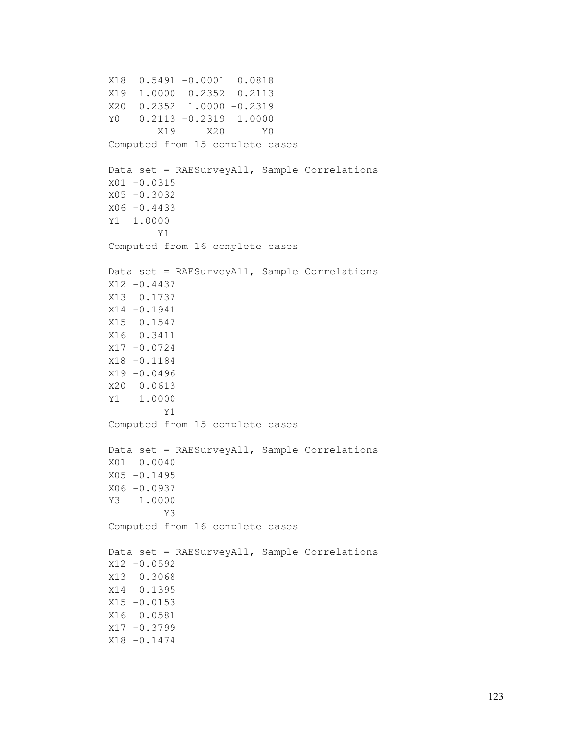```
X18 0.5491 -0.0001 0.0818
X19 1.0000 0.2352 0.2113
X20 0.2352 1.0000 -0.2319
Y0 0.2113 -0.2319 1.0000
       X19 X20 Y0
Computed from 15 complete cases
Data set = RAESurveyAll, Sample Correlations
X01 - 0.0315X05 -0.3032X06 -0.4433Y1 1.0000
       Y1
Computed from 16 complete cases
Data set = RAESurveyAll, Sample Correlations
X12 -0.4437
X13 0.1737
X14 -0.1941
X15 0.1547
X16 0.3411
X17 -0.0724
X18 -0.1184
X19 - 0.0496X20 0.0613
Y1 1.0000
        Y1
Computed from 15 complete cases
Data set = RAESurveyAll, Sample Correlations
X01 0.0040
X05 -0.1495X06 -0.0937Y3 1.0000
        Y3
Computed from 16 complete cases
Data set = RAESurveyAll, Sample Correlations
X12 -0.0592X13 0.3068
X14 0.1395
X15 - 0.0153X16 0.0581
X17 -0.3799
X18 -0.1474
```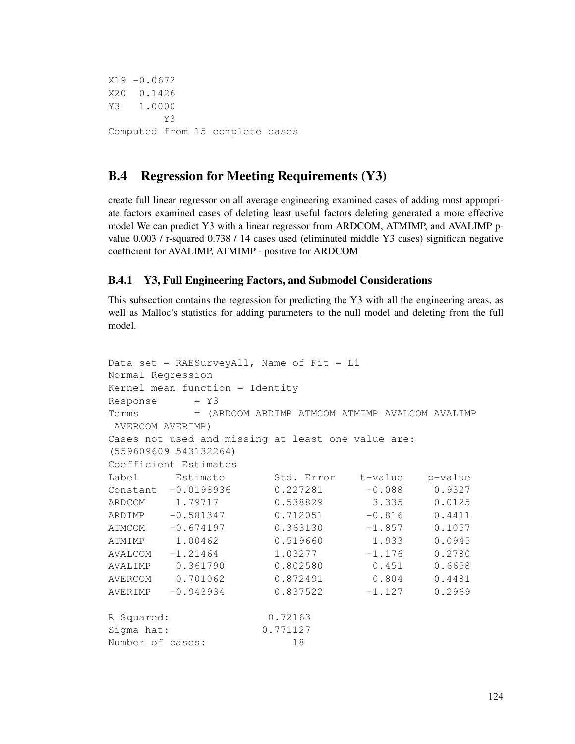```
X19 -0.0672
X20 0.1426
Y3 1.0000
         Y3
Computed from 15 complete cases
```
## B.4 Regression for Meeting Requirements (Y3)

create full linear regressor on all average engineering examined cases of adding most appropriate factors examined cases of deleting least useful factors deleting generated a more effective model We can predict Y3 with a linear regressor from ARDCOM, ATMIMP, and AVALIMP pvalue 0.003 / r-squared 0.738 / 14 cases used (eliminated middle Y3 cases) significan negative coefficient for AVALIMP, ATMIMP - positive for ARDCOM

## B.4.1 Y3, Full Engineering Factors, and Submodel Considerations

This subsection contains the regression for predicting the Y3 with all the engineering areas, as well as Malloc's statistics for adding parameters to the null model and deleting from the full model.

```
Data set = RAESurveyAll, Name of Fit = L1
Normal Regression
Kernel mean function = Identity
Response = Y3Terms = (ARDCOM ARDIMP ATMCOM ATMIMP AVALCOM AVALIMP
AVERCOM AVERIMP)
Cases not used and missing at least one value are:
(559609609 543132264)
Coefficient Estimates
Label Estimate Std. Error t-value p-value
Constant -0.0198936 0.227281 -0.088 0.9327
ARDCOM 1.79717 0.538829 3.335 0.0125
ARDIMP -0.581347 0.712051 -0.816 0.4411
ATMCOM -0.674197 0.363130 -1.857 0.1057
ATMIMP 1.00462 0.519660 1.933 0.0945
AVALCOM -1.21464 1.03277 -1.176 0.2780
AVALIMP 0.361790 0.802580 0.451 0.6658
AVERCOM 0.701062 0.872491 0.804 0.4481
AVERIMP -0.943934 0.837522 -1.127 0.2969
R Squared: 0.72163
Sigma hat: 0.771127
Number of cases: 18
```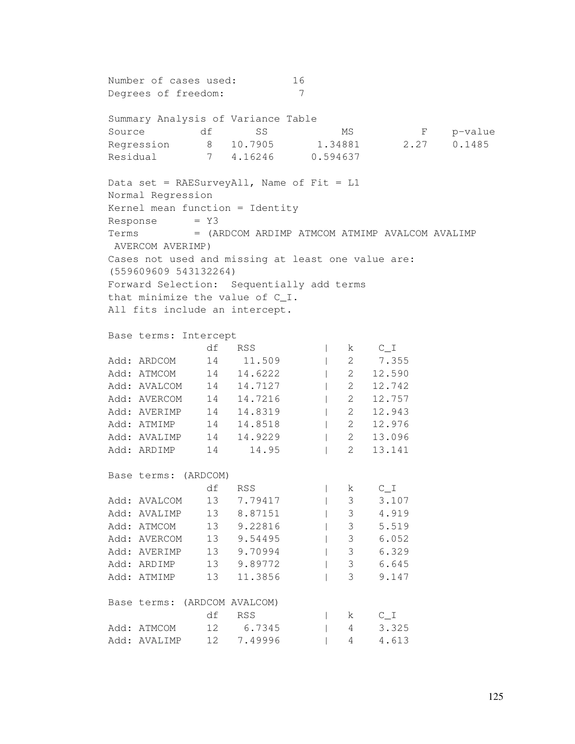Number of cases used: 16 Degrees of freedom: 7 Summary Analysis of Variance Table Source df SS MS F p-value Regression 8 10.7905 1.34881 2.27 0.1485 Residual 7 4.16246 0.594637 Data set = RAESurveyAll, Name of Fit =  $LI$ Normal Regression Kernel mean function = Identity  $Response = Y3$ Terms = (ARDCOM ARDIMP ATMCOM ATMIMP AVALCOM AVALIMP AVERCOM AVERIMP) Cases not used and missing at least one value are: (559609609 543132264) Forward Selection: Sequentially add terms that minimize the value of C\_I. All fits include an intercept. Base terms: Intercept df RSS | k C\_I Add: ARDCOM 14 11.509 | 2 7.355 Add: ATMCOM 14 14.6222 | 2 12.590 Add: AVALCOM 14 14.7127 | 2 12.742 Add: AVERCOM 14 14.7216 | 2 12.757<br>Add: AVERIMP 14 14.8319 | 2 12.943 Add: AVERIMP 14 14.8319 Add: ATMIMP 14 14.8518 | 2 12.976 Add: AVALIMP 14 14.9229 | 2 13.096 Add: ARDIMP 14 14.95 | 2 13.141 Base terms: (ARDCOM) df RSS | k C I Add: AVALCOM 13 7.79417 | 3 3.107 Add: AVALIMP 13 8.87151 | 3 4.919 Add: ATMCOM 13 9.22816 | 3 5.519 Add: AVERCOM 13 9.54495 Add: AVERIMP 13 9.70994 Add: AVERCOM 13 9.54455<br>
Add: AVERIMP 13 9.70994 | 3 6.329<br>
Add: ARDIMP 13 9.89772 | 3 6.645 Add: ATMIMP 13 11.3856 | 3 9.147 Base terms: (ARDCOM AVALCOM) df RSS  $| k C_I I$ Add: ATMCOM 12 6.7345 | 4 3.325 Add: AVALIMP 12 7.49996 | 4 4.613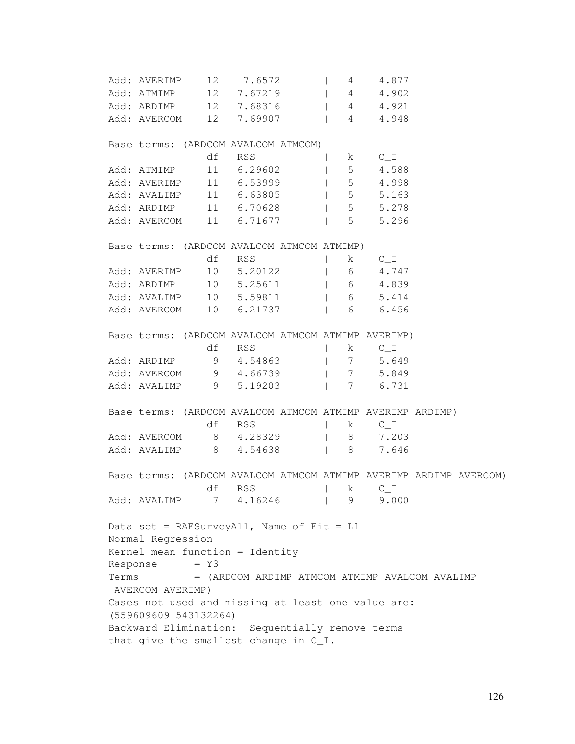|       |                       |        | Add: AVERIMP 12 7.6572                                    |  | 4                                            | 4.877                                        |                                                                   |
|-------|-----------------------|--------|-----------------------------------------------------------|--|----------------------------------------------|----------------------------------------------|-------------------------------------------------------------------|
|       |                       |        | Add: ATMIMP 12 7.67219                                    |  |                                              | 4 4.902                                      |                                                                   |
|       |                       |        | Add: ARDIMP 12 7.68316                                    |  |                                              | 1 4 4.921                                    |                                                                   |
|       |                       |        | Add: AVERCOM 12 7.69907                                   |  |                                              | 4 4.948                                      |                                                                   |
|       |                       |        |                                                           |  |                                              |                                              |                                                                   |
|       |                       |        | Base terms: (ARDCOM AVALCOM ATMCOM)                       |  |                                              |                                              |                                                                   |
|       |                       |        | df RSS                                                    |  |                                              | k $C_I I$                                    |                                                                   |
|       | Add: ATMIMP           |        | 11 6.29602                                                |  | $5\overline{5}$                              | 4.588                                        |                                                                   |
|       |                       |        | Add: AVERIMP 11 6.53999                                   |  | $\begin{array}{ccc} \vert & & 5 \end{array}$ | 4.998                                        |                                                                   |
|       |                       |        | Add: AVALIMP 11 6.63805                                   |  |                                              | 1 5 5.163                                    |                                                                   |
|       |                       |        | Add: ARDIMP 11 6.70628                                    |  |                                              | 1 5 5.278                                    |                                                                   |
|       |                       |        | Add: AVERCOM 11 6.71677                                   |  |                                              | 5 5.296                                      |                                                                   |
|       |                       |        | Base terms: (ARDCOM AVALCOM ATMCOM ATMIMP)                |  |                                              |                                              |                                                                   |
|       |                       |        | df RSS                                                    |  |                                              |                                              |                                                                   |
|       |                       |        | Add: AVERIMP 10 5.20122                                   |  |                                              | k C_I<br>1 6 4.747                           |                                                                   |
|       |                       |        |                                                           |  |                                              | 1 6 4.839                                    |                                                                   |
|       |                       |        | Add: ARDIMP 10 5.25611                                    |  |                                              | $\begin{array}{ccc} & 6 & 5.414 \end{array}$ |                                                                   |
|       |                       |        | Add: AVALIMP 10 5.59811                                   |  |                                              | 1 6 6.456                                    |                                                                   |
|       |                       |        | Add: AVERCOM 10 6.21737                                   |  |                                              |                                              |                                                                   |
|       |                       |        | Base terms: (ARDCOM AVALCOM ATMCOM ATMIMP AVERIMP)        |  |                                              |                                              |                                                                   |
|       |                       |        | df RSS                                                    |  |                                              | k $C_I$                                      |                                                                   |
|       |                       |        | Add: ARDIMP 9 4.54863                                     |  |                                              | 1 7 5.649                                    |                                                                   |
|       |                       |        | Add: AVERCOM 9 4.66739                                    |  |                                              | 1 7 5.849                                    |                                                                   |
|       |                       |        | Add: AVALIMP 9 5.19203                                    |  |                                              | 7 6.731                                      |                                                                   |
|       |                       |        |                                                           |  |                                              |                                              |                                                                   |
|       |                       |        | Base terms: (ARDCOM AVALCOM ATMCOM ATMIMP AVERIMP ARDIMP) |  |                                              |                                              |                                                                   |
|       |                       |        | df RSS                                                    |  |                                              | $\vert$ k $C_I$                              |                                                                   |
|       |                       |        | Add: AVERCOM 8 4.28329                                    |  |                                              | 8 7.203                                      |                                                                   |
|       |                       |        | Add: AVALIMP 8 4.54638                                    |  |                                              | 8 7.646                                      |                                                                   |
|       |                       |        |                                                           |  |                                              |                                              | Base terms: (ARDCOM AVALCOM ATMCOM ATMIMP AVERIMP ARDIMP AVERCOM) |
|       |                       |        | df RSS                                                    |  | k                                            | $C_{I}$                                      |                                                                   |
|       | Add: AVALIMP          |        | 4.16246                                                   |  |                                              | 9 9.000                                      |                                                                   |
|       |                       |        | Data set = RAESurveyAll, Name of Fit = $L1$               |  |                                              |                                              |                                                                   |
|       | Normal Regression     |        |                                                           |  |                                              |                                              |                                                                   |
|       |                       |        | Kernel mean function = Identity                           |  |                                              |                                              |                                                                   |
|       | Response              | $= Y3$ |                                                           |  |                                              |                                              |                                                                   |
|       |                       |        |                                                           |  |                                              |                                              |                                                                   |
| Terms |                       |        | = (ARDCOM ARDIMP ATMCOM ATMIMP AVALCOM AVALIMP            |  |                                              |                                              |                                                                   |
|       | AVERCOM AVERIMP)      |        |                                                           |  |                                              |                                              |                                                                   |
|       | (559609609 543132264) |        | Cases not used and missing at least one value are:        |  |                                              |                                              |                                                                   |
|       |                       |        | Backward Elimination: Sequentially remove terms           |  |                                              |                                              |                                                                   |
|       |                       |        | that give the smallest change in C_I.                     |  |                                              |                                              |                                                                   |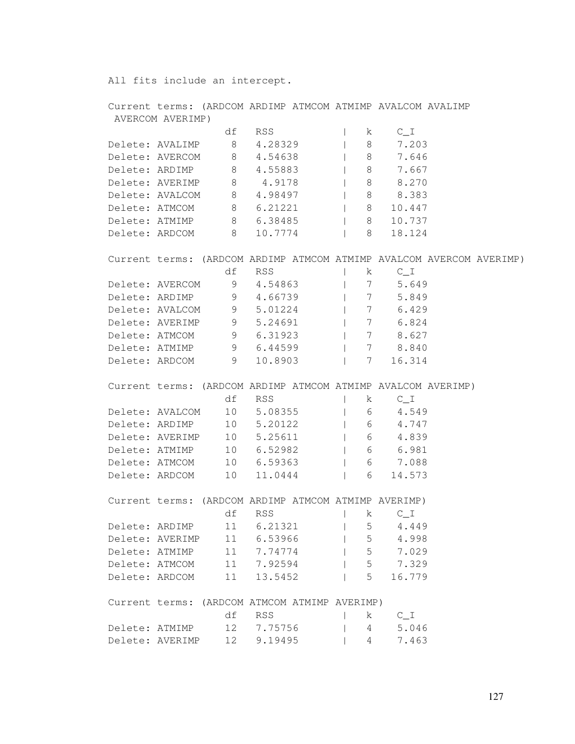All fits include an intercept.

|                           |                  |                                |                    |  |                                            | Current terms: (ARDCOM ARDIMP ATMCOM ATMIMP AVALCOM AVALIMP  |                                                                      |
|---------------------------|------------------|--------------------------------|--------------------|--|--------------------------------------------|--------------------------------------------------------------|----------------------------------------------------------------------|
|                           | AVERCOM AVERIMP) |                                |                    |  |                                            |                                                              |                                                                      |
|                           |                  |                                | df RSS             |  |                                            | $C_1$<br>$k =$                                               |                                                                      |
| Delete: AVALIMP 8 4.28329 |                  |                                |                    |  |                                            | 7.203<br>8                                                   |                                                                      |
| Delete: AVERCOM 8 4.54638 |                  |                                |                    |  | $\begin{array}{ccc} \end{array}$ 8         | 7.646                                                        |                                                                      |
| Delete: ARDIMP 8 4.55883  |                  |                                |                    |  | 8                                          | 7.667                                                        |                                                                      |
| Delete: AVERIMP 8 4.9178  |                  |                                |                    |  | 8                                          | 8.270                                                        |                                                                      |
| Delete: AVALCOM 8 4.98497 |                  |                                |                    |  |                                            | 8 8.383                                                      |                                                                      |
| Delete: ATMCOM 8 6.21221  |                  |                                |                    |  | 8                                          | 10.447                                                       |                                                                      |
| Delete: ATMIMP 8 6.38485  |                  |                                |                    |  | $\begin{array}{ccc} \n & 8 \n \end{array}$ | 10.737                                                       |                                                                      |
| Delete: ARDCOM 8 10.7774  |                  |                                |                    |  | $\begin{array}{ccc} \end{array}$ 8         | 18.124                                                       |                                                                      |
|                           |                  |                                |                    |  |                                            |                                                              |                                                                      |
|                           |                  |                                |                    |  |                                            |                                                              | Current terms: (ARDCOM ARDIMP ATMCOM ATMIMP AVALCOM AVERCOM AVERIMP) |
|                           |                  | df                             | RSS                |  |                                            | k<br>$C_1$                                                   |                                                                      |
| Delete: AVERCOM 9 4.54863 |                  |                                |                    |  |                                            | 5.649<br>7                                                   |                                                                      |
| Delete: ARDIMP 9 4.66739  |                  |                                |                    |  | 7                                          | 5.849                                                        |                                                                      |
| Delete: AVALCOM 9 5.01224 |                  |                                |                    |  |                                            | 7 6.429                                                      |                                                                      |
| Delete: AVERIMP 9 5.24691 |                  |                                |                    |  |                                            | 7 6.824                                                      |                                                                      |
| Delete: ATMCOM 9 6.31923  |                  |                                |                    |  |                                            | 1 7 8.627                                                    |                                                                      |
| Delete: ATMIMP 9 6.44599  |                  |                                |                    |  |                                            | 1 7 8.840                                                    |                                                                      |
| Delete: ARDCOM 9          |                  |                                | 10.8903            |  | 7                                          | 16.314                                                       |                                                                      |
|                           |                  |                                |                    |  |                                            |                                                              |                                                                      |
|                           |                  |                                |                    |  |                                            | Current terms: (ARDCOM ARDIMP ATMCOM ATMIMP AVALCOM AVERIMP) |                                                                      |
|                           |                  |                                | df RSS             |  |                                            | $C_I I$<br>k                                                 |                                                                      |
| Delete: AVALCOM           |                  |                                | 10 5.08355         |  |                                            | 6<br>4.549                                                   |                                                                      |
| Delete: ARDIMP            |                  |                                | 10 5.20122         |  |                                            | 6 4.747                                                      |                                                                      |
| Delete: AVERIMP           |                  |                                | 10 5.25611         |  | $\mathbb{R}$                               | 6 4.839                                                      |                                                                      |
| Delete: ATMIMP            |                  |                                | 10 6.52982         |  |                                            | 6 6.981                                                      |                                                                      |
| Delete: ATMCOM            |                  |                                | 10 6.59363         |  |                                            |                                                              |                                                                      |
| Delete: ARDCOM            |                  |                                |                    |  |                                            | 6 7.088                                                      |                                                                      |
|                           |                  | 10                             | 11.0444            |  | 6                                          | 14.573                                                       |                                                                      |
|                           |                  |                                |                    |  |                                            |                                                              |                                                                      |
|                           |                  |                                |                    |  |                                            | Current terms: (ARDCOM ARDIMP ATMCOM ATMIMP AVERIMP)         |                                                                      |
|                           |                  | df                             | <b>RSS</b>         |  | k                                          | $C_{I}$                                                      |                                                                      |
| Delete: ARDIMP            |                  | 11                             | 6.21321            |  | 5                                          | 4.449                                                        |                                                                      |
|                           | Delete: AVERIMP  | 11                             | 6.53966            |  | 5                                          | 4.998                                                        |                                                                      |
| Delete: ATMIMP            |                  | 11                             | 7.74774            |  | 5                                          | 7.029                                                        |                                                                      |
| Delete: ATMCOM            |                  | 11                             | 7.92594            |  | 5                                          | 7.329                                                        |                                                                      |
| Delete: ARDCOM            |                  | 11                             | 13.5452            |  | 5                                          | 16.779                                                       |                                                                      |
|                           |                  |                                |                    |  |                                            |                                                              |                                                                      |
| Current terms:            |                  | (ARDCOM ATMCOM ATMIMP AVERIMP) |                    |  |                                            |                                                              |                                                                      |
|                           |                  | df                             | <b>RSS</b>         |  | k.                                         | $C_1$                                                        |                                                                      |
| Delete: ATMIMP            |                  | 12<br>12                       | 7.75756<br>9.19495 |  | 4                                          | 5.046<br>7.463                                               |                                                                      |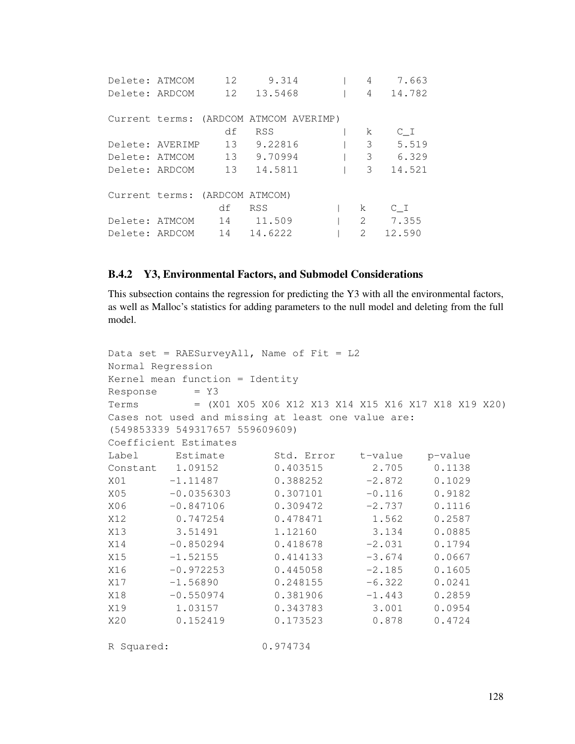| Delete: ATMCOM | 12 |                 |                                                     |                                                         | 4                                      | 7.663  |
|----------------|----|-----------------|-----------------------------------------------------|---------------------------------------------------------|----------------------------------------|--------|
| Delete: ARDCOM | 12 |                 |                                                     |                                                         | 4                                      | 14.782 |
|                |    |                 |                                                     |                                                         |                                        |        |
|                |    |                 |                                                     |                                                         |                                        |        |
|                | df | <b>RSS</b>      |                                                     |                                                         | k                                      | C I    |
|                |    |                 |                                                     |                                                         | 3                                      | 5.519  |
| Delete: ATMCOM |    |                 |                                                     |                                                         | 3                                      | 6.329  |
| Delete: ARDCOM | 13 |                 |                                                     |                                                         | 3                                      | 14.521 |
|                |    |                 |                                                     |                                                         |                                        |        |
|                |    |                 |                                                     |                                                         |                                        |        |
|                | df | <b>RSS</b>      |                                                     |                                                         | k                                      | C I    |
| Delete: ATMCOM | 14 |                 |                                                     |                                                         | 2                                      | 7.355  |
| Delete: ARDCOM | 14 |                 |                                                     |                                                         | $\mathcal{L}$                          | 12.590 |
|                |    | Delete: AVERIMP | Current terms: (ARDCOM ATMCOM)<br>11.509<br>14.6222 | 9.314<br>13.5468<br>13 9.22816<br>13 9.70994<br>14.5811 | Current terms: (ARDCOM ATMCOM AVERIMP) |        |

#### B.4.2 Y3, Environmental Factors, and Submodel Considerations

This subsection contains the regression for predicting the Y3 with all the environmental factors, as well as Malloc's statistics for adding parameters to the null model and deleting from the full model.

```
Data set = RAESurveyAll, Name of Fit = L2
Normal Regression
Kernel mean function = Identity
Response = Y3Terms = (X01 X05 X06 X12 X13 X14 X15 X16 X17 X18 X19 X20)
Cases not used and missing at least one value are:
(549853339 549317657 559609609)
Coefficient Estimates
Label Estimate Std. Error t-value p-value
Constant 1.09152 0.403515 2.705 0.1138
X01 -1.11487 0.388252 -2.872 0.1029
X05 -0.0356303 0.307101 -0.116 0.9182
X06 -0.847106 0.309472 -2.737 0.1116
X12 0.747254 0.478471 1.562 0.2587
X13 3.51491 1.12160 3.134 0.0885
X14 -0.850294 0.418678 -2.031 0.1794
X15 -1.52155 0.414133 -3.674 0.0667
X16 -0.972253 0.445058 -2.185 0.1605
X17 -1.56890 0.248155 -6.322 0.0241
X18 -0.550974 0.381906 -1.443 0.2859
X19 1.03157 0.343783 3.001 0.0954
X20 0.152419 0.173523 0.878 0.4724
```
R Squared: 0.974734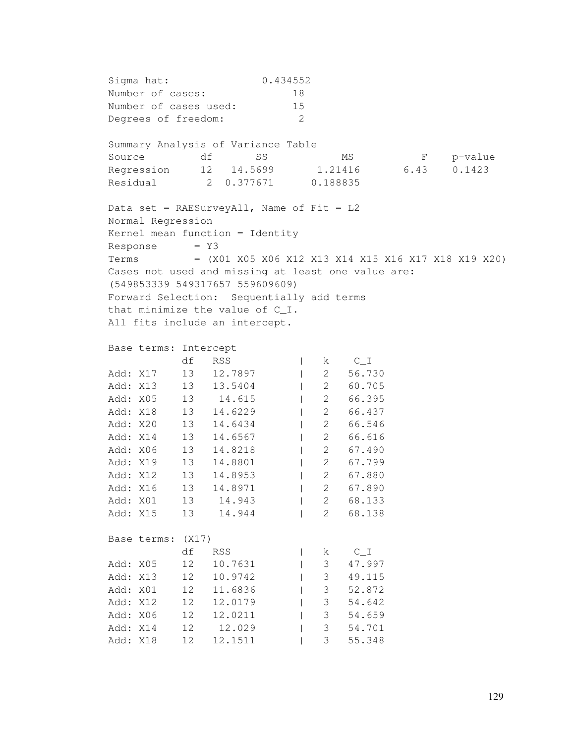Sigma hat: 0.434552 Number of cases: 18 Number of cases used: 15 Degrees of freedom: 2 Summary Analysis of Variance Table Source df SS MS F p-value Regression 12 14.5699 1.21416 6.43 0.1423 Residual 2 0.377671 0.188835 Data set = RAESurveyAll, Name of Fit = L2 Normal Regression Kernel mean function = Identity  $Response$  =  $Y3$ Terms = (X01 X05 X06 X12 X13 X14 X15 X16 X17 X18 X19 X20) Cases not used and missing at least one value are: (549853339 549317657 559609609) Forward Selection: Sequentially add terms that minimize the value of C\_I. All fits include an intercept. Base terms: Intercept df RSS | k C\_I Add: X17 13 12.7897 | 2 56.730 Add: X13 13 13.5404 | 2 60.705 Add: X05 13 14.615 | 2 66.395 Add: X18 13 14.6229 | 2 66.437 Add: X20 13 14.6434 | 2 66.546 Add: X14 13 14.6567 | 2 66.616 Add: X06 13 14.8218 | 2 67.490 Add: X19 13 14.8801 | 2 67.799 Add: X12 13 14.8953 | 2 67.880 Add: X16 13 14.8971 | 2 67.890 Add: X01 13 14.943 | 2 68.133 Add: X15 13 14.944 | 2 68.138 Base terms: (X17) df RSS | k C\_I Add: X05 12 10.7631 | 3 47.997 Add: X13 12 10.9742 | 3 49.115 Add: X01 12 11.6836 | 3 52.872 Add: X12 12 12.0179 | 3 54.642 Add: X06 12 12.0211 | 3 54.659 Add: X14 12 12.029 | 3 54.701 Add: X18 12 12.1511 | 3 55.348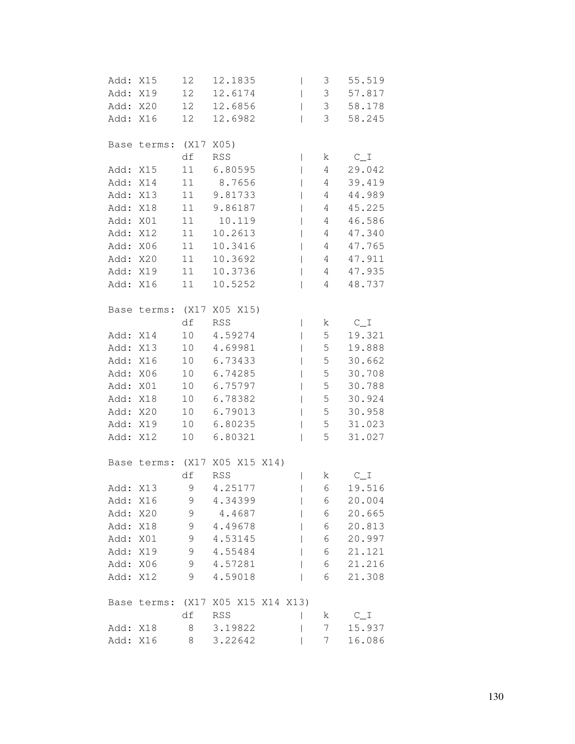| Add:     | X15              | 12     | 12.1835           | $\mathsf{I}$             | 3              | 55.519  |
|----------|------------------|--------|-------------------|--------------------------|----------------|---------|
| Add:     | X19              | 12     | 12.6174           | $\mathsf{I}$             | 3 <sup>7</sup> | 57.817  |
| Add: X20 |                  | 12     | 12.6856           | $\overline{\phantom{a}}$ | 3 <sup>7</sup> | 58.178  |
| Add: X16 |                  | 12     | 12.6982           | $\overline{\phantom{a}}$ | 3              | 58.245  |
|          |                  |        |                   |                          |                |         |
| Base     | terms:           | (X17   | X05)              |                          |                |         |
|          |                  | df     | <b>RSS</b>        | $\overline{\phantom{a}}$ | k              | $C_1$   |
| Add:     | X15              | 11     | 6.80595           | $\overline{\phantom{a}}$ | 4              | 29.042  |
| Add:     | X14              | 11     | 8.7656            | $\mathsf{I}$             | 4              | 39.419  |
| Add:     | X13              | 11     | 9.81733           |                          | 4              | 44.989  |
| Add:     | X18              | 11     | 9.86187           | $\overline{1}$           | $\overline{4}$ | 45.225  |
| Add:     | XO1              | 11     | 10.119            | I                        | 4              | 46.586  |
| Add:     | X12              | 11     | 10.2613           | I                        | 4              | 47.340  |
| Add:     | X06              | 11     | 10.3416           |                          | 4              | 47.765  |
| Add:     | X20              | 11     | 10.3692           | $\overline{1}$           | $\overline{4}$ | 47.911  |
| Add: X19 |                  | $11\,$ | 10.3736           | $\overline{1}$           | $\overline{4}$ | 47.935  |
| Add:     | X16              | 11     | 10.5252           | I                        | 4              | 48.737  |
|          |                  |        |                   |                          |                |         |
|          | Base terms: (X17 |        | X05 X15)          |                          |                |         |
|          |                  | df     | <b>RSS</b>        | $\overline{\phantom{a}}$ | k              | $C_1$   |
| Add:     | X14              | 10     | 4.59274           | $\overline{1}$           | 5              | 19.321  |
| Add:     | X13              | 10     | 4.69981           | $\overline{1}$           | 5              | 19.888  |
| Add:     | X16              | 10     | 6.73433           | $\overline{1}$           | 5              | 30.662  |
| Add:     | X06              | 10     | 6.74285           | $\overline{1}$           | 5              | 30.708  |
| Add:     | X01              | 10     | 6.75797           |                          | 5              | 30.788  |
| Add:     | X18              | 10     | 6.78382           | $\overline{1}$           | 5              | 30.924  |
| Add:     | X20              | 10     | 6.79013           | $\overline{\phantom{a}}$ | 5              | 30.958  |
| Add:     | X19              | 10     | 6.80235           | $\overline{1}$           | 5              | 31.023  |
| Add:     | X12              | 10     | 6.80321           | I                        | 5              | 31.027  |
|          |                  |        |                   |                          |                |         |
|          | Base terms:      |        | (X17 X05 X15 X14) |                          |                |         |
|          |                  | df     | <b>RSS</b>        | $\overline{\phantom{a}}$ | k              | $C_1$   |
| Add:     | X13              | 9      | 4.25177           | $\mathsf{I}$             | 6              | 19.516  |
| Add:     | X16              | 9      | 4.34399           |                          | 6              | 20.004  |
| Add:     | X20              | 9      | 4.4687            |                          | 6              | 20.665  |
| Add:     | X18              | 9      | 4.49678           |                          | 6              | 20.813  |
| Add:     | X01              | 9      | 4.53145           |                          | 6              | 20.997  |
| Add:     | X19              | 9      | 4.55484           |                          | 6              | 21.121  |
| Add:     | X06              | 9      | 4.57281           |                          | 6              | 21.216  |
| Add:     | X12              | 9      | 4.59018           |                          | 6              | 21.308  |
|          |                  |        |                   |                          |                |         |
|          | Base terms:      | (X17   |                   | X05 X15 X14 X13)         |                |         |
|          |                  | df     | <b>RSS</b>        |                          | k              | $C_{I}$ |
| Add:     | X18              | 8      | 3.19822           |                          | 7              | 15.937  |
| Add:     | X16              | 8      | 3.22642           |                          | 7              | 16.086  |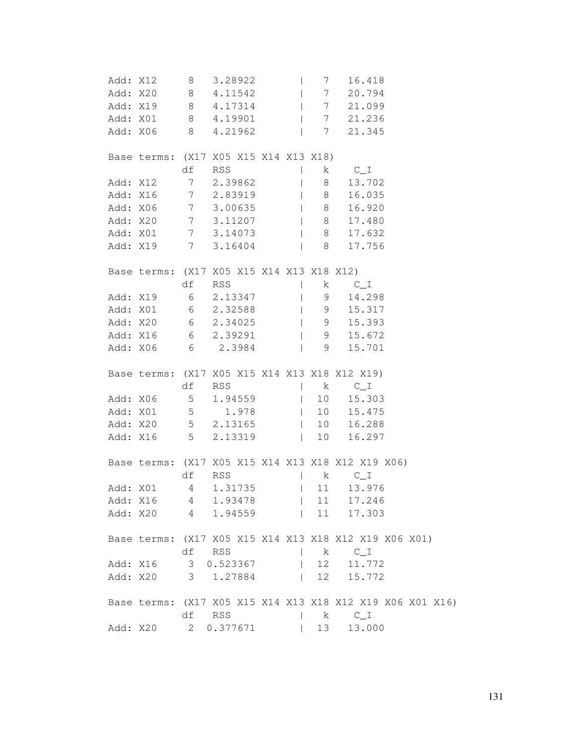| Add: X12 |          | 8      | 3.28922                                   |                | $7\overline{ }$ | 16.418                                                    |  |
|----------|----------|--------|-------------------------------------------|----------------|-----------------|-----------------------------------------------------------|--|
|          |          |        | Add: X20 8 4.11542                        |                | $7\overline{ }$ | 20.794                                                    |  |
|          |          |        | Add: X19 8 4.17314                        |                |                 | 7 21.099                                                  |  |
|          |          |        | Add: X01 8 4.19901                        |                |                 | 7 21.236                                                  |  |
|          |          |        | Add: X06 8 4.21962                        |                | 7               | 21.345                                                    |  |
|          |          |        |                                           |                |                 |                                                           |  |
|          |          |        | Base terms: (X17 X05 X15 X14 X13 X18)     |                |                 |                                                           |  |
|          |          | df RSS |                                           | $\overline{1}$ |                 | $k$ $C_I$                                                 |  |
| Add: X12 |          |        | 7 2.39862                                 |                | 8               | 13.702                                                    |  |
|          |          |        | Add: X16 7 2.83919                        |                | 8 <sup>1</sup>  | 16.035                                                    |  |
|          |          |        | Add: X06 7 3.00635                        |                | 8 <sup>1</sup>  | 16.920                                                    |  |
|          |          |        | Add: X20 7 3.11207                        |                |                 | 8 17.480                                                  |  |
|          |          |        | Add: X01 7 3.14073                        |                |                 | 8 17.632                                                  |  |
|          | Add: X19 |        | 7 3.16404                                 |                | 8 <sup>1</sup>  | 17.756                                                    |  |
|          |          |        |                                           |                |                 |                                                           |  |
|          |          |        | Base terms: (X17 X05 X15 X14 X13 X18 X12) |                |                 |                                                           |  |
|          |          | df RSS |                                           |                | k               | $C_{I}$                                                   |  |
|          |          |        | Add: X19 6 2.13347                        |                | 9               | 14.298                                                    |  |
|          |          |        | Add: X01 6 2.32588                        |                | $\overline{9}$  | 15.317                                                    |  |
|          |          |        | Add: X20 6 2.34025                        |                |                 | 9 15.393                                                  |  |
|          |          |        | Add: X16 6 2.39291                        |                |                 | 9 15.672                                                  |  |
|          |          |        | Add: X06 6 2.3984                         |                |                 | 9<br>15.701                                               |  |
|          |          |        |                                           |                |                 |                                                           |  |
|          |          |        |                                           |                |                 | Base terms: (X17 X05 X15 X14 X13 X18 X12 X19)             |  |
|          |          | df RSS |                                           | $\mathbf{I}$   |                 | k $C_I$                                                   |  |
|          |          |        | Add: X06 5 1.94559                        |                | $\vert$ 10      | 15.303                                                    |  |
|          |          |        | Add: X01 5 1.978                          |                |                 | 10 15.475                                                 |  |
|          |          |        | Add: X20 5 2.13165                        |                |                 | 10 16.288                                                 |  |
| Add: X16 |          |        | 5 2.13319                                 |                | $\vert$ 10      | 16.297                                                    |  |
|          |          |        |                                           |                |                 |                                                           |  |
|          |          |        |                                           |                |                 | Base terms: (X17 X05 X15 X14 X13 X18 X12 X19 X06)         |  |
|          |          | df RSS |                                           | $\mathbf{I}$   | $\mathbf{k}$    | $C_1$                                                     |  |
| Add: X01 |          |        | 4 1.31735                                 | $\mathbf{L}$   | 11              | 13.976                                                    |  |
|          | Add: X16 |        | 4 1.93478                                 |                | 11              | 17.246                                                    |  |
|          |          |        | Add: X20 4 1.94559                        | $\mathbb{R}$   | 11              | 17.303                                                    |  |
|          |          |        |                                           |                |                 |                                                           |  |
|          |          |        |                                           |                |                 | Base terms: (X17 X05 X15 X14 X13 X18 X12 X19 X06 X01)     |  |
|          |          | df RSS |                                           |                | k               | $C_1$                                                     |  |
|          | Add: X16 |        | 3 0.523367                                |                | 12              | 11.772                                                    |  |
|          | Add: X20 |        | 3 1.27884                                 | $\mathbf{L}$   | 12              | 15.772                                                    |  |
|          |          |        |                                           |                |                 |                                                           |  |
|          |          |        |                                           |                |                 | Base terms: (X17 X05 X15 X14 X13 X18 X12 X19 X06 X01 X16) |  |
|          |          |        | df RSS                                    |                |                 | k $C_I I$                                                 |  |
| Add: X20 |          |        | 2 0.377671                                |                | 13              | 13.000                                                    |  |
|          |          |        |                                           |                |                 |                                                           |  |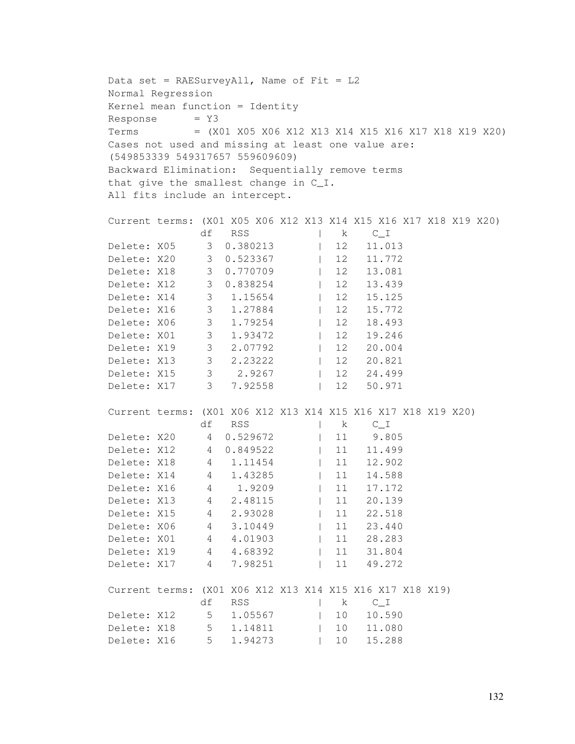```
Data set = RAESurveyAll, Name of Fit = L2Normal Regression
Kernel mean function = Identity
Response = Y3Terms = (X01 X05 X06 X12 X13 X14 X15 X16 X17 X18 X19 X20)
Cases not used and missing at least one value are:
(549853339 549317657 559609609)
Backward Elimination: Sequentially remove terms
that give the smallest change in C_I.
All fits include an intercept.
Current terms: (X01 X05 X06 X12 X13 X14 X15 X16 X17 X18 X19 X20)
           df RSS | k C_I
Delete: X05 3 0.380213 | 12 11.013
Delete: X20 3 0.523367 | 12 11.772
Delete: X18 3 0.770709 | 12 13.081
Delete: X12 3 0.838254 | 12 13.439
Delete: X14 3 1.15654 | 12 15.125
Delete: X16 3 1.27884 | 12 15.772
Delete: X06 3 1.79254 | 12 18.493
Delete: X01 3 1.93472 | 12 19.246
Delete: X19 3 2.07792 | 12 20.004
Delete: X13 3 2.23222 | 12 20.821
Delete: X15 3 2.9267 | 12 24.499
Delete: X17 3 7.92558 | 12 50.971
Current terms: (X01 X06 X12 X13 X14 X15 X16 X17 X18 X19 X20)
          df RSS | k C_I
Delete: X20  4  0.529672  | 11  9.805
Delete: X12   4   0.849522   1   11   11.499
Delete: X18 4 1.11454 | 11 12.902
Delete: X14   4   1.43285   | 11   14.588
Delete: X16   4   1.9209   | 11   17.172
Delete: X13   4   2.48115   | 11   20.139
Delete: X15 4 2.93028 | 11 22.518
Delete: X06 4 3.10449 | 11 23.440
Delete: X01 4 4.01903 | 11 28.283
Delete: X19   4  4.68392   11   31.804
Delete: X17 4 7.98251 | 11 49.272
Current terms: (X01 X06 X12 X13 X14 X15 X16 X17 X18 X19)
          df RSS | k C_I
Delete: X12 5 1.05567 | 10 10.590
Delete: X18 5 1.14811 | 10 11.080
Delete: X16 5 1.94273 | 10 15.288
```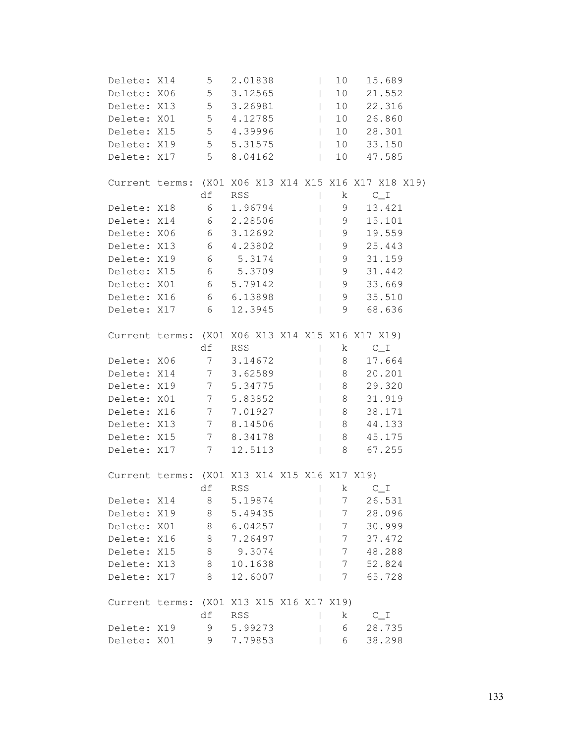| Delete: X14    |     | 5               | 2.01838                                      |              | 10 | 15.689                                               |  |
|----------------|-----|-----------------|----------------------------------------------|--------------|----|------------------------------------------------------|--|
| Delete: X06    |     | 5 <sub>5</sub>  | 3.12565                                      |              | 10 | 21.552                                               |  |
| Delete: X13    |     | $5\overline{)}$ | 3.26981                                      |              | 10 | 22.316                                               |  |
| Delete: X01    |     |                 | 5 4.12785                                    |              |    | 10 26.860                                            |  |
| Delete: X15    |     |                 | 5 4.39996                                    | $\mathbf{L}$ |    | 10 28.301                                            |  |
| Delete: X19    |     | $5\overline{)}$ | 5.31575                                      |              | 10 | 33.150                                               |  |
| Delete: X17    |     | 5               | 8.04162                                      |              | 10 | 47.585                                               |  |
|                |     |                 |                                              |              |    |                                                      |  |
|                |     |                 |                                              |              |    | Current terms: (X01 X06 X13 X14 X15 X16 X17 X18 X19) |  |
|                |     | df              | <b>RSS</b>                                   |              | k. | $\mathrm{C}\_ \mathrm{I}$                            |  |
| Delete: X18    |     | 6               | 1.96794                                      |              | 9  | 13.421                                               |  |
| Delete: X14 6  |     |                 | 2.28506                                      |              | 9  | 15.101                                               |  |
| Delete: X06    |     | $6\overline{6}$ | 3.12692                                      |              | 9  | 19.559                                               |  |
| Delete: X13 6  |     |                 | 4.23802                                      |              | 9  | 25.443                                               |  |
| Delete: X19    |     | $6\overline{6}$ | 5.3174                                       |              | 9  | 31.159                                               |  |
| Delete: X15    |     | $6\overline{6}$ | 5.3709                                       |              | 9  | 31.442                                               |  |
| Delete: X01    |     | $6\overline{6}$ | 5.79142                                      |              | 9  | 33.669                                               |  |
| Delete: X16    |     |                 | 6 6.13898                                    |              |    | 9 35.510                                             |  |
| Delete: X17    |     | $6\overline{6}$ | 12.3945                                      |              |    | 9<br>68.636                                          |  |
|                |     |                 |                                              |              |    |                                                      |  |
|                |     |                 |                                              |              |    | Current terms: (X01 X06 X13 X14 X15 X16 X17 X19)     |  |
|                |     | df              | <b>RSS</b>                                   |              | k. | $C_{I}I$                                             |  |
| Delete: X06    |     | 7               | 3.14672                                      |              | 8  | 17.664                                               |  |
| Delete: X14    |     | $7\overline{ }$ | 3.62589                                      |              | 8  | 20.201                                               |  |
| Delete: X19    |     | $\overline{7}$  | 5.34775                                      |              | 8  | 29.320                                               |  |
| Delete: X01    |     | $7\overline{ }$ | 5.83852                                      |              | 8  | 31.919                                               |  |
| Delete: X16    |     |                 | 7 7.01927                                    |              |    | 8 38.171                                             |  |
| Delete: X13    |     |                 | 7 8.14506                                    |              |    | 8 44.133                                             |  |
| Delete: X15    |     | $\overline{7}$  | 8.34178                                      |              |    | 45.175<br>8                                          |  |
| Delete: X17    |     | 7               | 12.5113                                      |              | 8  | 67.255                                               |  |
|                |     |                 |                                              |              |    |                                                      |  |
|                |     |                 | Current terms: (X01 X13 X14 X15 X16 X17 X19) |              |    |                                                      |  |
|                |     | df              | <b>RSS</b>                                   |              | k  | $C_1$                                                |  |
| Delete:        | X14 | 8               | 5.19874                                      |              | 7  | 26.531                                               |  |
| Delete: X19    |     | 8               | 5.49435                                      |              | 7  | 28.096                                               |  |
| Delete: X01    |     | 8               | 6.04257                                      |              | 7  | 30.999                                               |  |
| Delete: X16    |     | 8               | 7.26497                                      |              | 7  | 37.472                                               |  |
| Delete: X15    |     | 8               | 9.3074                                       |              | 7  | 48.288                                               |  |
| Delete: X13    |     | 8               | 10.1638                                      |              | 7  | 52.824                                               |  |
| Delete: X17    |     | 8               | 12.6007                                      |              | 7  | 65.728                                               |  |
|                |     |                 |                                              |              |    |                                                      |  |
| Current terms: |     |                 | (X01 X13 X15 X16 X17 X19)                    |              |    |                                                      |  |
|                |     | df              | <b>RSS</b>                                   |              | k. | $C_1$                                                |  |
| Delete: X19    |     | 9               | 5.99273                                      |              | 6  | 28.735                                               |  |
| Delete: X01    |     | 9               | 7.79853                                      |              | 6  | 38.298                                               |  |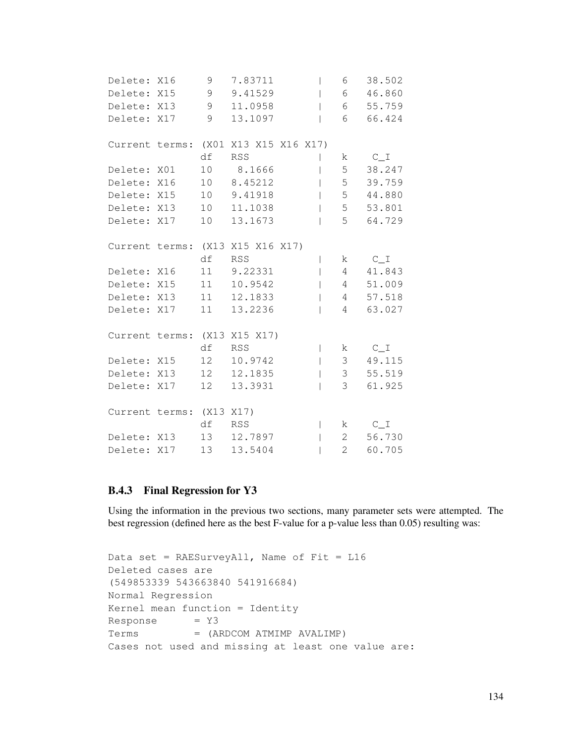| Delete: X16              |     | 9               | 7.83711                              |                          | 6              | 38.502 |
|--------------------------|-----|-----------------|--------------------------------------|--------------------------|----------------|--------|
| Delete: X15              |     | 9               | 9.41529                              |                          | 6              | 46.860 |
| Delete: X13              |     | 9               | 11.0958                              |                          | 6              | 55.759 |
| Delete: X17              |     | 9               | 13.1097                              |                          | 6              | 66.424 |
|                          |     |                 | Current terms: (X01 X13 X15 X16 X17) |                          |                |        |
|                          |     | df              | <b>RSS</b>                           |                          | k.             | $C_1$  |
| Delete:                  | X01 | 10 <sub>o</sub> | 8.1666                               |                          | 5              | 38.247 |
| Delete: X16              |     | 10              | 8.45212                              |                          | 5              | 39.759 |
| Delete: X15              |     | 10 <sup>°</sup> | 9.41918                              |                          | 5              | 44.880 |
| Delete: X13              |     | 10              | 11.1038                              |                          | 5              | 53.801 |
| Delete: X17              |     | 10              | 13.1673                              |                          | 5              | 64.729 |
|                          |     |                 | Current terms: (X13 X15 X16 X17)     |                          |                |        |
|                          |     | df              | <b>RSS</b>                           |                          | k              | $C_1$  |
| Delete: X16              |     | 11              | 9.22331                              |                          | 4              | 41.843 |
| Delete: X15              |     | 11              | 10.9542                              |                          | 4              | 51.009 |
| Delete: X13              |     | 11              | 12.1833                              |                          | 4              | 57.518 |
| Delete:                  | X17 | 11              | 13.2236                              |                          | 4              | 63.027 |
|                          |     |                 | Current terms: (X13 X15 X17)         |                          |                |        |
|                          |     | df              | <b>RSS</b>                           | I                        | k              | $C_1$  |
| Delete:                  | X15 | 12              | 10.9742                              |                          | 3 <sup>7</sup> | 49.115 |
| Delete: X13              |     | 12              | 12.1835                              |                          | $\mathcal{S}$  | 55.519 |
| Delete: X17              |     | 12              | 13.3931                              |                          | 3              | 61.925 |
| Current terms: (X13 X17) |     |                 |                                      |                          |                |        |
|                          |     | df              | RSS                                  | $\overline{\phantom{a}}$ | $\mathbf{k}$   | $C_1$  |
| Delete: X13              |     |                 | 13 12.7897                           |                          | $\overline{2}$ | 56.730 |
| Delete: X17              |     | 13              | 13.5404                              |                          | $\overline{2}$ | 60.705 |

#### B.4.3 Final Regression for Y3

Using the information in the previous two sections, many parameter sets were attempted. The best regression (defined here as the best F-value for a p-value less than 0.05) resulting was:

```
Data set = RAESurveyAll, Name of Fit = L16
Deleted cases are
(549853339 543663840 541916684)
Normal Regression
Kernel mean function = Identity
Response = Y3Terms = (ARDCOM ATMIMP AVALIMP)
Cases not used and missing at least one value are:
```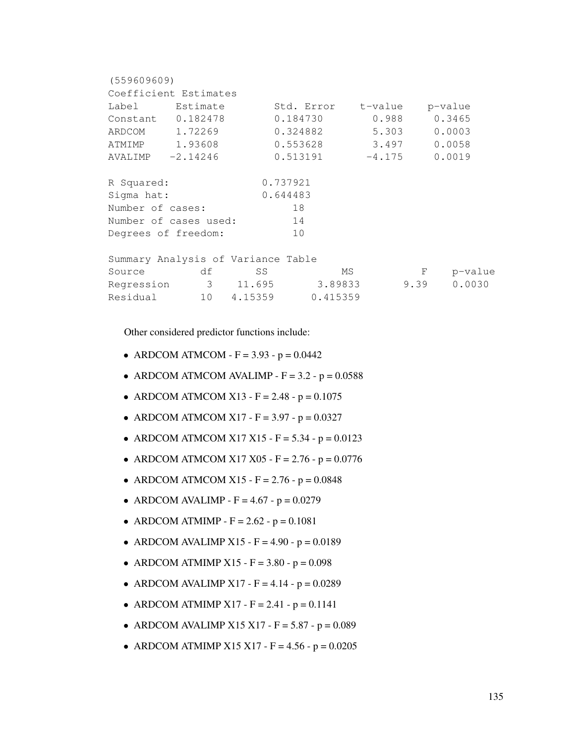| (559609609)                        |          |          |                     |                    |      |         |
|------------------------------------|----------|----------|---------------------|--------------------|------|---------|
| Coefficient Estimates              |          |          |                     |                    |      |         |
| Label                              | Estimate |          |                     | Std. Error t-value |      | p-value |
| Constant 0.182478                  |          |          | 0.184730            | 0.988              |      | 0.3465  |
| ARDCOM 1.72269                     |          |          | 0.324882            | 5.303              |      | 0.0003  |
| ATMIMP                             | 1.93608  |          | 0.553628            | 3.497              |      | 0.0058  |
| $AVALIMP$ -2.14246                 |          |          | 0.513191            | $-4.175$           |      | 0.0019  |
| R Squared:                         |          |          | 0.737921            |                    |      |         |
| Sigma hat:                         |          |          | 0.644483            |                    |      |         |
| Number of cases:                   |          |          | 18                  |                    |      |         |
| Number of cases used:              |          |          | 14                  |                    |      |         |
| Degrees of freedom:                |          |          | 10                  |                    |      |         |
| Summary Analysis of Variance Table |          |          |                     |                    |      |         |
| Source                             | df       | SS       |                     | MS                 | F    | p-value |
| Regression                         |          | 3 11.695 | 3.89833             |                    | 9.39 | 0.0030  |
| Residual                           |          |          | 10 4.15359 0.415359 |                    |      |         |

Other considered predictor functions include:

- ARDCOM ATMCOM  $F = 3.93 p = 0.0442$
- ARDCOM ATMCOM AVALIMP  $F = 3.2 p = 0.0588$
- ARDCOM ATMCOM X13 F = 2.48 p =  $0.1075$
- ARDCOM ATMCOM X17 F =  $3.97$  p = 0.0327
- ARDCOM ATMCOM X17 X15 F =  $5.34$  p = 0.0123
- ARDCOM ATMCOM X17 X05 F =  $2.76$  p = 0.0776
- ARDCOM ATMCOM X15 F =  $2.76$  p = 0.0848
- ARDCOM AVALIMP  $F = 4.67 p = 0.0279$
- ARDCOM ATMIMP  $F = 2.62 p = 0.1081$
- ARDCOM AVALIMP X15 F = 4.90  $p = 0.0189$
- ARDCOM ATMIMP  $X15 F = 3.80 p = 0.098$
- ARDCOM AVALIMP X17  $F = 4.14 p = 0.0289$
- ARDCOM ATMIMP  $X17 F = 2.41 p = 0.1141$
- ARDCOM AVALIMP X15 X17 F =  $5.87$  p =  $0.089$
- ARDCOM ATMIMP X15 X17 F =  $4.56$  p = 0.0205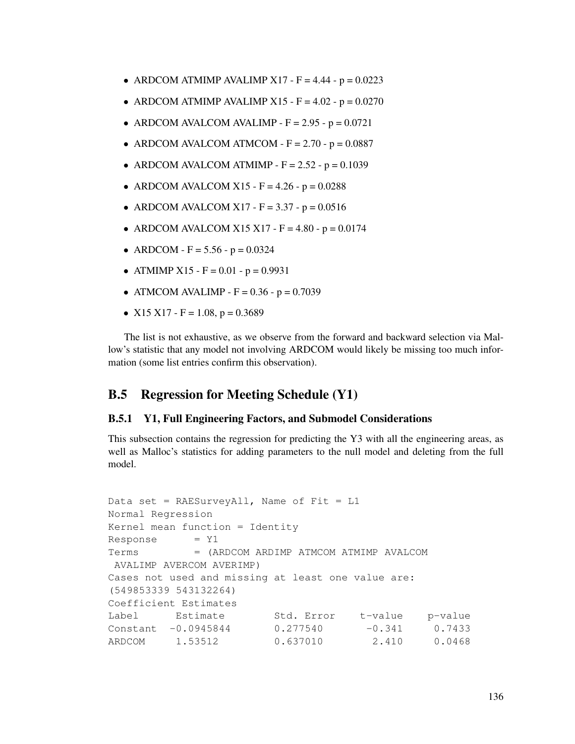- ARDCOM ATMIMP AVALIMP  $X17 F = 4.44 p = 0.0223$
- ARDCOM ATMIMP AVALIMP X15  $F = 4.02 p = 0.0270$
- ARDCOM AVALCOM AVALIMP  $F = 2.95 p = 0.0721$
- ARDCOM AVALCOM ATMCOM  $F = 2.70 p = 0.0887$
- ARDCOM AVALCOM ATMIMP  $F = 2.52 p = 0.1039$
- ARDCOM AVALCOM  $X15 F = 4.26 p = 0.0288$
- ARDCOM AVALCOM X17  $F = 3.37 p = 0.0516$
- ARDCOM AVALCOM X15 X17  $F = 4.80 p = 0.0174$
- ARDCOM  $F = 5.56 p = 0.0324$
- ATMIMP X15 F =  $0.01$  p = 0.9931
- ATMCOM AVALIMP  $F = 0.36 p = 0.7039$
- X15 X17 F = 1.08, p = 0.3689

The list is not exhaustive, as we observe from the forward and backward selection via Mallow's statistic that any model not involving ARDCOM would likely be missing too much information (some list entries confirm this observation).

## B.5 Regression for Meeting Schedule (Y1)

#### B.5.1 Y1, Full Engineering Factors, and Submodel Considerations

This subsection contains the regression for predicting the Y3 with all the engineering areas, as well as Malloc's statistics for adding parameters to the null model and deleting from the full model.

```
Data set = RAESurveyAll, Name of Fit = L1
Normal Regression
Kernel mean function = Identity
Response = Y1Terms = (ARDCOM ARDIMP ATMCOM ATMIMP AVALCOM
AVALIMP AVERCOM AVERIMP)
Cases not used and missing at least one value are:
(549853339 543132264)
Coefficient Estimates
Label Estimate Std. Error t-value p-value
Constant -0.0945844 0.277540 -0.341 0.7433ARDCOM 1.53512 0.637010 2.410 0.0468
```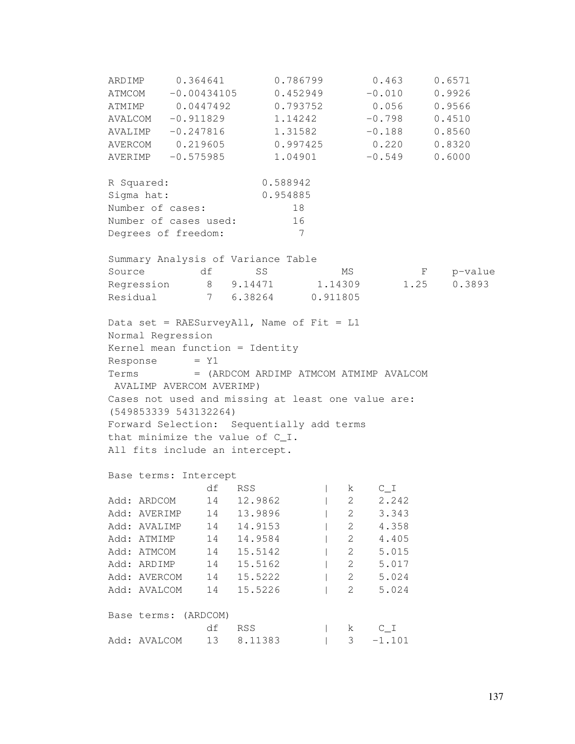ARDIMP 0.364641 0.786799 0.463 0.6571 ATMCOM -0.00434105 0.452949 -0.010 0.9926 ATMIMP 0.0447492 0.793752 0.056 0.9566 AVALCOM -0.911829 1.14242 ATALAMALCOM -0.911829 1.14242 -0.798 0.4510<br>AVALIMP -0.247816 1.31582 -0.188 0.8560<br>AVERCOM 0.219605 0.997425 0.220 0.8320 AVERCOM 0.219605 0.997425 AVERIMP -0.575985 1.04901 -0.549 0.6000 R Squared: 0.588942 Sigma hat: 0.954885 Number of cases: 18 Number of cases used: 16 Degrees of freedom: 7 Summary Analysis of Variance Table Source df SS MS F p-value Regression 8 9.14471 1.14309 1.25 0.3893 Residual 7 6.38264 0.911805 Data set =  $RAESurveyAll$ , Name of Fit =  $LI$ Normal Regression Kernel mean function = Identity  $Response = Y1$ Terms = (ARDCOM ARDIMP ATMCOM ATMIMP AVALCOM AVALIMP AVERCOM AVERIMP) Cases not used and missing at least one value are: (549853339 543132264) Forward Selection: Sequentially add terms that minimize the value of C\_I. All fits include an intercept. Base terms: Intercept df RSS | k C I Add: ARDCOM 14 12.9862 | 2 2.242 Add: AVERIMP 14 13.9896 | 2 3.343 Add: AVALIMP 14 14.9153 | 2 4.358 Add: ATMIMP 14 14.9584 | 2 4.405 Add: ATMCOM 14 15.5142 | 2 5.015 Add: ATMIMP 14 14.9584 | 2 4.405<br>
Add: ATMCOM 14 15.5142 | 2 5.015<br>
Add: ARDIMP 14 15.5162 | 2 5.017<br>
Add: AVERCOM 14 15.5222 | 2 5.024 Add: AVERCOM 14 15.5222 | 2 Add: AVALCOM 14 15.5226 | 2 5.024 Base terms: (ARDCOM) df RSS | k C\_I Add: AVALCOM 13 8.11383 | 3 -1.101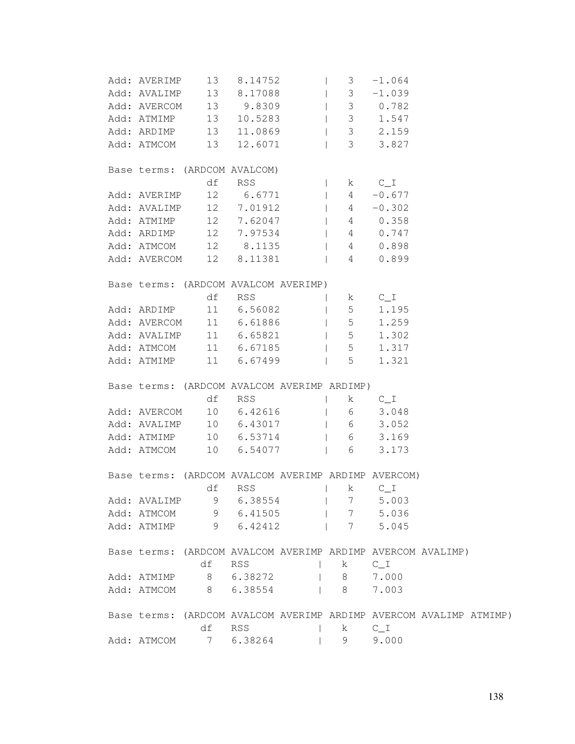| Add: AVERIMP   | 13              | 8.14752                                             | 3 <sup>7</sup>                               | $-1.064$    |                                                                    |  |
|----------------|-----------------|-----------------------------------------------------|----------------------------------------------|-------------|--------------------------------------------------------------------|--|
|                |                 | Add: AVALIMP 13 8.17088                             |                                              | $3 - 1.039$ |                                                                    |  |
|                |                 | Add: AVERCOM 13 9.8309                              |                                              | 3 0.782     |                                                                    |  |
|                |                 |                                                     | $\begin{array}{ccc} \end{array}$ 3           | 1.547       |                                                                    |  |
|                |                 | Add: ATMIMP 13 10.5283<br>Add: ARDIMP 13 11.0869    |                                              | 3 2.159     |                                                                    |  |
| Add: ATMCOM 13 |                 | 12.6071                                             | 3 <sup>7</sup>                               | 3.827       |                                                                    |  |
|                |                 |                                                     |                                              |             |                                                                    |  |
|                |                 | Base terms: (ARDCOM AVALCOM)                        |                                              |             |                                                                    |  |
|                | df              | RSS                                                 |                                              | k $C_I$     |                                                                    |  |
| Add: AVERIMP   |                 | 12 6.6771                                           | $4\overline{ }$                              | $-0.677$    |                                                                    |  |
|                |                 | Add: AVALIMP 12 7.01912                             |                                              | $4 - 0.302$ |                                                                    |  |
|                |                 | Add: ATMIMP 12 7.62047<br>Add: ARDIMP 12 7.97534    |                                              | 1 4 0.358   |                                                                    |  |
|                |                 |                                                     |                                              | 4 0.747     |                                                                    |  |
|                |                 | Add: ATMCOM 12 8.1135                               | $4\overline{4}$                              | 0.898       |                                                                    |  |
|                |                 | Add: AVERCOM 12 8.11381                             | $4\degree$                                   | 0.899       |                                                                    |  |
|                |                 |                                                     |                                              |             |                                                                    |  |
|                |                 | Base terms: (ARDCOM AVALCOM AVERIMP)                |                                              |             |                                                                    |  |
|                | df              | RSS                                                 |                                              | k $C_I$     |                                                                    |  |
| Add: ARDIMP    |                 | 11 6.56082                                          | 5 <sub>1</sub>                               | 1.195       |                                                                    |  |
|                |                 | Add: AVERCOM 11 6.61886                             | $\begin{array}{ccc} \vert & & 5 \end{array}$ | 1.259       |                                                                    |  |
|                |                 | Add: AVALIMP 11 6.65821                             | $\begin{array}{ccc} \end{array}$ 5           | 1.302       |                                                                    |  |
|                |                 | Add: ATMCOM 11 6.67185                              | $\begin{array}{ccc} \end{array}$ 5           | 1.317       |                                                                    |  |
|                |                 | Add: ATMIMP 11 6.67499                              | 5                                            | 1.321       |                                                                    |  |
|                |                 |                                                     |                                              |             |                                                                    |  |
|                |                 | Base terms: (ARDCOM AVALCOM AVERIMP ARDIMP)         |                                              |             |                                                                    |  |
|                |                 | df RSS                                              |                                              | k $C_I$     |                                                                    |  |
| Add: AVERCOM   |                 | 10 6.42616                                          |                                              | 6 3.048     |                                                                    |  |
|                |                 | Add: AVALIMP 10 6.43017                             |                                              | 6 3.052     |                                                                    |  |
|                |                 | Add: ATMIMP 10 6.53714                              | 1 6 3.169                                    |             |                                                                    |  |
| Add: ATMCOM 10 |                 | 6.54077                                             | 6                                            | 3.173       |                                                                    |  |
|                |                 |                                                     |                                              |             |                                                                    |  |
|                |                 | Base terms: (ARDCOM AVALCOM AVERIMP ARDIMP AVERCOM) |                                              |             |                                                                    |  |
|                | df              | RSS                                                 | k                                            | $C_{I}I$    |                                                                    |  |
| Add: AVALIMP   | 9               | 6.38554                                             | 7                                            | 5.003       |                                                                    |  |
| Add: ATMCOM    |                 | 9 6.41505                                           | 7                                            | 5.036       |                                                                    |  |
| Add: ATMIMP    |                 | 9 6.42412                                           | 7                                            | 5.045       |                                                                    |  |
|                |                 |                                                     |                                              |             |                                                                    |  |
|                |                 |                                                     |                                              |             | Base terms: (ARDCOM AVALCOM AVERIMP ARDIMP AVERCOM AVALIMP)        |  |
|                | df              | RSS                                                 | k                                            | $C_{I}$     |                                                                    |  |
| Add: ATMIMP    | 8               | 6.38272                                             | 8                                            | 7.000       |                                                                    |  |
| Add: ATMCOM    |                 | 8 6.38554                                           | 8                                            | 7.003       |                                                                    |  |
|                |                 |                                                     |                                              |             |                                                                    |  |
|                |                 |                                                     |                                              |             | Base terms: (ARDCOM AVALCOM AVERIMP ARDIMP AVERCOM AVALIMP ATMIMP) |  |
|                | df              | RSS                                                 | k                                            | $C_{I}I$    |                                                                    |  |
| Add: ATMCOM    | $7\phantom{.0}$ | 6.38264                                             | 9                                            | 9.000       |                                                                    |  |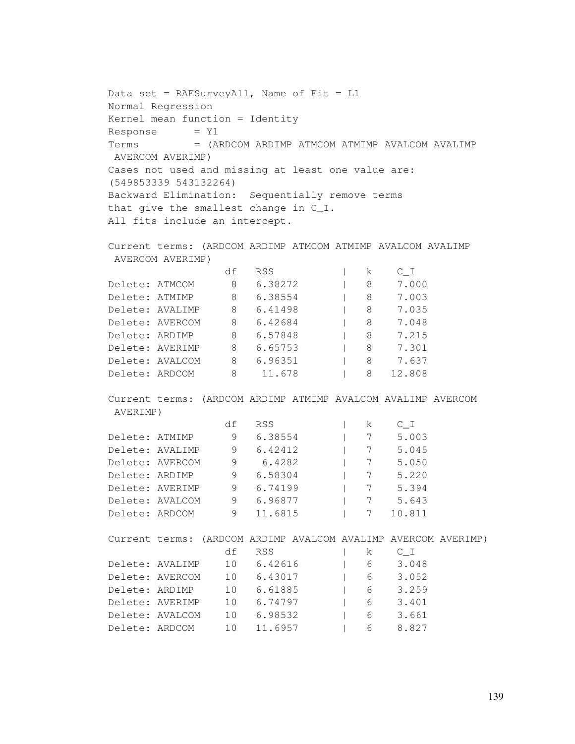Data set = RAESurveyAll, Name of Fit = L1 Normal Regression Kernel mean function = Identity  $Response = Y1$ Terms = (ARDCOM ARDIMP ATMCOM ATMIMP AVALCOM AVALIMP AVERCOM AVERIMP) Cases not used and missing at least one value are: (549853339 543132264) Backward Elimination: Sequentially remove terms that give the smallest change in C\_I. All fits include an intercept. Current terms: (ARDCOM ARDIMP ATMCOM ATMIMP AVALCOM AVALIMP AVERCOM AVERIMP) df RSS | k C I Delete: ATMCOM 8 6.38272 | 8 7.000 Delete: ATMIMP 8 6.38554 | 8 7.003 Delete: AVALIMP 8 6.41498 | 8 7.035 Delete: AVERCOM 8 6.42684 | 8 7.048 Delete: ARDIMP 8 6.57848 | 8 7.215 Delete: AVERIMP 8 6.65753 | 8 7.301 Delete: AVALCOM 8 6.96351 | 8 7.637 Delete: ARDCOM 8 11.678 | 8 12.808 Current terms: (ARDCOM ARDIMP ATMIMP AVALCOM AVALIMP AVERCOM AVERIMP) df RSS | k C\_I Delete: ATMIMP 9 6.38554 | 7 5.003 Delete: AVALIMP 9 6.42412 | 7 5.045 Delete: AVERCOM 9 6.4282 | 7 5.050 Delete: ARDIMP 9 6.58304 | 7 5.220 Delete: AVERIMP 9 6.74199 | 7 5.394 Delete: AVALCOM 9 6.96877 | 7 5.643 Delete: ARDCOM 9 11.6815 | 7 10.811 Current terms: (ARDCOM ARDIMP AVALCOM AVALIMP AVERCOM AVERIMP) df RSS | k C\_I Delete: AVALIMP 10 6.42616 | 6 3.048 Delete: AVERCOM 10 6.43017 | 6 3.052 Delete: ARDIMP 10 6.61885 | 6 3.259 Delete: AVERIMP 10 6.74797 | 6 3.401 Delete: AVALCOM 10 6.98532 | 6 3.661 Delete: ARDCOM 10 11.6957 | 6 8.827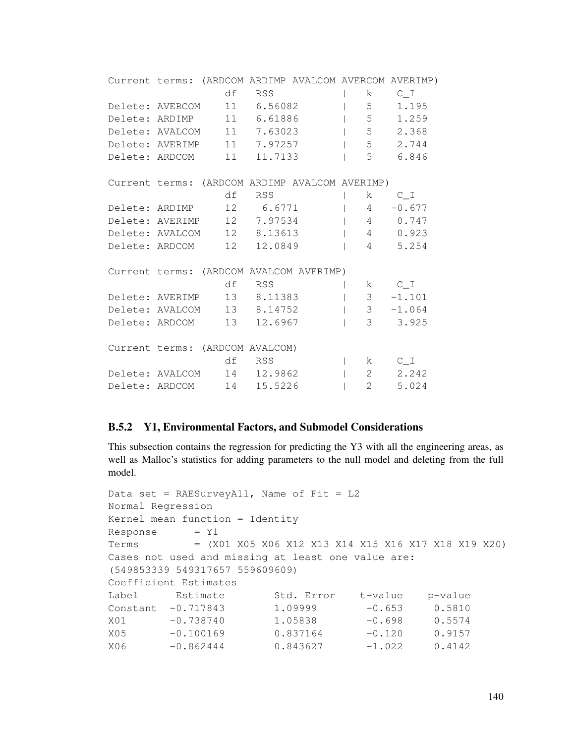|                            |                                 |            |            |                                                |                                | Current terms: (ARDCOM ARDIMP AVALCOM AVERCOM AVERIMP) |
|----------------------------|---------------------------------|------------|------------|------------------------------------------------|--------------------------------|--------------------------------------------------------|
|                            |                                 | df         | <b>RSS</b> |                                                | k                              | $C$ I                                                  |
| Delete: AVERCOM 11 6.56082 |                                 |            |            |                                                | 5                              | 1.195                                                  |
| Delete: ARDIMP             |                                 | 11         | 6.61886    |                                                | $5 -$                          | 1.259                                                  |
| Delete: AVALCOM 11 7.63023 |                                 |            |            |                                                | $5^{\circ}$                    | 2.368                                                  |
| Delete: AVERIMP            |                                 |            | 11 7.97257 |                                                | $5^{\circ}$                    | 2.744                                                  |
| Delete: ARDCOM             |                                 | 11         | 11.7133    |                                                | 5                              | 6.846                                                  |
|                            |                                 |            |            | Current terms: (ARDCOM ARDIMP AVALCOM AVERIMP) |                                |                                                        |
|                            |                                 | df         | <b>RSS</b> |                                                | k                              | $C_{I}$                                                |
| Delete: ARDIMP 12 6.6771   |                                 |            |            |                                                | $4\degree$                     | $-0.677$                                               |
| Delete: AVERIMP            |                                 | 12 7.97534 |            |                                                | $4\degree$                     | 0.747                                                  |
| Delete: AVALCOM 12 8.13613 |                                 |            |            |                                                | $\overline{4}$                 | 0.923                                                  |
| Delete: ARDCOM             |                                 | 12         | 12.0849    |                                                | $4 \quad$                      | 5.254                                                  |
|                            |                                 |            |            | Current terms: (ARDCOM AVALCOM AVERIMP)        |                                |                                                        |
|                            |                                 | df         | <b>RSS</b> |                                                |                                | k $C_I$                                                |
| Delete: AVERIMP            |                                 | 13 8.11383 |            |                                                | 3 <sup>7</sup>                 | $-1.101$                                               |
| Delete: AVALCOM 13 8.14752 |                                 |            |            |                                                | 3 <sup>7</sup>                 | $-1.064$                                               |
| Delete: ARDCOM             |                                 | 13         | 12.6967    |                                                | 3                              | 3.925                                                  |
|                            | Current terms: (ARDCOM AVALCOM) |            |            |                                                |                                |                                                        |
|                            |                                 | df         | <b>RSS</b> |                                                | k                              | $C_1$                                                  |
| Delete: AVALCOM 14 12.9862 |                                 |            |            |                                                | $2 \left( \frac{1}{2} \right)$ | 2.242                                                  |
| Delete: ARDCOM             |                                 | 14         | 15.5226    |                                                | $\overline{2}$                 | 5.024                                                  |

#### B.5.2 Y1, Environmental Factors, and Submodel Considerations

This subsection contains the regression for predicting the Y3 with all the engineering areas, as well as Malloc's statistics for adding parameters to the null model and deleting from the full model.

```
Data set = RAESurveyAll, Name of Fit = L2
Normal Regression
Kernel mean function = Identity
Response = Y1Terms = (X01 X05 X06 X12 X13 X14 X15 X16 X17 X18 X19 X20)
Cases not used and missing at least one value are:
(549853339 549317657 559609609)
Coefficient Estimates
Label Estimate Std. Error t-value p-value
Constant -0.717843 1.09999 -0.653 0.5810
X01 -0.738740 1.05838 -0.698 0.5574
X05 -0.100169 0.837164 -0.120 0.9157
X06 -0.862444 0.843627 -1.022 0.4142
```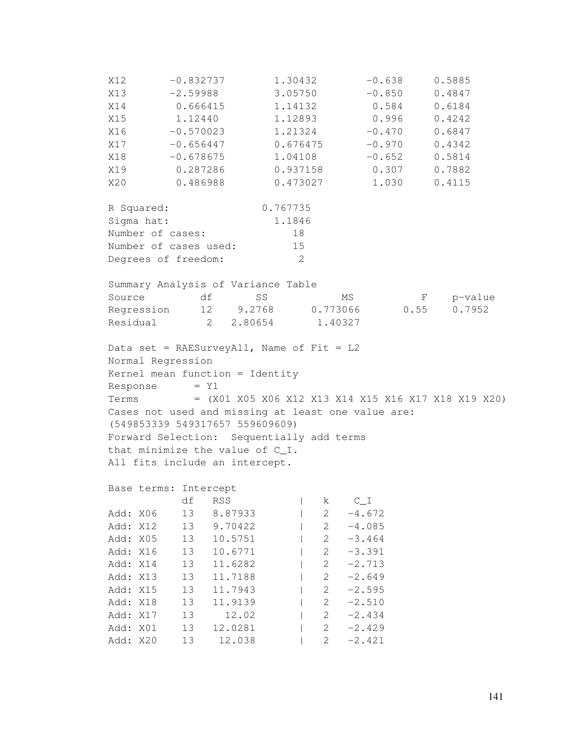X12 -0.832737 1.30432 -0.638 0.5885 X13 -2.59988 3.05750 -0.850 0.4847 X14 0.666415 1.14132 0.584 0.6184 X15 1.12440 1.12893 0.996 0.4242 X16 -0.570023 1.21324 -0.470 0.6847 X17 -0.656447 0.676475 -0.970 0.4342 X18 -0.678675 1.04108 -0.652 0.5814 X19 0.287286 0.937158 0.307 0.7882 X20 0.486988 0.473027 1.030 0.4115 R Squared: 0.767735 Sigma hat: 1.1846 Number of cases: 18 Number of cases used: 15 Degrees of freedom: 2 Summary Analysis of Variance Table Source df SS MS F p-value Regression 12 9.2768 0.773066 0.55 0.7952 Residual 2 2.80654 1.40327 Data set = RAESurveyAll, Name of Fit =  $L2$ Normal Regression Kernel mean function = Identity  $Response = Y1$ Terms = (X01 X05 X06 X12 X13 X14 X15 X16 X17 X18 X19 X20) Cases not used and missing at least one value are: (549853339 549317657 559609609) Forward Selection: Sequentially add terms that minimize the value of C\_I. All fits include an intercept. Base terms: Intercept df RSS | k C\_I Add: X06 13 8.87933 | 2 -4.672 Add: X12 13 9.70422 | 2 -4.085 Add: X05 13 10.5751 | 2 -3.464 Add: X16 13 10.6771 | 2 -3.391 Add: X14 13 11.6282 | 2 -2.713 Add: X13 13 11.7188 | 2 -2.649 Add: X15 13 11.7943 | 2 -2.595 Add: X18 13 11.9139 | 2 -2.510 Add: X17 13 12.02 | 2 -2.434

Add: X01 13 12.0281 | 2 -2.429 Add: X20 13 12.038 | 2 -2.421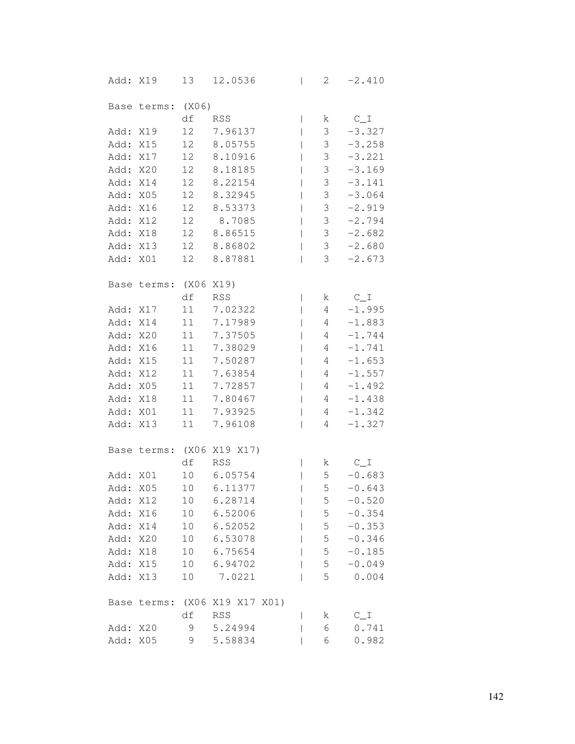| Add:     | X19          | 13                                 | 12.0536              | $\mathbf{I}$                          | 2               | $-2.410$             |
|----------|--------------|------------------------------------|----------------------|---------------------------------------|-----------------|----------------------|
|          |              |                                    |                      |                                       |                 |                      |
| Base     | terms: (X06) |                                    |                      |                                       |                 |                      |
|          |              | df                                 | <b>RSS</b>           | $\overline{\phantom{a}}$              | k               | $C_I I$              |
| Add:     | X19          | 12                                 | 7.96137              | $\overline{\phantom{a}}$              | $3 -$           | $-3.327$             |
| Add:     | X15          | 12 <sub>2</sub>                    | 8.05755              | $\overline{\phantom{a}}$              | 3               | $-3.258$             |
| Add:     | X17          | 12 <sup>°</sup>                    | 8.10916              |                                       | 3               | $-3.221$             |
| Add:     | X20          | 12                                 | 8.18185              | $\mathbf{I}$                          | 3               | $-3.169$             |
| Add:     | X14          | 12                                 | 8.22154              | $\overline{\phantom{a}}$              | 3               | $-3.141$             |
| Add:     | X05          | 12                                 | 8.32945              |                                       | $3 -$           | $-3.064$             |
| Add:     | X16          | 12 <sup>°</sup><br>12 <sup>°</sup> | 8.53373              |                                       | 3 <sup>7</sup>  | $-2.919$             |
| Add:     | X12          | 12 <sub>2</sub>                    | 8.7085<br>8.86515    | $\mathbf{I}$                          | $3 -$<br>$3 -$  | $-2.794$<br>$-2.682$ |
| Add:     | X18          |                                    |                      | $\overline{\phantom{a}}$              | 3 <sup>7</sup>  | $-2.680$             |
| Add:     | X13          | 12 <sup>°</sup><br>12              | 8.86802              |                                       | 3               |                      |
| Add:     | X01          |                                    | 8.87881              | $\mathbf{I}$                          |                 | $-2.673$             |
|          | Base terms:  | (XO6                               | X19)                 |                                       |                 |                      |
|          |              | df                                 | <b>RSS</b>           | $\overline{\phantom{a}}$              | k               | $C_{I}$              |
| Add:     | X17          | 11                                 | 7.02322              | $\mathbf{I}$                          | $4\degree$      | $-1.995$             |
| Add:     | X14          | 11                                 | 7.17989              | $\overline{1}$                        | $4\overline{ }$ | $-1.883$             |
| Add:     | X20          | 11                                 | 7.37505              | $\overline{\phantom{a}}$              | $4 -$           | $-1.744$             |
| Add:     | X16          | 11                                 | 7.38029              |                                       | $4 -$           | $-1.741$             |
| Add:     | X15          | 11                                 | 7.50287              |                                       | 4               | $-1.653$             |
| Add:     | X12          | 11                                 | 7.63854              | $\overline{\phantom{a}}$              | $\overline{4}$  | $-1.557$             |
| Add:     | X05          | $1\,1$                             | 7.72857              | $\overline{\phantom{a}}$              | $4\overline{ }$ | $-1.492$             |
| Add:     | X18          | 11                                 | 7.80467              |                                       | $4\degree$      | $-1.438$             |
| Add:     | X01          | 11                                 | 7.93925              |                                       | $4\degree$      | $-1.342$             |
| Add:     | X13          | 11                                 | 7.96108              | $\mathbf{I}$                          | 4               | $-1.327$             |
| Base     |              |                                    | terms: (X06 X19 X17) |                                       |                 |                      |
|          |              | df                                 | <b>RSS</b>           | $\overline{\phantom{a}}$              | k.              | $C_1$                |
| Add:     | X01          | 10                                 | 6.05754              | $\begin{array}{c} \hline \end{array}$ | 5               | $-0.683$             |
| Add:     | X05          | 10                                 | 6.11377              | $\overline{\phantom{a}}$              | 5               | $-0.643$             |
| Add:     | X12          | 10                                 | 6.28714              |                                       | 5               | $-0.520$             |
| Add:     | X16          | 10                                 | 6.52006              |                                       | 5               | $-0.354$             |
| Add:     | X14          | 10 <sub>1</sub>                    | 6.52052              |                                       | 5               | $-0.353$             |
| Add:     | X20          | 10                                 | 6.53078              |                                       | 5               | $-0.346$             |
| Add:     | X18          | 10 <sub>o</sub>                    | 6.75654              |                                       | 5 <sup>5</sup>  | $-0.185$             |
| Add: X15 |              | 10                                 | 6.94702              |                                       | 5               | $-0.049$             |
| Add:     | X13          | 10                                 | 7.0221               |                                       | 5               | 0.004                |
|          |              |                                    |                      |                                       |                 |                      |
| Base     | terms:       | (X06                               | X19 X17 X01)         |                                       |                 |                      |
|          |              | df                                 | <b>RSS</b>           |                                       | k               | $C_1$                |
| Add:     | X20          | 9                                  | 5.24994              |                                       | 6               | 0.741                |
| Add:     | X05          | 9                                  | 5.58834              |                                       | 6               | 0.982                |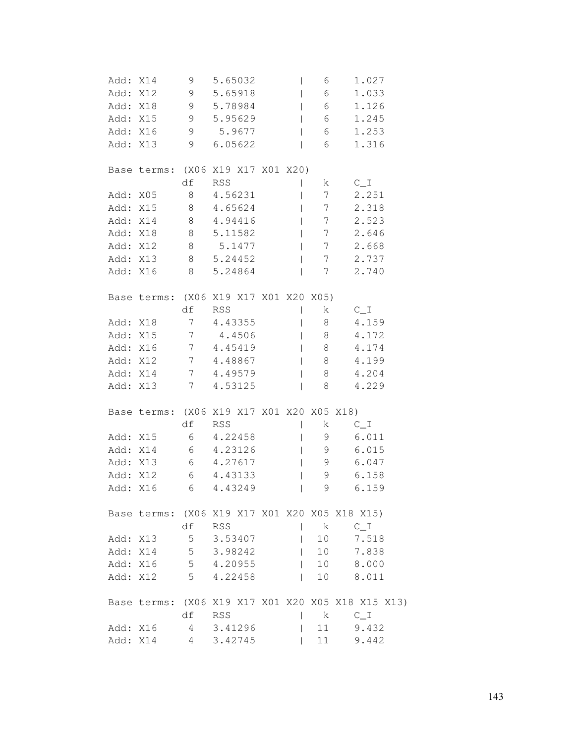| Add:     | X14 | 9               | 5.65032                                   |              | 6               | 1.027                                             |
|----------|-----|-----------------|-------------------------------------------|--------------|-----------------|---------------------------------------------------|
| Add:     | X12 | 9               | 5.65918                                   |              | 6               | 1.033                                             |
| Add:     | X18 | 9               | 5.78984                                   |              | 6               | 1.126                                             |
| Add: X15 |     | 9               | 5.95629                                   |              | 6               | 1.245                                             |
| Add: X16 |     | 9               | 5.9677                                    |              | 6               | 1.253                                             |
| Add: X13 |     | 9               | 6.05622                                   |              | 6               | 1.316                                             |
|          |     |                 |                                           |              |                 |                                                   |
|          |     |                 | Base terms: (X06 X19 X17 X01 X20)         |              |                 |                                                   |
|          |     | df              | <b>RSS</b>                                |              | k.              | $C_1$                                             |
| Add: X05 |     | 8               | 4.56231                                   |              | 7               | 2.251                                             |
| Add:     | X15 |                 | 8 4.65624                                 |              | $7\phantom{.}$  | 2.318                                             |
| Add: X14 |     | 8               | 4.94416                                   |              | 7               | 2.523                                             |
| Add:     | X18 | 8               | 5.11582                                   |              | $7\phantom{.}$  | 2.646                                             |
| Add:     | X12 | 8               | 5.1477                                    |              | $7\overline{ }$ | 2.668                                             |
| Add: X13 |     | 8               | 5.24452                                   |              | $7\phantom{.}$  | 2.737                                             |
| Add: X16 |     | 8               | 5.24864                                   |              | 7               | 2.740                                             |
|          |     |                 |                                           |              |                 |                                                   |
|          |     |                 | Base terms: (X06 X19 X17 X01 X20 X05)     |              |                 |                                                   |
|          |     | df              | RSS                                       |              | k.              | $C_1$                                             |
| Add: X18 |     | $7\overline{ }$ | 4.43355                                   |              | 8               | 4.159                                             |
| Add: X15 |     | $7\overline{ }$ | 4.4506                                    |              | 8               | 4.172                                             |
| Add:     | X16 | $7\overline{}$  | 4.45419                                   |              | 8               | 4.174                                             |
| Add: X12 |     | 7               | 4.48867                                   |              | 8               | 4.199                                             |
| Add: X14 |     | 7               | 4.49579                                   |              | 8               | 4.204                                             |
| Add: X13 |     | 7               | 4.53125                                   |              | 8               | 4.229                                             |
|          |     |                 |                                           |              |                 |                                                   |
|          |     |                 | Base terms: (X06 X19 X17 X01 X20 X05 X18) |              |                 |                                                   |
|          |     | df              | RSS                                       |              | k               | $C_1$                                             |
| Add: X15 |     | 6               | 4.22458                                   |              | 9               | 6.011                                             |
| Add:     | X14 |                 | 6 4.23126                                 |              | 9               | 6.015                                             |
| Add:     | X13 | 6               | 4.27617                                   |              | 9               | 6.047                                             |
| Add:     | X12 | 6               | 4.43133                                   |              | 9               | 6.158                                             |
| Add: X16 |     | 6               | 4.43249                                   |              | 9               | 6.159                                             |
|          |     |                 |                                           |              |                 |                                                   |
|          |     |                 |                                           |              |                 | Base terms: (X06 X19 X17 X01 X20 X05 X18 X15)     |
|          |     | df              | <b>RSS</b>                                | $\mathbf{I}$ | $\mathbf{k}$    | $C_1$                                             |
| Add: X13 |     | 5 <sub>5</sub>  | 3.53407                                   |              | 10              | 7.518                                             |
| Add: X14 |     |                 | 5 3.98242                                 | L            | 10              | 7.838                                             |
| Add: X16 |     |                 | 5 4.20955                                 | $\mathbf{I}$ | 10              | 8.000                                             |
| Add: X12 |     | 5               | 4.22458                                   |              | 10              | 8.011                                             |
|          |     |                 |                                           |              |                 |                                                   |
|          |     |                 |                                           |              |                 | Base terms: (X06 X19 X17 X01 X20 X05 X18 X15 X13) |
|          |     | df RSS          |                                           | $\mathbf{I}$ | k               | $C_1$                                             |
| Add: X16 |     | $4\overline{ }$ | 3.41296                                   | $\mathbf{I}$ | 11              | 9.432                                             |
| Add: X14 |     | $4\degree$      | 3.42745                                   |              | 11              | 9.442                                             |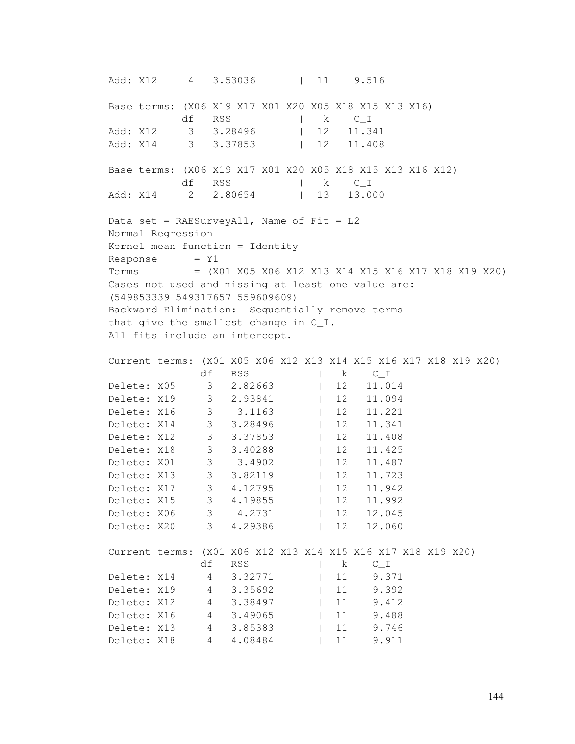Add: X12 4 3.53036 1 11 9.516 Base terms: (X06 X19 X17 X01 X20 X05 X18 X15 X13 X16) df RSS | k C\_I Add: X12 3 3.28496 | 12 11.341 Add: X14 3 3.37853 | 12 11.408 Base terms: (X06 X19 X17 X01 X20 X05 X18 X15 X13 X16 X12) df RSS | k C\_I Add: X14 2 2.80654 | 13 13.000 Data set = RAESurveyAll, Name of Fit =  $L2$ Normal Regression Kernel mean function = Identity  $Response = Y1$ Terms = (X01 X05 X06 X12 X13 X14 X15 X16 X17 X18 X19 X20) Cases not used and missing at least one value are: (549853339 549317657 559609609) Backward Elimination: Sequentially remove terms that give the smallest change in C\_I. All fits include an intercept. Current terms: (X01 X05 X06 X12 X13 X14 X15 X16 X17 X18 X19 X20) df RSS | k C I Delete: X05 3 2.82663 | 12 11.014 Delete: X19 3 2.93841 | 12 11.094 Delete: X16 3 3.1163 | 12 11.221 Delete: X14 3 3.28496 | 12 11.341 Delete: X12 3 3.37853 | 12 11.408 Delete: X18 3 3.40288 | 12 11.425 Delete: X01 3 3.4902 | 12 11.487 Delete: X13 3.82119 | 12 11.723 Delete: X17 3 4.12795 | 12 11.942 Delete: X15 3 4.19855 | 12 11.992 Delete: X06 3 4.2731 | 12 12.045 Delete: X20 3 4.29386 | 12 12.060 Current terms: (X01 X06 X12 X13 X14 X15 X16 X17 X18 X19 X20) df RSS | k C\_I Delete: X14 4 3.32771 11 9.371 Delete: X19 4 3.35692 11 9.392 Delete: X12 4 3.38497 11 9.412 Delete: X16 4 3.49065 | 11 9.488 Delete: X13 4 3.85383 1 11 9.746 Delete: X18 4 4.08484 | 11 9.911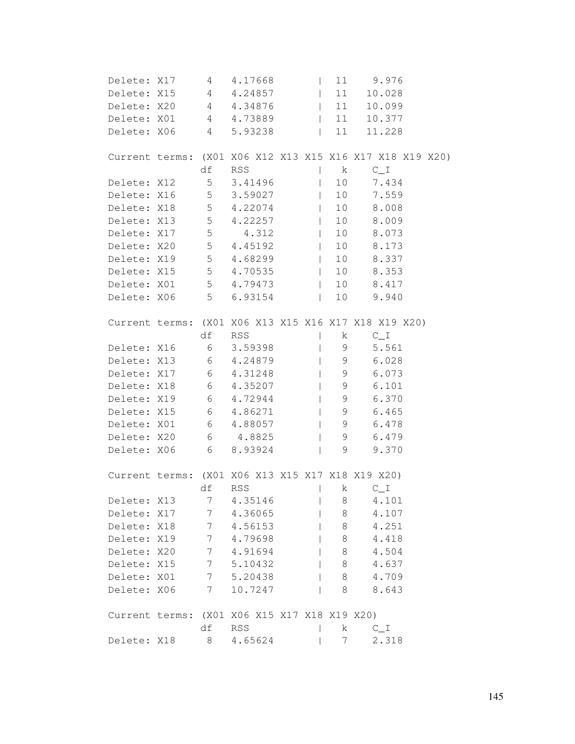| Delete: X17 |     | 4               | 4.17668                                      | $\overline{\phantom{a}}$ | 11              | 9.976                                                    |  |
|-------------|-----|-----------------|----------------------------------------------|--------------------------|-----------------|----------------------------------------------------------|--|
| Delete: X15 |     |                 | 4.24857                                      | $\mathbf{I}$             | 11              | 10.028                                                   |  |
|             |     |                 | Delete: X20 4 4.34876                        | $\mathbb{R}$             | 11              | 10.099                                                   |  |
| Delete: X01 |     |                 | 4 4.73889                                    | $\mathbb{R}$             | 11              | 10.377                                                   |  |
| Delete: X06 |     | $4\degree$      | 5.93238                                      |                          | 11              | 11.228                                                   |  |
|             |     |                 |                                              |                          |                 | Current terms: (X01 X06 X12 X13 X15 X16 X17 X18 X19 X20) |  |
|             |     | df              | <b>RSS</b>                                   |                          | k               | $C_{I}I$                                                 |  |
| Delete: X12 |     | 5 <sub>5</sub>  | 3.41496                                      |                          | 10              | 7.434                                                    |  |
| Delete: X16 |     |                 | 5 3.59027                                    |                          | 10 <sub>o</sub> | 7.559                                                    |  |
| Delete: X18 |     |                 | 5 4.22074                                    | $\mathbb{R}^n$           | 10 <sub>o</sub> | 8.008                                                    |  |
| Delete: X13 |     | 5 <sup>5</sup>  | 4.22257                                      | $\mathbb{R}^n$           | 10              | 8.009                                                    |  |
| Delete: X17 |     | 5 <sub>5</sub>  | 4.312                                        |                          | 10 <sub>o</sub> | 8.073                                                    |  |
| Delete: X20 |     |                 | 5 4.45192                                    |                          |                 | 10 8.173                                                 |  |
| Delete: X19 |     |                 | 5 4.68299                                    | $\mathbb{R}^n$           | 10              | 8.337                                                    |  |
| Delete: X15 |     |                 | 5 4.70535                                    | $\mathbb{R}^n$           | 10 <sub>o</sub> | 8.353                                                    |  |
| Delete: X01 |     |                 | 5 4.79473                                    | $\mathbb{R}^n$           | 10 <sub>o</sub> | 8.417                                                    |  |
| Delete: X06 |     |                 | 5 6.93154                                    |                          | 10 <sub>o</sub> | 9.940                                                    |  |
|             |     |                 |                                              |                          |                 | Current terms: (X01 X06 X13 X15 X16 X17 X18 X19 X20)     |  |
|             |     | df              | RSS                                          |                          | k               | $C_{I}I$                                                 |  |
| Delete: X16 |     |                 | 6 3.59398                                    |                          | 9               | 5.561                                                    |  |
| Delete: X13 |     |                 | 6 4.24879                                    |                          | 9               | 6.028                                                    |  |
|             |     |                 | Delete: X17 6 4.31248                        |                          | 9               | 6.073                                                    |  |
| Delete: X18 |     |                 | 6 4.35207                                    |                          | 9               | 6.101                                                    |  |
|             |     |                 | Delete: X19 6 4.72944                        |                          | 9               | 6.370                                                    |  |
| Delete: X15 |     |                 | 6 4.86271                                    |                          | 9               | 6.465                                                    |  |
| Delete: X01 |     |                 | 6 4.88057                                    |                          | 9               | 6.478                                                    |  |
| Delete: X20 |     |                 | 6 4.8825                                     |                          | 9               | 6.479                                                    |  |
| Delete: X06 |     | 6 —             | 8.93924                                      |                          | 9               | 9.370                                                    |  |
|             |     |                 |                                              |                          |                 | Current terms: (X01 X06 X13 X15 X17 X18 X19 X20)         |  |
|             |     | df              | <b>RSS</b>                                   | $\overline{\phantom{a}}$ | k               | $C_1$                                                    |  |
| Delete: X13 |     | $\overline{7}$  | 4.35146                                      |                          | 8               | 4.101                                                    |  |
| Delete:     | X17 | 7               | 4.36065                                      |                          | 8               | 4.107                                                    |  |
| Delete: X18 |     | $7\overline{ }$ | 4.56153                                      |                          | 8               | 4.251                                                    |  |
| Delete:     | X19 | 7               | 4.79698                                      |                          | 8               | 4.418                                                    |  |
| Delete: X20 |     | 7 <sup>7</sup>  | 4.91694                                      |                          | 8               | 4.504                                                    |  |
| Delete: X15 |     | 7               | 5.10432                                      |                          | 8               | 4.637                                                    |  |
| Delete:     | X01 | 7 <sup>1</sup>  | 5.20438                                      |                          | 8               | 4.709                                                    |  |
| Delete: X06 |     | 7               | 10.7247                                      |                          | 8               | 8.643                                                    |  |
|             |     |                 | Current terms: (X01 X06 X15 X17 X18 X19 X20) |                          |                 |                                                          |  |
|             |     | df              | RSS                                          |                          | k               | $C_1$                                                    |  |
| Delete: X18 |     | 8               | 4.65624                                      |                          | 7               | 2.318                                                    |  |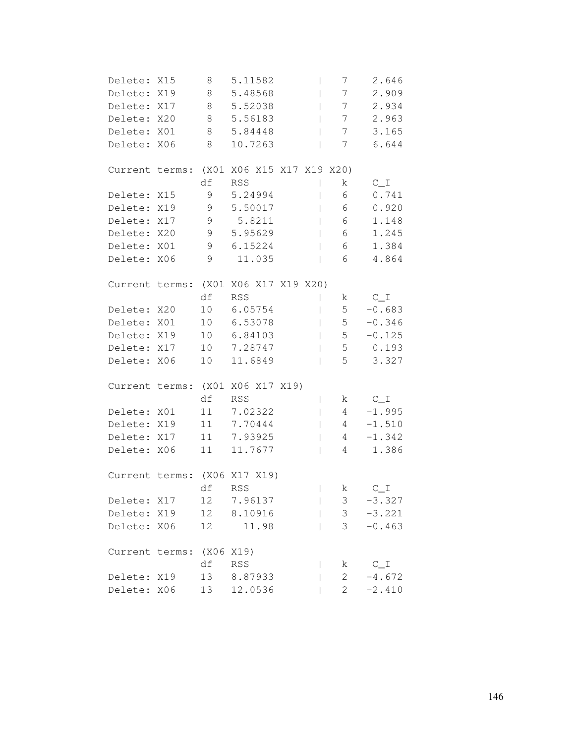| Delete:        | X15    | 8               | 5.11582              |   | 7           | 2.646    |
|----------------|--------|-----------------|----------------------|---|-------------|----------|
| Delete:        | X19    | 8               | 5.48568              |   | 7           | 2.909    |
| Delete:        | X17    | 8               | 5.52038              |   | 7           | 2.934    |
| Delete: X20    |        | 8               | 5.56183              |   | 7           | 2.963    |
| Delete:        | X01    | 8               | 5.84448              |   | 7           | 3.165    |
| Delete:        | X06    | 8               | 10.7263              |   | 7           | 6.644    |
|                |        |                 |                      |   |             |          |
| Current terms: |        | (X01)           | X06 X15 X17 X19 X20) |   |             |          |
|                |        | df              | <b>RSS</b>           |   | k           | $C_1$    |
| Delete:        | X15    | 9               | 5.24994              |   | 6           | 0.741    |
| Delete:        | X19    | 9               | 5.50017              |   | 6           | 0.920    |
| Delete: X17    |        | 9               | 5.8211               |   | 6           | 1.148    |
| Delete:        | X20    | 9               | 5.95629              |   | 6           | 1.245    |
| Delete:        | X01    | 9               | 6.15224              |   | 6           | 1.384    |
| Delete:        | X06    | 9               | 11.035               |   | 6           | 4.864    |
|                |        |                 |                      |   |             |          |
| Current        | terms: | (X01            | X06 X17 X19 X20)     |   |             |          |
|                |        | df              | <b>RSS</b>           |   | k.          | $C_I$    |
| Delete:        | X20    | 10              | 6.05754              |   | 5           | $-0.683$ |
| Delete:        | XO1    | 10              | 6.53078              |   | 5           | $-0.346$ |
| Delete:        | X19    | 10              | 6.84103              |   | 5           | $-0.125$ |
| Delete:        | X17    | 10              | 7.28747              |   | 5           | 0.193    |
| Delete:        | X06    | 10              | 11.6849              |   | 5           | 3.327    |
|                |        |                 |                      |   |             |          |
| Current terms: |        | (X01            | X06 X17 X19)         |   |             |          |
|                |        | df              | <b>RSS</b>           | L | k.          | $C_1$    |
| Delete:        | XO1    | 11              | 7.02322              |   | 4           | $-1.995$ |
| Delete:        | X19    | 11              | 7.70444              | L | 4           | $-1.510$ |
| Delete:        | X17    | 11              | 7.93925              |   | 4           | $-1.342$ |
| Delete:        | X06    | 11              | 11.7677              |   | 4           | 1.386    |
|                |        |                 |                      |   |             |          |
| Current terms: |        |                 | (X06 X17 X19)        |   |             |          |
|                |        | df              | <b>RSS</b>           |   | k           | $C_1$    |
| Delete:        | X17    | 12              | 7.96137              |   | $\mathsf 3$ | $-3.327$ |
| Delete:        | X19    | 12 <sup>°</sup> | 8.10916              |   | 3           | $-3.221$ |
| Delete:        | X06    | 12              | 11.98                |   | 3           | $-0.463$ |
|                |        |                 |                      |   |             |          |
| Current terms: |        | (0.06)          | X19)                 |   |             |          |
|                |        | df              | <b>RSS</b>           |   | k           | $C_{I}I$ |
| Delete:        | X19    | 13              | 8.87933              |   | 2           | $-4.672$ |
| Delete:        | X06    | 13              | 12.0536              |   | 2           | $-2.410$ |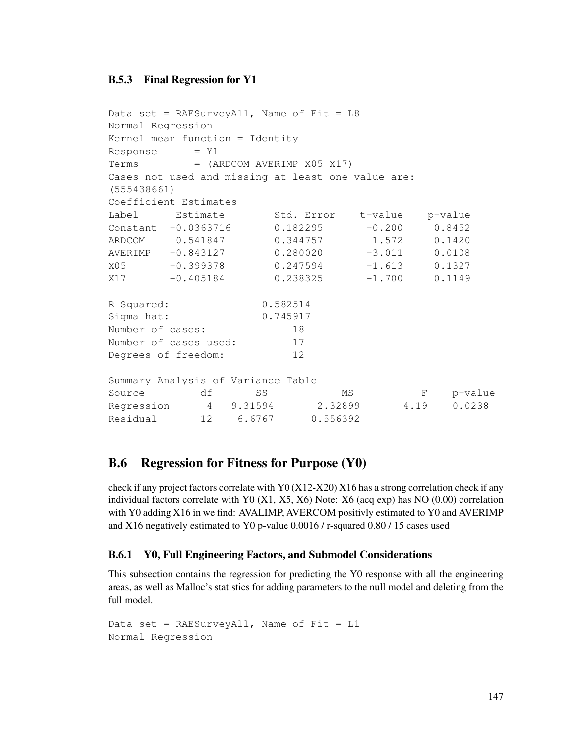## B.5.3 Final Regression for Y1

```
Data set = RAESurveyAll, Name of Fit = L8
Normal Regression
Kernel mean function = Identity
Response = Y1Terms = (ARDCOM AVERIMP X05 X17)Cases not used and missing at least one value are:
(555438661)
Coefficient Estimates
Label Estimate Std. Error t-value p-value
Constant -0.0363716 0.182295 -0.200 0.8452
ARDCOM 0.541847 0.344757 1.572 0.1420
AVERIMP -0.843127 0.280020 -3.011 0.0108
X05 -0.399378 0.247594 -1.613 0.1327
X17 -0.405184 0.238325 -1.700 0.1149
R Squared: 0.582514
Sigma hat: 0.745917
Number of cases: 18
Number of cases used: 17
Degrees of freedom: 12
Summary Analysis of Variance Table
Source df SS MS F p-value
Regression 4 9.31594 2.32899 4.19 0.0238
Residual 12 6.6767 0.556392
```
# B.6 Regression for Fitness for Purpose (Y0)

check if any project factors correlate with Y0 (X12-X20) X16 has a strong correlation check if any individual factors correlate with Y0  $(X1, X5, X6)$  Note: X6 (acq exp) has NO (0.00) correlation with Y0 adding X16 in we find: AVALIMP, AVERCOM positivly estimated to Y0 and AVERIMP and X16 negatively estimated to Y0 p-value 0.0016 / r-squared 0.80 / 15 cases used

## B.6.1 Y0, Full Engineering Factors, and Submodel Considerations

This subsection contains the regression for predicting the Y0 response with all the engineering areas, as well as Malloc's statistics for adding parameters to the null model and deleting from the full model.

```
Data set = RAESurveyAll, Name of Fit = L1Normal Regression
```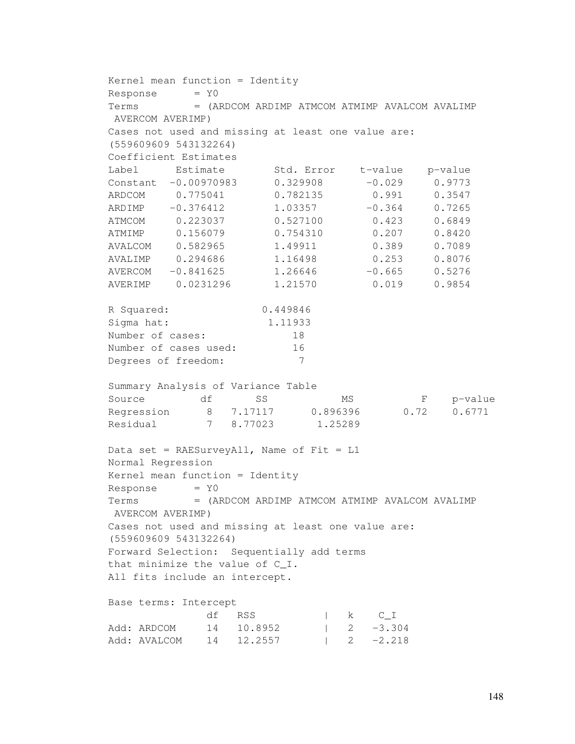```
Kernel mean function = Identity
Response = Y0Terms = (ARDCOM ARDIMP ATMCOM ATMIMP AVALCOM AVALIMP
AVERCOM AVERIMP)
Cases not used and missing at least one value are:
(559609609 543132264)
Coefficient Estimates
Label Estimate Std. Error t-value p-value
Constant -0.00970983 0.329908 -0.029 0.9773
ARDCOM 0.775041 0.782135 0.991 0.3547
ARDIMP -0.376412 1.03357 -0.364 0.7265
ATMCOM 0.223037 0.527100 0.423 0.6849
ATMIMP 0.156079 0.754310 0.207 0.8420
AVALCOM  0.582965  1.49911  0.389  0.7089
AVALIMP 0.294686 1.16498 0.253 0.8076<br>AVERCOM -0.841625 1.26646 -0.665 0.5276<br>AVERIMP 0.0231296 1.21570 0.019 0.9854
AVERCOM -0.841625 1.26646
AVERIMP   0.0231296   1.21570
R Squared: 0.449846
Sigma hat: 1.11933
Number of cases: 18
Number of cases used: 16
Degrees of freedom: 7
Summary Analysis of Variance Table
Source df SS MS F p-value
Regression 8 7.17117 0.896396 0.72 0.6771
Residual 7 8.77023 1.25289
Data set = RAESurveyAll, Name of Fit = L1Normal Regression
Kernel mean function = Identity
Response = Y0Terms = (ARDCOM ARDIMP ATMCOM ATMIMP AVALCOM AVALIMP
AVERCOM AVERIMP)
Cases not used and missing at least one value are:
(559609609 543132264)
Forward Selection: Sequentially add terms
that minimize the value of C_I.
All fits include an intercept.
Base terms: Intercept
             df RSS | k C_I IAdd: ARDCOM 14 10.8952 | 2 -3.304
Add: AVALCOM 14 12.2557 | 2 -2.218
```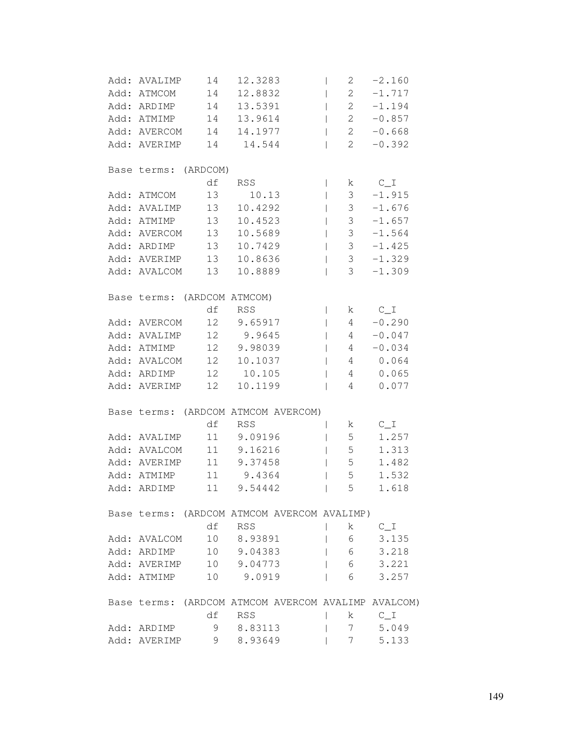| Add: | AVALIMP      | 14              | 12.3283 |                                             | $\mathbf{2}$      | $-2.160$                                            |
|------|--------------|-----------------|---------|---------------------------------------------|-------------------|-----------------------------------------------------|
|      | Add: ATMCOM  | 14              | 12.8832 |                                             | $2^{\circ}$       | $-1.717$                                            |
|      | Add: ARDIMP  | 14              | 13.5391 |                                             | $2 \quad$         | $-1.194$                                            |
|      | Add: ATMIMP  | 14              | 13.9614 |                                             | 2 <sup>1</sup>    | $-0.857$                                            |
|      | Add: AVERCOM | 14              | 14.1977 |                                             | $2^{\circ}$       | $-0.668$                                            |
|      | Add: AVERIMP | 14              | 14.544  |                                             | $\overline{2}$    | $-0.392$                                            |
|      |              |                 |         |                                             |                   |                                                     |
|      | Base terms:  | (ARDCOM)        |         |                                             |                   |                                                     |
|      |              | df              | RSS     |                                             | k                 | $C_1$                                               |
|      | Add: ATMCOM  | 13              | 10.13   |                                             | 3 <sup>7</sup>    | $-1.915$                                            |
|      | Add: AVALIMP | 13              | 10.4292 |                                             | 3 <sup>7</sup>    | $-1.676$                                            |
|      | Add: ATMIMP  | 13              | 10.4523 |                                             | $\mathcal{S}$     | $-1.657$                                            |
|      | Add: AVERCOM | 13              | 10.5689 |                                             | 3 <sup>7</sup>    | $-1.564$                                            |
| Add: | ARDIMP       | 13              | 10.7429 |                                             | 3 <sup>7</sup>    | $-1.425$                                            |
|      | Add: AVERIMP | 13              | 10.8636 |                                             | 3 <sup>7</sup>    | $-1.329$                                            |
|      | Add: AVALCOM | 13              | 10.8889 |                                             | 3                 | $-1.309$                                            |
|      |              |                 |         |                                             |                   |                                                     |
|      | Base terms:  | (ARDCOM ATMCOM) |         |                                             |                   |                                                     |
|      |              | df              | RSS     |                                             | k<br>$\mathsf{I}$ | $C_1$                                               |
|      | Add: AVERCOM | 12              | 9.65917 |                                             | $4 -$             | $-0.290$                                            |
|      | Add: AVALIMP | 12 <sup>7</sup> | 9.9645  |                                             | $4 -$             | $-0.047$                                            |
| Add: | ATMIMP       | 12              | 9.98039 |                                             | $4\overline{ }$   | $-0.034$                                            |
|      | Add: AVALCOM | 12              | 10.1037 |                                             | $\overline{4}$    | 0.064                                               |
|      | Add: ARDIMP  | 12              | 10.105  |                                             | $\overline{4}$    | 0.065                                               |
|      | Add: AVERIMP | 12              | 10.1199 |                                             | 4                 | 0.077                                               |
|      |              |                 |         |                                             |                   |                                                     |
|      |              |                 |         | Base terms: (ARDCOM ATMCOM AVERCOM)         |                   |                                                     |
|      |              | df              | RSS     |                                             | k                 | $C_1$                                               |
|      | Add: AVALIMP | 11              | 9.09196 |                                             | 5                 | 1.257                                               |
| Add: | AVALCOM      | 11              | 9.16216 |                                             | 5                 | 1.313                                               |
|      | Add: AVERIMP | 11              | 9.37458 |                                             | 5                 | 1.482                                               |
|      | Add: ATMIMP  | $11$            | 9.4364  |                                             | $\mathsf S$       | 1.532                                               |
|      | Add: ARDIMP  | 11              | 9.54442 |                                             | 5                 | 1.618                                               |
|      |              |                 |         |                                             |                   |                                                     |
|      |              |                 |         | Base terms: (ARDCOM ATMCOM AVERCOM AVALIMP) |                   |                                                     |
|      |              | df              | RSS     |                                             | k                 | $C_1$                                               |
|      | Add: AVALCOM | 10              | 8.93891 |                                             | 6                 | 3.135                                               |
|      | Add: ARDIMP  | 10              | 9.04383 |                                             | 6                 | 3.218                                               |
|      | Add: AVERIMP | 10              | 9.04773 |                                             | 6                 | 3.221                                               |
|      | Add: ATMIMP  | 10              | 9.0919  |                                             | 6                 | 3.257                                               |
|      |              |                 |         |                                             |                   |                                                     |
|      |              |                 |         |                                             |                   | Base terms: (ARDCOM ATMCOM AVERCOM AVALIMP AVALCOM) |
|      |              | df              | RSS     |                                             | k                 | $C_1$                                               |
|      | Add: ARDIMP  | 9               | 8.83113 |                                             | 7                 | 5.049                                               |
|      | Add: AVERIMP | 9               | 8.93649 |                                             | 7                 | 5.133                                               |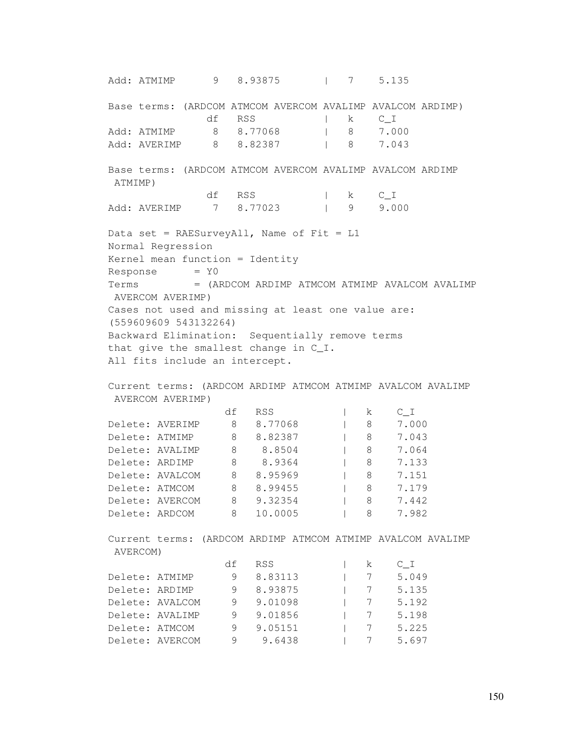Add: ATMIMP 9 8.93875 | 7 5.135 Base terms: (ARDCOM ATMCOM AVERCOM AVALIMP AVALCOM ARDIMP) df RSS | k C\_I Add: ATMIMP 8 8.77068 | 8 7.000 Add: AVERIMP 8 8.82387 | 8 7.043 Base terms: (ARDCOM ATMCOM AVERCOM AVALIMP AVALCOM ARDIMP ATMIMP) df RSS | k C I Add: AVERIMP 7 8.77023 | 9 9.000 Data set = RAESurveyAll, Name of Fit =  $L1$ Normal Regression Kernel mean function = Identity  $Response = Y0$ Terms = (ARDCOM ARDIMP ATMCOM ATMIMP AVALCOM AVALIMP AVERCOM AVERIMP) Cases not used and missing at least one value are: (559609609 543132264) Backward Elimination: Sequentially remove terms that give the smallest change in C\_I. All fits include an intercept. Current terms: (ARDCOM ARDIMP ATMCOM ATMIMP AVALCOM AVALIMP AVERCOM AVERIMP) df RSS | k C\_I Delete: AVERIMP 8 8.77068 | 8 7.000 Delete: ATMIMP 8 8.82387 | 8 7.043 Delete: AVALIMP 8 8.8504 | 8 7.064 Delete: ARDIMP 8 8.9364 | 8 7.133 Delete: AVALCOM 8 8.95969 | 8 7.151 Delete: ATMCOM 8 8.99455 | 8 7.179 Delete: AVERCOM 8 9.32354 | 8 7.442 Delete: ARDCOM 8 10.0005 | 8 7.982 Current terms: (ARDCOM ARDIMP ATMCOM ATMIMP AVALCOM AVALIMP AVERCOM) df RSS | k C\_I Delete: ATMIMP 9 8.83113 | 7 5.049 Delete: ARDIMP 9 8.93875 | 7 5.135 Delete: AVALCOM 9 9.01098 | 7 5.192 Delete: AVALIMP 9 9.01856 | 7 5.198 Delete: ATMCOM 9 9.05151 | 7 5.225 Delete: AVERCOM 9 9.6438 | 7 5.697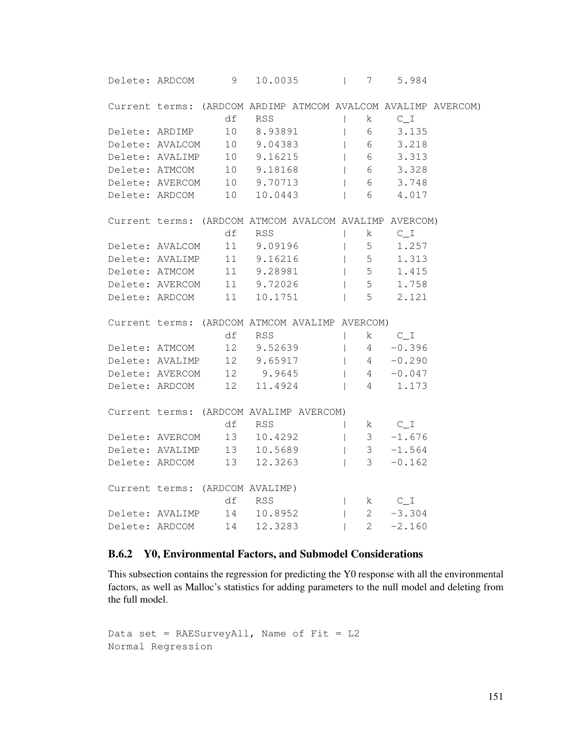| Delete: ARDCOM                                         | 9  | 10.0035    | $\overline{1}$           | 7              | 5.984                                        |                                                               |
|--------------------------------------------------------|----|------------|--------------------------|----------------|----------------------------------------------|---------------------------------------------------------------|
|                                                        |    |            |                          |                |                                              | Current terms: (ARDCOM ARDIMP ATMCOM AVALCOM AVALIMP AVERCOM) |
|                                                        | df | <b>RSS</b> |                          | $\mathbf{k}$   | $C_{I}I$                                     |                                                               |
| Delete: ARDIMP                                         |    | 10 8.93891 |                          | $6\degree$     | 3.135                                        |                                                               |
| Delete: AVALCOM                                        |    | 10 9.04383 |                          |                | 63.218                                       |                                                               |
| Delete: AVALIMP 10 9.16215                             |    |            |                          |                | 1 6 3.313                                    |                                                               |
| Delete: ATMCOM 10 9.18168                              |    |            |                          |                | $\begin{array}{ccc} & 6 & 3.328 \end{array}$ |                                                               |
| Delete: AVERCOM 10 9.70713                             |    |            |                          |                | 1 6 3.748                                    |                                                               |
| Delete: ARDCOM 10                                      |    | 10.0443    |                          | 6              | 4.017                                        |                                                               |
|                                                        |    |            |                          |                |                                              |                                                               |
| Current terms: (ARDCOM ATMCOM AVALCOM AVALIMP AVERCOM) |    |            |                          |                |                                              |                                                               |
|                                                        | df | RSS        | $\mathbf{I}$             | k –            | $C_I I$                                      |                                                               |
| Delete: AVALCOM                                        |    | 11 9.09196 | $\mathbf{I}$             | 5 <sub>1</sub> | 1.257                                        |                                                               |
| Delete: AVALIMP                                        |    | 11 9.16216 | $\mathbf{I}$             | 5 <sub>1</sub> | 1.313                                        |                                                               |
| Delete: ATMCOM 11 9.28981                              |    |            |                          |                | 1.415                                        |                                                               |
| Delete: AVERCOM 11 9.72026                             |    |            |                          | 5 <sup>5</sup> | 1.758                                        |                                                               |
| Delete: ARDCOM                                         | 11 | 10.1751    |                          | 5 <sup>5</sup> | 2.121                                        |                                                               |
|                                                        |    |            |                          |                |                                              |                                                               |
| Current terms: (ARDCOM ATMCOM AVALIMP AVERCOM)         |    |            |                          |                |                                              |                                                               |
|                                                        | df | <b>RSS</b> | $\overline{\phantom{a}}$ | k –            | $C_1$                                        |                                                               |
| Delete: ATMCOM                                         |    | 12 9.52639 | $\overline{\phantom{a}}$ |                | $4 -0.396$                                   |                                                               |
| Delete: AVALIMP 12 9.65917                             |    |            |                          |                | $1 4 -0.290$                                 |                                                               |
| Delete: AVERCOM 12 9.9645                              |    |            | $\overline{1}$           |                | $4 -0.047$                                   |                                                               |
| Delete: ARDCOM 12                                      |    | 11.4924    |                          |                | 4 1.173                                      |                                                               |
| Current terms: (ARDCOM AVALIMP AVERCOM)                |    |            |                          |                |                                              |                                                               |
|                                                        | df | <b>RSS</b> |                          |                | k $C_I$                                      |                                                               |
| Delete: AVERCOM                                        |    | 13 10.4292 |                          |                | $3 - 1.676$                                  |                                                               |
|                                                        |    |            |                          |                |                                              |                                                               |
| Delete: AVALIMP 13 10.5689                             |    |            |                          |                | $3 - 1.564$                                  |                                                               |
| Delete: ARDCOM 13                                      |    | 12.3263    |                          | 3 <sup>7</sup> | $-0.162$                                     |                                                               |
| Current terms: (ARDCOM AVALIMP)                        |    |            |                          |                |                                              |                                                               |
|                                                        | df | RSS        | $\mathbb{R}^n$           |                | $k \qquad C_I$                               |                                                               |
| Delete: AVALIMP                                        |    | 14 10.8952 | $\overline{\phantom{a}}$ |                | $2 -3.304$                                   |                                                               |
| Delete: ARDCOM                                         | 14 | 12.3283    |                          | $2^{\circ}$    | $-2.160$                                     |                                                               |

# B.6.2 Y0, Environmental Factors, and Submodel Considerations

This subsection contains the regression for predicting the Y0 response with all the environmental factors, as well as Malloc's statistics for adding parameters to the null model and deleting from the full model.

```
Data set = RAESurveyAll, Name of Fit = L2
Normal Regression
```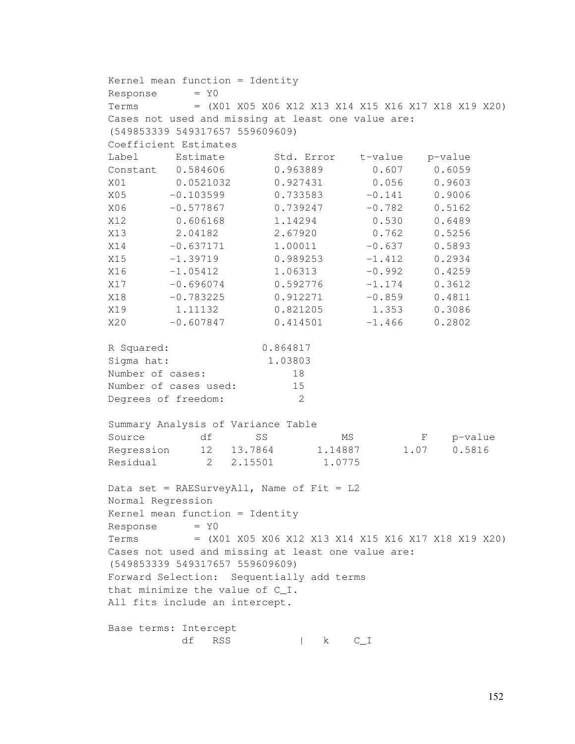```
Kernel mean function = Identity
Response = Y0Terms = (X01 X05 X06 X12 X13 X14 X15 X16 X17 X18 X19 X20)
Cases not used and missing at least one value are:
(549853339 549317657 559609609)
Coefficient Estimates
Label Estimate Std. Error t-value p-value
Constant 0.584606 0.963889 0.607 0.6059
X01 0.0521032 0.927431 0.056 0.9603
X05 -0.103599 0.733583 -0.141 0.9006
X06 -0.577867 0.739247 -0.782 0.5162
X12 0.606168 1.14294 0.530 0.6489
X13 2.04182 2.67920 0.762 0.5256
X14 -0.637171 1.00011 -0.637 0.5893
X15 -1.39719 0.989253 -1.412 0.2934
X16 -1.05412 1.06313 -0.992 0.4259
X17 -0.696074 0.592776 -1.174 0.3612
X18 -0.783225 0.912271 -0.859 0.4811
X19 1.11132 0.821205 1.353 0.3086<br>
X20 −0.607847 0.414501 −1.466 0.2802
X20 -0.607847 0.414501 -1.466R Squared: 0.864817
Sigma hat: 1.03803
Number of cases: 18
Number of cases used: 15
Degrees of freedom: 2
Summary Analysis of Variance Table
Source df SS MS F p-value
Regression 12 13.7864 1.14887 1.07 0.5816
Residual 2 2.15501 1.0775
Data set = RAESurveyAll, Name of Fit = L2
Normal Regression
Kernel mean function = Identity
Response = Y0Terms = (X01 X05 X06 X12 X13 X14 X15 X16 X17 X18 X19 X20)
Cases not used and missing at least one value are:
(549853339 549317657 559609609)
Forward Selection: Sequentially add terms
that minimize the value of C_I.
All fits include an intercept.
Base terms: Intercept
         df RSS | k C_I
```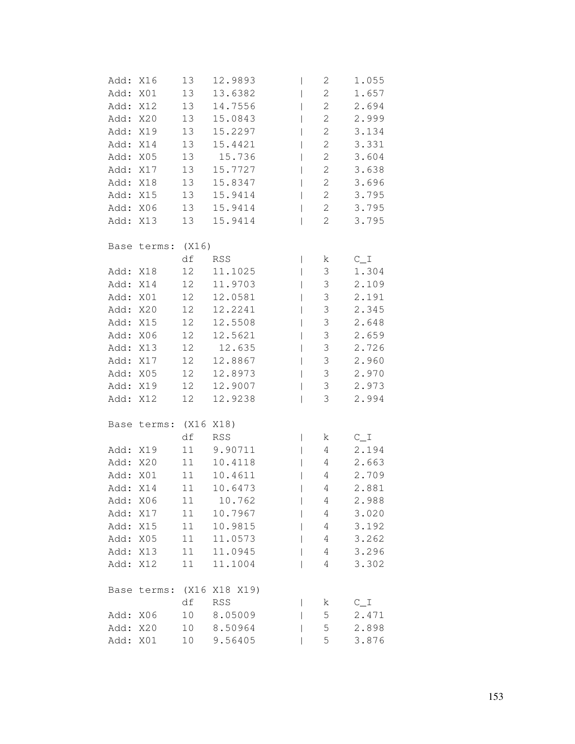| Add:         | X16               | 13       | 12.9893            | $\mathbf{I}$                                         | 2              | 1.055          |
|--------------|-------------------|----------|--------------------|------------------------------------------------------|----------------|----------------|
| Add:         | X01               | 13       | 13.6382            | $\mathbf{I}$                                         | $\mathbf{2}$   | 1.657          |
| Add:         | X12               | 13       | 14.7556            |                                                      | $\mathbf{2}$   | 2.694          |
| Add:         | X20               | 13       | 15.0843            |                                                      | $\mathbf{2}$   | 2.999          |
| Add:         | X19               | 13       | 15.2297            | $\mathbf{I}$                                         | 2              | 3.134          |
| Add:         | X14               | 13       | 15.4421            |                                                      | $\mathbf{2}$   | 3.331          |
| Add:         | X05               | 13       | 15.736             |                                                      | $\mathbf{2}$   | 3.604          |
| Add:         | X17               | 13       | 15.7727            |                                                      | $\mathbf{2}$   | 3.638          |
| Add:         | X18               | 13       | 15.8347            | $\overline{\phantom{a}}$                             | $\mathbf{2}$   | 3.696          |
| Add:         | X15               | 13       | 15.9414            |                                                      | $\mathbf{2}$   | 3.795          |
| Add:         | X06               | 13       | 15.9414            |                                                      | $\mathbf{2}$   | 3.795          |
| Add: X13     |                   | 13       | 15.9414            |                                                      | $\overline{2}$ | 3.795          |
|              |                   |          |                    |                                                      |                |                |
|              | Base terms: (X16) |          |                    |                                                      |                |                |
|              |                   | df       | RSS                | $\mathbf{I}$                                         | k              | $C_I$          |
| Add:         | X18               | 12       | 11.1025            | $\mathbf{I}$                                         | 3              | 1.304          |
| Add:         | X14               | 12       | 11.9703            | $\mathbf{I}$                                         | 3              | 2.109          |
| Add:         | X01               | 12       | 12.0581            |                                                      | 3              | 2.191          |
| Add:         | X20               | 12       | 12.2241            |                                                      | 3              | 2.345          |
| Add:         | X15               | 12       | 12.5508            | $\mathbf{I}$                                         | 3              | 2.648          |
| Add:         | X06               | 12       | 12.5621            |                                                      | 3              | 2.659          |
| Add:         | X13               | 12       | 12.635             |                                                      | 3              | 2.726          |
| Add:         | X17               | 12       | 12.8867            |                                                      | 3              | 2.960          |
| Add:         | X05               | 12       | 12.8973            |                                                      | 3              | 2.970          |
| Add:         | X19               | 12       | 12.9007            |                                                      | 3              | 2.973          |
| Add:         | X12               | 12       | 12.9238            |                                                      | 3              | 2.994          |
|              |                   |          |                    |                                                      |                |                |
|              | Base terms: (X16  |          | X18)               |                                                      |                |                |
|              |                   | df<br>11 | RSS                | $\mathbf{I}$                                         | k              | $C_1$<br>2.194 |
| Add:         | X19<br>X20        | 11       | 9.90711<br>10.4118 | $\mathbf{I}$                                         | 4              | 2.663          |
| Add:<br>Add: |                   | 11       | 10.4611            | $\mathbf{I}$                                         | 4<br>4         | 2.709          |
| Add:         | XO1<br>X14        | 11       | 10.6473            | $\overline{\phantom{a}}$<br>$\overline{\phantom{a}}$ | 4              | 2.881          |
| Add:         | X06               | 11       |                    |                                                      | 4              | 2.988          |
| Add:         | X17               | 11       | 10.762<br>10.7967  |                                                      | 4              | 3.020          |
| Add:         | X15               | 11       | 10.9815            |                                                      | 4              | 3.192          |
| Add:         | X05               | 11       | 11.0573            |                                                      | 4              | 3.262          |
| Add:         | X13               | $11\,$   | 11.0945            |                                                      | 4              | 3.296          |
| Add:         | X12               | 11       | 11.1004            |                                                      | 4              | 3.302          |
|              |                   |          |                    |                                                      |                |                |
| Base         | terms:            | (X16     | X18 X19)           |                                                      |                |                |
|              |                   | df       | <b>RSS</b>         |                                                      | k              | $C_1$          |
| Add:         | X06               | 10       | 8.05009            |                                                      | 5              | 2.471          |
| Add:         | X20               | 10       | 8.50964            |                                                      | 5              | 2.898          |
| Add:         | X01               | 10       | 9.56405            |                                                      | 5              | 3.876          |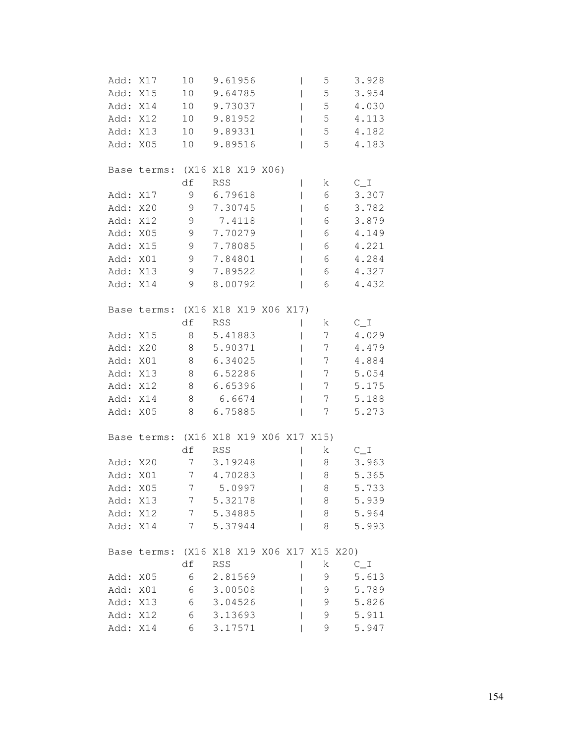| Add:     | X17         | 10              | 9.61956                                   |              | 5 | 3.928                     |
|----------|-------------|-----------------|-------------------------------------------|--------------|---|---------------------------|
| Add:     | X15         | 10              | 9.64785                                   |              | 5 | 3.954                     |
| Add:     | X14         | 10              | 9.73037                                   |              | 5 | 4.030                     |
| Add: X12 |             | 10              | 9.81952                                   |              | 5 | 4.113                     |
| Add:     | X13         | 10              | 9.89331                                   |              | 5 | 4.182                     |
| Add:     | X05         | 10              | 9.89516                                   |              | 5 | 4.183                     |
|          |             |                 |                                           |              |   |                           |
|          | Base terms: | (X16            | X18 X19 X06)                              |              |   |                           |
|          |             | df              | <b>RSS</b>                                |              | k | $\mathrm{C}\_ \mathrm{I}$ |
| Add:     | X17         | 9               | 6.79618                                   |              | 6 | 3.307                     |
| Add:     | X20         | 9               | 7.30745                                   |              | 6 | 3.782                     |
| Add:     | X12         | 9               | 7.4118                                    |              | 6 | 3.879                     |
| Add:     | X05         | 9               | 7.70279                                   |              | 6 | 4.149                     |
| Add:     | X15         | 9               | 7.78085                                   |              | 6 | 4.221                     |
| Add:     | X01         | 9               | 7.84801                                   |              | 6 | 4.284                     |
| Add:     | X13         | 9               | 7.89522                                   |              | 6 | 4.327                     |
| Add:     | X14         | 9               | 8.00792                                   |              | 6 | 4.432                     |
|          |             |                 |                                           |              |   |                           |
|          | Base terms: |                 | (X16 X18 X19 X06 X17)                     |              |   |                           |
|          |             | df              | <b>RSS</b>                                |              | k | $C_1$                     |
| Add:     | X15         | 8               | 5.41883                                   |              | 7 | 4.029                     |
| Add:     | X20         | 8               | 5.90371                                   |              | 7 | 4.479                     |
| Add:     | X01         | 8               | 6.34025                                   |              | 7 | 4.884                     |
| Add:     | X13         | 8               | 6.52286                                   |              | 7 | 5.054                     |
| Add:     | X12         | 8               | 6.65396                                   |              | 7 | 5.175                     |
| Add:     | X14         | 8               | 6.6674                                    |              | 7 | 5.188                     |
| Add:     | X05         | 8               | 6.75885                                   |              | 7 | 5.273                     |
|          |             |                 |                                           |              |   |                           |
| Base     | terms:      |                 | (X16 X18 X19 X06 X17 X15)                 |              |   |                           |
|          |             | df              | <b>RSS</b>                                |              | k | $C_{I}$                   |
| Add:     | X20         | $\overline{7}$  | 3.19248                                   | $\mathsf{I}$ | 8 | 3.963                     |
| Add:     | XO1         | 7               | 4.70283                                   |              | 8 | 5.365                     |
| Add:     | X05         | 7               | 5.0997                                    |              | 8 | 5.733                     |
| Add:     | X13         | 7               | 5.32178                                   |              | 8 | 5.939                     |
| Add:     | X12         | $7\phantom{.0}$ | 5.34885                                   |              | 8 | 5.964                     |
| Add: X14 |             | 7               | 5.37944                                   |              | 8 | 5.993                     |
|          |             |                 |                                           |              |   |                           |
|          |             |                 | Base terms: (X16 X18 X19 X06 X17 X15 X20) |              |   |                           |
|          |             | df              | <b>RSS</b>                                |              | k | $C_1$                     |
| Add:     | X05         | 6               | 2.81569                                   |              | 9 | 5.613                     |
| Add:     | X01         | 6               | 3.00508                                   |              | 9 | 5.789                     |
| Add:     | X13         | 6               | 3.04526                                   |              | 9 | 5.826                     |
| Add:     | X12         | 6               | 3.13693                                   |              | 9 | 5.911                     |
| Add: X14 |             | 6               | 3.17571                                   |              | 9 | 5.947                     |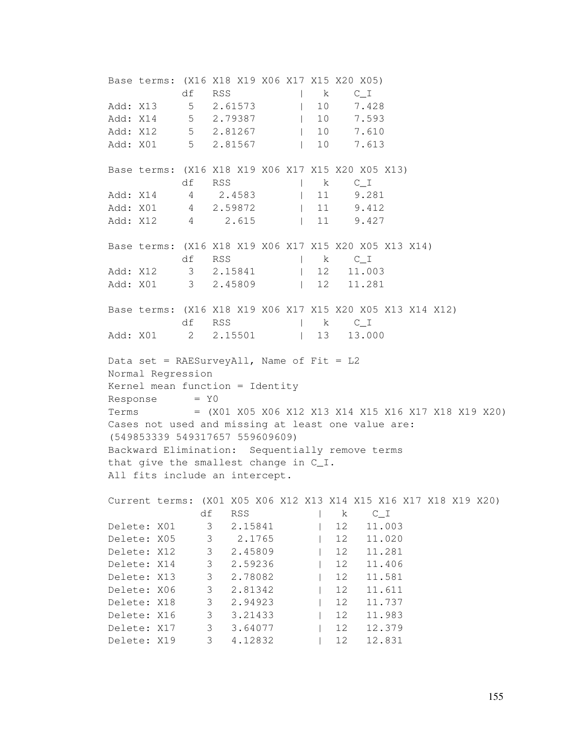Base terms: (X16 X18 X19 X06 X17 X15 X20 X05) df RSS | k C I Add: X13 5 2.61573 | 10 7.428 Add: X14 5 2.79387 | 10 7.593 Add: X12 5 2.81267 | 10 7.610 2.81567 | 10 7.613 Base terms: (X16 X18 X19 X06 X17 X15 X20 X05 X13) df RSS | k C\_I Add: X14 4 2.4583 1 11 9.281 Add: X01 4 2.59872 | 11 9.412 Add: X12 4 2.615 | 11 9.427 Base terms: (X16 X18 X19 X06 X17 X15 X20 X05 X13 X14) df RSS | k C\_I Add: X12 3 2.15841 | 12 11.003 Add: X01 3 2.45809 | 12 11.281 Base terms: (X16 X18 X19 X06 X17 X15 X20 X05 X13 X14 X12) df RSS | k C\_I Add: X01 2 2.15501 | 13 13.000 Data set = RAESurveyAll, Name of Fit =  $L2$ Normal Regression Kernel mean function = Identity  $Response = Y0$ Terms = (X01 X05 X06 X12 X13 X14 X15 X16 X17 X18 X19 X20) Cases not used and missing at least one value are: (549853339 549317657 559609609) Backward Elimination: Sequentially remove terms that give the smallest change in C\_I. All fits include an intercept. Current terms: (X01 X05 X06 X12 X13 X14 X15 X16 X17 X18 X19 X20) df RSS | k C I Delete: X01 3 2.15841 | 12 11.003 Delete: X05 3 2.1765 | 12 11.020 Delete: X12 3 2.45809 | 12 11.281 Delete: X14 3 2.59236 | 12 11.406 0elete: X13 3 2.78082 | 12 11.581<br>Delete: X06 3 2.81342 | 12 11.611 Delete: X06 3 2.81342 | 12 11.611 Delete: X18 3 2.94923 | 12 11.737 Delete: X16 3 3.21433 | 12 11.983 Delete: X17 3 3.64077 | 12 12.379 Delete: X19 3 4.12832 | 12 12.831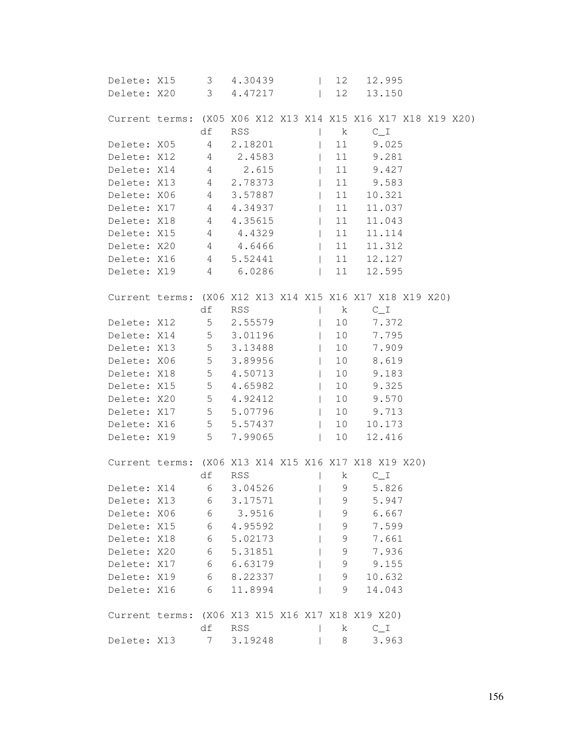| Delete: X15   | 3 <sup>3</sup>  | 4.30439                                        |                |              | 12 12.995                                                    |  |
|---------------|-----------------|------------------------------------------------|----------------|--------------|--------------------------------------------------------------|--|
|               |                 | Delete: X20 3 4.47217                          |                |              | 12 13.150                                                    |  |
|               |                 |                                                |                |              |                                                              |  |
|               |                 |                                                |                |              | Current terms: (X05 X06 X12 X13 X14 X15 X16 X17 X18 X19 X20) |  |
|               | df              | RSS                                            |                | $\mathbf{k}$ | $C_{I}$                                                      |  |
| Delete: X05 4 |                 | 2.18201                                        |                |              | 9.025<br>11                                                  |  |
|               |                 | Delete: X12 4 2.4583                           |                |              | 11<br>9.281                                                  |  |
| Delete: X14   | $4\overline{4}$ | 2.615                                          | $\mathbb{R}$   |              | 11 9.427                                                     |  |
| Delete: X13   |                 | 4 2.78373                                      | $\mathbb{R}^n$ |              | 11 9.583                                                     |  |
| Delete: X06   |                 | 4 3.57887                                      | $\mathbb{R}^n$ |              | 11 10.321                                                    |  |
|               |                 | Delete: X17 4 4.34937                          | $\mathbb{R}^n$ |              | 11 11.037                                                    |  |
|               |                 | Delete: X18 4 4.35615                          | $\mathbb{R}^n$ |              | 11 11.043                                                    |  |
| Delete: X15   | $4\overline{4}$ | 4.4329                                         | $\mathbb{R}^n$ |              | 11 11.114                                                    |  |
|               |                 | Delete: X20 4 4.6466                           |                |              | $\begin{array}{ccc} \vert & 11 & 11.312 \end{array}$         |  |
|               |                 | Delete: X16 4 5.52441                          |                |              | 11 12.127                                                    |  |
|               |                 | Delete: X19 4 6.0286                           |                |              | 11 12.595                                                    |  |
|               |                 |                                                |                |              |                                                              |  |
|               |                 |                                                |                |              | Current terms: (X06 X12 X13 X14 X15 X16 X17 X18 X19 X20)     |  |
|               |                 | df RSS                                         |                |              | k C_I                                                        |  |
| Delete: X12   |                 | 5 2.55579                                      |                | 10           | 7.372                                                        |  |
|               |                 | Delete: X14 5 3.01196                          |                |              | 10<br>7.795                                                  |  |
|               |                 | Delete: X13 5 3.13488                          |                |              | 10<br>7.909                                                  |  |
| Delete: X06   |                 | 5 3.89956                                      |                |              | 10<br>8.619                                                  |  |
| Delete: X18   |                 | 5 4.50713                                      | $\mathbb{R}$   |              | 10<br>9.183                                                  |  |
| Delete: X15   |                 | 5 4.65982                                      |                |              | 10<br>9.325                                                  |  |
|               |                 | Delete: X20 5 4.92412                          |                |              | 10 9.570                                                     |  |
|               |                 |                                                | $\mathbb{R}^n$ |              | 10 9.713                                                     |  |
|               |                 | Delete: X17 5 5.07796<br>Delete: X16 5 5.57437 |                |              | 10 10.173                                                    |  |
| Delete: X19   | 5 <sup>7</sup>  | 7.99065                                        |                | 10           | 12.416                                                       |  |
|               |                 |                                                |                |              |                                                              |  |
|               |                 |                                                |                |              | Current terms: (X06 X13 X14 X15 X16 X17 X18 X19 X20)         |  |
|               |                 | df RSS                                         |                | k            | $C_1$                                                        |  |
| Delete: X14   | $6\overline{6}$ | 3.04526                                        |                |              | 9<br>5.826                                                   |  |
| Delete: X13   | 6               | 3.17571                                        |                | 9            | 5.947                                                        |  |
| Delete: X06   | 6               | 3.9516                                         |                | 9            | 6.667                                                        |  |
| Delete: X15   | 6               | 4.95592                                        |                | 9            | 7.599                                                        |  |
| Delete: X18   | 6               | 5.02173                                        |                | 9            | 7.661                                                        |  |
| Delete: X20   | 6               | 5.31851                                        |                | 9            | 7.936                                                        |  |
| Delete: X17   | 6               | 6.63179                                        |                | 9            | 9.155                                                        |  |
| Delete: X19   | 6               | 8.22337                                        |                | 9            | 10.632                                                       |  |
| Delete: X16   | 6               | 11.8994                                        |                | 9            | 14.043                                                       |  |
|               |                 |                                                |                |              |                                                              |  |
|               |                 |                                                |                |              | Current terms: (X06 X13 X15 X16 X17 X18 X19 X20)             |  |
|               | df              | RSS                                            |                | k            | $C_{I}I$                                                     |  |
| Delete: X13   | 7               | 3.19248                                        |                | 8            | 3.963                                                        |  |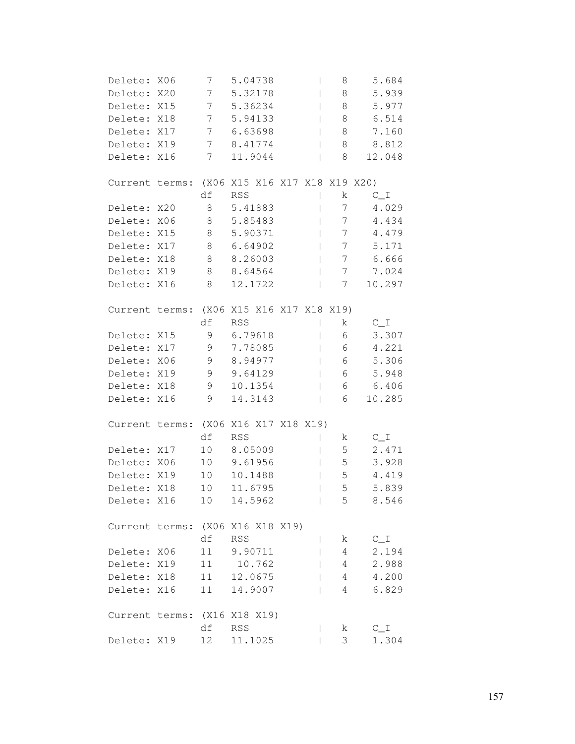| Delete:        | X06    | 7                | 5.04738                          |  | 8              | 5.684                     |
|----------------|--------|------------------|----------------------------------|--|----------------|---------------------------|
| Delete:        | X20    | $\boldsymbol{7}$ | 5.32178                          |  | 8              | 5.939                     |
| Delete:        | X15    | 7                | 5.36234                          |  | 8              | 5.977                     |
| Delete:        | X18    | 7                | 5.94133                          |  | 8              | 6.514                     |
| Delete:        | X17    | 7                | 6.63698                          |  | 8              | 7.160                     |
| Delete:        | X19    | 7                | 8.41774                          |  | 8              | 8.812                     |
| Delete:        | X16    | 7                | 11.9044                          |  | 8              | 12.048                    |
|                |        |                  |                                  |  |                |                           |
| Current        | terms: |                  | (X06 X15 X16 X17 X18 X19 X20)    |  |                |                           |
|                |        | df               | <b>RSS</b>                       |  | k              | $C_{I}I$                  |
| Delete:        | X20    | 8                | 5.41883                          |  | 7              | 4.029                     |
| Delete:        | X06    | 8                | 5.85483                          |  | 7              | 4.434                     |
| Delete:        | X15    | 8                | 5.90371                          |  | 7              | 4.479                     |
| Delete:        | X17    | 8                | 6.64902                          |  | 7              | 5.171                     |
| Delete:        | X18    | 8                | 8.26003                          |  | 7              | 6.666                     |
| Delete:        | X19    | 8                | 8.64564                          |  | $\overline{7}$ | 7.024                     |
| Delete:        | X16    | 8                | 12.1722                          |  | 7              | 10.297                    |
|                |        |                  |                                  |  |                |                           |
| Current terms: |        | (X06)            | X15 X16 X17 X18 X19)             |  |                |                           |
|                |        | df               | RSS                              |  | k              | $\mathrm{C\_I}$           |
| Delete:        | X15    | 9                | 6.79618                          |  | 6              | 3.307                     |
| Delete:        | X17    | $\mathcal{G}$    | 7.78085                          |  | 6              | 4.221                     |
| Delete:        | X06    | 9                | 8.94977                          |  | 6              | 5.306                     |
| Delete:        | X19    | 9                | 9.64129                          |  | 6              | 5.948                     |
| Delete:        | X18    | 9                | 10.1354                          |  | 6              | 6.406                     |
| Delete:        | X16    | 9                | 14.3143                          |  | 6              | 10.285                    |
|                |        |                  |                                  |  |                |                           |
| Current terms: |        | (X06             | X16 X17 X18 X19)                 |  |                |                           |
|                |        | df               | <b>RSS</b>                       |  | k              | $\mathrm{C}\_ \mathrm{I}$ |
| Delete:        | X17    | 10               | 8.05009                          |  | 5              | 2.471                     |
| Delete:        | X06    | 10               | 9.61956                          |  | 5              | 3.928                     |
| Delete:        | X19    | 10               | 10.1488                          |  | 5              | 4.419                     |
| Delete:        | X18    | 10               | 11.6795                          |  | 5              | 5.839                     |
| Delete: X16    |        | 10               | 14.5962                          |  | 5              | 8.546                     |
|                |        |                  |                                  |  |                |                           |
|                |        |                  | Current terms: (X06 X16 X18 X19) |  |                |                           |
|                |        | df               | <b>RSS</b>                       |  | k              | $C_{I}I$                  |
| Delete: X06    |        | 11               | 9.90711                          |  | 4              | 2.194                     |
| Delete: X19    |        | 11               | 10.762                           |  | 4              | 2.988                     |
| Delete: X18    |        | 11               | 12.0675                          |  | 4              | 4.200                     |
| Delete:        | X16    | 11               | 14.9007                          |  | 4              | 6.829                     |
|                |        |                  |                                  |  |                |                           |
|                |        |                  | Current terms: (X16 X18 X19)     |  |                |                           |
|                |        | df               | RSS                              |  | k              | $\mathrm{C\_I}$           |
| Delete: X19    |        | 12               | 11.1025                          |  | 3              | 1.304                     |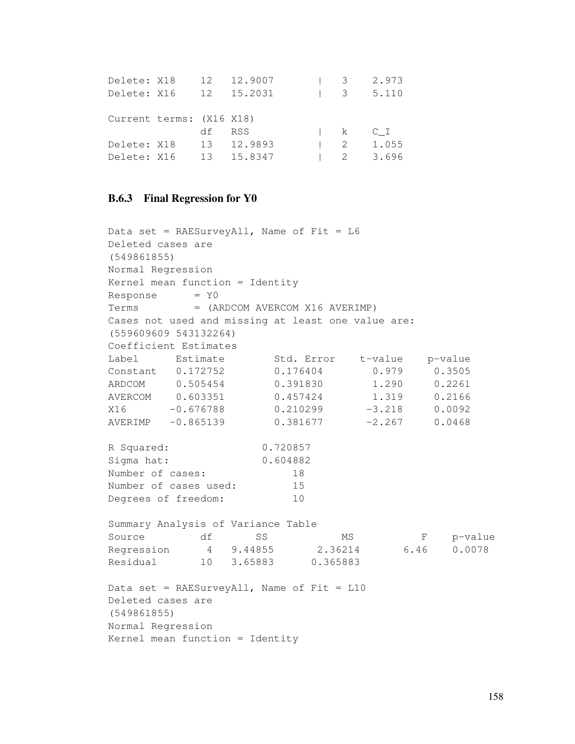| Delete: X18              |  | 12 12.9007             |  |               | $\begin{array}{ccc} & 3 & 2.973 \end{array}$ |
|--------------------------|--|------------------------|--|---------------|----------------------------------------------|
|                          |  | Delete: X16 12 15.2031 |  |               | $\frac{1}{3}$ 5.110                          |
| Current terms: (X16 X18) |  |                        |  |               |                                              |
|                          |  | df RSS                 |  | $\vert$ k C I |                                              |
| Delete: X18              |  | 13 12.9893             |  |               | $1 \quad 2 \quad 1.055$                      |
| Delete: X16              |  | 13 15.8347             |  |               | $1 \quad 2 \quad 3.696$                      |

## B.6.3 Final Regression for Y0

```
Data set = RAESurveyAll, Name of Fit = L6
Deleted cases are
(549861855)
Normal Regression
Kernel mean function = Identity
Response = Y0Terms = (ARDCOM AVERCOM X16 AVERIMP)
Cases not used and missing at least one value are:
(559609609 543132264)
Coefficient Estimates
Label Estimate Std. Error t-value p-value
Constant 0.172752 0.176404 0.979 0.3505
ARDCOM 0.505454 0.391830 1.290 0.2261
AVERCOM 0.603351 0.457424 1.319 0.2166
X16 -0.676788 0.210299 -3.218 0.0092
AVERIMP -0.865139 0.381677 -2.267 0.0468
R Squared: 0.720857
Sigma hat: 0.604882
Number of cases: 18
Number of cases used: 15
Degrees of freedom: 10
Summary Analysis of Variance Table
Source df SS MS F p-value
Regression 4 9.44855 2.36214 6.46 0.0078
Residual 10 3.65883 0.365883
Data set = RAESurveyAll, Name of Fit = L10
Deleted cases are
(549861855)
Normal Regression
Kernel mean function = Identity
```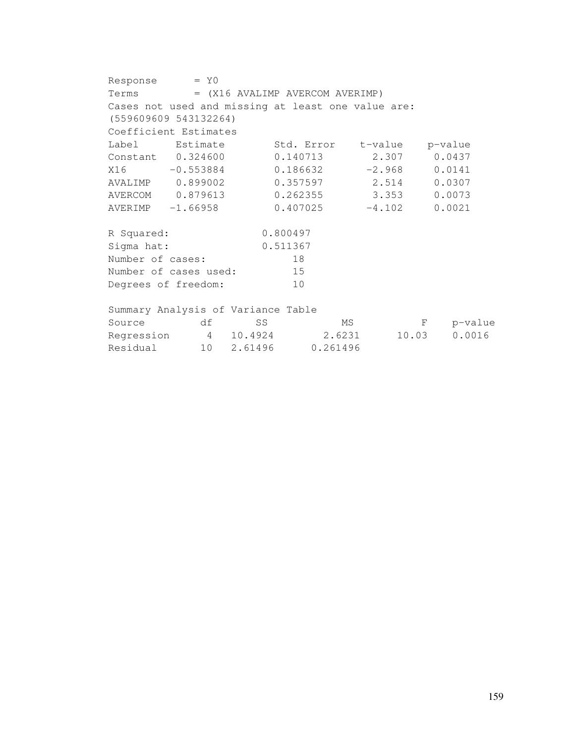| $Response = Y0$                            |                                                    |    |          |                          |       |                  |
|--------------------------------------------|----------------------------------------------------|----|----------|--------------------------|-------|------------------|
|                                            | Terms = (X16 AVALIMP AVERCOM AVERIMP)              |    |          |                          |       |                  |
|                                            | Cases not used and missing at least one value are: |    |          |                          |       |                  |
|                                            | (559609609 543132264)                              |    |          |                          |       |                  |
|                                            | Coefficient Estimates                              |    |          |                          |       |                  |
|                                            | Label Estimate                                     |    |          | Std. Error t-value       |       | p-value          |
|                                            | Constant 0.324600                                  |    | 0.140713 |                          |       | 2.307 0.0437     |
|                                            | $X16 -0.553884$                                    |    |          | $0.186632 -2.968 0.0141$ |       |                  |
| AVALIMP  0.899002  0.357597  2.514  0.0307 |                                                    |    |          |                          |       |                  |
| AVERCOM 0.879613                           |                                                    |    |          | 0.262355 3.353 0.0073    |       |                  |
| AVERIMP -1.66958                           |                                                    |    |          | $0.407025 -4.102$        |       | 0.0021           |
|                                            |                                                    |    |          |                          |       |                  |
| R Squared:                                 |                                                    |    | 0.800497 |                          |       |                  |
| Sigma hat:                                 |                                                    |    | 0.511367 |                          |       |                  |
| Number of cases:                           |                                                    |    | 18       |                          |       |                  |
|                                            | Number of cases used:                              |    | 15       |                          |       |                  |
| Degrees of freedom:                        |                                                    |    | 10       |                          |       |                  |
|                                            |                                                    |    |          |                          |       |                  |
|                                            | Summary Analysis of Variance Table                 |    |          |                          |       |                  |
| Source                                     | df                                                 | SS |          | MS                       |       | p-value<br>$F =$ |
|                                            | Regression 4 10.4924 2.6231                        |    |          |                          | 10.03 | 0.0016           |
| Residual 10 2.61496 0.261496               |                                                    |    |          |                          |       |                  |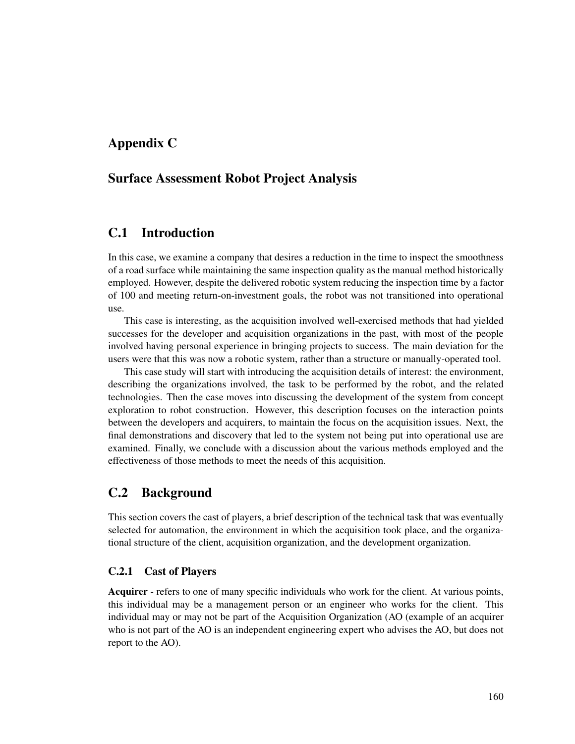# Appendix C

## Surface Assessment Robot Project Analysis

# C.1 Introduction

In this case, we examine a company that desires a reduction in the time to inspect the smoothness of a road surface while maintaining the same inspection quality as the manual method historically employed. However, despite the delivered robotic system reducing the inspection time by a factor of 100 and meeting return-on-investment goals, the robot was not transitioned into operational use.

This case is interesting, as the acquisition involved well-exercised methods that had yielded successes for the developer and acquisition organizations in the past, with most of the people involved having personal experience in bringing projects to success. The main deviation for the users were that this was now a robotic system, rather than a structure or manually-operated tool.

This case study will start with introducing the acquisition details of interest: the environment, describing the organizations involved, the task to be performed by the robot, and the related technologies. Then the case moves into discussing the development of the system from concept exploration to robot construction. However, this description focuses on the interaction points between the developers and acquirers, to maintain the focus on the acquisition issues. Next, the final demonstrations and discovery that led to the system not being put into operational use are examined. Finally, we conclude with a discussion about the various methods employed and the effectiveness of those methods to meet the needs of this acquisition.

# C.2 Background

This section covers the cast of players, a brief description of the technical task that was eventually selected for automation, the environment in which the acquisition took place, and the organizational structure of the client, acquisition organization, and the development organization.

## C.2.1 Cast of Players

Acquirer - refers to one of many specific individuals who work for the client. At various points, this individual may be a management person or an engineer who works for the client. This individual may or may not be part of the Acquisition Organization (AO (example of an acquirer who is not part of the AO is an independent engineering expert who advises the AO, but does not report to the AO).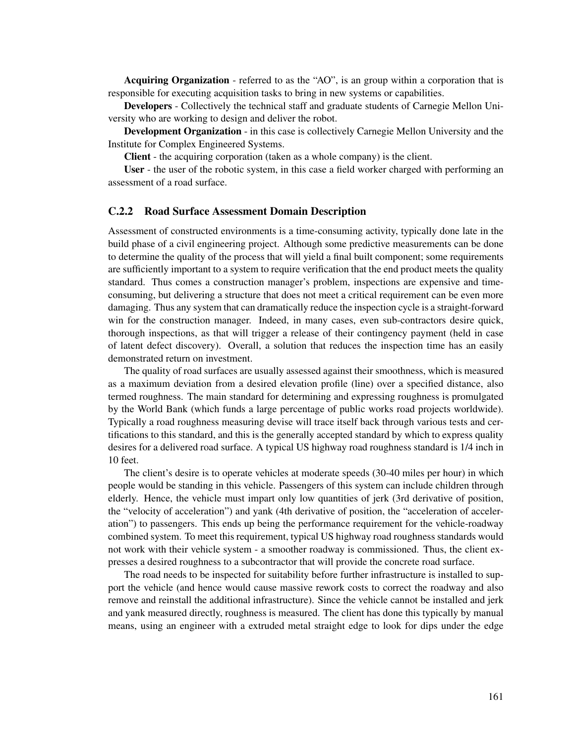Acquiring Organization - referred to as the "AO", is an group within a corporation that is responsible for executing acquisition tasks to bring in new systems or capabilities.

Developers - Collectively the technical staff and graduate students of Carnegie Mellon University who are working to design and deliver the robot.

Development Organization - in this case is collectively Carnegie Mellon University and the Institute for Complex Engineered Systems.

Client - the acquiring corporation (taken as a whole company) is the client.

User - the user of the robotic system, in this case a field worker charged with performing an assessment of a road surface.

#### C.2.2 Road Surface Assessment Domain Description

Assessment of constructed environments is a time-consuming activity, typically done late in the build phase of a civil engineering project. Although some predictive measurements can be done to determine the quality of the process that will yield a final built component; some requirements are sufficiently important to a system to require verification that the end product meets the quality standard. Thus comes a construction manager's problem, inspections are expensive and timeconsuming, but delivering a structure that does not meet a critical requirement can be even more damaging. Thus any system that can dramatically reduce the inspection cycle is a straight-forward win for the construction manager. Indeed, in many cases, even sub-contractors desire quick, thorough inspections, as that will trigger a release of their contingency payment (held in case of latent defect discovery). Overall, a solution that reduces the inspection time has an easily demonstrated return on investment.

The quality of road surfaces are usually assessed against their smoothness, which is measured as a maximum deviation from a desired elevation profile (line) over a specified distance, also termed roughness. The main standard for determining and expressing roughness is promulgated by the World Bank (which funds a large percentage of public works road projects worldwide). Typically a road roughness measuring devise will trace itself back through various tests and certifications to this standard, and this is the generally accepted standard by which to express quality desires for a delivered road surface. A typical US highway road roughness standard is 1/4 inch in 10 feet.

The client's desire is to operate vehicles at moderate speeds (30-40 miles per hour) in which people would be standing in this vehicle. Passengers of this system can include children through elderly. Hence, the vehicle must impart only low quantities of jerk (3rd derivative of position, the "velocity of acceleration") and yank (4th derivative of position, the "acceleration of acceleration") to passengers. This ends up being the performance requirement for the vehicle-roadway combined system. To meet this requirement, typical US highway road roughness standards would not work with their vehicle system - a smoother roadway is commissioned. Thus, the client expresses a desired roughness to a subcontractor that will provide the concrete road surface.

The road needs to be inspected for suitability before further infrastructure is installed to support the vehicle (and hence would cause massive rework costs to correct the roadway and also remove and reinstall the additional infrastructure). Since the vehicle cannot be installed and jerk and yank measured directly, roughness is measured. The client has done this typically by manual means, using an engineer with a extruded metal straight edge to look for dips under the edge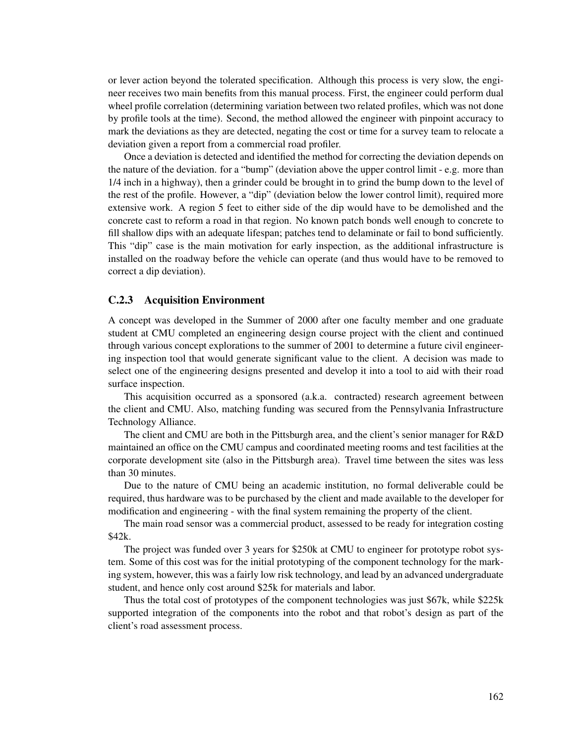or lever action beyond the tolerated specification. Although this process is very slow, the engineer receives two main benefits from this manual process. First, the engineer could perform dual wheel profile correlation (determining variation between two related profiles, which was not done by profile tools at the time). Second, the method allowed the engineer with pinpoint accuracy to mark the deviations as they are detected, negating the cost or time for a survey team to relocate a deviation given a report from a commercial road profiler.

Once a deviation is detected and identified the method for correcting the deviation depends on the nature of the deviation. for a "bump" (deviation above the upper control limit - e.g. more than 1/4 inch in a highway), then a grinder could be brought in to grind the bump down to the level of the rest of the profile. However, a "dip" (deviation below the lower control limit), required more extensive work. A region 5 feet to either side of the dip would have to be demolished and the concrete cast to reform a road in that region. No known patch bonds well enough to concrete to fill shallow dips with an adequate lifespan; patches tend to delaminate or fail to bond sufficiently. This "dip" case is the main motivation for early inspection, as the additional infrastructure is installed on the roadway before the vehicle can operate (and thus would have to be removed to correct a dip deviation).

#### C.2.3 Acquisition Environment

A concept was developed in the Summer of 2000 after one faculty member and one graduate student at CMU completed an engineering design course project with the client and continued through various concept explorations to the summer of 2001 to determine a future civil engineering inspection tool that would generate significant value to the client. A decision was made to select one of the engineering designs presented and develop it into a tool to aid with their road surface inspection.

This acquisition occurred as a sponsored (a.k.a. contracted) research agreement between the client and CMU. Also, matching funding was secured from the Pennsylvania Infrastructure Technology Alliance.

The client and CMU are both in the Pittsburgh area, and the client's senior manager for R&D maintained an office on the CMU campus and coordinated meeting rooms and test facilities at the corporate development site (also in the Pittsburgh area). Travel time between the sites was less than 30 minutes.

Due to the nature of CMU being an academic institution, no formal deliverable could be required, thus hardware was to be purchased by the client and made available to the developer for modification and engineering - with the final system remaining the property of the client.

The main road sensor was a commercial product, assessed to be ready for integration costing \$42k.

The project was funded over 3 years for \$250k at CMU to engineer for prototype robot system. Some of this cost was for the initial prototyping of the component technology for the marking system, however, this was a fairly low risk technology, and lead by an advanced undergraduate student, and hence only cost around \$25k for materials and labor.

Thus the total cost of prototypes of the component technologies was just \$67k, while \$225k supported integration of the components into the robot and that robot's design as part of the client's road assessment process.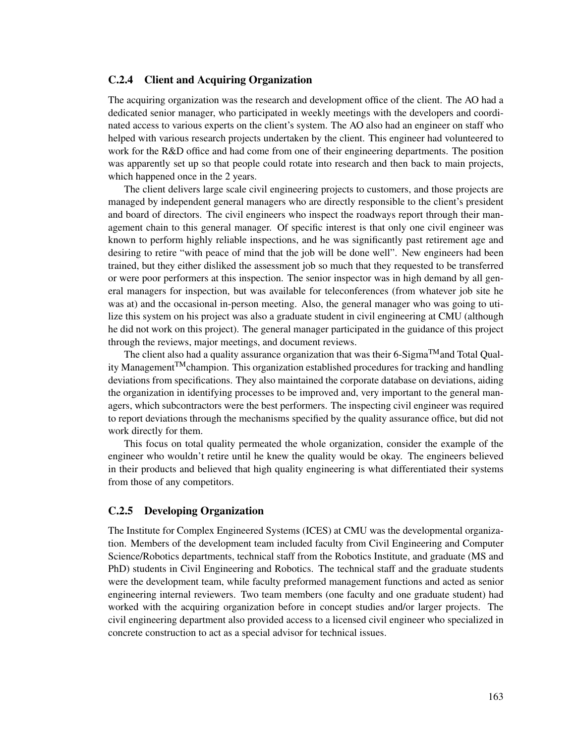#### C.2.4 Client and Acquiring Organization

The acquiring organization was the research and development office of the client. The AO had a dedicated senior manager, who participated in weekly meetings with the developers and coordinated access to various experts on the client's system. The AO also had an engineer on staff who helped with various research projects undertaken by the client. This engineer had volunteered to work for the R&D office and had come from one of their engineering departments. The position was apparently set up so that people could rotate into research and then back to main projects, which happened once in the 2 years.

The client delivers large scale civil engineering projects to customers, and those projects are managed by independent general managers who are directly responsible to the client's president and board of directors. The civil engineers who inspect the roadways report through their management chain to this general manager. Of specific interest is that only one civil engineer was known to perform highly reliable inspections, and he was significantly past retirement age and desiring to retire "with peace of mind that the job will be done well". New engineers had been trained, but they either disliked the assessment job so much that they requested to be transferred or were poor performers at this inspection. The senior inspector was in high demand by all general managers for inspection, but was available for teleconferences (from whatever job site he was at) and the occasional in-person meeting. Also, the general manager who was going to utilize this system on his project was also a graduate student in civil engineering at CMU (although he did not work on this project). The general manager participated in the guidance of this project through the reviews, major meetings, and document reviews.

The client also had a quality assurance organization that was their 6-Sigma<sup>TM</sup> and Total Quality Management<sup>TM</sup>champion. This organization established procedures for tracking and handling deviations from specifications. They also maintained the corporate database on deviations, aiding the organization in identifying processes to be improved and, very important to the general managers, which subcontractors were the best performers. The inspecting civil engineer was required to report deviations through the mechanisms specified by the quality assurance office, but did not work directly for them.

This focus on total quality permeated the whole organization, consider the example of the engineer who wouldn't retire until he knew the quality would be okay. The engineers believed in their products and believed that high quality engineering is what differentiated their systems from those of any competitors.

### C.2.5 Developing Organization

The Institute for Complex Engineered Systems (ICES) at CMU was the developmental organization. Members of the development team included faculty from Civil Engineering and Computer Science/Robotics departments, technical staff from the Robotics Institute, and graduate (MS and PhD) students in Civil Engineering and Robotics. The technical staff and the graduate students were the development team, while faculty preformed management functions and acted as senior engineering internal reviewers. Two team members (one faculty and one graduate student) had worked with the acquiring organization before in concept studies and/or larger projects. The civil engineering department also provided access to a licensed civil engineer who specialized in concrete construction to act as a special advisor for technical issues.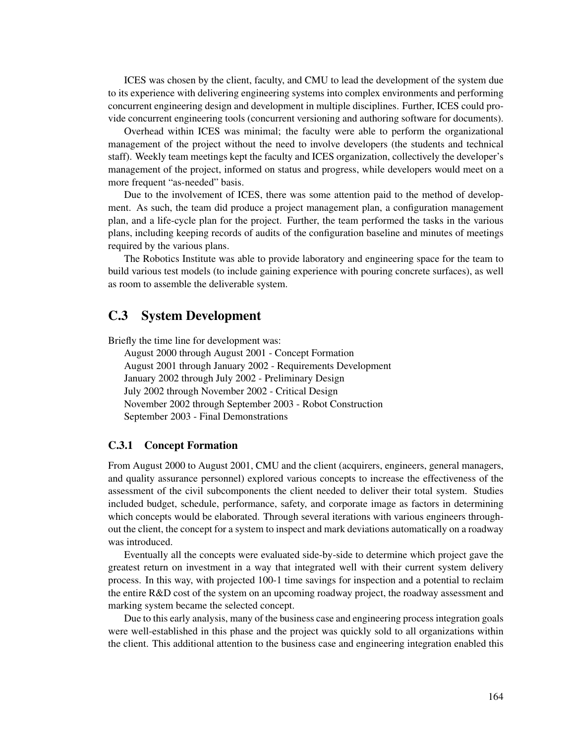ICES was chosen by the client, faculty, and CMU to lead the development of the system due to its experience with delivering engineering systems into complex environments and performing concurrent engineering design and development in multiple disciplines. Further, ICES could provide concurrent engineering tools (concurrent versioning and authoring software for documents).

Overhead within ICES was minimal; the faculty were able to perform the organizational management of the project without the need to involve developers (the students and technical staff). Weekly team meetings kept the faculty and ICES organization, collectively the developer's management of the project, informed on status and progress, while developers would meet on a more frequent "as-needed" basis.

Due to the involvement of ICES, there was some attention paid to the method of development. As such, the team did produce a project management plan, a configuration management plan, and a life-cycle plan for the project. Further, the team performed the tasks in the various plans, including keeping records of audits of the configuration baseline and minutes of meetings required by the various plans.

The Robotics Institute was able to provide laboratory and engineering space for the team to build various test models (to include gaining experience with pouring concrete surfaces), as well as room to assemble the deliverable system.

# C.3 System Development

Briefly the time line for development was:

August 2000 through August 2001 - Concept Formation August 2001 through January 2002 - Requirements Development January 2002 through July 2002 - Preliminary Design July 2002 through November 2002 - Critical Design November 2002 through September 2003 - Robot Construction September 2003 - Final Demonstrations

#### C.3.1 Concept Formation

From August 2000 to August 2001, CMU and the client (acquirers, engineers, general managers, and quality assurance personnel) explored various concepts to increase the effectiveness of the assessment of the civil subcomponents the client needed to deliver their total system. Studies included budget, schedule, performance, safety, and corporate image as factors in determining which concepts would be elaborated. Through several iterations with various engineers throughout the client, the concept for a system to inspect and mark deviations automatically on a roadway was introduced.

Eventually all the concepts were evaluated side-by-side to determine which project gave the greatest return on investment in a way that integrated well with their current system delivery process. In this way, with projected 100-1 time savings for inspection and a potential to reclaim the entire R&D cost of the system on an upcoming roadway project, the roadway assessment and marking system became the selected concept.

Due to this early analysis, many of the business case and engineering process integration goals were well-established in this phase and the project was quickly sold to all organizations within the client. This additional attention to the business case and engineering integration enabled this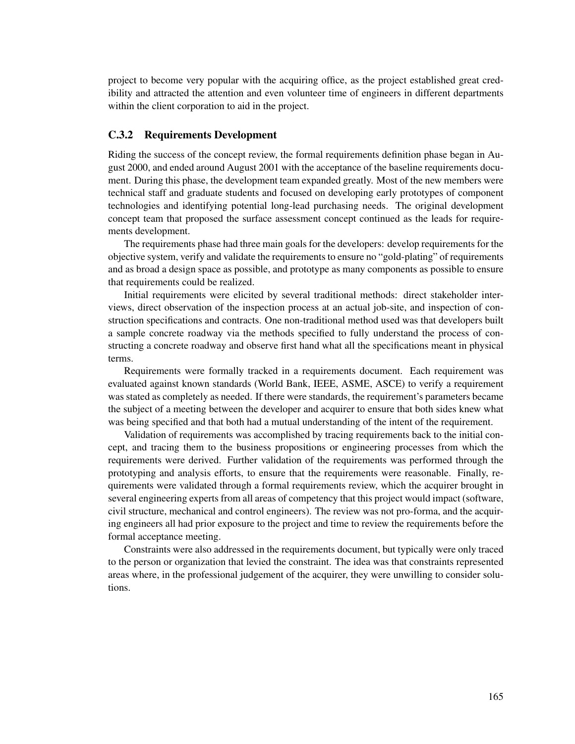project to become very popular with the acquiring office, as the project established great credibility and attracted the attention and even volunteer time of engineers in different departments within the client corporation to aid in the project.

### C.3.2 Requirements Development

Riding the success of the concept review, the formal requirements definition phase began in August 2000, and ended around August 2001 with the acceptance of the baseline requirements document. During this phase, the development team expanded greatly. Most of the new members were technical staff and graduate students and focused on developing early prototypes of component technologies and identifying potential long-lead purchasing needs. The original development concept team that proposed the surface assessment concept continued as the leads for requirements development.

The requirements phase had three main goals for the developers: develop requirements for the objective system, verify and validate the requirements to ensure no "gold-plating" of requirements and as broad a design space as possible, and prototype as many components as possible to ensure that requirements could be realized.

Initial requirements were elicited by several traditional methods: direct stakeholder interviews, direct observation of the inspection process at an actual job-site, and inspection of construction specifications and contracts. One non-traditional method used was that developers built a sample concrete roadway via the methods specified to fully understand the process of constructing a concrete roadway and observe first hand what all the specifications meant in physical terms.

Requirements were formally tracked in a requirements document. Each requirement was evaluated against known standards (World Bank, IEEE, ASME, ASCE) to verify a requirement was stated as completely as needed. If there were standards, the requirement's parameters became the subject of a meeting between the developer and acquirer to ensure that both sides knew what was being specified and that both had a mutual understanding of the intent of the requirement.

Validation of requirements was accomplished by tracing requirements back to the initial concept, and tracing them to the business propositions or engineering processes from which the requirements were derived. Further validation of the requirements was performed through the prototyping and analysis efforts, to ensure that the requirements were reasonable. Finally, requirements were validated through a formal requirements review, which the acquirer brought in several engineering experts from all areas of competency that this project would impact (software, civil structure, mechanical and control engineers). The review was not pro-forma, and the acquiring engineers all had prior exposure to the project and time to review the requirements before the formal acceptance meeting.

Constraints were also addressed in the requirements document, but typically were only traced to the person or organization that levied the constraint. The idea was that constraints represented areas where, in the professional judgement of the acquirer, they were unwilling to consider solutions.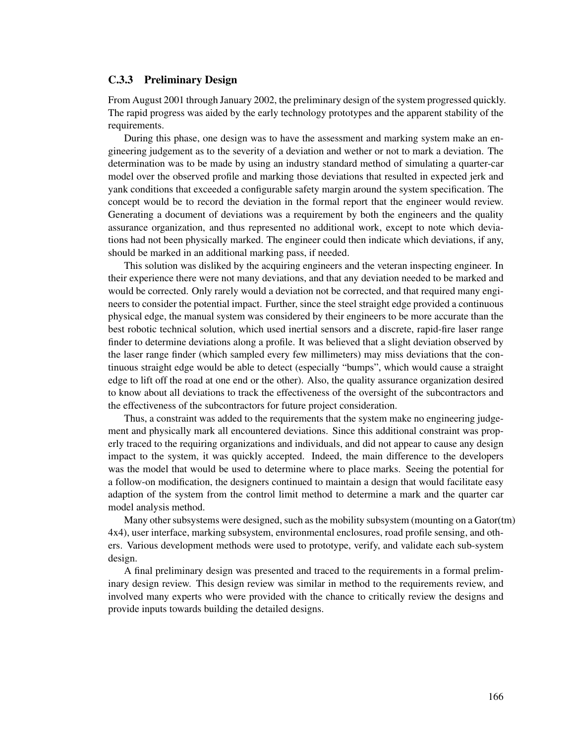#### C.3.3 Preliminary Design

From August 2001 through January 2002, the preliminary design of the system progressed quickly. The rapid progress was aided by the early technology prototypes and the apparent stability of the requirements.

During this phase, one design was to have the assessment and marking system make an engineering judgement as to the severity of a deviation and wether or not to mark a deviation. The determination was to be made by using an industry standard method of simulating a quarter-car model over the observed profile and marking those deviations that resulted in expected jerk and yank conditions that exceeded a configurable safety margin around the system specification. The concept would be to record the deviation in the formal report that the engineer would review. Generating a document of deviations was a requirement by both the engineers and the quality assurance organization, and thus represented no additional work, except to note which deviations had not been physically marked. The engineer could then indicate which deviations, if any, should be marked in an additional marking pass, if needed.

This solution was disliked by the acquiring engineers and the veteran inspecting engineer. In their experience there were not many deviations, and that any deviation needed to be marked and would be corrected. Only rarely would a deviation not be corrected, and that required many engineers to consider the potential impact. Further, since the steel straight edge provided a continuous physical edge, the manual system was considered by their engineers to be more accurate than the best robotic technical solution, which used inertial sensors and a discrete, rapid-fire laser range finder to determine deviations along a profile. It was believed that a slight deviation observed by the laser range finder (which sampled every few millimeters) may miss deviations that the continuous straight edge would be able to detect (especially "bumps", which would cause a straight edge to lift off the road at one end or the other). Also, the quality assurance organization desired to know about all deviations to track the effectiveness of the oversight of the subcontractors and the effectiveness of the subcontractors for future project consideration.

Thus, a constraint was added to the requirements that the system make no engineering judgement and physically mark all encountered deviations. Since this additional constraint was properly traced to the requiring organizations and individuals, and did not appear to cause any design impact to the system, it was quickly accepted. Indeed, the main difference to the developers was the model that would be used to determine where to place marks. Seeing the potential for a follow-on modification, the designers continued to maintain a design that would facilitate easy adaption of the system from the control limit method to determine a mark and the quarter car model analysis method.

Many other subsystems were designed, such as the mobility subsystem (mounting on a Gator(tm) 4x4), user interface, marking subsystem, environmental enclosures, road profile sensing, and others. Various development methods were used to prototype, verify, and validate each sub-system design.

A final preliminary design was presented and traced to the requirements in a formal preliminary design review. This design review was similar in method to the requirements review, and involved many experts who were provided with the chance to critically review the designs and provide inputs towards building the detailed designs.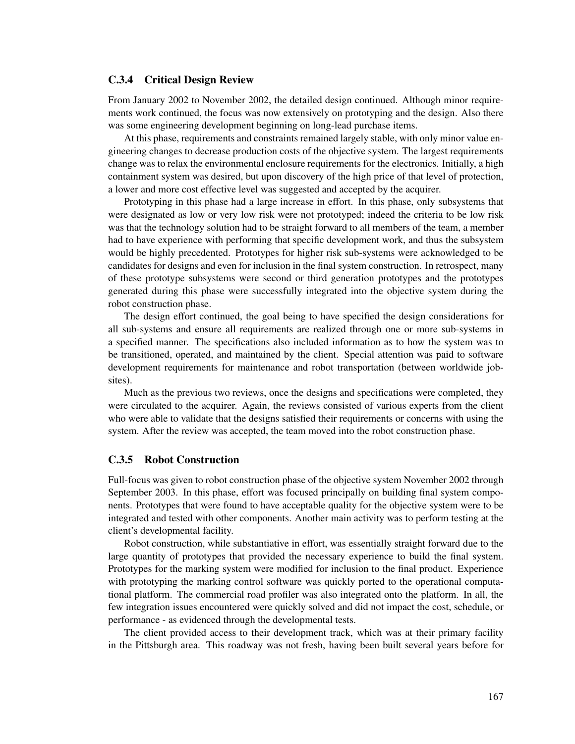#### C.3.4 Critical Design Review

From January 2002 to November 2002, the detailed design continued. Although minor requirements work continued, the focus was now extensively on prototyping and the design. Also there was some engineering development beginning on long-lead purchase items.

At this phase, requirements and constraints remained largely stable, with only minor value engineering changes to decrease production costs of the objective system. The largest requirements change was to relax the environmental enclosure requirements for the electronics. Initially, a high containment system was desired, but upon discovery of the high price of that level of protection, a lower and more cost effective level was suggested and accepted by the acquirer.

Prototyping in this phase had a large increase in effort. In this phase, only subsystems that were designated as low or very low risk were not prototyped; indeed the criteria to be low risk was that the technology solution had to be straight forward to all members of the team, a member had to have experience with performing that specific development work, and thus the subsystem would be highly precedented. Prototypes for higher risk sub-systems were acknowledged to be candidates for designs and even for inclusion in the final system construction. In retrospect, many of these prototype subsystems were second or third generation prototypes and the prototypes generated during this phase were successfully integrated into the objective system during the robot construction phase.

The design effort continued, the goal being to have specified the design considerations for all sub-systems and ensure all requirements are realized through one or more sub-systems in a specified manner. The specifications also included information as to how the system was to be transitioned, operated, and maintained by the client. Special attention was paid to software development requirements for maintenance and robot transportation (between worldwide jobsites).

Much as the previous two reviews, once the designs and specifications were completed, they were circulated to the acquirer. Again, the reviews consisted of various experts from the client who were able to validate that the designs satisfied their requirements or concerns with using the system. After the review was accepted, the team moved into the robot construction phase.

### C.3.5 Robot Construction

Full-focus was given to robot construction phase of the objective system November 2002 through September 2003. In this phase, effort was focused principally on building final system components. Prototypes that were found to have acceptable quality for the objective system were to be integrated and tested with other components. Another main activity was to perform testing at the client's developmental facility.

Robot construction, while substantiative in effort, was essentially straight forward due to the large quantity of prototypes that provided the necessary experience to build the final system. Prototypes for the marking system were modified for inclusion to the final product. Experience with prototyping the marking control software was quickly ported to the operational computational platform. The commercial road profiler was also integrated onto the platform. In all, the few integration issues encountered were quickly solved and did not impact the cost, schedule, or performance - as evidenced through the developmental tests.

The client provided access to their development track, which was at their primary facility in the Pittsburgh area. This roadway was not fresh, having been built several years before for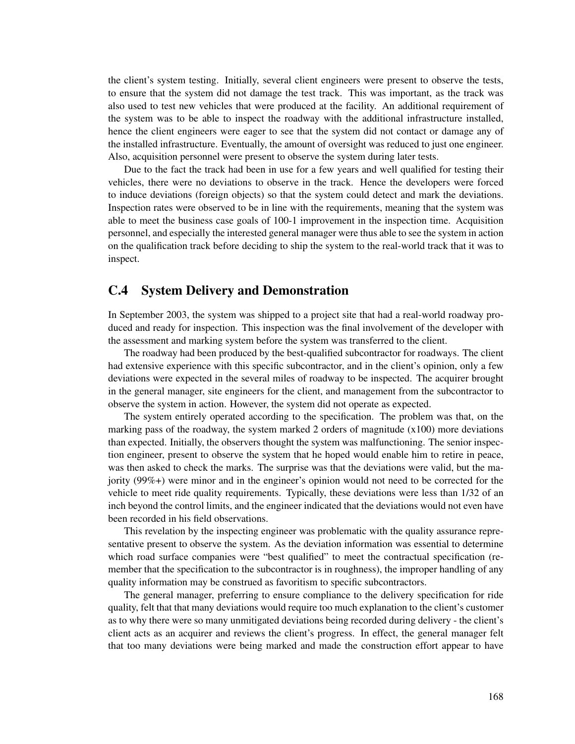the client's system testing. Initially, several client engineers were present to observe the tests, to ensure that the system did not damage the test track. This was important, as the track was also used to test new vehicles that were produced at the facility. An additional requirement of the system was to be able to inspect the roadway with the additional infrastructure installed, hence the client engineers were eager to see that the system did not contact or damage any of the installed infrastructure. Eventually, the amount of oversight was reduced to just one engineer. Also, acquisition personnel were present to observe the system during later tests.

Due to the fact the track had been in use for a few years and well qualified for testing their vehicles, there were no deviations to observe in the track. Hence the developers were forced to induce deviations (foreign objects) so that the system could detect and mark the deviations. Inspection rates were observed to be in line with the requirements, meaning that the system was able to meet the business case goals of 100-1 improvement in the inspection time. Acquisition personnel, and especially the interested general manager were thus able to see the system in action on the qualification track before deciding to ship the system to the real-world track that it was to inspect.

# C.4 System Delivery and Demonstration

In September 2003, the system was shipped to a project site that had a real-world roadway produced and ready for inspection. This inspection was the final involvement of the developer with the assessment and marking system before the system was transferred to the client.

The roadway had been produced by the best-qualified subcontractor for roadways. The client had extensive experience with this specific subcontractor, and in the client's opinion, only a few deviations were expected in the several miles of roadway to be inspected. The acquirer brought in the general manager, site engineers for the client, and management from the subcontractor to observe the system in action. However, the system did not operate as expected.

The system entirely operated according to the specification. The problem was that, on the marking pass of the roadway, the system marked 2 orders of magnitude (x100) more deviations than expected. Initially, the observers thought the system was malfunctioning. The senior inspection engineer, present to observe the system that he hoped would enable him to retire in peace, was then asked to check the marks. The surprise was that the deviations were valid, but the majority (99%+) were minor and in the engineer's opinion would not need to be corrected for the vehicle to meet ride quality requirements. Typically, these deviations were less than 1/32 of an inch beyond the control limits, and the engineer indicated that the deviations would not even have been recorded in his field observations.

This revelation by the inspecting engineer was problematic with the quality assurance representative present to observe the system. As the deviation information was essential to determine which road surface companies were "best qualified" to meet the contractual specification (remember that the specification to the subcontractor is in roughness), the improper handling of any quality information may be construed as favoritism to specific subcontractors.

The general manager, preferring to ensure compliance to the delivery specification for ride quality, felt that that many deviations would require too much explanation to the client's customer as to why there were so many unmitigated deviations being recorded during delivery - the client's client acts as an acquirer and reviews the client's progress. In effect, the general manager felt that too many deviations were being marked and made the construction effort appear to have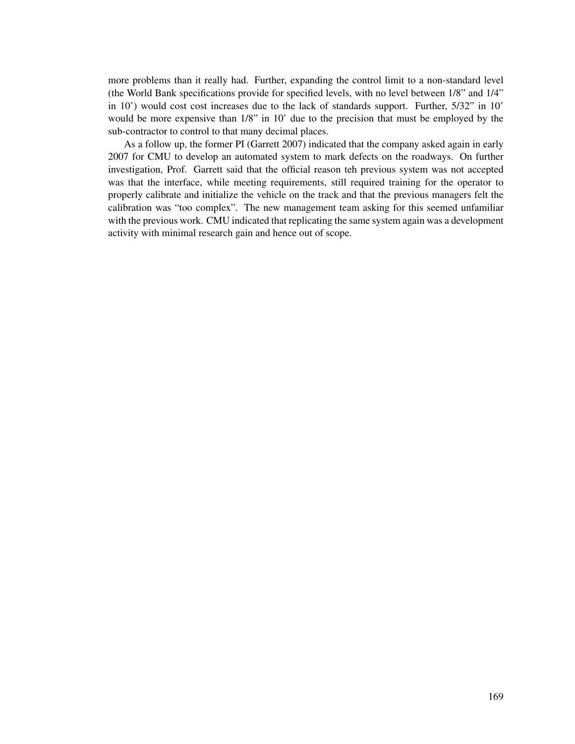more problems than it really had. Further, expanding the control limit to a non-standard level (the World Bank specifications provide for specified levels, with no level between 1/8" and 1/4" in 10') would cost cost increases due to the lack of standards support. Further, 5/32" in 10' would be more expensive than 1/8" in 10' due to the precision that must be employed by the sub-contractor to control to that many decimal places.

As a follow up, the former PI (Garrett 2007) indicated that the company asked again in early 2007 for CMU to develop an automated system to mark defects on the roadways. On further investigation, Prof. Garrett said that the official reason teh previous system was not accepted was that the interface, while meeting requirements, still required training for the operator to properly calibrate and initialize the vehicle on the track and that the previous managers felt the calibration was "too complex". The new management team asking for this seemed unfamiliar with the previous work. CMU indicated that replicating the same system again was a development activity with minimal research gain and hence out of scope.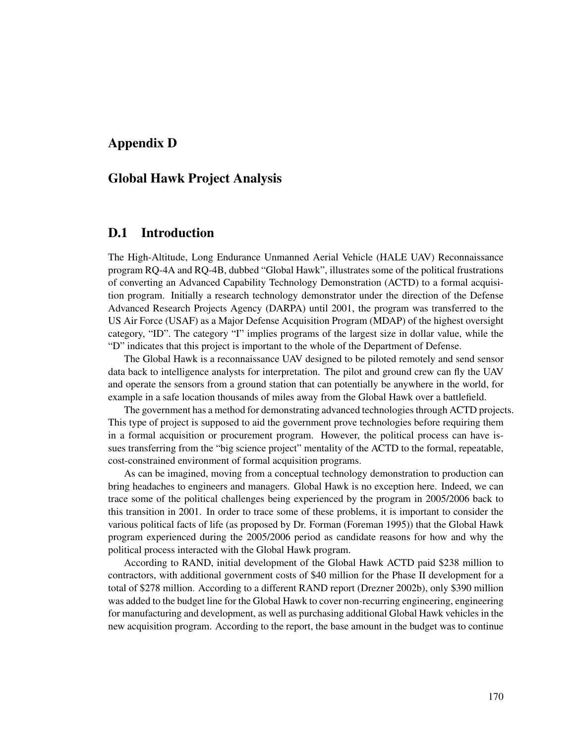# Appendix D

## Global Hawk Project Analysis

## D.1 Introduction

The High-Altitude, Long Endurance Unmanned Aerial Vehicle (HALE UAV) Reconnaissance program RQ-4A and RQ-4B, dubbed "Global Hawk", illustrates some of the political frustrations of converting an Advanced Capability Technology Demonstration (ACTD) to a formal acquisition program. Initially a research technology demonstrator under the direction of the Defense Advanced Research Projects Agency (DARPA) until 2001, the program was transferred to the US Air Force (USAF) as a Major Defense Acquisition Program (MDAP) of the highest oversight category, "ID". The category "I" implies programs of the largest size in dollar value, while the "D" indicates that this project is important to the whole of the Department of Defense.

The Global Hawk is a reconnaissance UAV designed to be piloted remotely and send sensor data back to intelligence analysts for interpretation. The pilot and ground crew can fly the UAV and operate the sensors from a ground station that can potentially be anywhere in the world, for example in a safe location thousands of miles away from the Global Hawk over a battlefield.

The government has a method for demonstrating advanced technologies through ACTD projects. This type of project is supposed to aid the government prove technologies before requiring them in a formal acquisition or procurement program. However, the political process can have issues transferring from the "big science project" mentality of the ACTD to the formal, repeatable, cost-constrained environment of formal acquisition programs.

As can be imagined, moving from a conceptual technology demonstration to production can bring headaches to engineers and managers. Global Hawk is no exception here. Indeed, we can trace some of the political challenges being experienced by the program in 2005/2006 back to this transition in 2001. In order to trace some of these problems, it is important to consider the various political facts of life (as proposed by Dr. Forman (Foreman 1995)) that the Global Hawk program experienced during the 2005/2006 period as candidate reasons for how and why the political process interacted with the Global Hawk program.

According to RAND, initial development of the Global Hawk ACTD paid \$238 million to contractors, with additional government costs of \$40 million for the Phase II development for a total of \$278 million. According to a different RAND report (Drezner 2002b), only \$390 million was added to the budget line for the Global Hawk to cover non-recurring engineering, engineering for manufacturing and development, as well as purchasing additional Global Hawk vehicles in the new acquisition program. According to the report, the base amount in the budget was to continue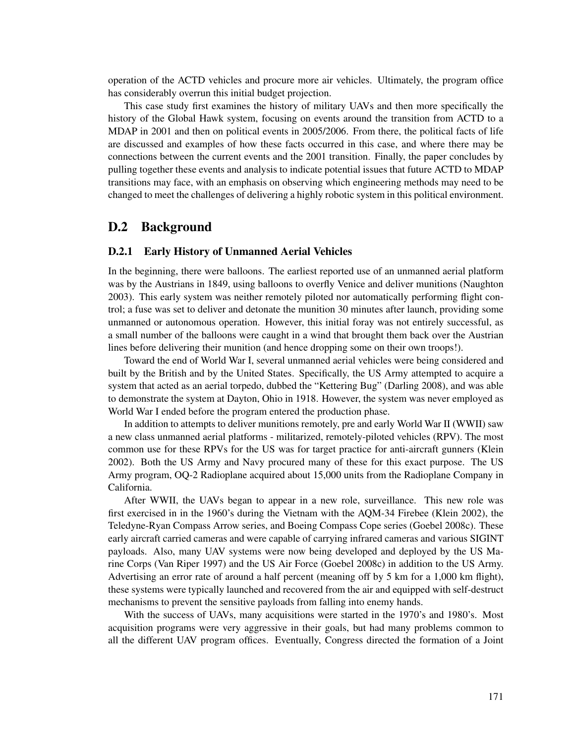operation of the ACTD vehicles and procure more air vehicles. Ultimately, the program office has considerably overrun this initial budget projection.

This case study first examines the history of military UAVs and then more specifically the history of the Global Hawk system, focusing on events around the transition from ACTD to a MDAP in 2001 and then on political events in 2005/2006. From there, the political facts of life are discussed and examples of how these facts occurred in this case, and where there may be connections between the current events and the 2001 transition. Finally, the paper concludes by pulling together these events and analysis to indicate potential issues that future ACTD to MDAP transitions may face, with an emphasis on observing which engineering methods may need to be changed to meet the challenges of delivering a highly robotic system in this political environment.

## D.2 Background

#### D.2.1 Early History of Unmanned Aerial Vehicles

In the beginning, there were balloons. The earliest reported use of an unmanned aerial platform was by the Austrians in 1849, using balloons to overfly Venice and deliver munitions (Naughton 2003). This early system was neither remotely piloted nor automatically performing flight control; a fuse was set to deliver and detonate the munition 30 minutes after launch, providing some unmanned or autonomous operation. However, this initial foray was not entirely successful, as a small number of the balloons were caught in a wind that brought them back over the Austrian lines before delivering their munition (and hence dropping some on their own troops!).

Toward the end of World War I, several unmanned aerial vehicles were being considered and built by the British and by the United States. Specifically, the US Army attempted to acquire a system that acted as an aerial torpedo, dubbed the "Kettering Bug" (Darling 2008), and was able to demonstrate the system at Dayton, Ohio in 1918. However, the system was never employed as World War I ended before the program entered the production phase.

In addition to attempts to deliver munitions remotely, pre and early World War II (WWII) saw a new class unmanned aerial platforms - militarized, remotely-piloted vehicles (RPV). The most common use for these RPVs for the US was for target practice for anti-aircraft gunners (Klein 2002). Both the US Army and Navy procured many of these for this exact purpose. The US Army program, OQ-2 Radioplane acquired about 15,000 units from the Radioplane Company in California.

After WWII, the UAVs began to appear in a new role, surveillance. This new role was first exercised in in the 1960's during the Vietnam with the AQM-34 Firebee (Klein 2002), the Teledyne-Ryan Compass Arrow series, and Boeing Compass Cope series (Goebel 2008c). These early aircraft carried cameras and were capable of carrying infrared cameras and various SIGINT payloads. Also, many UAV systems were now being developed and deployed by the US Marine Corps (Van Riper 1997) and the US Air Force (Goebel 2008c) in addition to the US Army. Advertising an error rate of around a half percent (meaning off by 5 km for a 1,000 km flight), these systems were typically launched and recovered from the air and equipped with self-destruct mechanisms to prevent the sensitive payloads from falling into enemy hands.

With the success of UAVs, many acquisitions were started in the 1970's and 1980's. Most acquisition programs were very aggressive in their goals, but had many problems common to all the different UAV program offices. Eventually, Congress directed the formation of a Joint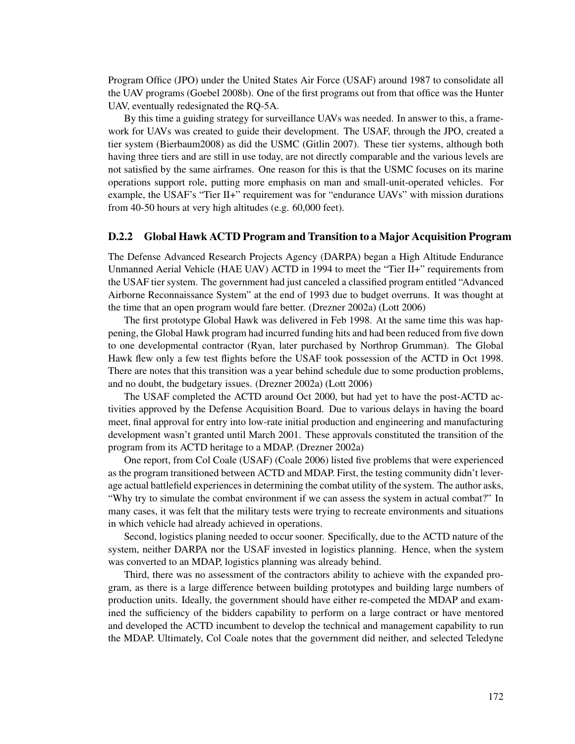Program Office (JPO) under the United States Air Force (USAF) around 1987 to consolidate all the UAV programs (Goebel 2008b). One of the first programs out from that office was the Hunter UAV, eventually redesignated the RQ-5A.

By this time a guiding strategy for surveillance UAVs was needed. In answer to this, a framework for UAVs was created to guide their development. The USAF, through the JPO, created a tier system (Bierbaum2008) as did the USMC (Gitlin 2007). These tier systems, although both having three tiers and are still in use today, are not directly comparable and the various levels are not satisfied by the same airframes. One reason for this is that the USMC focuses on its marine operations support role, putting more emphasis on man and small-unit-operated vehicles. For example, the USAF's "Tier II+" requirement was for "endurance UAVs" with mission durations from 40-50 hours at very high altitudes (e.g. 60,000 feet).

#### D.2.2 Global Hawk ACTD Program and Transition to a Major Acquisition Program

The Defense Advanced Research Projects Agency (DARPA) began a High Altitude Endurance Unmanned Aerial Vehicle (HAE UAV) ACTD in 1994 to meet the "Tier II+" requirements from the USAF tier system. The government had just canceled a classified program entitled "Advanced Airborne Reconnaissance System" at the end of 1993 due to budget overruns. It was thought at the time that an open program would fare better. (Drezner 2002a) (Lott 2006)

The first prototype Global Hawk was delivered in Feb 1998. At the same time this was happening, the Global Hawk program had incurred funding hits and had been reduced from five down to one developmental contractor (Ryan, later purchased by Northrop Grumman). The Global Hawk flew only a few test flights before the USAF took possession of the ACTD in Oct 1998. There are notes that this transition was a year behind schedule due to some production problems, and no doubt, the budgetary issues. (Drezner 2002a) (Lott 2006)

The USAF completed the ACTD around Oct 2000, but had yet to have the post-ACTD activities approved by the Defense Acquisition Board. Due to various delays in having the board meet, final approval for entry into low-rate initial production and engineering and manufacturing development wasn't granted until March 2001. These approvals constituted the transition of the program from its ACTD heritage to a MDAP. (Drezner 2002a)

One report, from Col Coale (USAF) (Coale 2006) listed five problems that were experienced as the program transitioned between ACTD and MDAP. First, the testing community didn't leverage actual battlefield experiences in determining the combat utility of the system. The author asks, "Why try to simulate the combat environment if we can assess the system in actual combat?" In many cases, it was felt that the military tests were trying to recreate environments and situations in which vehicle had already achieved in operations.

Second, logistics planing needed to occur sooner. Specifically, due to the ACTD nature of the system, neither DARPA nor the USAF invested in logistics planning. Hence, when the system was converted to an MDAP, logistics planning was already behind.

Third, there was no assessment of the contractors ability to achieve with the expanded program, as there is a large difference between building prototypes and building large numbers of production units. Ideally, the government should have either re-competed the MDAP and examined the sufficiency of the bidders capability to perform on a large contract or have mentored and developed the ACTD incumbent to develop the technical and management capability to run the MDAP. Ultimately, Col Coale notes that the government did neither, and selected Teledyne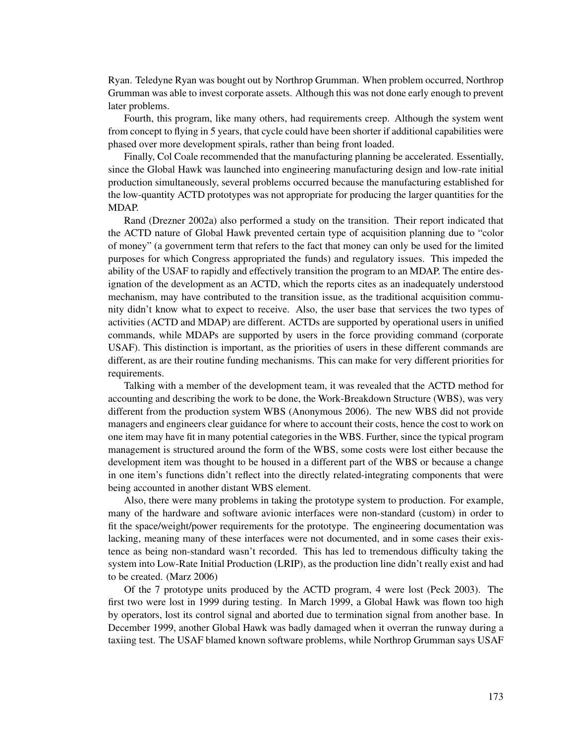Ryan. Teledyne Ryan was bought out by Northrop Grumman. When problem occurred, Northrop Grumman was able to invest corporate assets. Although this was not done early enough to prevent later problems.

Fourth, this program, like many others, had requirements creep. Although the system went from concept to flying in 5 years, that cycle could have been shorter if additional capabilities were phased over more development spirals, rather than being front loaded.

Finally, Col Coale recommended that the manufacturing planning be accelerated. Essentially, since the Global Hawk was launched into engineering manufacturing design and low-rate initial production simultaneously, several problems occurred because the manufacturing established for the low-quantity ACTD prototypes was not appropriate for producing the larger quantities for the MDAP.

Rand (Drezner 2002a) also performed a study on the transition. Their report indicated that the ACTD nature of Global Hawk prevented certain type of acquisition planning due to "color of money" (a government term that refers to the fact that money can only be used for the limited purposes for which Congress appropriated the funds) and regulatory issues. This impeded the ability of the USAF to rapidly and effectively transition the program to an MDAP. The entire designation of the development as an ACTD, which the reports cites as an inadequately understood mechanism, may have contributed to the transition issue, as the traditional acquisition community didn't know what to expect to receive. Also, the user base that services the two types of activities (ACTD and MDAP) are different. ACTDs are supported by operational users in unified commands, while MDAPs are supported by users in the force providing command (corporate USAF). This distinction is important, as the priorities of users in these different commands are different, as are their routine funding mechanisms. This can make for very different priorities for requirements.

Talking with a member of the development team, it was revealed that the ACTD method for accounting and describing the work to be done, the Work-Breakdown Structure (WBS), was very different from the production system WBS (Anonymous 2006). The new WBS did not provide managers and engineers clear guidance for where to account their costs, hence the cost to work on one item may have fit in many potential categories in the WBS. Further, since the typical program management is structured around the form of the WBS, some costs were lost either because the development item was thought to be housed in a different part of the WBS or because a change in one item's functions didn't reflect into the directly related-integrating components that were being accounted in another distant WBS element.

Also, there were many problems in taking the prototype system to production. For example, many of the hardware and software avionic interfaces were non-standard (custom) in order to fit the space/weight/power requirements for the prototype. The engineering documentation was lacking, meaning many of these interfaces were not documented, and in some cases their existence as being non-standard wasn't recorded. This has led to tremendous difficulty taking the system into Low-Rate Initial Production (LRIP), as the production line didn't really exist and had to be created. (Marz 2006)

Of the 7 prototype units produced by the ACTD program, 4 were lost (Peck 2003). The first two were lost in 1999 during testing. In March 1999, a Global Hawk was flown too high by operators, lost its control signal and aborted due to termination signal from another base. In December 1999, another Global Hawk was badly damaged when it overran the runway during a taxiing test. The USAF blamed known software problems, while Northrop Grumman says USAF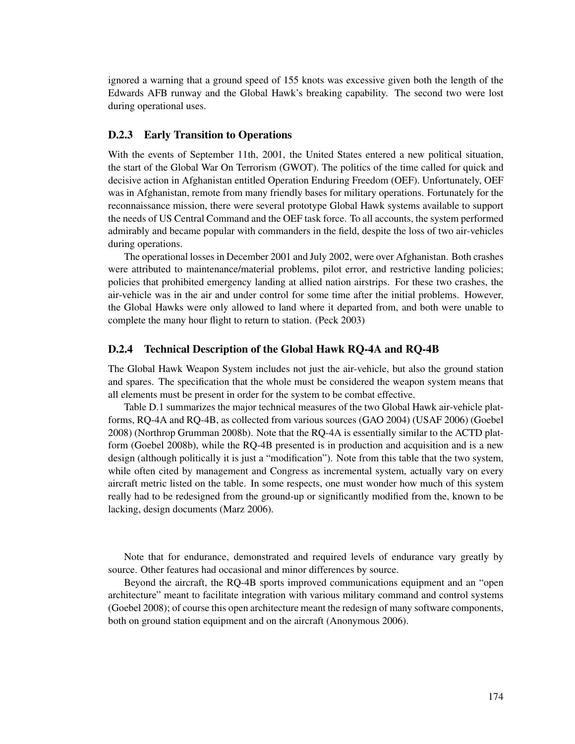ignored a warning that a ground speed of 155 knots was excessive given both the length of the Edwards AFB runway and the Global Hawk's breaking capability. The second two were lost during operational uses.

#### D.2.3 Early Transition to Operations

With the events of September 11th, 2001, the United States entered a new political situation, the start of the Global War On Terrorism (GWOT). The politics of the time called for quick and decisive action in Afghanistan entitled Operation Enduring Freedom (OEF). Unfortunately, OEF was in Afghanistan, remote from many friendly bases for military operations. Fortunately for the reconnaissance mission, there were several prototype Global Hawk systems available to support the needs of US Central Command and the OEF task force. To all accounts, the system performed admirably and became popular with commanders in the field, despite the loss of two air-vehicles during operations.

The operational losses in December 2001 and July 2002, were over Afghanistan. Both crashes were attributed to maintenance/material problems, pilot error, and restrictive landing policies; policies that prohibited emergency landing at allied nation airstrips. For these two crashes, the air-vehicle was in the air and under control for some time after the initial problems. However, the Global Hawks were only allowed to land where it departed from, and both were unable to complete the many hour flight to return to station. (Peck 2003)

#### D.2.4 Technical Description of the Global Hawk RQ-4A and RQ-4B

The Global Hawk Weapon System includes not just the air-vehicle, but also the ground station and spares. The specification that the whole must be considered the weapon system means that all elements must be present in order for the system to be combat effective.

Table D.1 summarizes the major technical measures of the two Global Hawk air-vehicle platforms, RQ-4A and RQ-4B, as collected from various sources (GAO 2004) (USAF 2006) (Goebel 2008) (Northrop Grumman 2008b). Note that the RQ-4A is essentially similar to the ACTD platform (Goebel 2008b), while the RQ-4B presented is in production and acquisition and is a new design (although politically it is just a "modification"). Note from this table that the two system, while often cited by management and Congress as incremental system, actually vary on every aircraft metric listed on the table. In some respects, one must wonder how much of this system really had to be redesigned from the ground-up or significantly modified from the, known to be lacking, design documents (Marz 2006).

Note that for endurance, demonstrated and required levels of endurance vary greatly by source. Other features had occasional and minor differences by source.

Beyond the aircraft, the RQ-4B sports improved communications equipment and an "open architecture" meant to facilitate integration with various military command and control systems (Goebel 2008); of course this open architecture meant the redesign of many software components, both on ground station equipment and on the aircraft (Anonymous 2006).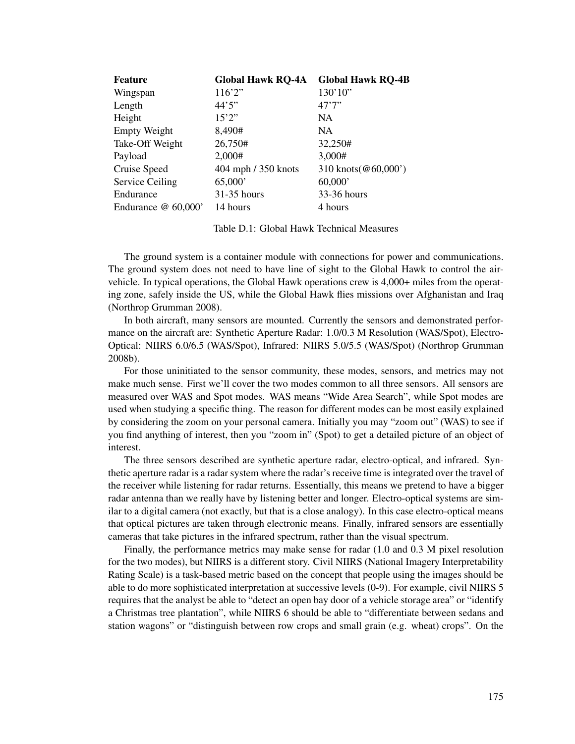| <b>Feature</b>       | <b>Global Hawk RO-4A</b> | <b>Global Hawk RQ-4B</b> |
|----------------------|--------------------------|--------------------------|
| Wingspan             | 116'2''                  | 130'10''                 |
| Length               | 44'5''                   | 47'7''                   |
| Height               | 15'2''                   | <b>NA</b>                |
| <b>Empty Weight</b>  | 8,490#                   | <b>NA</b>                |
| Take-Off Weight      | 26,750#                  | 32,250#                  |
| Payload              | 2,000#                   | 3,000#                   |
| Cruise Speed         | 404 mph / 350 knots      | 310 knots (@60,000')     |
| Service Ceiling      | 65,000'                  | 60,000'                  |
| Endurance            | 31-35 hours              | 33-36 hours              |
| Endurance $@60,000'$ | 14 hours                 | 4 hours                  |

Table D.1: Global Hawk Technical Measures

The ground system is a container module with connections for power and communications. The ground system does not need to have line of sight to the Global Hawk to control the airvehicle. In typical operations, the Global Hawk operations crew is 4,000+ miles from the operating zone, safely inside the US, while the Global Hawk flies missions over Afghanistan and Iraq (Northrop Grumman 2008).

In both aircraft, many sensors are mounted. Currently the sensors and demonstrated performance on the aircraft are: Synthetic Aperture Radar: 1.0/0.3 M Resolution (WAS/Spot), Electro-Optical: NIIRS 6.0/6.5 (WAS/Spot), Infrared: NIIRS 5.0/5.5 (WAS/Spot) (Northrop Grumman 2008b).

For those uninitiated to the sensor community, these modes, sensors, and metrics may not make much sense. First we'll cover the two modes common to all three sensors. All sensors are measured over WAS and Spot modes. WAS means "Wide Area Search", while Spot modes are used when studying a specific thing. The reason for different modes can be most easily explained by considering the zoom on your personal camera. Initially you may "zoom out" (WAS) to see if you find anything of interest, then you "zoom in" (Spot) to get a detailed picture of an object of interest.

The three sensors described are synthetic aperture radar, electro-optical, and infrared. Synthetic aperture radar is a radar system where the radar's receive time is integrated over the travel of the receiver while listening for radar returns. Essentially, this means we pretend to have a bigger radar antenna than we really have by listening better and longer. Electro-optical systems are similar to a digital camera (not exactly, but that is a close analogy). In this case electro-optical means that optical pictures are taken through electronic means. Finally, infrared sensors are essentially cameras that take pictures in the infrared spectrum, rather than the visual spectrum.

Finally, the performance metrics may make sense for radar (1.0 and 0.3 M pixel resolution for the two modes), but NIIRS is a different story. Civil NIIRS (National Imagery Interpretability Rating Scale) is a task-based metric based on the concept that people using the images should be able to do more sophisticated interpretation at successive levels (0-9). For example, civil NIIRS 5 requires that the analyst be able to "detect an open bay door of a vehicle storage area" or "identify a Christmas tree plantation", while NIIRS 6 should be able to "differentiate between sedans and station wagons" or "distinguish between row crops and small grain (e.g. wheat) crops". On the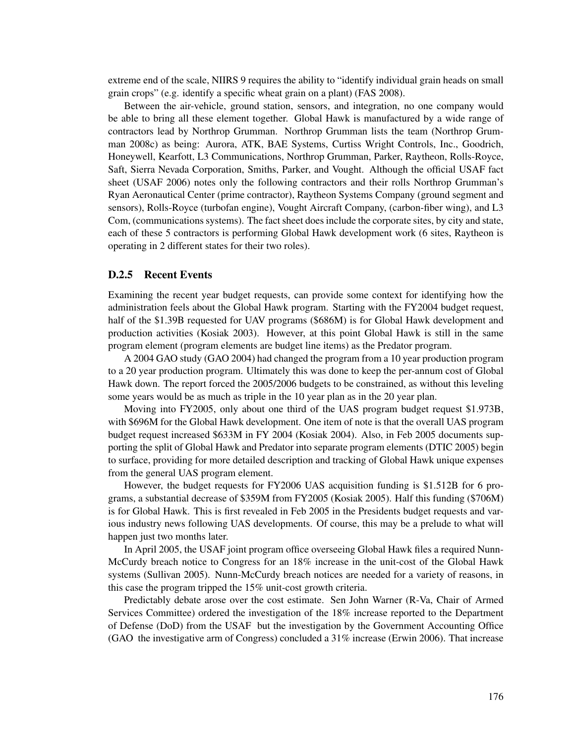extreme end of the scale, NIIRS 9 requires the ability to "identify individual grain heads on small grain crops" (e.g. identify a specific wheat grain on a plant) (FAS 2008).

Between the air-vehicle, ground station, sensors, and integration, no one company would be able to bring all these element together. Global Hawk is manufactured by a wide range of contractors lead by Northrop Grumman. Northrop Grumman lists the team (Northrop Grumman 2008c) as being: Aurora, ATK, BAE Systems, Curtiss Wright Controls, Inc., Goodrich, Honeywell, Kearfott, L3 Communications, Northrop Grumman, Parker, Raytheon, Rolls-Royce, Saft, Sierra Nevada Corporation, Smiths, Parker, and Vought. Although the official USAF fact sheet (USAF 2006) notes only the following contractors and their rolls Northrop Grumman's Ryan Aeronautical Center (prime contractor), Raytheon Systems Company (ground segment and sensors), Rolls-Royce (turbofan engine), Vought Aircraft Company, (carbon-fiber wing), and L3 Com, (communications systems). The fact sheet does include the corporate sites, by city and state, each of these 5 contractors is performing Global Hawk development work (6 sites, Raytheon is operating in 2 different states for their two roles).

#### D.2.5 Recent Events

Examining the recent year budget requests, can provide some context for identifying how the administration feels about the Global Hawk program. Starting with the FY2004 budget request, half of the \$1.39B requested for UAV programs (\$686M) is for Global Hawk development and production activities (Kosiak 2003). However, at this point Global Hawk is still in the same program element (program elements are budget line items) as the Predator program.

A 2004 GAO study (GAO 2004) had changed the program from a 10 year production program to a 20 year production program. Ultimately this was done to keep the per-annum cost of Global Hawk down. The report forced the 2005/2006 budgets to be constrained, as without this leveling some years would be as much as triple in the 10 year plan as in the 20 year plan.

Moving into FY2005, only about one third of the UAS program budget request \$1.973B, with \$696M for the Global Hawk development. One item of note is that the overall UAS program budget request increased \$633M in FY 2004 (Kosiak 2004). Also, in Feb 2005 documents supporting the split of Global Hawk and Predator into separate program elements (DTIC 2005) begin to surface, providing for more detailed description and tracking of Global Hawk unique expenses from the general UAS program element.

However, the budget requests for FY2006 UAS acquisition funding is \$1.512B for 6 programs, a substantial decrease of \$359M from FY2005 (Kosiak 2005). Half this funding (\$706M) is for Global Hawk. This is first revealed in Feb 2005 in the Presidents budget requests and various industry news following UAS developments. Of course, this may be a prelude to what will happen just two months later.

In April 2005, the USAF joint program office overseeing Global Hawk files a required Nunn-McCurdy breach notice to Congress for an 18% increase in the unit-cost of the Global Hawk systems (Sullivan 2005). Nunn-McCurdy breach notices are needed for a variety of reasons, in this case the program tripped the 15% unit-cost growth criteria.

Predictably debate arose over the cost estimate. Sen John Warner (R-Va, Chair of Armed Services Committee) ordered the investigation of the 18% increase reported to the Department of Defense (DoD) from the USAF but the investigation by the Government Accounting Office (GAO the investigative arm of Congress) concluded a 31% increase (Erwin 2006). That increase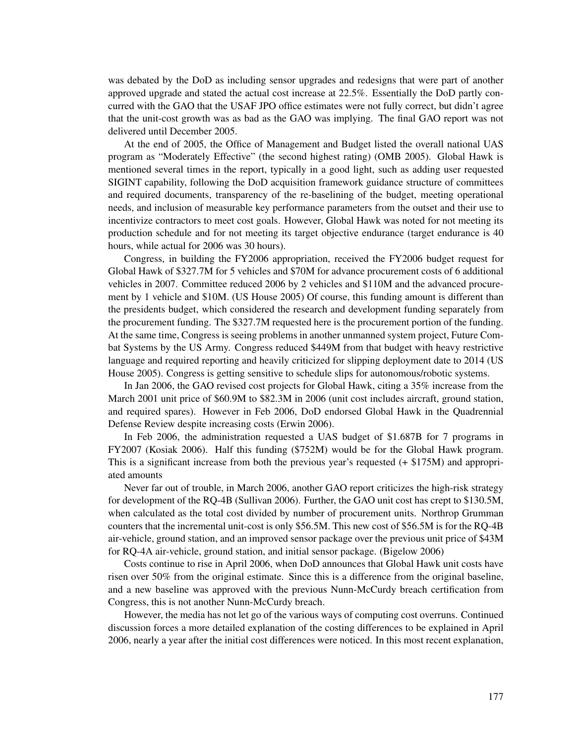was debated by the DoD as including sensor upgrades and redesigns that were part of another approved upgrade and stated the actual cost increase at 22.5%. Essentially the DoD partly concurred with the GAO that the USAF JPO office estimates were not fully correct, but didn't agree that the unit-cost growth was as bad as the GAO was implying. The final GAO report was not delivered until December 2005.

At the end of 2005, the Office of Management and Budget listed the overall national UAS program as "Moderately Effective" (the second highest rating) (OMB 2005). Global Hawk is mentioned several times in the report, typically in a good light, such as adding user requested SIGINT capability, following the DoD acquisition framework guidance structure of committees and required documents, transparency of the re-baselining of the budget, meeting operational needs, and inclusion of measurable key performance parameters from the outset and their use to incentivize contractors to meet cost goals. However, Global Hawk was noted for not meeting its production schedule and for not meeting its target objective endurance (target endurance is 40 hours, while actual for 2006 was 30 hours).

Congress, in building the FY2006 appropriation, received the FY2006 budget request for Global Hawk of \$327.7M for 5 vehicles and \$70M for advance procurement costs of 6 additional vehicles in 2007. Committee reduced 2006 by 2 vehicles and \$110M and the advanced procurement by 1 vehicle and \$10M. (US House 2005) Of course, this funding amount is different than the presidents budget, which considered the research and development funding separately from the procurement funding. The \$327.7M requested here is the procurement portion of the funding. At the same time, Congress is seeing problems in another unmanned system project, Future Combat Systems by the US Army. Congress reduced \$449M from that budget with heavy restrictive language and required reporting and heavily criticized for slipping deployment date to 2014 (US House 2005). Congress is getting sensitive to schedule slips for autonomous/robotic systems.

In Jan 2006, the GAO revised cost projects for Global Hawk, citing a 35% increase from the March 2001 unit price of \$60.9M to \$82.3M in 2006 (unit cost includes aircraft, ground station, and required spares). However in Feb 2006, DoD endorsed Global Hawk in the Quadrennial Defense Review despite increasing costs (Erwin 2006).

In Feb 2006, the administration requested a UAS budget of \$1.687B for 7 programs in FY2007 (Kosiak 2006). Half this funding (\$752M) would be for the Global Hawk program. This is a significant increase from both the previous year's requested (+ \$175M) and appropriated amounts

Never far out of trouble, in March 2006, another GAO report criticizes the high-risk strategy for development of the RQ-4B (Sullivan 2006). Further, the GAO unit cost has crept to \$130.5M, when calculated as the total cost divided by number of procurement units. Northrop Grumman counters that the incremental unit-cost is only \$56.5M. This new cost of \$56.5M is for the RQ-4B air-vehicle, ground station, and an improved sensor package over the previous unit price of \$43M for RQ-4A air-vehicle, ground station, and initial sensor package. (Bigelow 2006)

Costs continue to rise in April 2006, when DoD announces that Global Hawk unit costs have risen over 50% from the original estimate. Since this is a difference from the original baseline, and a new baseline was approved with the previous Nunn-McCurdy breach certification from Congress, this is not another Nunn-McCurdy breach.

However, the media has not let go of the various ways of computing cost overruns. Continued discussion forces a more detailed explanation of the costing differences to be explained in April 2006, nearly a year after the initial cost differences were noticed. In this most recent explanation,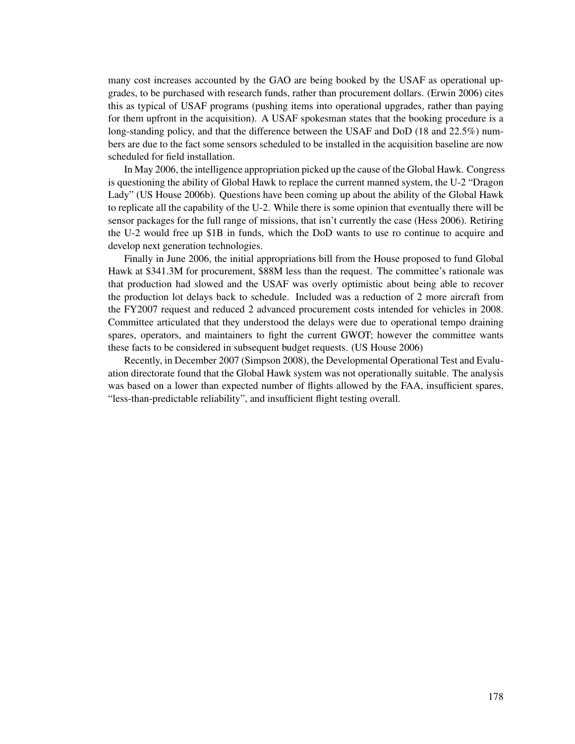many cost increases accounted by the GAO are being booked by the USAF as operational upgrades, to be purchased with research funds, rather than procurement dollars. (Erwin 2006) cites this as typical of USAF programs (pushing items into operational upgrades, rather than paying for them upfront in the acquisition). A USAF spokesman states that the booking procedure is a long-standing policy, and that the difference between the USAF and DoD (18 and 22.5%) numbers are due to the fact some sensors scheduled to be installed in the acquisition baseline are now scheduled for field installation.

In May 2006, the intelligence appropriation picked up the cause of the Global Hawk. Congress is questioning the ability of Global Hawk to replace the current manned system, the U-2 "Dragon Lady" (US House 2006b). Questions have been coming up about the ability of the Global Hawk to replicate all the capability of the U-2. While there is some opinion that eventually there will be sensor packages for the full range of missions, that isn't currently the case (Hess 2006). Retiring the U-2 would free up \$1B in funds, which the DoD wants to use ro continue to acquire and develop next generation technologies.

Finally in June 2006, the initial appropriations bill from the House proposed to fund Global Hawk at \$341.3M for procurement, \$88M less than the request. The committee's rationale was that production had slowed and the USAF was overly optimistic about being able to recover the production lot delays back to schedule. Included was a reduction of 2 more aircraft from the FY2007 request and reduced 2 advanced procurement costs intended for vehicles in 2008. Committee articulated that they understood the delays were due to operational tempo draining spares, operators, and maintainers to fight the current GWOT; however the committee wants these facts to be considered in subsequent budget requests. (US House 2006)

Recently, in December 2007 (Simpson 2008), the Developmental Operational Test and Evaluation directorate found that the Global Hawk system was not operationally suitable. The analysis was based on a lower than expected number of flights allowed by the FAA, insufficient spares, "less-than-predictable reliability", and insufficient flight testing overall.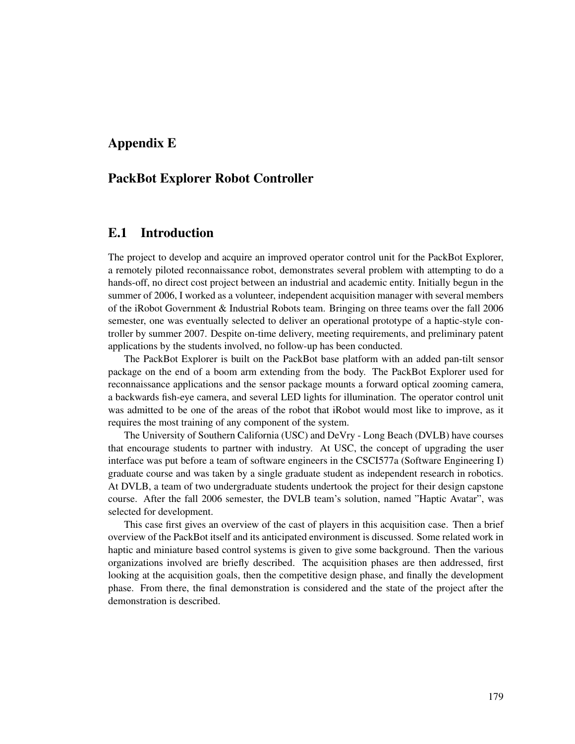## Appendix E

### PackBot Explorer Robot Controller

### E.1 Introduction

The project to develop and acquire an improved operator control unit for the PackBot Explorer, a remotely piloted reconnaissance robot, demonstrates several problem with attempting to do a hands-off, no direct cost project between an industrial and academic entity. Initially begun in the summer of 2006, I worked as a volunteer, independent acquisition manager with several members of the iRobot Government & Industrial Robots team. Bringing on three teams over the fall 2006 semester, one was eventually selected to deliver an operational prototype of a haptic-style controller by summer 2007. Despite on-time delivery, meeting requirements, and preliminary patent applications by the students involved, no follow-up has been conducted.

The PackBot Explorer is built on the PackBot base platform with an added pan-tilt sensor package on the end of a boom arm extending from the body. The PackBot Explorer used for reconnaissance applications and the sensor package mounts a forward optical zooming camera, a backwards fish-eye camera, and several LED lights for illumination. The operator control unit was admitted to be one of the areas of the robot that iRobot would most like to improve, as it requires the most training of any component of the system.

The University of Southern California (USC) and DeVry - Long Beach (DVLB) have courses that encourage students to partner with industry. At USC, the concept of upgrading the user interface was put before a team of software engineers in the CSCI577a (Software Engineering I) graduate course and was taken by a single graduate student as independent research in robotics. At DVLB, a team of two undergraduate students undertook the project for their design capstone course. After the fall 2006 semester, the DVLB team's solution, named "Haptic Avatar", was selected for development.

This case first gives an overview of the cast of players in this acquisition case. Then a brief overview of the PackBot itself and its anticipated environment is discussed. Some related work in haptic and miniature based control systems is given to give some background. Then the various organizations involved are briefly described. The acquisition phases are then addressed, first looking at the acquisition goals, then the competitive design phase, and finally the development phase. From there, the final demonstration is considered and the state of the project after the demonstration is described.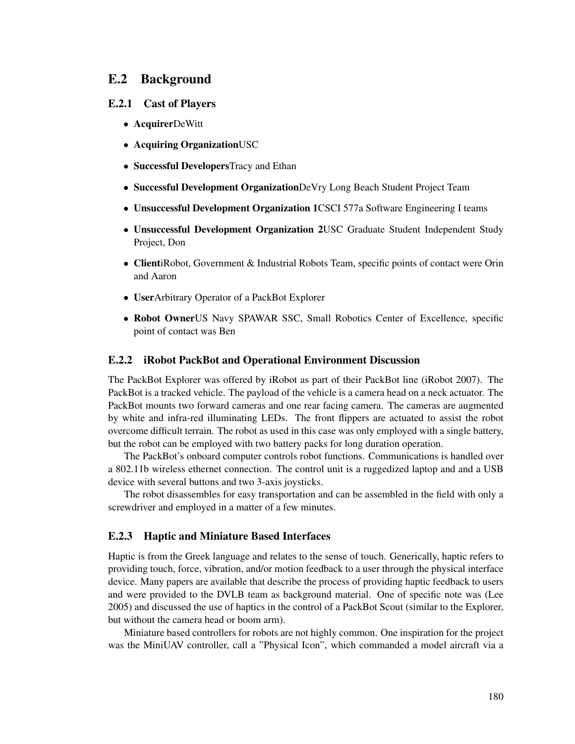## E.2 Background

#### E.2.1 Cast of Players

- AcquirerDeWitt
- Acquiring OrganizationUSC
- Successful DevelopersTracy and Ethan
- Successful Development OrganizationDeVry Long Beach Student Project Team
- Unsuccessful Development Organization 1CSCI 577a Software Engineering I teams
- Unsuccessful Development Organization 2USC Graduate Student Independent Study Project, Don
- ClientiRobot, Government & Industrial Robots Team, specific points of contact were Orin and Aaron
- UserArbitrary Operator of a PackBot Explorer
- Robot OwnerUS Navy SPAWAR SSC, Small Robotics Center of Excellence, specific point of contact was Ben

#### E.2.2 iRobot PackBot and Operational Environment Discussion

The PackBot Explorer was offered by iRobot as part of their PackBot line (iRobot 2007). The PackBot is a tracked vehicle. The payload of the vehicle is a camera head on a neck actuator. The PackBot mounts two forward cameras and one rear facing camera. The cameras are augmented by white and infra-red illuminating LEDs. The front flippers are actuated to assist the robot overcome difficult terrain. The robot as used in this case was only employed with a single battery, but the robot can be employed with two battery packs for long duration operation.

The PackBot's onboard computer controls robot functions. Communications is handled over a 802.11b wireless ethernet connection. The control unit is a ruggedized laptop and and a USB device with several buttons and two 3-axis joysticks.

The robot disassembles for easy transportation and can be assembled in the field with only a screwdriver and employed in a matter of a few minutes.

#### E.2.3 Haptic and Miniature Based Interfaces

Haptic is from the Greek language and relates to the sense of touch. Generically, haptic refers to providing touch, force, vibration, and/or motion feedback to a user through the physical interface device. Many papers are available that describe the process of providing haptic feedback to users and were provided to the DVLB team as background material. One of specific note was (Lee 2005) and discussed the use of haptics in the control of a PackBot Scout (similar to the Explorer, but without the camera head or boom arm).

Miniature based controllers for robots are not highly common. One inspiration for the project was the MiniUAV controller, call a "Physical Icon", which commanded a model aircraft via a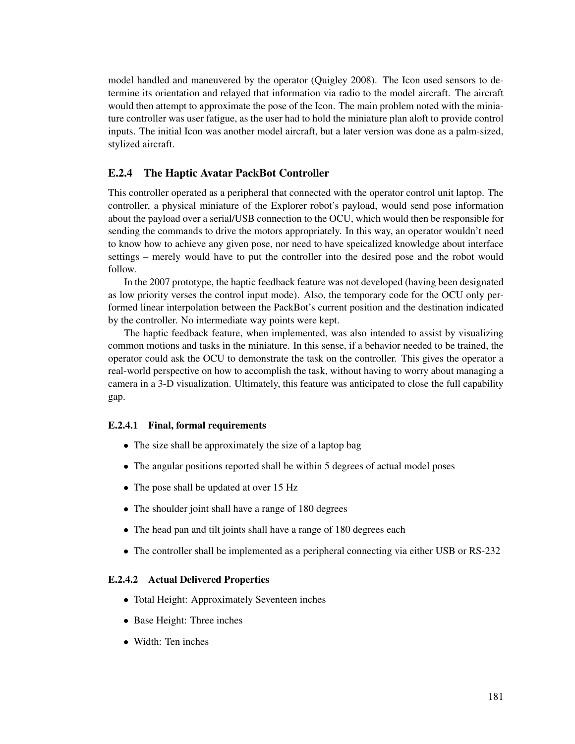model handled and maneuvered by the operator (Quigley 2008). The Icon used sensors to determine its orientation and relayed that information via radio to the model aircraft. The aircraft would then attempt to approximate the pose of the Icon. The main problem noted with the miniature controller was user fatigue, as the user had to hold the miniature plan aloft to provide control inputs. The initial Icon was another model aircraft, but a later version was done as a palm-sized, stylized aircraft.

### E.2.4 The Haptic Avatar PackBot Controller

This controller operated as a peripheral that connected with the operator control unit laptop. The controller, a physical miniature of the Explorer robot's payload, would send pose information about the payload over a serial/USB connection to the OCU, which would then be responsible for sending the commands to drive the motors appropriately. In this way, an operator wouldn't need to know how to achieve any given pose, nor need to have speicalized knowledge about interface settings – merely would have to put the controller into the desired pose and the robot would follow.

In the 2007 prototype, the haptic feedback feature was not developed (having been designated as low priority verses the control input mode). Also, the temporary code for the OCU only performed linear interpolation between the PackBot's current position and the destination indicated by the controller. No intermediate way points were kept.

The haptic feedback feature, when implemented, was also intended to assist by visualizing common motions and tasks in the miniature. In this sense, if a behavior needed to be trained, the operator could ask the OCU to demonstrate the task on the controller. This gives the operator a real-world perspective on how to accomplish the task, without having to worry about managing a camera in a 3-D visualization. Ultimately, this feature was anticipated to close the full capability gap.

#### E.2.4.1 Final, formal requirements

- The size shall be approximately the size of a laptop bag
- The angular positions reported shall be within 5 degrees of actual model poses
- The pose shall be updated at over 15 Hz
- The shoulder joint shall have a range of 180 degrees
- The head pan and tilt joints shall have a range of 180 degrees each
- The controller shall be implemented as a peripheral connecting via either USB or RS-232

#### E.2.4.2 Actual Delivered Properties

- Total Height: Approximately Seventeen inches
- Base Height: Three inches
- Width: Ten inches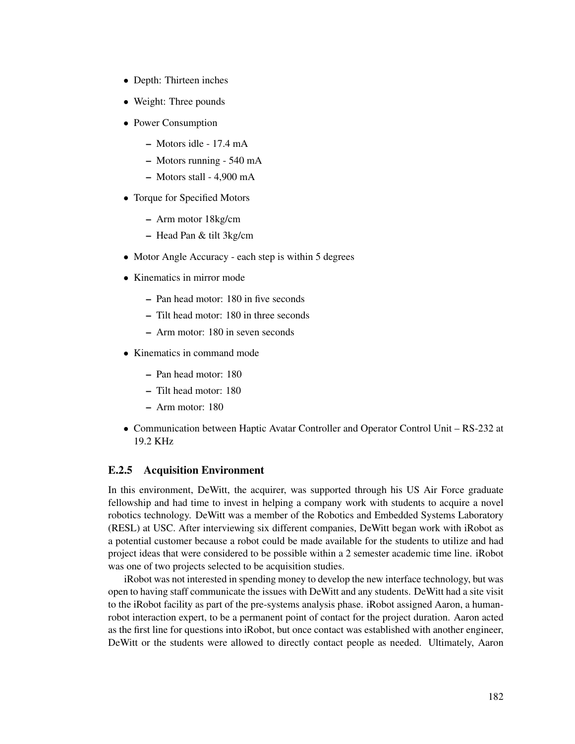- Depth: Thirteen inches
- Weight: Three pounds
- Power Consumption
	- Motors idle 17.4 mA
	- Motors running 540 mA
	- Motors stall 4,900 mA
- Torque for Specified Motors
	- Arm motor 18kg/cm
	- Head Pan & tilt 3kg/cm
- Motor Angle Accuracy each step is within 5 degrees
- Kinematics in mirror mode
	- Pan head motor: 180 in five seconds
	- Tilt head motor: 180 in three seconds
	- Arm motor: 180 in seven seconds
- Kinematics in command mode
	- Pan head motor: 180
	- Tilt head motor: 180
	- Arm motor: 180
- Communication between Haptic Avatar Controller and Operator Control Unit RS-232 at 19.2 KHz

### E.2.5 Acquisition Environment

In this environment, DeWitt, the acquirer, was supported through his US Air Force graduate fellowship and had time to invest in helping a company work with students to acquire a novel robotics technology. DeWitt was a member of the Robotics and Embedded Systems Laboratory (RESL) at USC. After interviewing six different companies, DeWitt began work with iRobot as a potential customer because a robot could be made available for the students to utilize and had project ideas that were considered to be possible within a 2 semester academic time line. iRobot was one of two projects selected to be acquisition studies.

iRobot was not interested in spending money to develop the new interface technology, but was open to having staff communicate the issues with DeWitt and any students. DeWitt had a site visit to the iRobot facility as part of the pre-systems analysis phase. iRobot assigned Aaron, a humanrobot interaction expert, to be a permanent point of contact for the project duration. Aaron acted as the first line for questions into iRobot, but once contact was established with another engineer, DeWitt or the students were allowed to directly contact people as needed. Ultimately, Aaron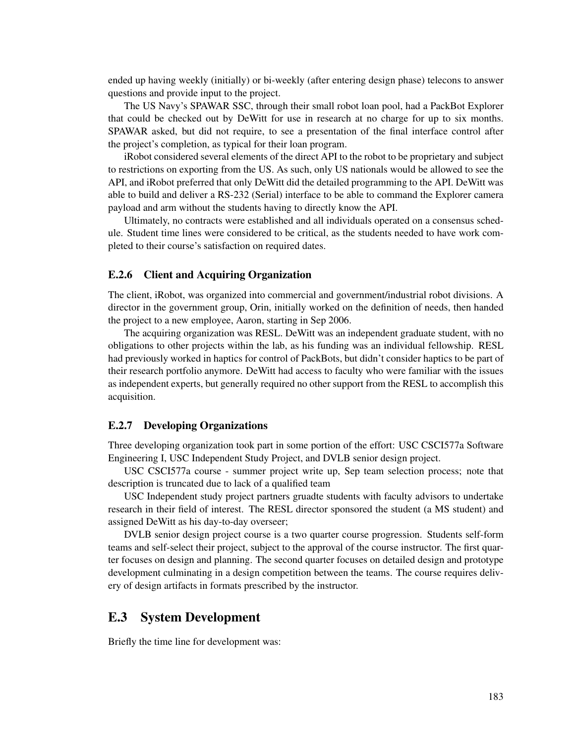ended up having weekly (initially) or bi-weekly (after entering design phase) telecons to answer questions and provide input to the project.

The US Navy's SPAWAR SSC, through their small robot loan pool, had a PackBot Explorer that could be checked out by DeWitt for use in research at no charge for up to six months. SPAWAR asked, but did not require, to see a presentation of the final interface control after the project's completion, as typical for their loan program.

iRobot considered several elements of the direct API to the robot to be proprietary and subject to restrictions on exporting from the US. As such, only US nationals would be allowed to see the API, and iRobot preferred that only DeWitt did the detailed programming to the API. DeWitt was able to build and deliver a RS-232 (Serial) interface to be able to command the Explorer camera payload and arm without the students having to directly know the API.

Ultimately, no contracts were established and all individuals operated on a consensus schedule. Student time lines were considered to be critical, as the students needed to have work completed to their course's satisfaction on required dates.

#### E.2.6 Client and Acquiring Organization

The client, iRobot, was organized into commercial and government/industrial robot divisions. A director in the government group, Orin, initially worked on the definition of needs, then handed the project to a new employee, Aaron, starting in Sep 2006.

The acquiring organization was RESL. DeWitt was an independent graduate student, with no obligations to other projects within the lab, as his funding was an individual fellowship. RESL had previously worked in haptics for control of PackBots, but didn't consider haptics to be part of their research portfolio anymore. DeWitt had access to faculty who were familiar with the issues as independent experts, but generally required no other support from the RESL to accomplish this acquisition.

#### E.2.7 Developing Organizations

Three developing organization took part in some portion of the effort: USC CSCI577a Software Engineering I, USC Independent Study Project, and DVLB senior design project.

USC CSCI577a course - summer project write up, Sep team selection process; note that description is truncated due to lack of a qualified team

USC Independent study project partners gruadte students with faculty advisors to undertake research in their field of interest. The RESL director sponsored the student (a MS student) and assigned DeWitt as his day-to-day overseer;

DVLB senior design project course is a two quarter course progression. Students self-form teams and self-select their project, subject to the approval of the course instructor. The first quarter focuses on design and planning. The second quarter focuses on detailed design and prototype development culminating in a design competition between the teams. The course requires delivery of design artifacts in formats prescribed by the instructor.

### E.3 System Development

Briefly the time line for development was: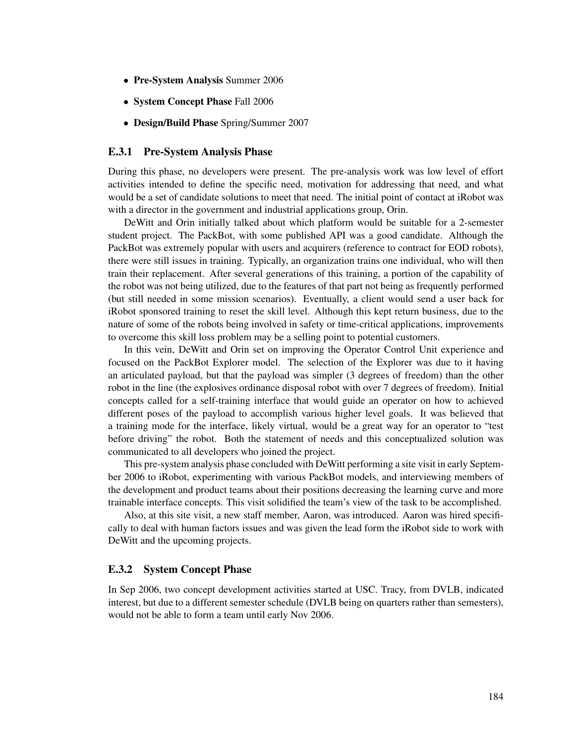- Pre-System Analysis Summer 2006
- System Concept Phase Fall 2006
- Design/Build Phase Spring/Summer 2007

#### E.3.1 Pre-System Analysis Phase

During this phase, no developers were present. The pre-analysis work was low level of effort activities intended to define the specific need, motivation for addressing that need, and what would be a set of candidate solutions to meet that need. The initial point of contact at iRobot was with a director in the government and industrial applications group, Orin.

DeWitt and Orin initially talked about which platform would be suitable for a 2-semester student project. The PackBot, with some published API was a good candidate. Although the PackBot was extremely popular with users and acquirers (reference to contract for EOD robots), there were still issues in training. Typically, an organization trains one individual, who will then train their replacement. After several generations of this training, a portion of the capability of the robot was not being utilized, due to the features of that part not being as frequently performed (but still needed in some mission scenarios). Eventually, a client would send a user back for iRobot sponsored training to reset the skill level. Although this kept return business, due to the nature of some of the robots being involved in safety or time-critical applications, improvements to overcome this skill loss problem may be a selling point to potential customers.

In this vein, DeWitt and Orin set on improving the Operator Control Unit experience and focused on the PackBot Explorer model. The selection of the Explorer was due to it having an articulated payload, but that the payload was simpler (3 degrees of freedom) than the other robot in the line (the explosives ordinance disposal robot with over 7 degrees of freedom). Initial concepts called for a self-training interface that would guide an operator on how to achieved different poses of the payload to accomplish various higher level goals. It was believed that a training mode for the interface, likely virtual, would be a great way for an operator to "test before driving" the robot. Both the statement of needs and this conceptualized solution was communicated to all developers who joined the project.

This pre-system analysis phase concluded with DeWitt performing a site visit in early September 2006 to iRobot, experimenting with various PackBot models, and interviewing members of the development and product teams about their positions decreasing the learning curve and more trainable interface concepts. This visit solidified the team's view of the task to be accomplished.

Also, at this site visit, a new staff member, Aaron, was introduced. Aaron was hired specifically to deal with human factors issues and was given the lead form the iRobot side to work with DeWitt and the upcoming projects.

#### E.3.2 System Concept Phase

In Sep 2006, two concept development activities started at USC. Tracy, from DVLB, indicated interest, but due to a different semester schedule (DVLB being on quarters rather than semesters), would not be able to form a team until early Nov 2006.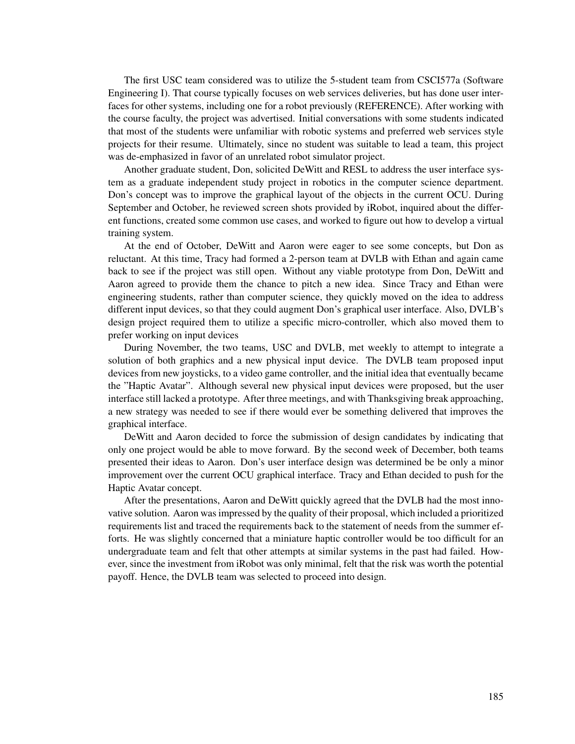The first USC team considered was to utilize the 5-student team from CSCI577a (Software Engineering I). That course typically focuses on web services deliveries, but has done user interfaces for other systems, including one for a robot previously (REFERENCE). After working with the course faculty, the project was advertised. Initial conversations with some students indicated that most of the students were unfamiliar with robotic systems and preferred web services style projects for their resume. Ultimately, since no student was suitable to lead a team, this project was de-emphasized in favor of an unrelated robot simulator project.

Another graduate student, Don, solicited DeWitt and RESL to address the user interface system as a graduate independent study project in robotics in the computer science department. Don's concept was to improve the graphical layout of the objects in the current OCU. During September and October, he reviewed screen shots provided by iRobot, inquired about the different functions, created some common use cases, and worked to figure out how to develop a virtual training system.

At the end of October, DeWitt and Aaron were eager to see some concepts, but Don as reluctant. At this time, Tracy had formed a 2-person team at DVLB with Ethan and again came back to see if the project was still open. Without any viable prototype from Don, DeWitt and Aaron agreed to provide them the chance to pitch a new idea. Since Tracy and Ethan were engineering students, rather than computer science, they quickly moved on the idea to address different input devices, so that they could augment Don's graphical user interface. Also, DVLB's design project required them to utilize a specific micro-controller, which also moved them to prefer working on input devices

During November, the two teams, USC and DVLB, met weekly to attempt to integrate a solution of both graphics and a new physical input device. The DVLB team proposed input devices from new joysticks, to a video game controller, and the initial idea that eventually became the "Haptic Avatar". Although several new physical input devices were proposed, but the user interface still lacked a prototype. After three meetings, and with Thanksgiving break approaching, a new strategy was needed to see if there would ever be something delivered that improves the graphical interface.

DeWitt and Aaron decided to force the submission of design candidates by indicating that only one project would be able to move forward. By the second week of December, both teams presented their ideas to Aaron. Don's user interface design was determined be be only a minor improvement over the current OCU graphical interface. Tracy and Ethan decided to push for the Haptic Avatar concept.

After the presentations, Aaron and DeWitt quickly agreed that the DVLB had the most innovative solution. Aaron was impressed by the quality of their proposal, which included a prioritized requirements list and traced the requirements back to the statement of needs from the summer efforts. He was slightly concerned that a miniature haptic controller would be too difficult for an undergraduate team and felt that other attempts at similar systems in the past had failed. However, since the investment from iRobot was only minimal, felt that the risk was worth the potential payoff. Hence, the DVLB team was selected to proceed into design.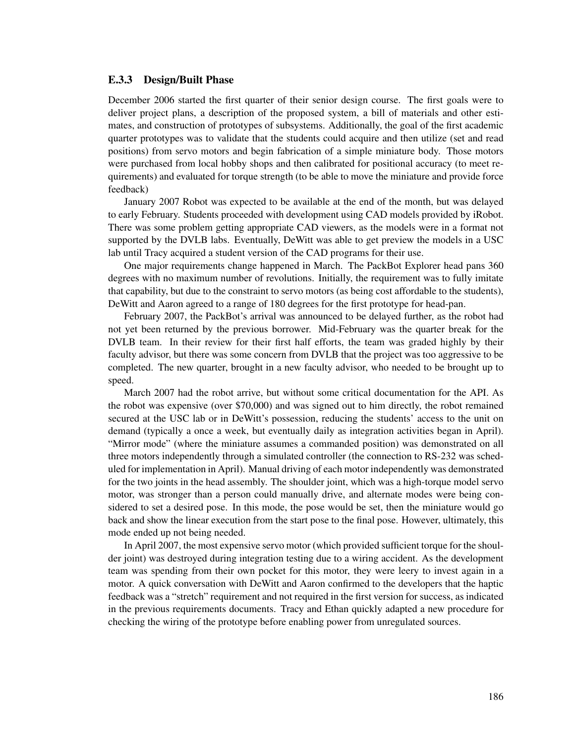#### E.3.3 Design/Built Phase

December 2006 started the first quarter of their senior design course. The first goals were to deliver project plans, a description of the proposed system, a bill of materials and other estimates, and construction of prototypes of subsystems. Additionally, the goal of the first academic quarter prototypes was to validate that the students could acquire and then utilize (set and read positions) from servo motors and begin fabrication of a simple miniature body. Those motors were purchased from local hobby shops and then calibrated for positional accuracy (to meet requirements) and evaluated for torque strength (to be able to move the miniature and provide force feedback)

January 2007 Robot was expected to be available at the end of the month, but was delayed to early February. Students proceeded with development using CAD models provided by iRobot. There was some problem getting appropriate CAD viewers, as the models were in a format not supported by the DVLB labs. Eventually, DeWitt was able to get preview the models in a USC lab until Tracy acquired a student version of the CAD programs for their use.

One major requirements change happened in March. The PackBot Explorer head pans 360 degrees with no maximum number of revolutions. Initially, the requirement was to fully imitate that capability, but due to the constraint to servo motors (as being cost affordable to the students), DeWitt and Aaron agreed to a range of 180 degrees for the first prototype for head-pan.

February 2007, the PackBot's arrival was announced to be delayed further, as the robot had not yet been returned by the previous borrower. Mid-February was the quarter break for the DVLB team. In their review for their first half efforts, the team was graded highly by their faculty advisor, but there was some concern from DVLB that the project was too aggressive to be completed. The new quarter, brought in a new faculty advisor, who needed to be brought up to speed.

March 2007 had the robot arrive, but without some critical documentation for the API. As the robot was expensive (over \$70,000) and was signed out to him directly, the robot remained secured at the USC lab or in DeWitt's possession, reducing the students' access to the unit on demand (typically a once a week, but eventually daily as integration activities began in April). "Mirror mode" (where the miniature assumes a commanded position) was demonstrated on all three motors independently through a simulated controller (the connection to RS-232 was scheduled for implementation in April). Manual driving of each motor independently was demonstrated for the two joints in the head assembly. The shoulder joint, which was a high-torque model servo motor, was stronger than a person could manually drive, and alternate modes were being considered to set a desired pose. In this mode, the pose would be set, then the miniature would go back and show the linear execution from the start pose to the final pose. However, ultimately, this mode ended up not being needed.

In April 2007, the most expensive servo motor (which provided sufficient torque for the shoulder joint) was destroyed during integration testing due to a wiring accident. As the development team was spending from their own pocket for this motor, they were leery to invest again in a motor. A quick conversation with DeWitt and Aaron confirmed to the developers that the haptic feedback was a "stretch" requirement and not required in the first version for success, as indicated in the previous requirements documents. Tracy and Ethan quickly adapted a new procedure for checking the wiring of the prototype before enabling power from unregulated sources.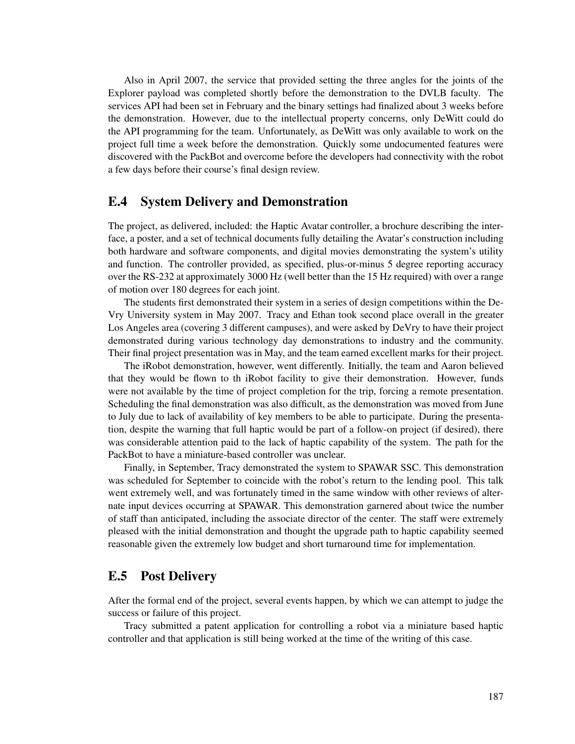Also in April 2007, the service that provided setting the three angles for the joints of the Explorer payload was completed shortly before the demonstration to the DVLB faculty. The services API had been set in February and the binary settings had finalized about 3 weeks before the demonstration. However, due to the intellectual property concerns, only DeWitt could do the API programming for the team. Unfortunately, as DeWitt was only available to work on the project full time a week before the demonstration. Quickly some undocumented features were discovered with the PackBot and overcome before the developers had connectivity with the robot a few days before their course's final design review.

## E.4 System Delivery and Demonstration

The project, as delivered, included: the Haptic Avatar controller, a brochure describing the interface, a poster, and a set of technical documents fully detailing the Avatar's construction including both hardware and software components, and digital movies demonstrating the system's utility and function. The controller provided, as specified, plus-or-minus 5 degree reporting accuracy over the RS-232 at approximately 3000 Hz (well better than the 15 Hz required) with over a range of motion over 180 degrees for each joint.

The students first demonstrated their system in a series of design competitions within the De-Vry University system in May 2007. Tracy and Ethan took second place overall in the greater Los Angeles area (covering 3 different campuses), and were asked by DeVry to have their project demonstrated during various technology day demonstrations to industry and the community. Their final project presentation was in May, and the team earned excellent marks for their project.

The iRobot demonstration, however, went differently. Initially, the team and Aaron believed that they would be flown to th iRobot facility to give their demonstration. However, funds were not available by the time of project completion for the trip, forcing a remote presentation. Scheduling the final demonstration was also difficult, as the demonstration was moved from June to July due to lack of availability of key members to be able to participate. During the presentation, despite the warning that full haptic would be part of a follow-on project (if desired), there was considerable attention paid to the lack of haptic capability of the system. The path for the PackBot to have a miniature-based controller was unclear.

Finally, in September, Tracy demonstrated the system to SPAWAR SSC. This demonstration was scheduled for September to coincide with the robot's return to the lending pool. This talk went extremely well, and was fortunately timed in the same window with other reviews of alternate input devices occurring at SPAWAR. This demonstration garnered about twice the number of staff than anticipated, including the associate director of the center. The staff were extremely pleased with the initial demonstration and thought the upgrade path to haptic capability seemed reasonable given the extremely low budget and short turnaround time for implementation.

### E.5 Post Delivery

After the formal end of the project, several events happen, by which we can attempt to judge the success or failure of this project.

Tracy submitted a patent application for controlling a robot via a miniature based haptic controller and that application is still being worked at the time of the writing of this case.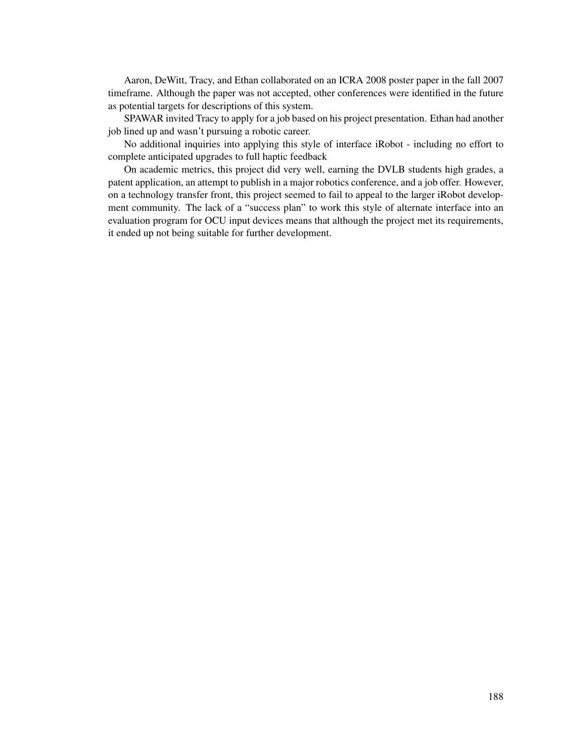Aaron, DeWitt, Tracy, and Ethan collaborated on an ICRA 2008 poster paper in the fall 2007 timeframe. Although the paper was not accepted, other conferences were identified in the future as potential targets for descriptions of this system.

SPAWAR invited Tracy to apply for a job based on his project presentation. Ethan had another job lined up and wasn't pursuing a robotic career.

No additional inquiries into applying this style of interface iRobot - including no effort to complete anticipated upgrades to full haptic feedback

On academic metrics, this project did very well, earning the DVLB students high grades, a patent application, an attempt to publish in a major robotics conference, and a job offer. However, on a technology transfer front, this project seemed to fail to appeal to the larger iRobot development community. The lack of a "success plan" to work this style of alternate interface into an evaluation program for OCU input devices means that although the project met its requirements, it ended up not being suitable for further development.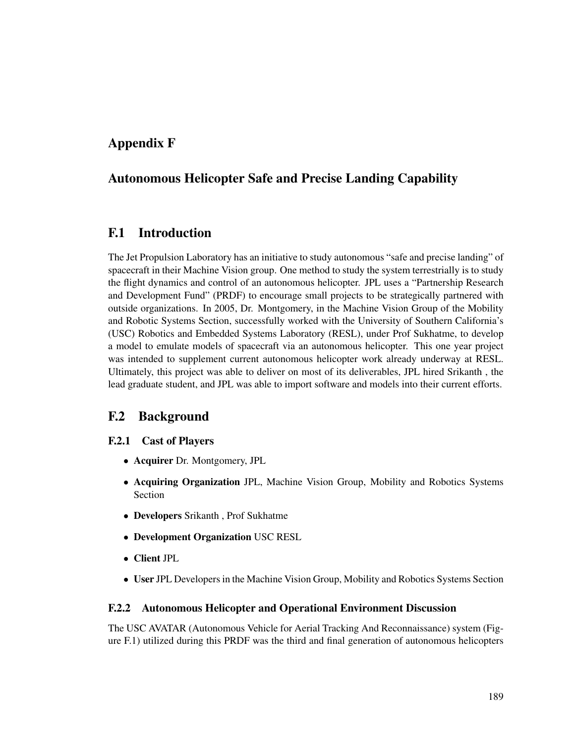# Appendix F

## Autonomous Helicopter Safe and Precise Landing Capability

## F.1 Introduction

The Jet Propulsion Laboratory has an initiative to study autonomous "safe and precise landing" of spacecraft in their Machine Vision group. One method to study the system terrestrially is to study the flight dynamics and control of an autonomous helicopter. JPL uses a "Partnership Research and Development Fund" (PRDF) to encourage small projects to be strategically partnered with outside organizations. In 2005, Dr. Montgomery, in the Machine Vision Group of the Mobility and Robotic Systems Section, successfully worked with the University of Southern California's (USC) Robotics and Embedded Systems Laboratory (RESL), under Prof Sukhatme, to develop a model to emulate models of spacecraft via an autonomous helicopter. This one year project was intended to supplement current autonomous helicopter work already underway at RESL. Ultimately, this project was able to deliver on most of its deliverables, JPL hired Srikanth , the lead graduate student, and JPL was able to import software and models into their current efforts.

## F.2 Background

### F.2.1 Cast of Players

- Acquirer Dr. Montgomery, JPL
- Acquiring Organization JPL, Machine Vision Group, Mobility and Robotics Systems Section
- Developers Srikanth , Prof Sukhatme
- Development Organization USC RESL
- Client JPL
- User JPL Developers in the Machine Vision Group, Mobility and Robotics Systems Section

### F.2.2 Autonomous Helicopter and Operational Environment Discussion

The USC AVATAR (Autonomous Vehicle for Aerial Tracking And Reconnaissance) system (Figure F.1) utilized during this PRDF was the third and final generation of autonomous helicopters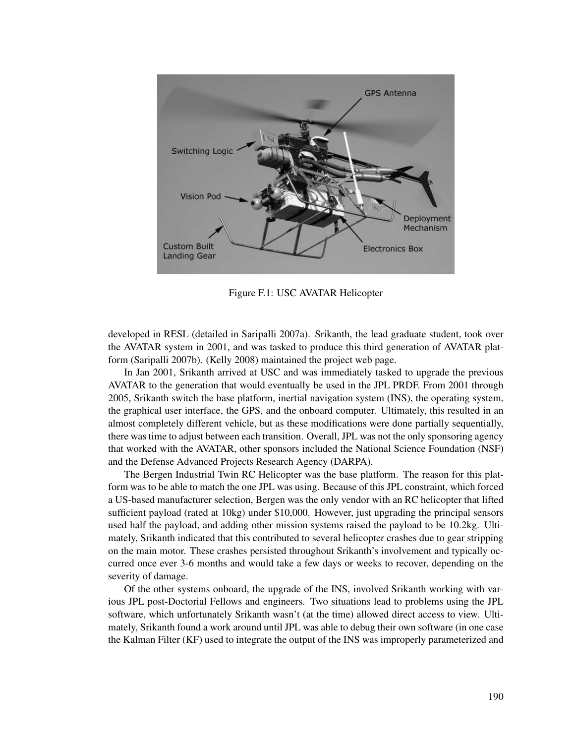

Figure F.1: USC AVATAR Helicopter

developed in RESL (detailed in Saripalli 2007a). Srikanth, the lead graduate student, took over the AVATAR system in 2001, and was tasked to produce this third generation of AVATAR platform (Saripalli 2007b). (Kelly 2008) maintained the project web page.

In Jan 2001, Srikanth arrived at USC and was immediately tasked to upgrade the previous AVATAR to the generation that would eventually be used in the JPL PRDF. From 2001 through 2005, Srikanth switch the base platform, inertial navigation system (INS), the operating system, the graphical user interface, the GPS, and the onboard computer. Ultimately, this resulted in an almost completely different vehicle, but as these modifications were done partially sequentially, there was time to adjust between each transition. Overall, JPL was not the only sponsoring agency that worked with the AVATAR, other sponsors included the National Science Foundation (NSF) and the Defense Advanced Projects Research Agency (DARPA).

The Bergen Industrial Twin RC Helicopter was the base platform. The reason for this platform was to be able to match the one JPL was using. Because of this JPL constraint, which forced a US-based manufacturer selection, Bergen was the only vendor with an RC helicopter that lifted sufficient payload (rated at 10kg) under \$10,000. However, just upgrading the principal sensors used half the payload, and adding other mission systems raised the payload to be 10.2kg. Ultimately, Srikanth indicated that this contributed to several helicopter crashes due to gear stripping on the main motor. These crashes persisted throughout Srikanth's involvement and typically occurred once ever 3-6 months and would take a few days or weeks to recover, depending on the severity of damage.

Of the other systems onboard, the upgrade of the INS, involved Srikanth working with various JPL post-Doctorial Fellows and engineers. Two situations lead to problems using the JPL software, which unfortunately Srikanth wasn't (at the time) allowed direct access to view. Ultimately, Srikanth found a work around until JPL was able to debug their own software (in one case the Kalman Filter (KF) used to integrate the output of the INS was improperly parameterized and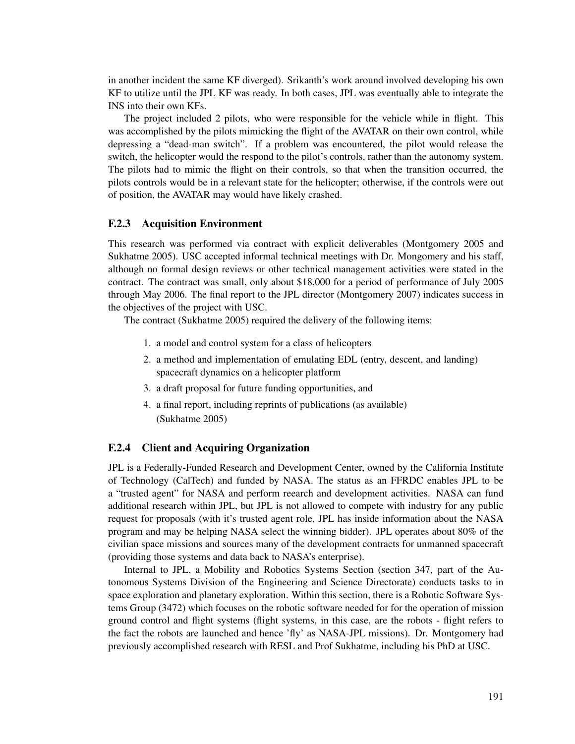in another incident the same KF diverged). Srikanth's work around involved developing his own KF to utilize until the JPL KF was ready. In both cases, JPL was eventually able to integrate the INS into their own KFs.

The project included 2 pilots, who were responsible for the vehicle while in flight. This was accomplished by the pilots mimicking the flight of the AVATAR on their own control, while depressing a "dead-man switch". If a problem was encountered, the pilot would release the switch, the helicopter would the respond to the pilot's controls, rather than the autonomy system. The pilots had to mimic the flight on their controls, so that when the transition occurred, the pilots controls would be in a relevant state for the helicopter; otherwise, if the controls were out of position, the AVATAR may would have likely crashed.

#### F.2.3 Acquisition Environment

This research was performed via contract with explicit deliverables (Montgomery 2005 and Sukhatme 2005). USC accepted informal technical meetings with Dr. Mongomery and his staff, although no formal design reviews or other technical management activities were stated in the contract. The contract was small, only about \$18,000 for a period of performance of July 2005 through May 2006. The final report to the JPL director (Montgomery 2007) indicates success in the objectives of the project with USC.

The contract (Sukhatme 2005) required the delivery of the following items:

- 1. a model and control system for a class of helicopters
- 2. a method and implementation of emulating EDL (entry, descent, and landing) spacecraft dynamics on a helicopter platform
- 3. a draft proposal for future funding opportunities, and
- 4. a final report, including reprints of publications (as available) (Sukhatme 2005)

#### F.2.4 Client and Acquiring Organization

JPL is a Federally-Funded Research and Development Center, owned by the California Institute of Technology (CalTech) and funded by NASA. The status as an FFRDC enables JPL to be a "trusted agent" for NASA and perform reearch and development activities. NASA can fund additional research within JPL, but JPL is not allowed to compete with industry for any public request for proposals (with it's trusted agent role, JPL has inside information about the NASA program and may be helping NASA select the winning bidder). JPL operates about 80% of the civilian space missions and sources many of the development contracts for unmanned spacecraft (providing those systems and data back to NASA's enterprise).

Internal to JPL, a Mobility and Robotics Systems Section (section 347, part of the Autonomous Systems Division of the Engineering and Science Directorate) conducts tasks to in space exploration and planetary exploration. Within this section, there is a Robotic Software Systems Group (3472) which focuses on the robotic software needed for for the operation of mission ground control and flight systems (flight systems, in this case, are the robots - flight refers to the fact the robots are launched and hence 'fly' as NASA-JPL missions). Dr. Montgomery had previously accomplished research with RESL and Prof Sukhatme, including his PhD at USC.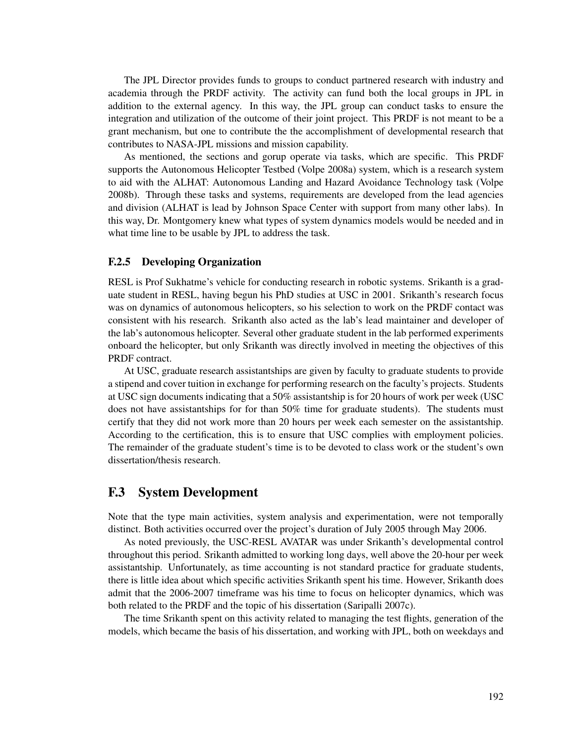The JPL Director provides funds to groups to conduct partnered research with industry and academia through the PRDF activity. The activity can fund both the local groups in JPL in addition to the external agency. In this way, the JPL group can conduct tasks to ensure the integration and utilization of the outcome of their joint project. This PRDF is not meant to be a grant mechanism, but one to contribute the the accomplishment of developmental research that contributes to NASA-JPL missions and mission capability.

As mentioned, the sections and gorup operate via tasks, which are specific. This PRDF supports the Autonomous Helicopter Testbed (Volpe 2008a) system, which is a research system to aid with the ALHAT: Autonomous Landing and Hazard Avoidance Technology task (Volpe 2008b). Through these tasks and systems, requirements are developed from the lead agencies and division (ALHAT is lead by Johnson Space Center with support from many other labs). In this way, Dr. Montgomery knew what types of system dynamics models would be needed and in what time line to be usable by JPL to address the task.

#### F.2.5 Developing Organization

RESL is Prof Sukhatme's vehicle for conducting research in robotic systems. Srikanth is a graduate student in RESL, having begun his PhD studies at USC in 2001. Srikanth's research focus was on dynamics of autonomous helicopters, so his selection to work on the PRDF contact was consistent with his research. Srikanth also acted as the lab's lead maintainer and developer of the lab's autonomous helicopter. Several other graduate student in the lab performed experiments onboard the helicopter, but only Srikanth was directly involved in meeting the objectives of this PRDF contract.

At USC, graduate research assistantships are given by faculty to graduate students to provide a stipend and cover tuition in exchange for performing research on the faculty's projects. Students at USC sign documents indicating that a 50% assistantship is for 20 hours of work per week (USC does not have assistantships for for than 50% time for graduate students). The students must certify that they did not work more than 20 hours per week each semester on the assistantship. According to the certification, this is to ensure that USC complies with employment policies. The remainder of the graduate student's time is to be devoted to class work or the student's own dissertation/thesis research.

## F.3 System Development

Note that the type main activities, system analysis and experimentation, were not temporally distinct. Both activities occurred over the project's duration of July 2005 through May 2006.

As noted previously, the USC-RESL AVATAR was under Srikanth's developmental control throughout this period. Srikanth admitted to working long days, well above the 20-hour per week assistantship. Unfortunately, as time accounting is not standard practice for graduate students, there is little idea about which specific activities Srikanth spent his time. However, Srikanth does admit that the 2006-2007 timeframe was his time to focus on helicopter dynamics, which was both related to the PRDF and the topic of his dissertation (Saripalli 2007c).

The time Srikanth spent on this activity related to managing the test flights, generation of the models, which became the basis of his dissertation, and working with JPL, both on weekdays and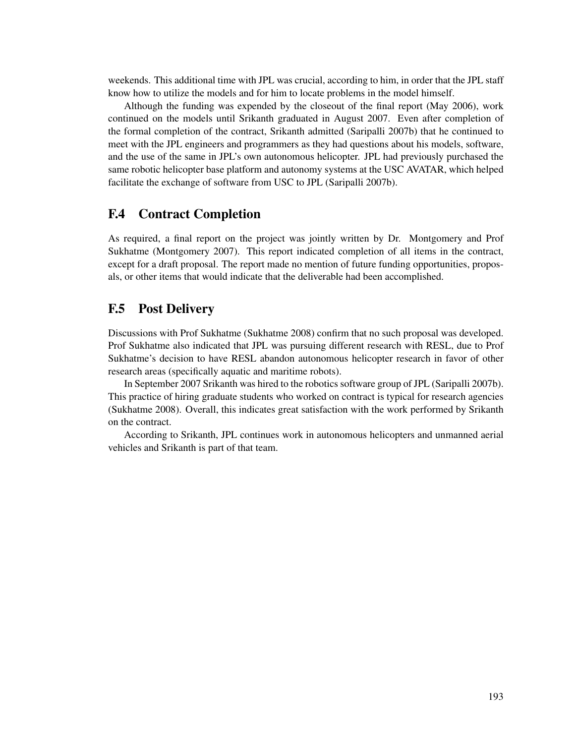weekends. This additional time with JPL was crucial, according to him, in order that the JPL staff know how to utilize the models and for him to locate problems in the model himself.

Although the funding was expended by the closeout of the final report (May 2006), work continued on the models until Srikanth graduated in August 2007. Even after completion of the formal completion of the contract, Srikanth admitted (Saripalli 2007b) that he continued to meet with the JPL engineers and programmers as they had questions about his models, software, and the use of the same in JPL's own autonomous helicopter. JPL had previously purchased the same robotic helicopter base platform and autonomy systems at the USC AVATAR, which helped facilitate the exchange of software from USC to JPL (Saripalli 2007b).

## F.4 Contract Completion

As required, a final report on the project was jointly written by Dr. Montgomery and Prof Sukhatme (Montgomery 2007). This report indicated completion of all items in the contract, except for a draft proposal. The report made no mention of future funding opportunities, proposals, or other items that would indicate that the deliverable had been accomplished.

## F.5 Post Delivery

Discussions with Prof Sukhatme (Sukhatme 2008) confirm that no such proposal was developed. Prof Sukhatme also indicated that JPL was pursuing different research with RESL, due to Prof Sukhatme's decision to have RESL abandon autonomous helicopter research in favor of other research areas (specifically aquatic and maritime robots).

In September 2007 Srikanth was hired to the robotics software group of JPL (Saripalli 2007b). This practice of hiring graduate students who worked on contract is typical for research agencies (Sukhatme 2008). Overall, this indicates great satisfaction with the work performed by Srikanth on the contract.

According to Srikanth, JPL continues work in autonomous helicopters and unmanned aerial vehicles and Srikanth is part of that team.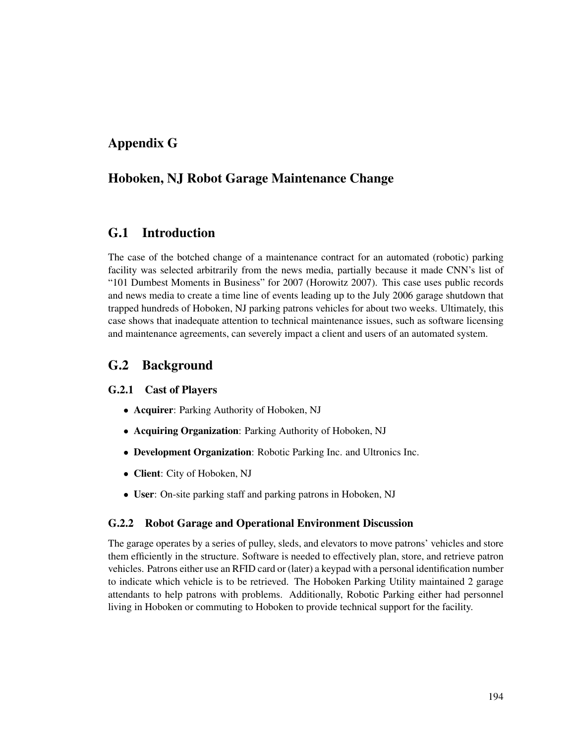# Appendix G

## Hoboken, NJ Robot Garage Maintenance Change

## G.1 Introduction

The case of the botched change of a maintenance contract for an automated (robotic) parking facility was selected arbitrarily from the news media, partially because it made CNN's list of "101 Dumbest Moments in Business" for 2007 (Horowitz 2007). This case uses public records and news media to create a time line of events leading up to the July 2006 garage shutdown that trapped hundreds of Hoboken, NJ parking patrons vehicles for about two weeks. Ultimately, this case shows that inadequate attention to technical maintenance issues, such as software licensing and maintenance agreements, can severely impact a client and users of an automated system.

## G.2 Background

### G.2.1 Cast of Players

- Acquirer: Parking Authority of Hoboken, NJ
- Acquiring Organization: Parking Authority of Hoboken, NJ
- Development Organization: Robotic Parking Inc. and Ultronics Inc.
- Client: City of Hoboken, NJ
- User: On-site parking staff and parking patrons in Hoboken, NJ

### G.2.2 Robot Garage and Operational Environment Discussion

The garage operates by a series of pulley, sleds, and elevators to move patrons' vehicles and store them efficiently in the structure. Software is needed to effectively plan, store, and retrieve patron vehicles. Patrons either use an RFID card or (later) a keypad with a personal identification number to indicate which vehicle is to be retrieved. The Hoboken Parking Utility maintained 2 garage attendants to help patrons with problems. Additionally, Robotic Parking either had personnel living in Hoboken or commuting to Hoboken to provide technical support for the facility.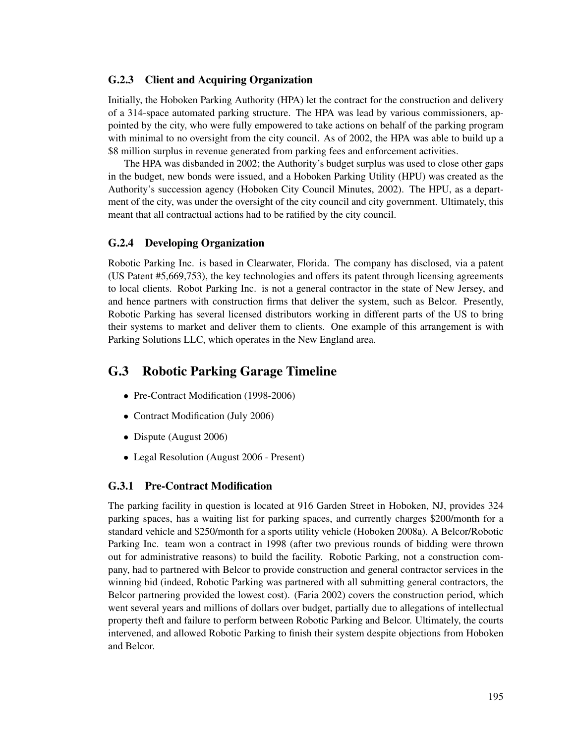### G.2.3 Client and Acquiring Organization

Initially, the Hoboken Parking Authority (HPA) let the contract for the construction and delivery of a 314-space automated parking structure. The HPA was lead by various commissioners, appointed by the city, who were fully empowered to take actions on behalf of the parking program with minimal to no oversight from the city council. As of 2002, the HPA was able to build up a \$8 million surplus in revenue generated from parking fees and enforcement activities.

The HPA was disbanded in 2002; the Authority's budget surplus was used to close other gaps in the budget, new bonds were issued, and a Hoboken Parking Utility (HPU) was created as the Authority's succession agency (Hoboken City Council Minutes, 2002). The HPU, as a department of the city, was under the oversight of the city council and city government. Ultimately, this meant that all contractual actions had to be ratified by the city council.

### G.2.4 Developing Organization

Robotic Parking Inc. is based in Clearwater, Florida. The company has disclosed, via a patent (US Patent #5,669,753), the key technologies and offers its patent through licensing agreements to local clients. Robot Parking Inc. is not a general contractor in the state of New Jersey, and and hence partners with construction firms that deliver the system, such as Belcor. Presently, Robotic Parking has several licensed distributors working in different parts of the US to bring their systems to market and deliver them to clients. One example of this arrangement is with Parking Solutions LLC, which operates in the New England area.

## G.3 Robotic Parking Garage Timeline

- Pre-Contract Modification (1998-2006)
- Contract Modification (July 2006)
- Dispute (August 2006)
- Legal Resolution (August 2006 Present)

### G.3.1 Pre-Contract Modification

The parking facility in question is located at 916 Garden Street in Hoboken, NJ, provides 324 parking spaces, has a waiting list for parking spaces, and currently charges \$200/month for a standard vehicle and \$250/month for a sports utility vehicle (Hoboken 2008a). A Belcor/Robotic Parking Inc. team won a contract in 1998 (after two previous rounds of bidding were thrown out for administrative reasons) to build the facility. Robotic Parking, not a construction company, had to partnered with Belcor to provide construction and general contractor services in the winning bid (indeed, Robotic Parking was partnered with all submitting general contractors, the Belcor partnering provided the lowest cost). (Faria 2002) covers the construction period, which went several years and millions of dollars over budget, partially due to allegations of intellectual property theft and failure to perform between Robotic Parking and Belcor. Ultimately, the courts intervened, and allowed Robotic Parking to finish their system despite objections from Hoboken and Belcor.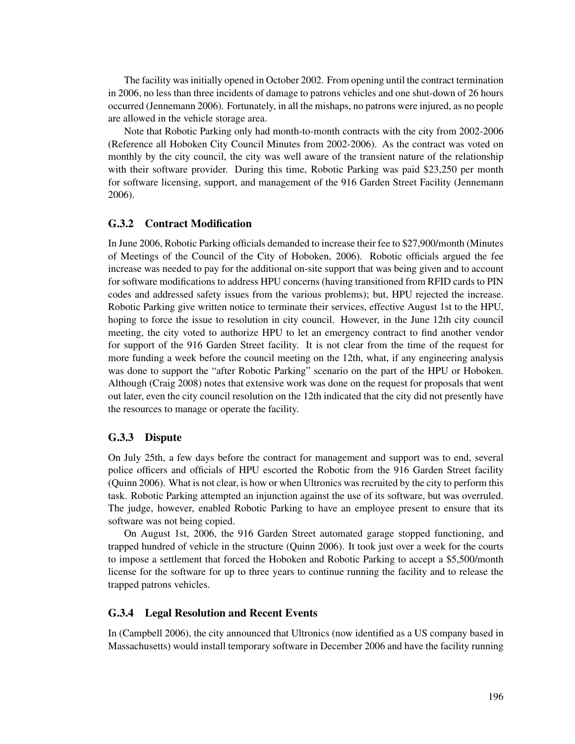The facility was initially opened in October 2002. From opening until the contract termination in 2006, no less than three incidents of damage to patrons vehicles and one shut-down of 26 hours occurred (Jennemann 2006). Fortunately, in all the mishaps, no patrons were injured, as no people are allowed in the vehicle storage area.

Note that Robotic Parking only had month-to-month contracts with the city from 2002-2006 (Reference all Hoboken City Council Minutes from 2002-2006). As the contract was voted on monthly by the city council, the city was well aware of the transient nature of the relationship with their software provider. During this time, Robotic Parking was paid \$23,250 per month for software licensing, support, and management of the 916 Garden Street Facility (Jennemann 2006).

#### G.3.2 Contract Modification

In June 2006, Robotic Parking officials demanded to increase their fee to \$27,900/month (Minutes of Meetings of the Council of the City of Hoboken, 2006). Robotic officials argued the fee increase was needed to pay for the additional on-site support that was being given and to account for software modifications to address HPU concerns (having transitioned from RFID cards to PIN codes and addressed safety issues from the various problems); but, HPU rejected the increase. Robotic Parking give written notice to terminate their services, effective August 1st to the HPU, hoping to force the issue to resolution in city council. However, in the June 12th city council meeting, the city voted to authorize HPU to let an emergency contract to find another vendor for support of the 916 Garden Street facility. It is not clear from the time of the request for more funding a week before the council meeting on the 12th, what, if any engineering analysis was done to support the "after Robotic Parking" scenario on the part of the HPU or Hoboken. Although (Craig 2008) notes that extensive work was done on the request for proposals that went out later, even the city council resolution on the 12th indicated that the city did not presently have the resources to manage or operate the facility.

#### G.3.3 Dispute

On July 25th, a few days before the contract for management and support was to end, several police officers and officials of HPU escorted the Robotic from the 916 Garden Street facility (Quinn 2006). What is not clear, is how or when Ultronics was recruited by the city to perform this task. Robotic Parking attempted an injunction against the use of its software, but was overruled. The judge, however, enabled Robotic Parking to have an employee present to ensure that its software was not being copied.

On August 1st, 2006, the 916 Garden Street automated garage stopped functioning, and trapped hundred of vehicle in the structure (Quinn 2006). It took just over a week for the courts to impose a settlement that forced the Hoboken and Robotic Parking to accept a \$5,500/month license for the software for up to three years to continue running the facility and to release the trapped patrons vehicles.

#### G.3.4 Legal Resolution and Recent Events

In (Campbell 2006), the city announced that Ultronics (now identified as a US company based in Massachusetts) would install temporary software in December 2006 and have the facility running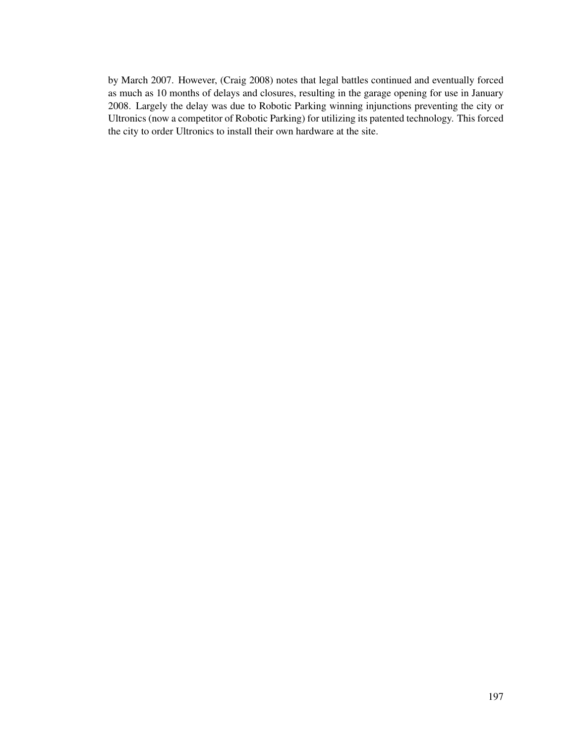by March 2007. However, (Craig 2008) notes that legal battles continued and eventually forced as much as 10 months of delays and closures, resulting in the garage opening for use in January 2008. Largely the delay was due to Robotic Parking winning injunctions preventing the city or Ultronics (now a competitor of Robotic Parking) for utilizing its patented technology. This forced the city to order Ultronics to install their own hardware at the site.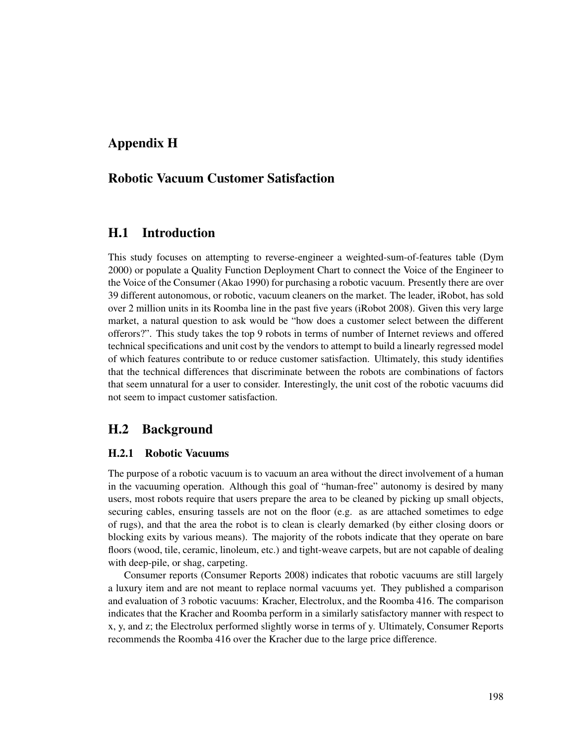## Appendix H

## Robotic Vacuum Customer Satisfaction

## H.1 Introduction

This study focuses on attempting to reverse-engineer a weighted-sum-of-features table (Dym 2000) or populate a Quality Function Deployment Chart to connect the Voice of the Engineer to the Voice of the Consumer (Akao 1990) for purchasing a robotic vacuum. Presently there are over 39 different autonomous, or robotic, vacuum cleaners on the market. The leader, iRobot, has sold over 2 million units in its Roomba line in the past five years (iRobot 2008). Given this very large market, a natural question to ask would be "how does a customer select between the different offerors?". This study takes the top 9 robots in terms of number of Internet reviews and offered technical specifications and unit cost by the vendors to attempt to build a linearly regressed model of which features contribute to or reduce customer satisfaction. Ultimately, this study identifies that the technical differences that discriminate between the robots are combinations of factors that seem unnatural for a user to consider. Interestingly, the unit cost of the robotic vacuums did not seem to impact customer satisfaction.

### H.2 Background

#### H.2.1 Robotic Vacuums

The purpose of a robotic vacuum is to vacuum an area without the direct involvement of a human in the vacuuming operation. Although this goal of "human-free" autonomy is desired by many users, most robots require that users prepare the area to be cleaned by picking up small objects, securing cables, ensuring tassels are not on the floor (e.g. as are attached sometimes to edge of rugs), and that the area the robot is to clean is clearly demarked (by either closing doors or blocking exits by various means). The majority of the robots indicate that they operate on bare floors (wood, tile, ceramic, linoleum, etc.) and tight-weave carpets, but are not capable of dealing with deep-pile, or shag, carpeting.

Consumer reports (Consumer Reports 2008) indicates that robotic vacuums are still largely a luxury item and are not meant to replace normal vacuums yet. They published a comparison and evaluation of 3 robotic vacuums: Kracher, Electrolux, and the Roomba 416. The comparison indicates that the Kracher and Roomba perform in a similarly satisfactory manner with respect to x, y, and z; the Electrolux performed slightly worse in terms of y. Ultimately, Consumer Reports recommends the Roomba 416 over the Kracher due to the large price difference.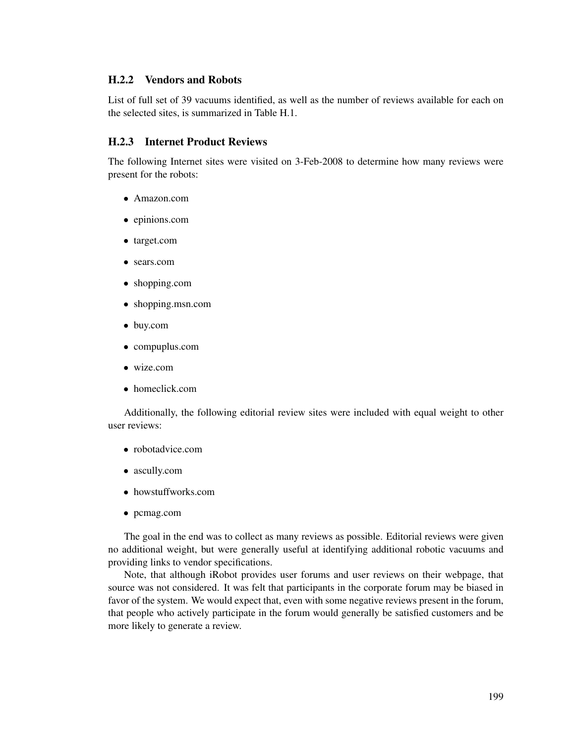### H.2.2 Vendors and Robots

List of full set of 39 vacuums identified, as well as the number of reviews available for each on the selected sites, is summarized in Table H.1.

### H.2.3 Internet Product Reviews

The following Internet sites were visited on 3-Feb-2008 to determine how many reviews were present for the robots:

- Amazon.com
- epinions.com
- target.com
- sears.com
- shopping.com
- shopping.msn.com
- buy.com
- compuplus.com
- wize.com
- homeclick.com

Additionally, the following editorial review sites were included with equal weight to other user reviews:

- robotadvice.com
- ascully.com
- howstuffworks.com
- pcmag.com

The goal in the end was to collect as many reviews as possible. Editorial reviews were given no additional weight, but were generally useful at identifying additional robotic vacuums and providing links to vendor specifications.

Note, that although iRobot provides user forums and user reviews on their webpage, that source was not considered. It was felt that participants in the corporate forum may be biased in favor of the system. We would expect that, even with some negative reviews present in the forum, that people who actively participate in the forum would generally be satisfied customers and be more likely to generate a review.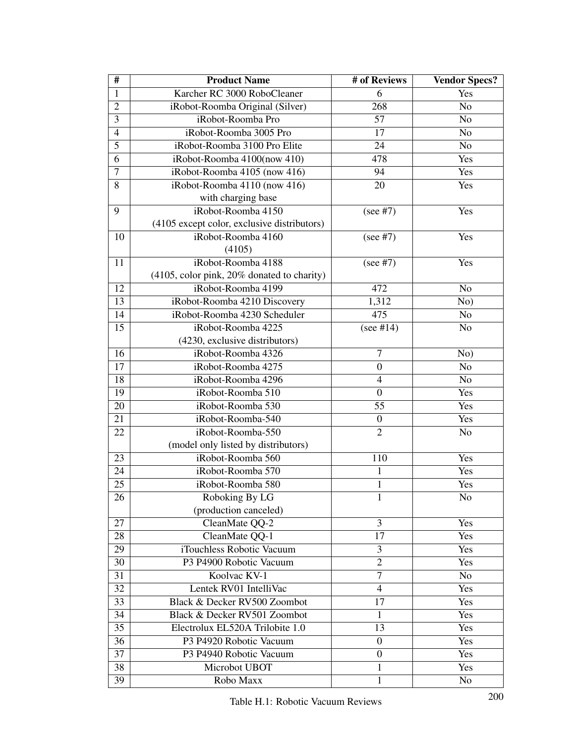| #              | <b>Product Name</b>                         | # of Reviews     | <b>Vendor Specs?</b> |
|----------------|---------------------------------------------|------------------|----------------------|
| $\mathbf{1}$   | Karcher RC 3000 RoboCleaner                 | 6                | Yes                  |
| $\overline{2}$ | iRobot-Roomba Original (Silver)             | 268              | N <sub>o</sub>       |
| $\overline{3}$ | iRobot-Roomba Pro                           | 57               | No                   |
| $\overline{4}$ | iRobot-Roomba 3005 Pro                      | 17               | N <sub>o</sub>       |
| 5              | iRobot-Roomba 3100 Pro Elite                | 24               | No                   |
| 6              | iRobot-Roomba 4100(now 410)                 | 478              | Yes                  |
| $\tau$         | iRobot-Roomba 4105 (now 416)                | 94               | Yes                  |
| 8              | iRobot-Roomba 4110 (now 416)                | 20               | Yes                  |
|                | with charging base                          |                  |                      |
| 9              | iRobot-Roomba 4150                          | (see #7)         | Yes                  |
|                | (4105 except color, exclusive distributors) |                  |                      |
| 10             | iRobot-Roomba 4160                          | (see #7)         | Yes                  |
|                | (4105)                                      |                  |                      |
| 11             | iRobot-Roomba 4188                          | (see #7)         | Yes                  |
|                | (4105, color pink, 20% donated to charity)  |                  |                      |
| 12             | iRobot-Roomba 4199                          | 472              | N <sub>o</sub>       |
| 13             | iRobot-Roomba 4210 Discovery                | 1,312            | No)                  |
| 14             | iRobot-Roomba 4230 Scheduler                | 475              | No                   |
| 15             | iRobot-Roomba 4225                          | (see #14)        | N <sub>o</sub>       |
|                | (4230, exclusive distributors)              |                  |                      |
| 16             | iRobot-Roomba 4326                          | $\overline{7}$   | No)                  |
| 17             | iRobot-Roomba 4275                          | $\boldsymbol{0}$ | No                   |
| 18             | iRobot-Roomba 4296                          | 4                | N <sub>0</sub>       |
| 19             | iRobot-Roomba 510                           | $\overline{0}$   | Yes                  |
| 20             | iRobot-Roomba 530                           | 55               | Yes                  |
| 21             | iRobot-Roomba-540                           | $\boldsymbol{0}$ | Yes                  |
| 22             | iRobot-Roomba-550                           | $\overline{2}$   | N <sub>o</sub>       |
|                | (model only listed by distributors)         |                  |                      |
| 23             | iRobot-Roomba 560                           | 110              | Yes                  |
| 24             | iRobot-Roomba 570                           | $\mathbf{1}$     | Yes                  |
| 25             | iRobot-Roomba 580                           | $\mathbf{1}$     | Yes                  |
| 26             | Roboking By LG                              | 1                | N <sub>0</sub>       |
| 27             | (production canceled)                       | $\overline{3}$   |                      |
| 28             | CleanMate QQ-2<br>CleanMate QQ-1            | 17               | Yes<br>Yes           |
| 29             | iTouchless Robotic Vacuum                   | 3                | Yes                  |
| 30             | P3 P4900 Robotic Vacuum                     | $\overline{2}$   | Yes                  |
| 31             | Koolvac KV-1                                | $\overline{7}$   | No                   |
| 32             | Lentek RV01 IntelliVac                      | $\overline{4}$   | Yes                  |
| 33             | Black & Decker RV500 Zoombot                | 17               | Yes                  |
| 34             | Black & Decker RV501 Zoombot                | 1                | Yes                  |
| 35             | Electrolux EL520A Trilobite 1.0             | 13               | Yes                  |
| 36             | P3 P4920 Robotic Vacuum                     | $\overline{0}$   | Yes                  |
| 37             | P3 P4940 Robotic Vacuum                     | $\boldsymbol{0}$ | Yes                  |
| 38             | Microbot UBOT                               | 1                | Yes                  |
| 39             | Robo Maxx                                   | $\mathbf{1}$     | No                   |
|                |                                             |                  |                      |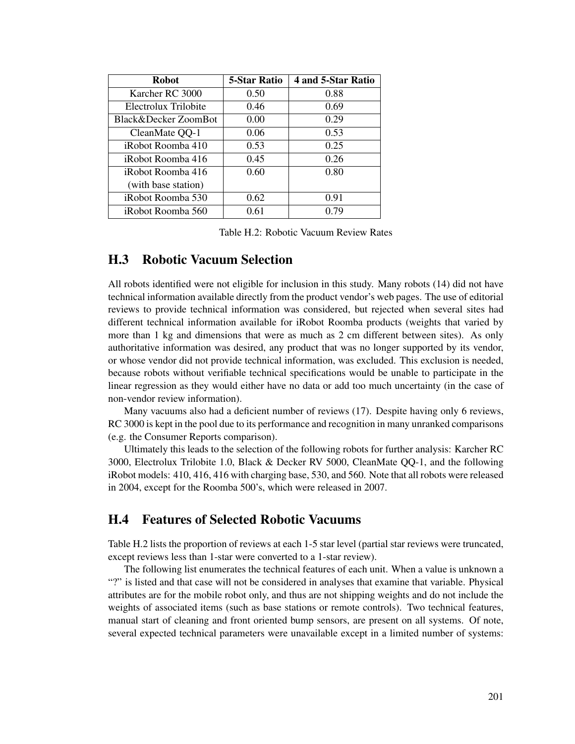| <b>Robot</b>             | 5-Star Ratio | 4 and 5-Star Ratio |
|--------------------------|--------------|--------------------|
| Karcher RC 3000          | 0.50         | 0.88               |
| Electrolux Trilobite     | 0.46         | 0.69               |
| Black&Decker ZoomBot     | 0.00         | 0.29               |
| CleanMate QQ-1           | 0.06         | 0.53               |
| <i>iRobot Roomba</i> 410 | 0.53         | 0.25               |
| <i>iRobot Roomba</i> 416 | 0.45         | 0.26               |
| <i>iRobot Roomba</i> 416 | 0.60         | 0.80               |
| (with base station)      |              |                    |
| <i>iRobot Roomba</i> 530 | 0.62         | 0.91               |
| <i>iRobot Roomba</i> 560 | 0.61         | 0.79               |

Table H.2: Robotic Vacuum Review Rates

## H.3 Robotic Vacuum Selection

All robots identified were not eligible for inclusion in this study. Many robots (14) did not have technical information available directly from the product vendor's web pages. The use of editorial reviews to provide technical information was considered, but rejected when several sites had different technical information available for iRobot Roomba products (weights that varied by more than 1 kg and dimensions that were as much as 2 cm different between sites). As only authoritative information was desired, any product that was no longer supported by its vendor, or whose vendor did not provide technical information, was excluded. This exclusion is needed, because robots without verifiable technical specifications would be unable to participate in the linear regression as they would either have no data or add too much uncertainty (in the case of non-vendor review information).

Many vacuums also had a deficient number of reviews (17). Despite having only 6 reviews, RC 3000 is kept in the pool due to its performance and recognition in many unranked comparisons (e.g. the Consumer Reports comparison).

Ultimately this leads to the selection of the following robots for further analysis: Karcher RC 3000, Electrolux Trilobite 1.0, Black & Decker RV 5000, CleanMate QQ-1, and the following iRobot models: 410, 416, 416 with charging base, 530, and 560. Note that all robots were released in 2004, except for the Roomba 500's, which were released in 2007.

### H.4 Features of Selected Robotic Vacuums

Table H.2 lists the proportion of reviews at each 1-5 star level (partial star reviews were truncated, except reviews less than 1-star were converted to a 1-star review).

The following list enumerates the technical features of each unit. When a value is unknown a "?" is listed and that case will not be considered in analyses that examine that variable. Physical attributes are for the mobile robot only, and thus are not shipping weights and do not include the weights of associated items (such as base stations or remote controls). Two technical features, manual start of cleaning and front oriented bump sensors, are present on all systems. Of note, several expected technical parameters were unavailable except in a limited number of systems: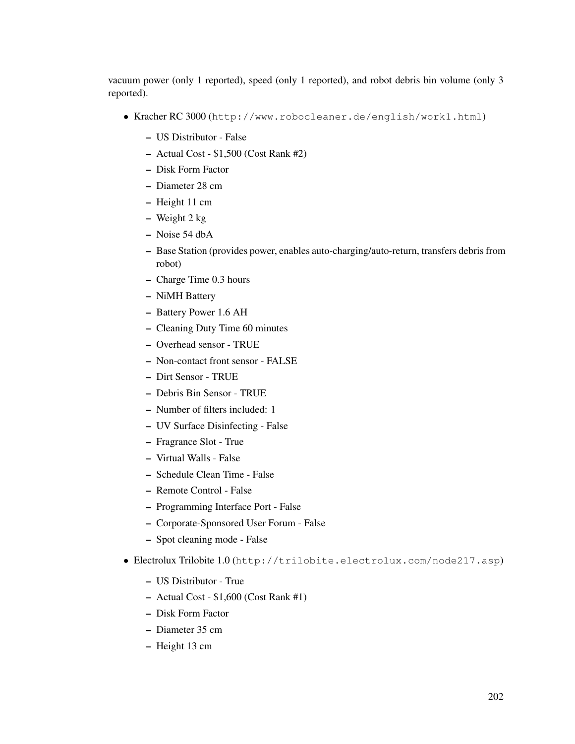vacuum power (only 1 reported), speed (only 1 reported), and robot debris bin volume (only 3 reported).

- Kracher RC 3000 (http://www.robocleaner.de/english/work1.html)
	- US Distributor False
	- Actual Cost \$1,500 (Cost Rank #2)
	- Disk Form Factor
	- Diameter 28 cm
	- Height 11 cm
	- Weight 2 kg
	- Noise 54 dbA
	- Base Station (provides power, enables auto-charging/auto-return, transfers debris from robot)
	- Charge Time 0.3 hours
	- NiMH Battery
	- Battery Power 1.6 AH
	- Cleaning Duty Time 60 minutes
	- Overhead sensor TRUE
	- Non-contact front sensor FALSE
	- Dirt Sensor TRUE
	- Debris Bin Sensor TRUE
	- Number of filters included: 1
	- UV Surface Disinfecting False
	- Fragrance Slot True
	- Virtual Walls False
	- Schedule Clean Time False
	- Remote Control False
	- Programming Interface Port False
	- Corporate-Sponsored User Forum False
	- Spot cleaning mode False
- Electrolux Trilobite 1.0 (http://trilobite.electrolux.com/node217.asp)
	- US Distributor True
	- Actual Cost \$1,600 (Cost Rank #1)
	- Disk Form Factor
	- Diameter 35 cm
	- Height 13 cm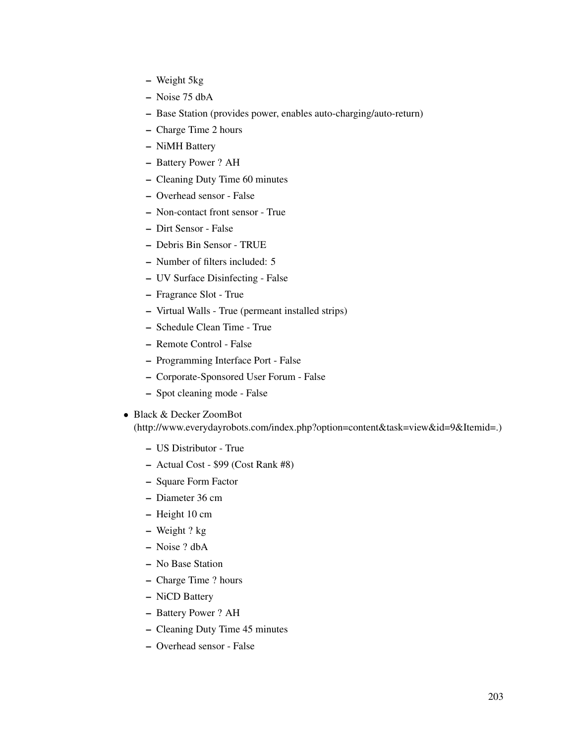- Weight 5kg
- Noise 75 dbA
- Base Station (provides power, enables auto-charging/auto-return)
- Charge Time 2 hours
- NiMH Battery
- Battery Power ? AH
- Cleaning Duty Time 60 minutes
- Overhead sensor False
- Non-contact front sensor True
- Dirt Sensor False
- Debris Bin Sensor TRUE
- Number of filters included: 5
- UV Surface Disinfecting False
- Fragrance Slot True
- Virtual Walls True (permeant installed strips)
- Schedule Clean Time True
- Remote Control False
- Programming Interface Port False
- Corporate-Sponsored User Forum False
- Spot cleaning mode False
- Black & Decker ZoomBot

(http://www.everydayrobots.com/index.php?option=content&task=view&id=9&Itemid=.)

- US Distributor True
- Actual Cost \$99 (Cost Rank #8)
- Square Form Factor
- Diameter 36 cm
- Height 10 cm
- Weight ? kg
- Noise ? dbA
- No Base Station
- Charge Time ? hours
- NiCD Battery
- Battery Power ? AH
- Cleaning Duty Time 45 minutes
- Overhead sensor False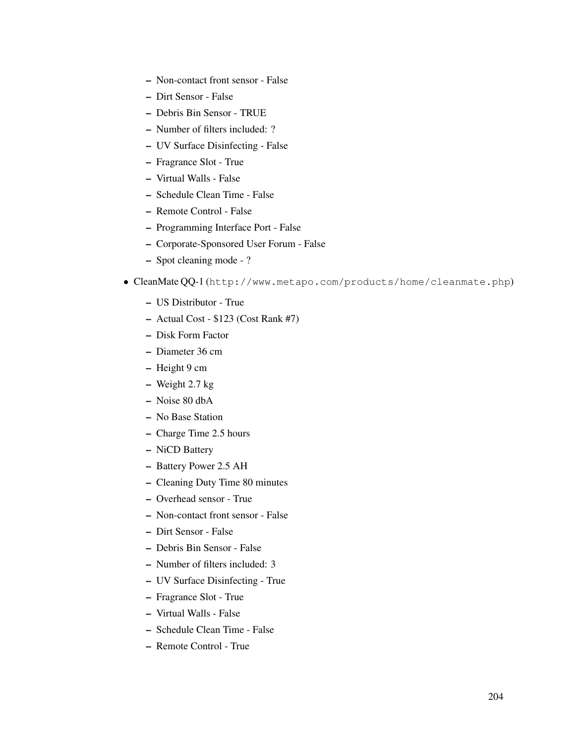- Non-contact front sensor False
- Dirt Sensor False
- Debris Bin Sensor TRUE
- Number of filters included: ?
- UV Surface Disinfecting False
- Fragrance Slot True
- Virtual Walls False
- Schedule Clean Time False
- Remote Control False
- Programming Interface Port False
- Corporate-Sponsored User Forum False
- Spot cleaning mode ?
- CleanMate QQ-1 (http://www.metapo.com/products/home/cleanmate.php)
	- US Distributor True
	- Actual Cost \$123 (Cost Rank #7)
	- Disk Form Factor
	- Diameter 36 cm
	- Height 9 cm
	- Weight 2.7 kg
	- Noise 80 dbA
	- No Base Station
	- Charge Time 2.5 hours
	- NiCD Battery
	- Battery Power 2.5 AH
	- Cleaning Duty Time 80 minutes
	- Overhead sensor True
	- Non-contact front sensor False
	- Dirt Sensor False
	- Debris Bin Sensor False
	- Number of filters included: 3
	- UV Surface Disinfecting True
	- Fragrance Slot True
	- Virtual Walls False
	- Schedule Clean Time False
	- Remote Control True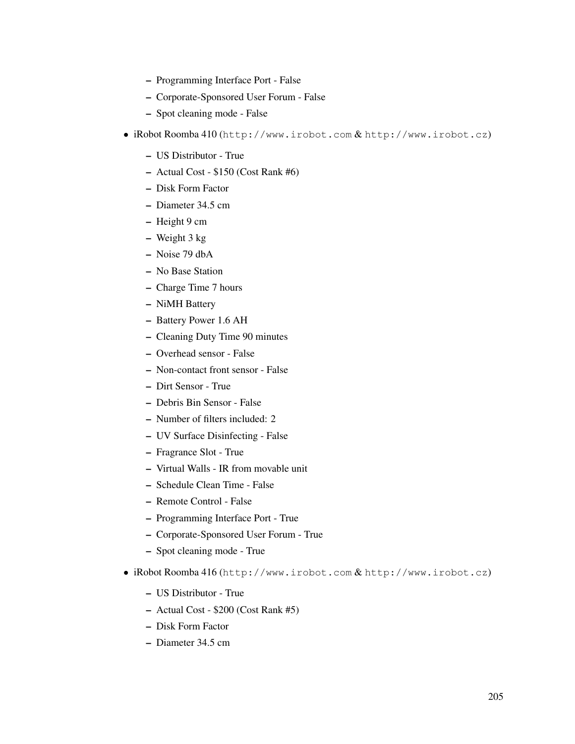- Programming Interface Port False
- Corporate-Sponsored User Forum False
- Spot cleaning mode False
- iRobot Roomba 410 (http://www.irobot.com & http://www.irobot.cz)
	- US Distributor True
	- Actual Cost \$150 (Cost Rank #6)
	- Disk Form Factor
	- Diameter 34.5 cm
	- Height 9 cm
	- Weight 3 kg
	- Noise 79 dbA
	- No Base Station
	- Charge Time 7 hours
	- NiMH Battery
	- Battery Power 1.6 AH
	- Cleaning Duty Time 90 minutes
	- Overhead sensor False
	- Non-contact front sensor False
	- Dirt Sensor True
	- Debris Bin Sensor False
	- Number of filters included: 2
	- UV Surface Disinfecting False
	- Fragrance Slot True
	- Virtual Walls IR from movable unit
	- Schedule Clean Time False
	- Remote Control False
	- Programming Interface Port True
	- Corporate-Sponsored User Forum True
	- Spot cleaning mode True
- iRobot Roomba 416 (http://www.irobot.com & http://www.irobot.cz)
	- US Distributor True
	- Actual Cost \$200 (Cost Rank #5)
	- Disk Form Factor
	- Diameter 34.5 cm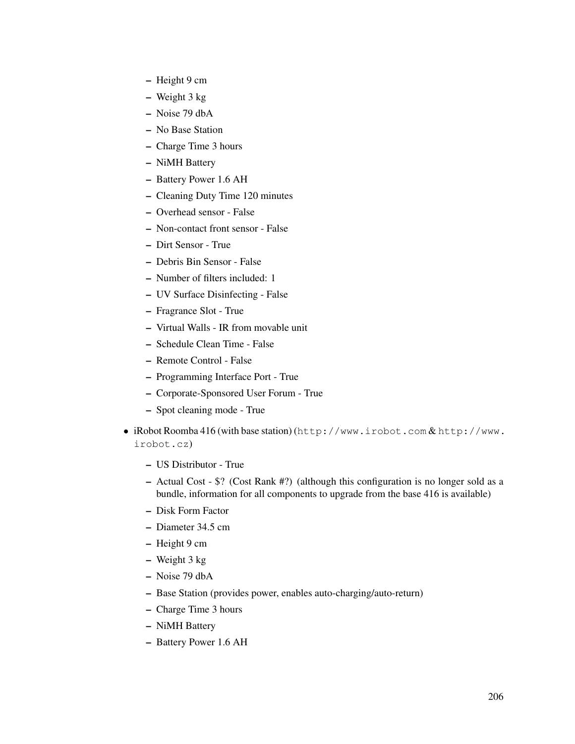- Height 9 cm
- Weight 3 kg
- Noise 79 dbA
- No Base Station
- Charge Time 3 hours
- NiMH Battery
- Battery Power 1.6 AH
- Cleaning Duty Time 120 minutes
- Overhead sensor False
- Non-contact front sensor False
- Dirt Sensor True
- Debris Bin Sensor False
- Number of filters included: 1
- UV Surface Disinfecting False
- Fragrance Slot True
- Virtual Walls IR from movable unit
- Schedule Clean Time False
- Remote Control False
- Programming Interface Port True
- Corporate-Sponsored User Forum True
- Spot cleaning mode True
- iRobot Roomba 416 (with base station) (http://www.irobot.com & http://www. irobot.cz)
	- US Distributor True
	- Actual Cost \$? (Cost Rank #?) (although this configuration is no longer sold as a bundle, information for all components to upgrade from the base 416 is available)
	- Disk Form Factor
	- Diameter 34.5 cm
	- Height 9 cm
	- Weight 3 kg
	- Noise 79 dbA
	- Base Station (provides power, enables auto-charging/auto-return)
	- Charge Time 3 hours
	- NiMH Battery
	- Battery Power 1.6 AH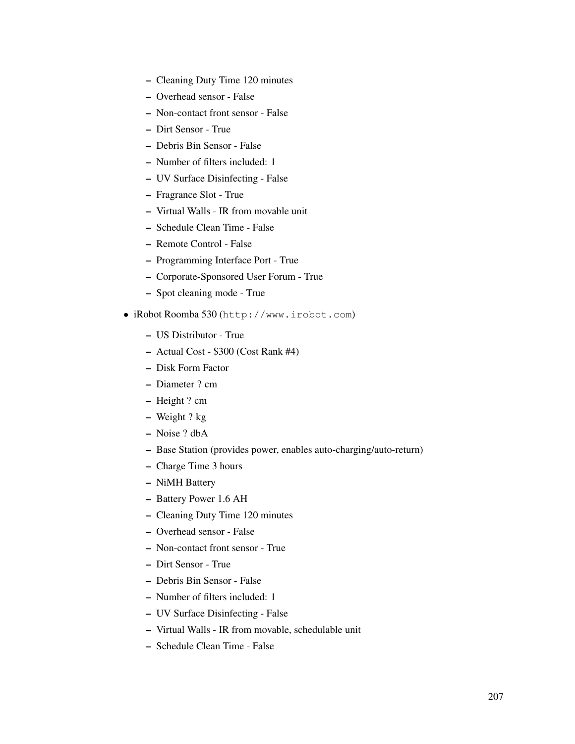- Cleaning Duty Time 120 minutes
- Overhead sensor False
- Non-contact front sensor False
- Dirt Sensor True
- Debris Bin Sensor False
- Number of filters included: 1
- UV Surface Disinfecting False
- Fragrance Slot True
- Virtual Walls IR from movable unit
- Schedule Clean Time False
- Remote Control False
- Programming Interface Port True
- Corporate-Sponsored User Forum True
- Spot cleaning mode True
- iRobot Roomba 530 (http://www.irobot.com)
	- US Distributor True
	- Actual Cost \$300 (Cost Rank #4)
	- Disk Form Factor
	- Diameter ? cm
	- Height ? cm
	- Weight ? kg
	- Noise ? dbA
	- Base Station (provides power, enables auto-charging/auto-return)
	- Charge Time 3 hours
	- NiMH Battery
	- Battery Power 1.6 AH
	- Cleaning Duty Time 120 minutes
	- Overhead sensor False
	- Non-contact front sensor True
	- Dirt Sensor True
	- Debris Bin Sensor False
	- Number of filters included: 1
	- UV Surface Disinfecting False
	- Virtual Walls IR from movable, schedulable unit
	- Schedule Clean Time False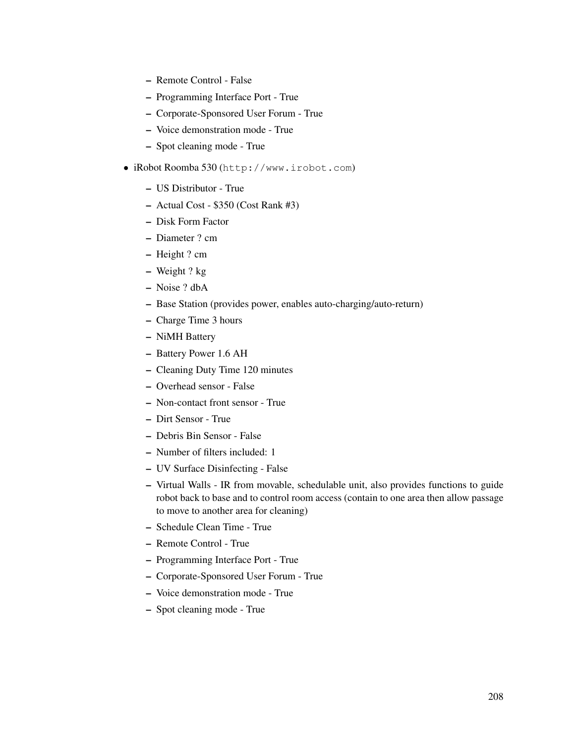- Remote Control False
- Programming Interface Port True
- Corporate-Sponsored User Forum True
- Voice demonstration mode True
- Spot cleaning mode True
- iRobot Roomba 530 (http://www.irobot.com)
	- US Distributor True
	- Actual Cost \$350 (Cost Rank #3)
	- Disk Form Factor
	- Diameter ? cm
	- Height ? cm
	- Weight ? kg
	- Noise ? dbA
	- Base Station (provides power, enables auto-charging/auto-return)
	- Charge Time 3 hours
	- NiMH Battery
	- Battery Power 1.6 AH
	- Cleaning Duty Time 120 minutes
	- Overhead sensor False
	- Non-contact front sensor True
	- Dirt Sensor True
	- Debris Bin Sensor False
	- Number of filters included: 1
	- UV Surface Disinfecting False
	- Virtual Walls IR from movable, schedulable unit, also provides functions to guide robot back to base and to control room access (contain to one area then allow passage to move to another area for cleaning)
	- Schedule Clean Time True
	- Remote Control True
	- Programming Interface Port True
	- Corporate-Sponsored User Forum True
	- Voice demonstration mode True
	- Spot cleaning mode True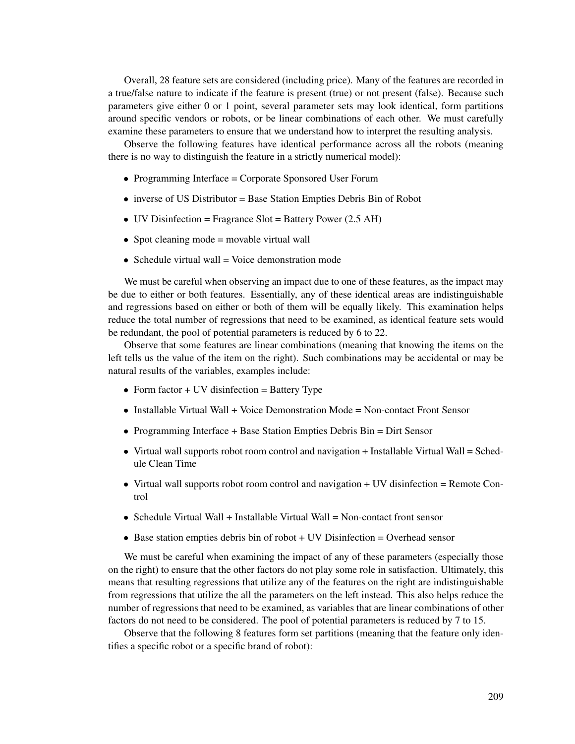Overall, 28 feature sets are considered (including price). Many of the features are recorded in a true/false nature to indicate if the feature is present (true) or not present (false). Because such parameters give either 0 or 1 point, several parameter sets may look identical, form partitions around specific vendors or robots, or be linear combinations of each other. We must carefully examine these parameters to ensure that we understand how to interpret the resulting analysis.

Observe the following features have identical performance across all the robots (meaning there is no way to distinguish the feature in a strictly numerical model):

- Programming Interface = Corporate Sponsored User Forum
- inverse of US Distributor = Base Station Empties Debris Bin of Robot
- UV Disinfection = Fragrance Slot = Battery Power (2.5 AH)
- Spot cleaning mode = movable virtual wall
- Schedule virtual wall  $=$  Voice demonstration mode

We must be careful when observing an impact due to one of these features, as the impact may be due to either or both features. Essentially, any of these identical areas are indistinguishable and regressions based on either or both of them will be equally likely. This examination helps reduce the total number of regressions that need to be examined, as identical feature sets would be redundant, the pool of potential parameters is reduced by 6 to 22.

Observe that some features are linear combinations (meaning that knowing the items on the left tells us the value of the item on the right). Such combinations may be accidental or may be natural results of the variables, examples include:

- Form factor + UV disinfection = Battery Type
- Installable Virtual Wall + Voice Demonstration Mode = Non-contact Front Sensor
- Programming Interface + Base Station Empties Debris Bin = Dirt Sensor
- Virtual wall supports robot room control and navigation + Installable Virtual Wall = Schedule Clean Time
- Virtual wall supports robot room control and navigation + UV disinfection = Remote Control
- Schedule Virtual Wall + Installable Virtual Wall = Non-contact front sensor
- Base station empties debris bin of robot + UV Disinfection = Overhead sensor

We must be careful when examining the impact of any of these parameters (especially those on the right) to ensure that the other factors do not play some role in satisfaction. Ultimately, this means that resulting regressions that utilize any of the features on the right are indistinguishable from regressions that utilize the all the parameters on the left instead. This also helps reduce the number of regressions that need to be examined, as variables that are linear combinations of other factors do not need to be considered. The pool of potential parameters is reduced by 7 to 15.

Observe that the following 8 features form set partitions (meaning that the feature only identifies a specific robot or a specific brand of robot):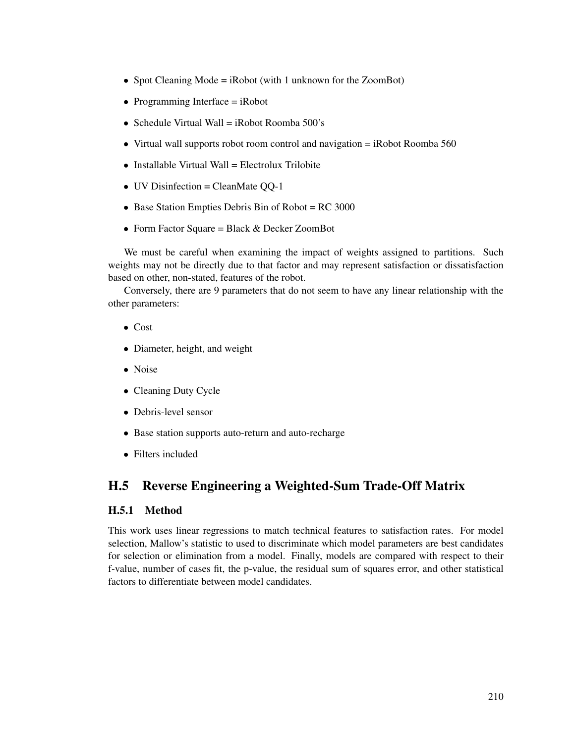- Spot Cleaning Mode = iRobot (with 1 unknown for the ZoomBot)
- Programming Interface = iRobot
- Schedule Virtual Wall = iRobot Roomba  $500$ 's
- Virtual wall supports robot room control and navigation = iRobot Roomba 560
- Installable Virtual Wall = Electrolux Trilobite
- UV Disinfection = CleanMate QQ-1
- Base Station Empties Debris Bin of Robot = RC 3000
- Form Factor Square = Black & Decker ZoomBot

We must be careful when examining the impact of weights assigned to partitions. Such weights may not be directly due to that factor and may represent satisfaction or dissatisfaction based on other, non-stated, features of the robot.

Conversely, there are 9 parameters that do not seem to have any linear relationship with the other parameters:

- Cost
- Diameter, height, and weight
- Noise
- Cleaning Duty Cycle
- Debris-level sensor
- Base station supports auto-return and auto-recharge
- Filters included

## H.5 Reverse Engineering a Weighted-Sum Trade-Off Matrix

## H.5.1 Method

This work uses linear regressions to match technical features to satisfaction rates. For model selection, Mallow's statistic to used to discriminate which model parameters are best candidates for selection or elimination from a model. Finally, models are compared with respect to their f-value, number of cases fit, the p-value, the residual sum of squares error, and other statistical factors to differentiate between model candidates.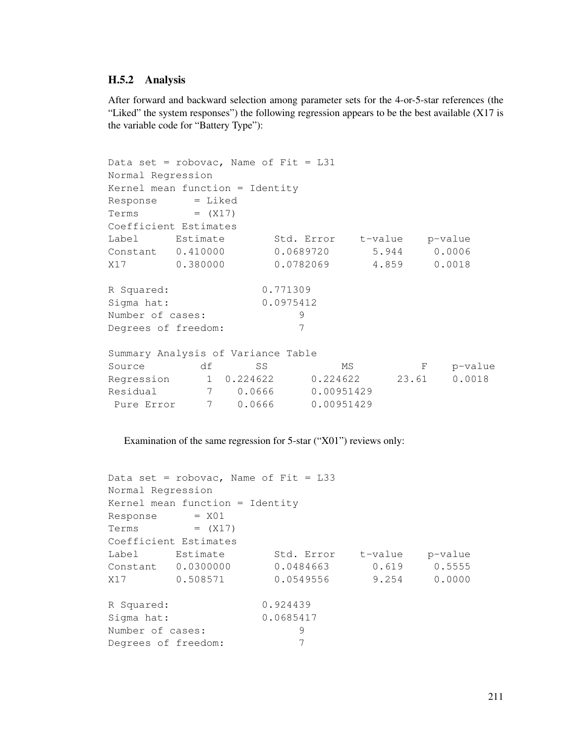## H.5.2 Analysis

After forward and backward selection among parameter sets for the 4-or-5-star references (the "Liked" the system responses") the following regression appears to be the best available (X17 is the variable code for "Battery Type"):

```
Data set = robovac, Name of Fit = L31Normal Regression
Kernel mean function = Identity
Response = Liked
Terms = (X17)Coefficient Estimates
Label Estimate Std. Error t-value p-value
Constant 0.410000 0.0689720 5.944 0.0006
X17 0.380000 0.0782069 4.859 0.0018
R Squared: 0.771309
Sigma hat: 0.0975412
Number of cases: 9
Degrees of freedom: 7
Summary Analysis of Variance Table
Source df SS MS F p-value
Regression 1 0.224622 0.224622 23.61 0.0018
Residual 7 0.0666 0.00951429
Pure Error 7 0.0666 0.00951429
```
Examination of the same regression for 5-star ("X01") reviews only:

```
Data set = robovac, Name of Fit = L33
Normal Regression
Kernel mean function = Identity
Response = X01Terms = (X17)Coefficient Estimates
Label Estimate Std. Error t-value p-value
Constant 0.0300000 0.0484663 0.619 0.5555
X17 0.508571 0.0549556 9.254 0.0000
R Squared: 0.924439
Sigma hat: 0.0685417
Number of cases: 9
Degrees of freedom: 7
```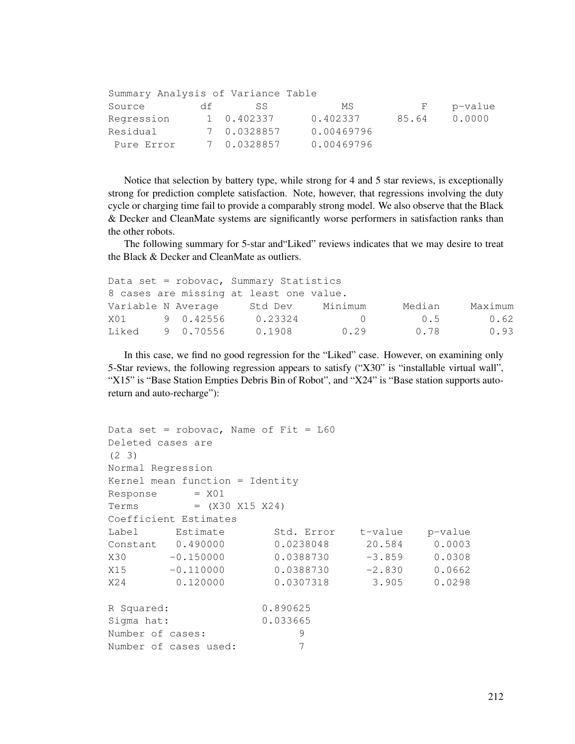| Summary Analysis of Variance Table |    |             |            |       |         |
|------------------------------------|----|-------------|------------|-------|---------|
| Source                             | dt | SS.         | MS         | F.    | p-value |
| Regression                         |    | 1 0.402337  | 0.402337   | 85.64 | 0.0000  |
| Residual                           |    | 7 0.0328857 | 0.00469796 |       |         |
| Pure Error                         |    | 7 0.0328857 | 0.00469796 |       |         |

Notice that selection by battery type, while strong for 4 and 5 star reviews, is exceptionally strong for prediction complete satisfaction. Note, however, that regressions involving the duty cycle or charging time fail to provide a comparably strong model. We also observe that the Black & Decker and CleanMate systems are significantly worse performers in satisfaction ranks than the other robots.

The following summary for 5-star and"Liked" reviews indicates that we may desire to treat the Black & Decker and CleanMate as outliers.

|       |                    | Data set = robovac, Summary Statistics  |         |        |         |
|-------|--------------------|-----------------------------------------|---------|--------|---------|
|       |                    | 8 cases are missing at least one value. |         |        |         |
|       | Variable N Average | Std Dev                                 | Minimum | Median | Maximum |
| X01   | 9 0.42556          | 0.23324                                 | (1)     | 0.5    | 0.62    |
| Liked | 9 0.70556          | 0.1908                                  | 0.29    | 0.78   | 0.93    |

In this case, we find no good regression for the "Liked" case. However, on examining only 5-Star reviews, the following regression appears to satisfy ("X30" is "installable virtual wall", "X15" is "Base Station Empties Debris Bin of Robot", and "X24" is "Base station supports autoreturn and auto-recharge"):

| Data set = robovac, Name of Fit = $L60$ |                         |       |         |
|-----------------------------------------|-------------------------|-------|---------|
| Deleted cases are                       |                         |       |         |
| $(2 \space 3)$                          |                         |       |         |
| Normal Regression                       |                         |       |         |
| Kernel mean function = Identity         |                         |       |         |
| $=$ X01<br>Response                     |                         |       |         |
| $Terms = (X30 X15 X24)$                 |                         |       |         |
| Coefficient Estimates                   |                         |       |         |
| Label Estimate                          | Std. Error t-value      |       | p-value |
| Constant 0.490000                       | 0.0238048 20.584 0.0003 |       |         |
| $X30 -0.150000$                         | $0.0388730 -3.859$      |       | 0.0308  |
| $X15 -0.110000$                         | $0.0388730 -2.830$      |       | 0.0662  |
| 0.120000<br>X24                         | 0.0307318               | 3.905 | 0.0298  |
| R Squared:                              | 0.890625                |       |         |
| Sigma hat:                              | 0.033665                |       |         |
| Number of cases:                        | 9                       |       |         |
| Number of cases used:                   | 7                       |       |         |